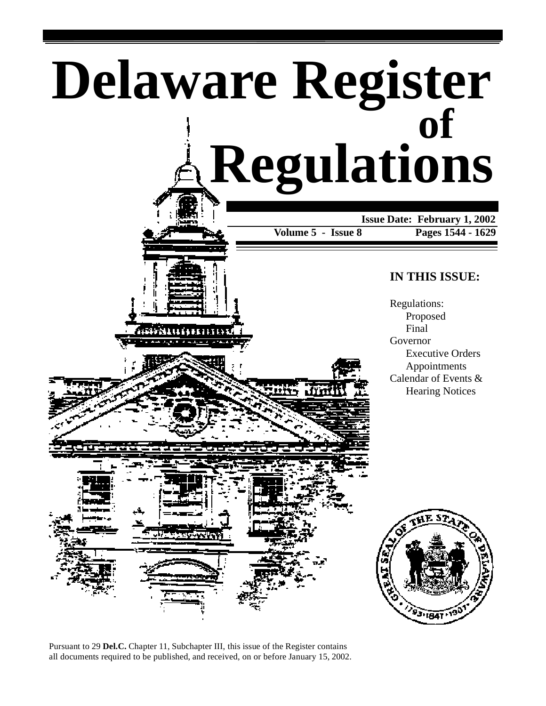





Pursuant to 29 **Del.C.** Chapter 11, Subchapter III, this issue of the Register contains all documents required to be published, and received, on or before January 15, 2002.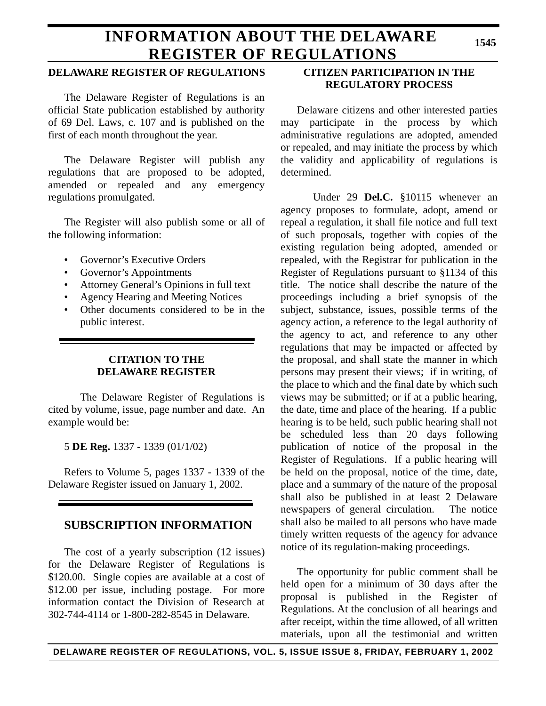# **INFORMATION ABOUT THE DELAWARE REGISTER OF REGULATIONS**

### **DELAWARE REGISTER OF REGULATIONS**

The Delaware Register of Regulations is an official State publication established by authority of 69 Del. Laws, c. 107 and is published on the first of each month throughout the year.

The Delaware Register will publish any regulations that are proposed to be adopted, amended or repealed and any emergency regulations promulgated.

The Register will also publish some or all of the following information:

- Governor's Executive Orders
- Governor's Appointments
- Attorney General's Opinions in full text
- Agency Hearing and Meeting Notices
- Other documents considered to be in the public interest.

## **CITATION TO THE DELAWARE REGISTER**

The Delaware Register of Regulations is cited by volume, issue, page number and date. An example would be:

5 **DE Reg.** 1337 - 1339 (01/1/02)

Refers to Volume 5, pages 1337 - 1339 of the Delaware Register issued on January 1, 2002.

## **SUBSCRIPTION INFORMATION**

The cost of a yearly subscription (12 issues) for the Delaware Register of Regulations is \$120.00. Single copies are available at a cost of \$12.00 per issue, including postage. For more information contact the Division of Research at 302-744-4114 or 1-800-282-8545 in Delaware.

## **CITIZEN PARTICIPATION IN THE REGULATORY PROCESS**

Delaware citizens and other interested parties may participate in the process by which administrative regulations are adopted, amended or repealed, and may initiate the process by which the validity and applicability of regulations is determined.

Under 29 **Del.C.** §10115 whenever an agency proposes to formulate, adopt, amend or repeal a regulation, it shall file notice and full text of such proposals, together with copies of the existing regulation being adopted, amended or repealed, with the Registrar for publication in the Register of Regulations pursuant to §1134 of this title. The notice shall describe the nature of the proceedings including a brief synopsis of the subject, substance, issues, possible terms of the agency action, a reference to the legal authority of the agency to act, and reference to any other regulations that may be impacted or affected by the proposal, and shall state the manner in which persons may present their views; if in writing, of the place to which and the final date by which such views may be submitted; or if at a public hearing, the date, time and place of the hearing. If a public hearing is to be held, such public hearing shall not be scheduled less than 20 days following publication of notice of the proposal in the Register of Regulations. If a public hearing will be held on the proposal, notice of the time, date, place and a summary of the nature of the proposal shall also be published in at least 2 Delaware newspapers of general circulation. The notice shall also be mailed to all persons who have made timely written requests of the agency for advance notice of its regulation-making proceedings.

The opportunity for public comment shall be held open for a minimum of 30 days after the proposal is published in the Register of Regulations. At the conclusion of all hearings and after receipt, within the time allowed, of all written materials, upon all the testimonial and written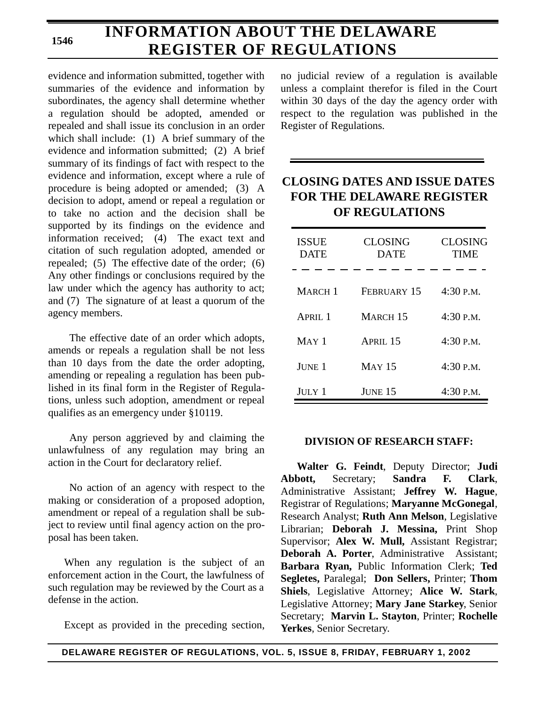# **INFORMATION ABOUT THE DELAWARE REGISTER OF REGULATIONS**

evidence and information submitted, together with summaries of the evidence and information by subordinates, the agency shall determine whether a regulation should be adopted, amended or repealed and shall issue its conclusion in an order which shall include: (1) A brief summary of the evidence and information submitted; (2) A brief summary of its findings of fact with respect to the evidence and information, except where a rule of procedure is being adopted or amended; (3) A decision to adopt, amend or repeal a regulation or to take no action and the decision shall be supported by its findings on the evidence and information received; (4) The exact text and citation of such regulation adopted, amended or repealed; (5) The effective date of the order; (6) Any other findings or conclusions required by the law under which the agency has authority to act; and (7) The signature of at least a quorum of the agency members.

The effective date of an order which adopts, amends or repeals a regulation shall be not less than 10 days from the date the order adopting, amending or repealing a regulation has been published in its final form in the Register of Regulations, unless such adoption, amendment or repeal qualifies as an emergency under §10119.

Any person aggrieved by and claiming the unlawfulness of any regulation may bring an action in the Court for declaratory relief.

No action of an agency with respect to the making or consideration of a proposed adoption, amendment or repeal of a regulation shall be subject to review until final agency action on the proposal has been taken.

When any regulation is the subject of an enforcement action in the Court, the lawfulness of such regulation may be reviewed by the Court as a defense in the action.

Except as provided in the preceding section,

no judicial review of a regulation is available unless a complaint therefor is filed in the Court within 30 days of the day the agency order with respect to the regulation was published in the Register of Regulations.

## **CLOSING DATES AND ISSUE DATES FOR THE DELAWARE REGISTER OF REGULATIONS**

| <b>ISSUE</b><br><b>DATE</b> | <b>CLOSING</b><br><b>DATE</b> | <b>CLOSING</b><br>TIME |
|-----------------------------|-------------------------------|------------------------|
| MARCH <sub>1</sub>          | FEBRUARY 15                   | 4:30 P.M.              |
| APRII.1                     | MARCH 15                      | $4:30$ P.M.            |
| $MAY$ 1                     | APRIL 15                      | $4:30$ P.M.            |
| JUNE 1                      | <b>MAY 15</b>                 | $4:30$ P.M.            |
| JULY 1                      | <b>JUNE 15</b>                | $4:30$ P.M.            |

### **DIVISION OF RESEARCH STAFF:**

**Walter G. Feindt**, Deputy Director; **Judi Abbott,** Secretary; **Sandra F. Clark**, Administrative Assistant; **Jeffrey W. Hague**, Registrar of Regulations; **Maryanne McGonegal**, Research Analyst; **Ruth Ann Melson**, Legislative Librarian; **Deborah J. Messina,** Print Shop Supervisor; **Alex W. Mull,** Assistant Registrar; **Deborah A. Porter**, Administrative Assistant; **Barbara Ryan,** Public Information Clerk; **Ted Segletes,** Paralegal; **Don Sellers,** Printer; **Thom Shiels**, Legislative Attorney; **Alice W. Stark**, Legislative Attorney; **Mary Jane Starkey**, Senior Secretary; **Marvin L. Stayton**, Printer; **Rochelle Yerkes**, Senior Secretary.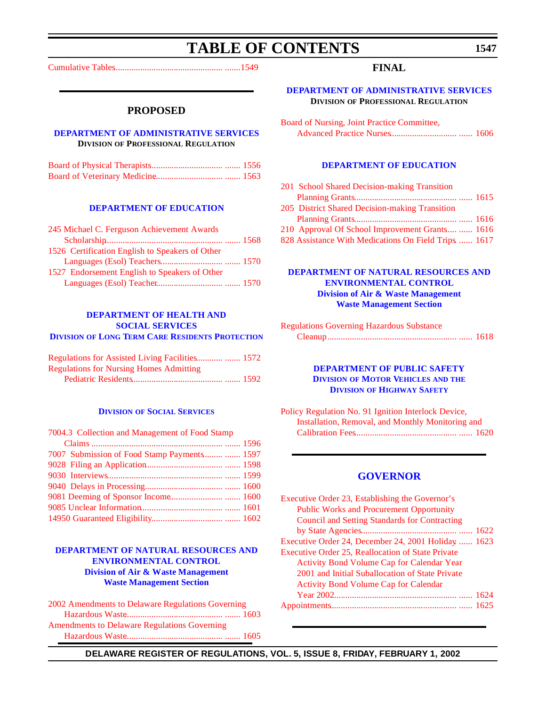# **TABLE OF CONTENTS**

<span id="page-3-0"></span>[Cumulative Tables................................................. .......1549](#page-5-0)

#### **PROPOSED**

### **[DEPARTMENT OF ADMINISTRATIVE SERVICES](http://www.state.de.us/das/) DIVISION OF PROFESSIONAL REGULATION**

#### **[DEPARTMENT OF EDUCATION](http://www.doe.state.de.us/)**

| 245 Michael C. Ferguson Achievement Awards      |  |
|-------------------------------------------------|--|
|                                                 |  |
| 1526 Certification English to Speakers of Other |  |
|                                                 |  |
| 1527 Endorsement English to Speakers of Other   |  |
|                                                 |  |

#### **DEPARTMENT OF HEALTH AND SOCIAL SERVICES DIVISION [OF LONG TERM CARE RESIDENTS PROTECTION](http://www.state.de.us/dhss/dltc/dltchome.htm)**

| <b>Regulations for Nursing Homes Admitting</b> |  |
|------------------------------------------------|--|
|                                                |  |

#### **DIVISION [OF SOCIAL SERVICES](http://www.state.de.us/dhss/dss/dsshome.html)**

| 7004.3 Collection and Management of Food Stamp |  |
|------------------------------------------------|--|
|                                                |  |
| 7007 Submission of Food Stamp Payments  1597   |  |
|                                                |  |
|                                                |  |
|                                                |  |
|                                                |  |
|                                                |  |
|                                                |  |

### **[DEPARTMENT OF NATURAL RESOURCES AND](http://www.dnrec.state.de.us/DNREC2000/Divisions/AWM/AWM.htm)  ENVIRONMENTAL CONTROL Division of Air & Waste Management Waste Management Section**

[2002 Amendments to Delaware Regulations Governing](#page-59-0) Hazardous Waste............................................ ....... 1603 Amendments to Delaware Regulations Governing [Hazardous Waste............................................ ....... 1605](#page-61-0)

### **FINAL**

**[DEPARTMENT OF ADMINISTRATIVE SERVICES](http://www.state.de.us/das/) DIVISION OF PROFESSIONAL REGULATION**

| Board of Nursing, Joint Practice Committee, |  |
|---------------------------------------------|--|
|                                             |  |

#### **[DEPARTMENT OF EDUCATION](http://www.doe.state.de.us/)**

| 201 School Shared Decision-making Transition         |  |
|------------------------------------------------------|--|
|                                                      |  |
| 205 District Shared Decision-making Transition       |  |
|                                                      |  |
| 210 Approval Of School Improvement Grants  1616      |  |
| 828 Assistance With Medications On Field Trips  1617 |  |

### **[DEPARTMENT OF NATURAL RESOURCES AND](http://www.dnrec.state.de.us/DNREC2000/Divisions/AWM/AWM.htm)  ENVIRONMENTAL CONTROL Division of Air & Waste Management Waste Management Section**

| <b>Regulations Governing Hazardous Substance</b> |  |
|--------------------------------------------------|--|
|                                                  |  |

#### **[DEPARTMENT OF PUBLIC SAFETY](http://www.state.de.us/highway/index.htm) DIVISION OF MOTOR VEHICLES AND THE DIVISION OF HIGHWAY SAFETY**

[Policy Regulation No. 91 Ignition Interlock Device,](#page-76-0) Installation, Removal, and Monthly Monitoring and Calibration Fees.............................................. ...... 1620

### **[GOVERNOR](http://www.state.de.us/governor/index.htm)**

| Executive Order 23, Establishing the Governor's      |  |
|------------------------------------------------------|--|
| <b>Public Works and Procurement Opportunity</b>      |  |
| <b>Council and Setting Standards for Contracting</b> |  |
|                                                      |  |
| Executive Order 24, December 24, 2001 Holiday  1623  |  |
| Executive Order 25, Reallocation of State Private    |  |
| <b>Activity Bond Volume Cap for Calendar Year</b>    |  |
| 2001 and Initial Suballocation of State Private      |  |
| <b>Activity Bond Volume Cap for Calendar</b>         |  |
|                                                      |  |
|                                                      |  |
|                                                      |  |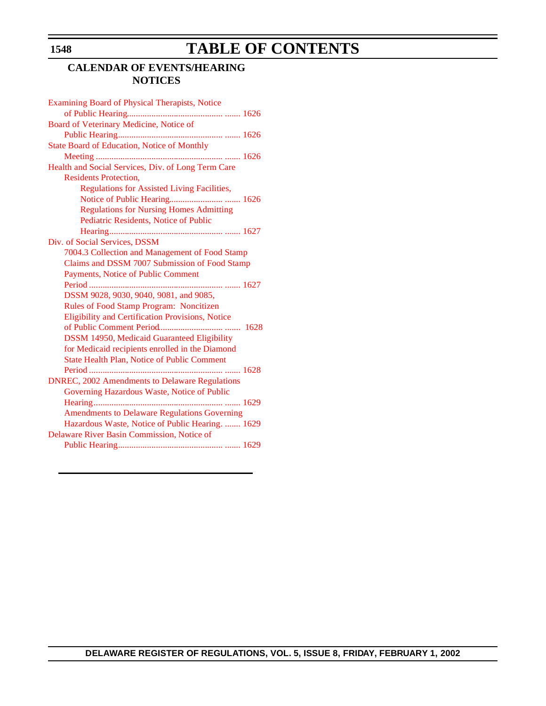# **TABLE OF CONTENTS**

## **CALENDAR OF EVENTS/HEARING NOTICES**

| Examining Board of Physical Therapists, Notice        |
|-------------------------------------------------------|
|                                                       |
| Board of Veterinary Medicine, Notice of               |
|                                                       |
| <b>State Board of Education, Notice of Monthly</b>    |
|                                                       |
| Health and Social Services, Div. of Long Term Care    |
| <b>Residents Protection,</b>                          |
| <b>Regulations for Assisted Living Facilities,</b>    |
|                                                       |
| <b>Regulations for Nursing Homes Admitting</b>        |
| Pediatric Residents, Notice of Public                 |
|                                                       |
| Div. of Social Services, DSSM                         |
| 7004.3 Collection and Management of Food Stamp        |
| Claims and DSSM 7007 Submission of Food Stamp         |
| Payments, Notice of Public Comment                    |
|                                                       |
| DSSM 9028, 9030, 9040, 9081, and 9085,                |
| Rules of Food Stamp Program: Noncitizen               |
| Eligibility and Certification Provisions, Notice      |
|                                                       |
| DSSM 14950, Medicaid Guaranteed Eligibility           |
| for Medicaid recipients enrolled in the Diamond       |
| <b>State Health Plan, Notice of Public Comment</b>    |
|                                                       |
| <b>DNREC, 2002 Amendments to Delaware Regulations</b> |
| Governing Hazardous Waste, Notice of Public           |
|                                                       |
| <b>Amendments to Delaware Regulations Governing</b>   |
| Hazardous Waste, Notice of Public Hearing.  1629      |
| Delaware River Basin Commission, Notice of            |
|                                                       |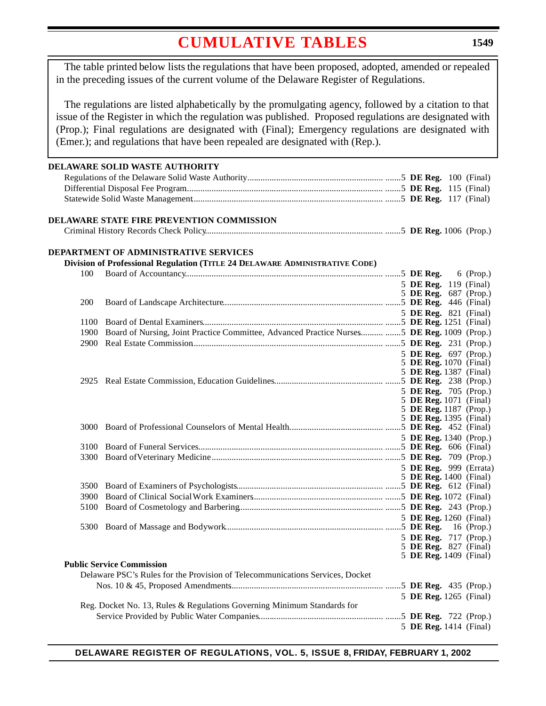# **[CUMULATIVE](#page-3-0) TABLES**

<span id="page-5-0"></span>The table printed below lists the regulations that have been proposed, adopted, amended or repealed in the preceding issues of the current volume of the Delaware Register of Regulations.

The regulations are listed alphabetically by the promulgating agency, followed by a citation to that issue of the Register in which the regulation was published. Proposed regulations are designated with (Prop.); Final regulations are designated with (Final); Emergency regulations are designated with (Emer.); and regulations that have been repealed are designated with (Rep.).

### **DELAWARE SOLID WASTE AUTHORITY** Regulations of the Delaware Solid Waste Authority............................................................. .......5 **DE Reg.** 100 (Final) Differential Disposal Fee Program......................................................................................... .......5 **DE Reg.** 115 (Final) Statewide Solid Waste Management...................................................................................... .......5 **DE Reg.** 117 (Final) **DELAWARE STATE FIRE PREVENTION COMMISSION** Criminal History Records Check Policy................................................................................ .......5 **DE Reg.** 1006 (Prop.) **DEPARTMENT OF ADMINISTRATIVE SERVICES Division of Professional Regulation (TITLE 24 DELAWARE ADMINISTRATIVE CODE)** 100 Board of Accountancy......................................................................................... .......5 **DE Reg.** 6 (Prop.) 5 **DE Reg.** 119 (Final) 5 **DE Reg.** 687 (Prop.) 200 Board of Landscape Architecture........................................................................ .......5 **DE Reg.** 446 (Final) 5 **DE Reg.** 821 (Final) 1100 Board of Dental Examiners................................................................................. .......5 **DE Reg.** 1251 (Final) 1900 Board of Nursing, Joint Practice Committee, Advanced Practice Nurses........... .......5 **DE Reg.** 1009 (Prop.) 2900 Real Estate Commission...................................................................................... .......5 **DE Reg.** 231 (Prop.) 5 **DE Reg.** 697 (Prop.) 5 **DE Reg.** 1070 (Final) 5 **DE Reg.** 1387 (Final) 2925 Real Estate Commission, Education Guidelines................................................. .......5 **DE Reg.** 238 (Prop.) 5 **DE Reg.** 705 (Prop.) 5 **DE Reg.** 1071 (Final) 5 **DE Reg.** 1187 (Prop.) 5 **DE Reg.** 1395 (Final) 3000 Board of Professional Counselors of Mental Health........................................... .......5 **DE Reg.** 452 (Final) 5 **DE Reg.** 1340 (Prop.) 3100 Board of Funeral Services................................................................................... .......5 **DE Reg.** 606 (Final) 3300 Board of Veterinary Medicine............................................................................. .......5 **DE Reg.** 709 (Prop.) 5 **DE Reg.** 999 (Errata) 5 **DE Reg.** 1400 (Final) 3500 Board of Examiners of Psychologists.................................................................. .......5 **DE Reg.** 612 (Final) 3900 Board of Clinical Social Work Examiners........................................................... .......5 **DE Reg.** 1072 (Final) 5100 Board of Cosmetology and Barbering................................................................. .......5 **DE Reg.** 243 (Prop.) 5 **DE Reg.** 1260 (Final) 5300 Board of Massage and Bodywork....................................................................... .......5 **DE Reg.** 16 (Prop.) 5 **DE Reg.** 717 (Prop.) 5 **DE Reg.** 827 (Final) 5 **DE Reg.** 1409 (Final) **Public Service Commission** Delaware PSC's Rules for the Provision of Telecommunications Services, Docket Nos. 10 & 45, Proposed Amendments..................................................................... .......5 **DE Reg.** 435 (Prop.) 5 **DE Reg.** 1265 (Final) Reg. Docket No. 13, Rules & Regulations Governing Minimum Standards for Service Provided by Public Water Companies........................................................ .......5 **DE Reg.** 722 (Prop.) 5 **DE Reg.** 1414 (Final)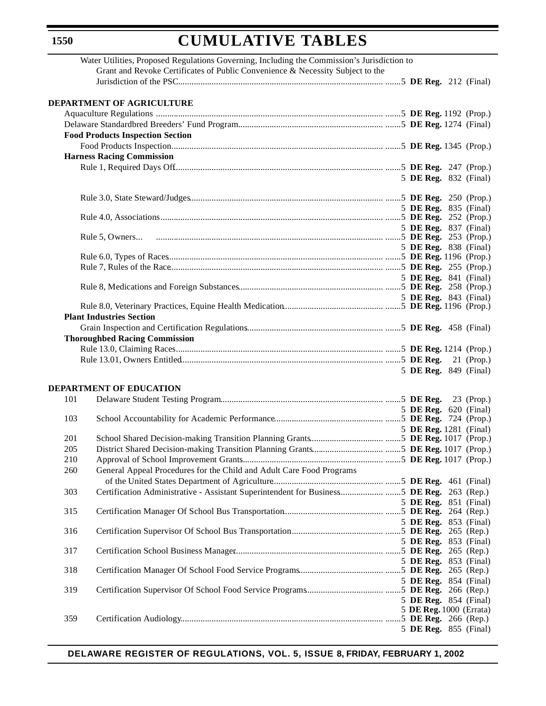# **CUMULATIVE TABLES**

|     | Water Utilities, Proposed Regulations Governing, Including the Commission's Jurisdiction to |                                                  |  |
|-----|---------------------------------------------------------------------------------------------|--------------------------------------------------|--|
|     | Grant and Revoke Certificates of Public Convenience & Necessity Subject to the              |                                                  |  |
|     |                                                                                             |                                                  |  |
|     |                                                                                             |                                                  |  |
|     | <b>DEPARTMENT OF AGRICULTURE</b>                                                            |                                                  |  |
|     |                                                                                             |                                                  |  |
|     |                                                                                             |                                                  |  |
|     | <b>Food Products Inspection Section</b>                                                     |                                                  |  |
|     |                                                                                             |                                                  |  |
|     | <b>Harness Racing Commission</b>                                                            |                                                  |  |
|     |                                                                                             |                                                  |  |
|     |                                                                                             |                                                  |  |
|     |                                                                                             | 5 DE Reg. 832 (Final)                            |  |
|     |                                                                                             |                                                  |  |
|     |                                                                                             |                                                  |  |
|     |                                                                                             | 5 DE Reg. 835 (Final)                            |  |
|     |                                                                                             |                                                  |  |
|     |                                                                                             | 5 DE Reg. 837 (Final)                            |  |
|     |                                                                                             |                                                  |  |
|     |                                                                                             | 5 DE Reg. 838 (Final)                            |  |
|     |                                                                                             |                                                  |  |
|     |                                                                                             |                                                  |  |
|     |                                                                                             | 5 DE Reg. 841 (Final)                            |  |
|     |                                                                                             |                                                  |  |
|     |                                                                                             | 5 DE Reg. 843 (Final)                            |  |
|     | <b>Plant Industries Section</b>                                                             |                                                  |  |
|     |                                                                                             |                                                  |  |
|     |                                                                                             |                                                  |  |
|     | <b>Thoroughbed Racing Commission</b>                                                        |                                                  |  |
|     |                                                                                             |                                                  |  |
|     |                                                                                             |                                                  |  |
|     |                                                                                             | 5 DE Reg. 849 (Final)                            |  |
|     |                                                                                             |                                                  |  |
|     | <b>DEPARTMENT OF EDUCATION</b>                                                              |                                                  |  |
| 101 |                                                                                             |                                                  |  |
|     |                                                                                             | 5 DE Reg. 620 (Final)                            |  |
| 103 |                                                                                             |                                                  |  |
| 201 |                                                                                             | 5 DE Reg. 1281 (Final)                           |  |
|     |                                                                                             |                                                  |  |
| 205 |                                                                                             |                                                  |  |
| 210 |                                                                                             |                                                  |  |
| 260 | General Appeal Procedures for the Child and Adult Care Food Programs                        |                                                  |  |
|     |                                                                                             |                                                  |  |
| 303 | Certification Administrative - Assistant Superintendent for Business5 DE Reg. 263 (Rep.)    |                                                  |  |
|     |                                                                                             | 5 DE Reg. 851 (Final)                            |  |
| 315 |                                                                                             |                                                  |  |
|     |                                                                                             | 5 DE Reg. 853 (Final)                            |  |
| 316 |                                                                                             |                                                  |  |
|     |                                                                                             | 5 DE Reg. 853 (Final)                            |  |
| 317 |                                                                                             |                                                  |  |
|     |                                                                                             | 5 DE Reg. 853 (Final)                            |  |
| 318 |                                                                                             |                                                  |  |
|     |                                                                                             | 5 DE Reg. 854 (Final)                            |  |
| 319 |                                                                                             |                                                  |  |
|     |                                                                                             | 5 DE Reg. 854 (Final)<br>5 DE Reg. 1000 (Errata) |  |
| 359 |                                                                                             |                                                  |  |
|     |                                                                                             | 5 DE Reg. 855 (Final)                            |  |
|     |                                                                                             |                                                  |  |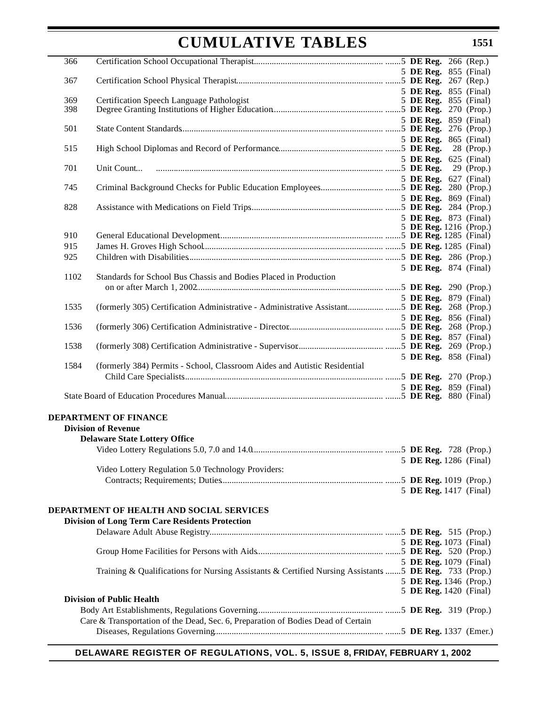# **CUMULATIVE TABLES**

| 366        |                                                                                                        |  |  |                               |
|------------|--------------------------------------------------------------------------------------------------------|--|--|-------------------------------|
|            |                                                                                                        |  |  | 5 <b>DE Reg.</b> 855 (Final)  |
| 367        |                                                                                                        |  |  |                               |
|            |                                                                                                        |  |  | 5 <b>DE Reg.</b> 855 (Final)  |
| 369<br>398 | Certification Speech Language Pathologist                                                              |  |  | 5 DE Reg. 855 (Final)         |
|            |                                                                                                        |  |  | 5 DE Reg. 859 (Final)         |
| 501        |                                                                                                        |  |  |                               |
|            |                                                                                                        |  |  | 5 <b>DE Reg.</b> 865 (Final)  |
| 515        |                                                                                                        |  |  |                               |
|            |                                                                                                        |  |  | 5 <b>DE Reg.</b> 625 (Final)  |
| 701        |                                                                                                        |  |  |                               |
|            |                                                                                                        |  |  | 5 DE Reg. 627 (Final)         |
| 745        |                                                                                                        |  |  |                               |
| 828        |                                                                                                        |  |  | 5 <b>DE Reg.</b> 869 (Final)  |
|            |                                                                                                        |  |  | 5 DE Reg. 873 (Final)         |
|            |                                                                                                        |  |  | 5 DE Reg. 1216 (Prop.)        |
| 910        |                                                                                                        |  |  |                               |
| 915        |                                                                                                        |  |  |                               |
| 925        |                                                                                                        |  |  |                               |
|            |                                                                                                        |  |  | 5 DE Reg. 874 (Final)         |
| 1102       | Standards for School Bus Chassis and Bodies Placed in Production                                       |  |  |                               |
|            |                                                                                                        |  |  |                               |
| 1535       | (formerly 305) Certification Administrative - Administrative Assistant5 DE Reg. 268 (Prop.)            |  |  | 5 DE Reg. 879 (Final)         |
|            |                                                                                                        |  |  | 5 DE Reg. 856 (Final)         |
| 1536       |                                                                                                        |  |  |                               |
|            |                                                                                                        |  |  | 5 DE Reg. 857 (Final)         |
| 1538       |                                                                                                        |  |  |                               |
|            |                                                                                                        |  |  | 5 DE Reg. 858 (Final)         |
| 1584       | (formerly 384) Permits - School, Classroom Aides and Autistic Residential                              |  |  |                               |
|            |                                                                                                        |  |  |                               |
|            |                                                                                                        |  |  | 5 DE Reg. 859 (Final)         |
|            |                                                                                                        |  |  |                               |
|            | <b>DEPARTMENT OF FINANCE</b>                                                                           |  |  |                               |
|            | <b>Division of Revenue</b>                                                                             |  |  |                               |
|            | <b>Delaware State Lottery Office</b>                                                                   |  |  |                               |
|            |                                                                                                        |  |  |                               |
|            |                                                                                                        |  |  | 5 DE Reg. 1286 (Final)        |
|            | Video Lottery Regulation 5.0 Technology Providers:                                                     |  |  |                               |
|            |                                                                                                        |  |  |                               |
|            |                                                                                                        |  |  | 5 DE Reg. 1417 (Final)        |
|            | DEPARTMENT OF HEALTH AND SOCIAL SERVICES                                                               |  |  |                               |
|            | <b>Division of Long Term Care Residents Protection</b>                                                 |  |  |                               |
|            |                                                                                                        |  |  |                               |
|            |                                                                                                        |  |  | 5 DE Reg. 1073 (Final)        |
|            |                                                                                                        |  |  |                               |
|            |                                                                                                        |  |  | 5 DE Reg. 1079 (Final)        |
|            | Training & Qualifications for Nursing Assistants & Certified Nursing Assistants  5 DE Reg. 733 (Prop.) |  |  |                               |
|            |                                                                                                        |  |  | 5 DE Reg. 1346 (Prop.)        |
|            | <b>Division of Public Health</b>                                                                       |  |  | <b>5 DE Reg.</b> 1420 (Final) |
|            |                                                                                                        |  |  |                               |
|            | Care & Transportation of the Dead, Sec. 6, Preparation of Bodies Dead of Certain                       |  |  |                               |
|            |                                                                                                        |  |  |                               |
|            |                                                                                                        |  |  |                               |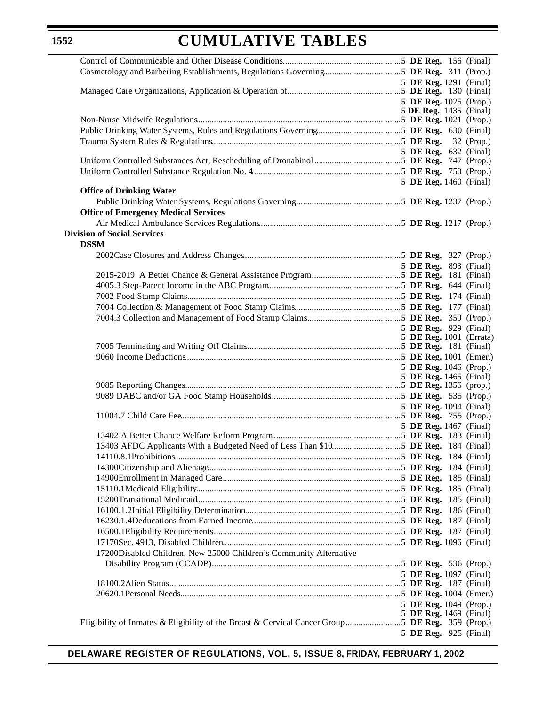# **CUMULATIVE TABLES**

|                                                                                                 | 5 DE Reg. 1291 (Final)        |  |
|-------------------------------------------------------------------------------------------------|-------------------------------|--|
|                                                                                                 |                               |  |
|                                                                                                 | 5 DE Reg. 1025 (Prop.)        |  |
|                                                                                                 | 5 DE Reg. 1435 (Final)        |  |
|                                                                                                 |                               |  |
|                                                                                                 |                               |  |
|                                                                                                 |                               |  |
|                                                                                                 | 5 <b>DE Reg.</b> 632 (Final)  |  |
|                                                                                                 |                               |  |
|                                                                                                 |                               |  |
|                                                                                                 |                               |  |
| <b>Office of Drinking Water</b>                                                                 | 5 DE Reg. 1460 (Final)        |  |
|                                                                                                 |                               |  |
|                                                                                                 |                               |  |
| <b>Office of Emergency Medical Services</b>                                                     |                               |  |
|                                                                                                 |                               |  |
| <b>Division of Social Services</b>                                                              |                               |  |
| <b>DSSM</b>                                                                                     |                               |  |
|                                                                                                 |                               |  |
|                                                                                                 | 5 DE Reg. 893 (Final)         |  |
|                                                                                                 |                               |  |
|                                                                                                 |                               |  |
|                                                                                                 |                               |  |
|                                                                                                 |                               |  |
|                                                                                                 |                               |  |
|                                                                                                 |                               |  |
|                                                                                                 | 5 DE Reg. 929 (Final)         |  |
|                                                                                                 | 5 DE Reg. 1001 (Errata)       |  |
|                                                                                                 |                               |  |
|                                                                                                 |                               |  |
|                                                                                                 | 5 DE Reg. 1046 (Prop.)        |  |
|                                                                                                 | 5 DE Reg. 1465 (Final)        |  |
|                                                                                                 |                               |  |
|                                                                                                 |                               |  |
|                                                                                                 | 5 DE Reg. 1094 (Final)        |  |
|                                                                                                 |                               |  |
|                                                                                                 | 5 DE Reg. 1467 (Final)        |  |
|                                                                                                 |                               |  |
|                                                                                                 |                               |  |
|                                                                                                 |                               |  |
|                                                                                                 |                               |  |
|                                                                                                 |                               |  |
|                                                                                                 |                               |  |
|                                                                                                 |                               |  |
|                                                                                                 |                               |  |
|                                                                                                 |                               |  |
|                                                                                                 |                               |  |
|                                                                                                 |                               |  |
| 17200Disabled Children, New 25000 Children's Community Alternative                              |                               |  |
|                                                                                                 |                               |  |
|                                                                                                 |                               |  |
|                                                                                                 | 5 DE Reg. 1097 (Final)        |  |
|                                                                                                 |                               |  |
|                                                                                                 |                               |  |
|                                                                                                 | 5 DE Reg. 1049 (Prop.)        |  |
|                                                                                                 | <b>5 DE Reg.</b> 1469 (Final) |  |
| Eligibility of Inmates & Eligibility of the Breast & Cervical Cancer Group5 DE Reg. 359 (Prop.) |                               |  |
|                                                                                                 | 5 DE Reg. 925 (Final)         |  |
|                                                                                                 |                               |  |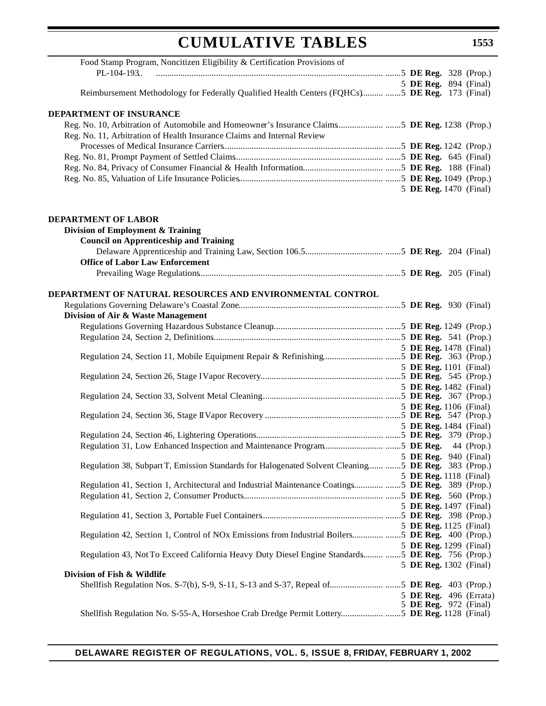# **CUMULATIVE TABLES**

| Food Stamp Program, Noncitizen Eligibility & Certification Provisions of                                                             |  |  |                                                 |
|--------------------------------------------------------------------------------------------------------------------------------------|--|--|-------------------------------------------------|
|                                                                                                                                      |  |  |                                                 |
|                                                                                                                                      |  |  | 5 DE Reg. 894 (Final)                           |
|                                                                                                                                      |  |  |                                                 |
|                                                                                                                                      |  |  |                                                 |
| DEPARTMENT OF INSURANCE                                                                                                              |  |  |                                                 |
| Reg. No. 10, Arbitration of Automobile and Homeowner's Insurance Claims5 DE Reg. 1238 (Prop.)                                        |  |  |                                                 |
| Reg. No. 11, Arbitration of Health Insurance Claims and Internal Review                                                              |  |  |                                                 |
|                                                                                                                                      |  |  |                                                 |
|                                                                                                                                      |  |  |                                                 |
|                                                                                                                                      |  |  |                                                 |
|                                                                                                                                      |  |  |                                                 |
|                                                                                                                                      |  |  | 5 DE Reg. 1470 (Final)                          |
| <b>DEPARTMENT OF LABOR</b>                                                                                                           |  |  |                                                 |
| Division of Employment & Training                                                                                                    |  |  |                                                 |
| <b>Council on Apprenticeship and Training</b>                                                                                        |  |  |                                                 |
|                                                                                                                                      |  |  |                                                 |
| <b>Office of Labor Law Enforcement</b>                                                                                               |  |  |                                                 |
|                                                                                                                                      |  |  |                                                 |
|                                                                                                                                      |  |  |                                                 |
| DEPARTMENT OF NATURAL RESOURCES AND ENVIRONMENTAL CONTROL                                                                            |  |  |                                                 |
|                                                                                                                                      |  |  |                                                 |
| Division of Air & Waste Management                                                                                                   |  |  |                                                 |
|                                                                                                                                      |  |  |                                                 |
|                                                                                                                                      |  |  |                                                 |
|                                                                                                                                      |  |  | 5 DE Reg. 1478 (Final)                          |
|                                                                                                                                      |  |  |                                                 |
|                                                                                                                                      |  |  | 5 DE Reg. 1101 (Final)                          |
|                                                                                                                                      |  |  |                                                 |
|                                                                                                                                      |  |  | 5 DE Reg. 1482 (Final)                          |
|                                                                                                                                      |  |  |                                                 |
|                                                                                                                                      |  |  | 5 DE Reg. 1106 (Final)                          |
|                                                                                                                                      |  |  |                                                 |
|                                                                                                                                      |  |  | 5 DE Reg. 1484 (Final)                          |
|                                                                                                                                      |  |  |                                                 |
|                                                                                                                                      |  |  |                                                 |
| 5 <b>DE Reg.</b> 940 (Final)<br>Regulation 38, Subpart T, Emission Standards for Halogenated Solvent Cleaning  5 DE Reg. 383 (Prop.) |  |  |                                                 |
|                                                                                                                                      |  |  | 5 DE Reg. 1118 (Final)                          |
| Regulation 41, Section 1, Architectural and Industrial Maintenance Coatings5 DE Reg. 389 (Prop.)                                     |  |  |                                                 |
|                                                                                                                                      |  |  |                                                 |
|                                                                                                                                      |  |  | 5 DE Reg. 1497 (Final)                          |
|                                                                                                                                      |  |  |                                                 |
|                                                                                                                                      |  |  | 5 DE Reg. 1125 (Final)                          |
| Regulation 42, Section 1, Control of NOx Emissions from Industrial Boilers5 DE Reg. 400 (Prop.)                                      |  |  |                                                 |
|                                                                                                                                      |  |  | 5 DE Reg. 1299 (Final)                          |
| Regulation 43, Not To Exceed California Heavy Duty Diesel Engine Standards  5 DE Reg. 756 (Prop.)                                    |  |  |                                                 |
|                                                                                                                                      |  |  | 5 DE Reg. 1302 (Final)                          |
| Division of Fish & Wildlife                                                                                                          |  |  |                                                 |
|                                                                                                                                      |  |  |                                                 |
|                                                                                                                                      |  |  | 5 DE Reg. 496 (Errata)<br>5 DE Reg. 972 (Final) |
| Shellfish Regulation No. S-55-A, Horseshoe Crab Dredge Permit Lottery5 DE Reg. 1128 (Final)                                          |  |  |                                                 |
|                                                                                                                                      |  |  |                                                 |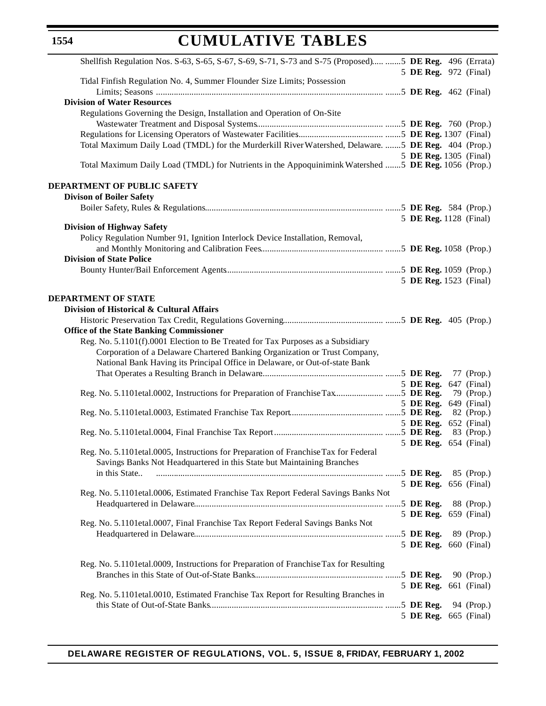# **CUMULATIVE TABLES**

| Shellfish Regulation Nos. S-63, S-65, S-67, S-69, S-71, S-73 and S-75 (Proposed) 5 DE Reg. 496 (Errata) |                              |            |
|---------------------------------------------------------------------------------------------------------|------------------------------|------------|
| Tidal Finfish Regulation No. 4, Summer Flounder Size Limits; Possession                                 | 5 DE Reg. 972 (Final)        |            |
|                                                                                                         |                              |            |
| <b>Division of Water Resources</b>                                                                      |                              |            |
| Regulations Governing the Design, Installation and Operation of On-Site                                 |                              |            |
|                                                                                                         |                              |            |
|                                                                                                         |                              |            |
| Total Maximum Daily Load (TMDL) for the Murderkill River Watershed, Delaware. 5 DE Reg. 404 (Prop.)     |                              |            |
| Total Maximum Daily Load (TMDL) for Nutrients in the Appoquinimink Watershed  5 DE Reg. 1056 (Prop.)    | 5 DE Reg. 1305 (Final)       |            |
| DEPARTMENT OF PUBLIC SAFETY                                                                             |                              |            |
| <b>Divison of Boiler Safety</b>                                                                         |                              |            |
|                                                                                                         |                              |            |
|                                                                                                         | 5 DE Reg. 1128 (Final)       |            |
| <b>Division of Highway Safety</b>                                                                       |                              |            |
| Policy Regulation Number 91, Ignition Interlock Device Installation, Removal,                           |                              |            |
| <b>Division of State Police</b>                                                                         |                              |            |
|                                                                                                         |                              |            |
|                                                                                                         | 5 DE Reg. 1523 (Final)       |            |
| <b>DEPARTMENT OF STATE</b>                                                                              |                              |            |
| Division of Historical & Cultural Affairs                                                               |                              |            |
|                                                                                                         |                              |            |
| <b>Office of the State Banking Commissioner</b>                                                         |                              |            |
| Reg. No. 5.1101(f).0001 Election to Be Treated for Tax Purposes as a Subsidiary                         |                              |            |
| Corporation of a Delaware Chartered Banking Organization or Trust Company,                              |                              |            |
| National Bank Having its Principal Office in Delaware, or Out-of-state Bank                             |                              |            |
|                                                                                                         |                              | 77 (Prop.) |
|                                                                                                         | 5 DE Reg. 647 (Final)        | 79 (Prop.) |
|                                                                                                         | 5 DE Reg. 649 (Final)        |            |
|                                                                                                         |                              |            |
|                                                                                                         | 5 DE Reg. 652 (Final)        |            |
|                                                                                                         |                              | 83 (Prop.) |
| Reg. No. 5.1101etal.0005, Instructions for Preparation of Franchise Tax for Federal                     | 5 DE Reg. 654 (Final)        |            |
| Savings Banks Not Headquartered in this State but Maintaining Branches                                  |                              |            |
| in this State                                                                                           |                              | 85 (Prop.) |
|                                                                                                         | 5 DE Reg. 656 (Final)        |            |
| Reg. No. 5.1101etal.0006, Estimated Franchise Tax Report Federal Savings Banks Not                      |                              |            |
|                                                                                                         |                              | 88 (Prop.) |
|                                                                                                         | 5 DE Reg. 659 (Final)        |            |
| Reg. No. 5.1101 et al. 0007, Final Franchise Tax Report Federal Savings Banks Not                       |                              |            |
|                                                                                                         | 5 DE Reg. 660 (Final)        | 89 (Prop.) |
|                                                                                                         |                              |            |
| Reg. No. 5.1101etal.0009, Instructions for Preparation of Franchise Tax for Resulting                   |                              |            |
|                                                                                                         | 5 DE Reg.                    | 90 (Prop.) |
|                                                                                                         | <b>5 DE Reg.</b> 661 (Final) |            |
| Reg. No. 5.1101etal.0010, Estimated Franchise Tax Report for Resulting Branches in                      |                              |            |
|                                                                                                         |                              | 94 (Prop.) |
|                                                                                                         | 5 DE Reg. 665 (Final)        |            |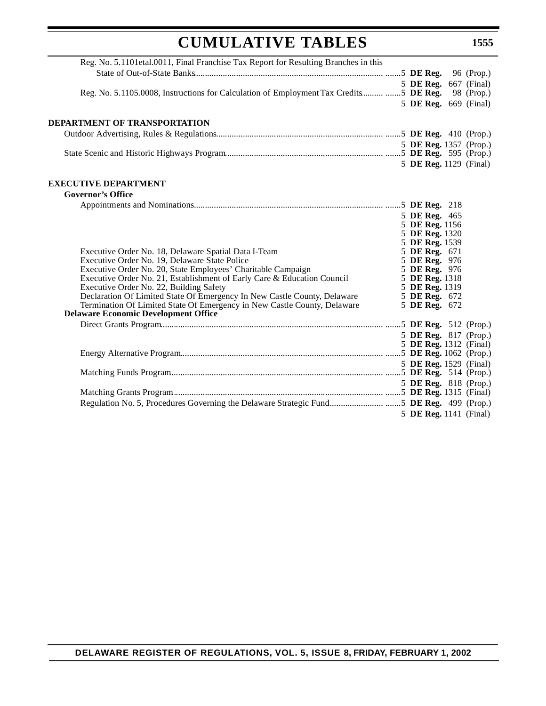| <b>CUMULATIVE TABLES</b>                                                                                                | 1555                           |
|-------------------------------------------------------------------------------------------------------------------------|--------------------------------|
| Reg. No. 5.1101etal.0011, Final Franchise Tax Report for Resulting Branches in this                                     |                                |
|                                                                                                                         |                                |
|                                                                                                                         | 5 DE Reg. 667 (Final)          |
| Reg. No. 5.1105.0008, Instructions for Calculation of Employment Tax Credits  5 DE Reg. 98 (Prop.)                      |                                |
|                                                                                                                         | 5 DE Reg. 669 (Final)          |
| DEPARTMENT OF TRANSPORTATION                                                                                            |                                |
|                                                                                                                         |                                |
|                                                                                                                         | 5 DE Reg. 1357 (Prop.)         |
|                                                                                                                         |                                |
|                                                                                                                         | 5 DE Reg. 1129 (Final)         |
| <b>EXECUTIVE DEPARTMENT</b>                                                                                             |                                |
| <b>Governor's Office</b>                                                                                                |                                |
|                                                                                                                         |                                |
|                                                                                                                         | 5 DE Reg. 465                  |
|                                                                                                                         | 5 DE Reg. 1156                 |
|                                                                                                                         | 5 DE Reg. 1320                 |
|                                                                                                                         | 5 DE Reg. 1539                 |
| Executive Order No. 18, Delaware Spatial Data I-Team<br>Executive Order No. 19, Delaware State Police                   | 5 DE Reg. 671<br>5 DE Reg. 976 |
| Executive Order No. 20, State Employees' Charitable Campaign                                                            | 5 DE Reg. 976                  |
| Executive Order No. 21, Establishment of Early Care & Education Council                                                 | 5 DE Reg. 1318                 |
| Executive Order No. 22, Building Safety                                                                                 | 5 DE Reg. 1319                 |
| Declaration Of Limited State Of Emergency In New Castle County, Delaware                                                | 5 DE Reg. 672                  |
| Termination Of Limited State Of Emergency in New Castle County, Delaware<br><b>Delaware Economic Development Office</b> | 5 DE Reg. 672                  |
|                                                                                                                         |                                |
|                                                                                                                         | 5 DE Reg. 817 (Prop.)          |
|                                                                                                                         | 5 DE Reg. 1312 (Final)         |
|                                                                                                                         |                                |
|                                                                                                                         | 5 DE Reg. 1529 (Final)         |
|                                                                                                                         |                                |
|                                                                                                                         | 5 DE Reg. 818 (Prop.)          |
|                                                                                                                         |                                |
|                                                                                                                         |                                |
|                                                                                                                         | 5 DE Reg. 1141 (Final)         |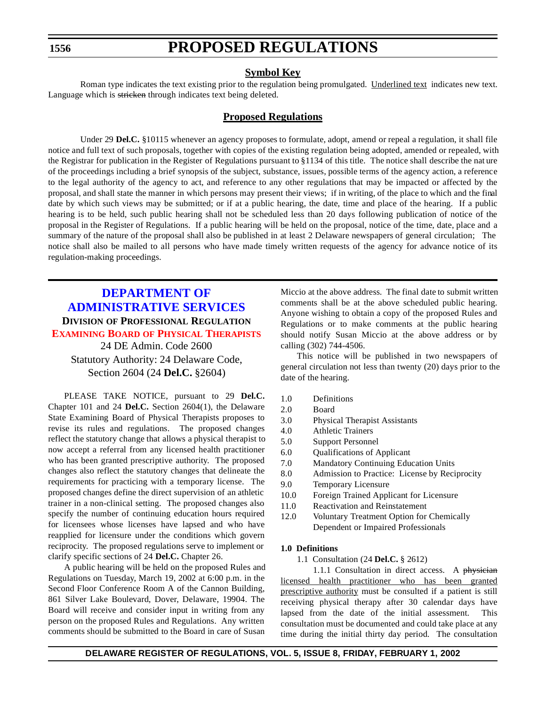# **PROPOSED REGULATIONS**

### **Symbol Key**

<span id="page-12-0"></span>Roman type indicates the text existing prior to the regulation being promulgated. Underlined text indicates new text. Language which is stricken through indicates text being deleted.

### **Proposed Regulations**

Under 29 **Del.C.** §10115 whenever an agency proposes to formulate, adopt, amend or repeal a regulation, it shall file notice and full text of such proposals, together with copies of the existing regulation being adopted, amended or repealed, with the Registrar for publication in the Register of Regulations pursuant to §1134 of this title. The notice shall describe the nat ure of the proceedings including a brief synopsis of the subject, substance, issues, possible terms of the agency action, a reference to the legal authority of the agency to act, and reference to any other regulations that may be impacted or affected by the proposal, and shall state the manner in which persons may present their views; if in writing, of the place to which and the final date by which such views may be submitted; or if at a public hearing, the date, time and place of the hearing. If a public hearing is to be held, such public hearing shall not be scheduled less than 20 days following publication of notice of the proposal in the Register of Regulations. If a public hearing will be held on the proposal, notice of the time, date, place and a summary of the nature of the proposal shall also be published in at least 2 Delaware newspapers of general circulation; The notice shall also be mailed to all persons who have made timely written requests of the agency for advance notice of its regulation-making proceedings.

## **DEPARTMENT OF [ADMINISTRATIVE SERVICES](http://www.state.de.us/das/) DIVISION OF PROFESSIONAL REGULATION EXAMINING BOARD OF PHYSICAL [THERAPISTS](#page-3-0)** 24 DE Admin. Code 2600

Statutory Authority: 24 Delaware Code, Section 2604 (24 **Del.C.** §2604)

PLEASE TAKE NOTICE, pursuant to 29 **Del.C.** Chapter 101 and 24 **Del.C.** Section 2604(1), the Delaware State Examining Board of Physical Therapists proposes to revise its rules and regulations. The proposed changes reflect the statutory change that allows a physical therapist to now accept a referral from any licensed health practitioner who has been granted prescriptive authority. The proposed changes also reflect the statutory changes that delineate the requirements for practicing with a temporary license. The proposed changes define the direct supervision of an athletic trainer in a non-clinical setting. The proposed changes also specify the number of continuing education hours required for licensees whose licenses have lapsed and who have reapplied for licensure under the conditions which govern reciprocity. The proposed regulations serve to implement or clarify specific sections of 24 **Del.C.** Chapter 26.

A public hearing will be held on the proposed Rules and Regulations on Tuesday, March 19, 2002 at 6:00 p.m. in the Second Floor Conference Room A of the Cannon Building, 861 Silver Lake Boulevard, Dover, Delaware, 19904. The Board will receive and consider input in writing from any person on the proposed Rules and Regulations. Any written comments should be submitted to the Board in care of Susan

Miccio at the above address. The final date to submit written comments shall be at the above scheduled public hearing. Anyone wishing to obtain a copy of the proposed Rules and Regulations or to make comments at the public hearing should notify Susan Miccio at the above address or by calling (302) 744-4506.

This notice will be published in two newspapers of general circulation not less than twenty (20) days prior to the date of the hearing.

- 1.0 Definitions
- 2.0 Board
- 3.0 Physical Therapist Assistants
- 4.0 Athletic Trainers
- 5.0 Support Personnel
- 6.0 Qualifications of Applicant
- 7.0 Mandatory Continuing Education Units
- 8.0 Admission to Practice: License by Reciprocity
- 9.0 Temporary Licensure
- 10.0 Foreign Trained Applicant for Licensure
- 11.0 Reactivation and Reinstatement
- 12.0 Voluntary Treatment Option for Chemically Dependent or Impaired Professionals

#### **1.0 Definitions**

1.1 Consultation (24 **Del.C.** § 2612)

1.1.1 Consultation in direct access. A physician licensed health practitioner who has been granted prescriptive authority must be consulted if a patient is still receiving physical therapy after 30 calendar days have lapsed from the date of the initial assessment. This consultation must be documented and could take place at any time during the initial thirty day period. The consultation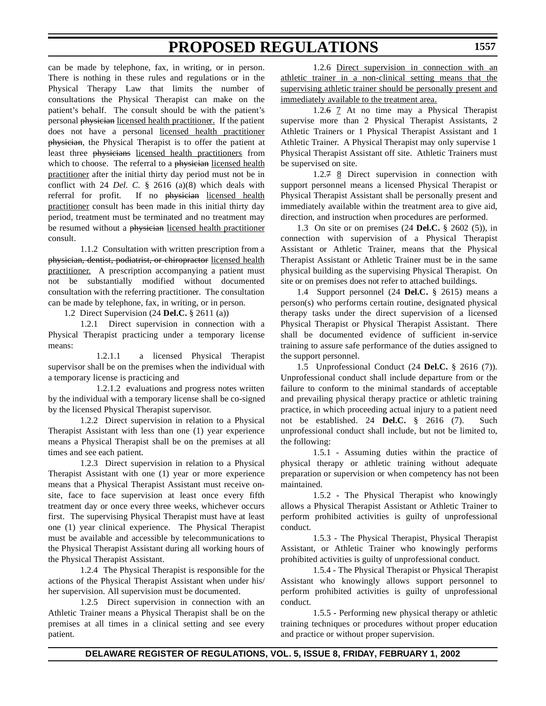can be made by telephone, fax, in writing, or in person. There is nothing in these rules and regulations or in the Physical Therapy Law that limits the number of consultations the Physical Therapist can make on the patient's behalf. The consult should be with the patient's personal physician licensed health practitioner. If the patient does not have a personal licensed health practitioner physician, the Physical Therapist is to offer the patient at least three physicians licensed health practitioners from which to choose. The referral to a physician licensed health practitioner after the initial thirty day period must not be in conflict with 24 *Del. C.* § 2616 (a)(8) which deals with referral for profit. If no physician licensed health practitioner consult has been made in this initial thirty day period, treatment must be terminated and no treatment may be resumed without a physician licensed health practitioner consult.

1.1.2 Consultation with written prescription from a physician, dentist, podiatrist, or chiropractor licensed health practitioner. A prescription accompanying a patient must not be substantially modified without documented consultation with the referring practitioner. The consultation can be made by telephone, fax, in writing, or in person.

1.2 Direct Supervision (24 **Del.C.** § 2611 (a))

1.2.1 Direct supervision in connection with a Physical Therapist practicing under a temporary license means:

1.2.1.1 a licensed Physical Therapist supervisor shall be on the premises when the individual with a temporary license is practicing and

1.2.1.2 evaluations and progress notes written by the individual with a temporary license shall be co-signed by the licensed Physical Therapist supervisor.

1.2.2 Direct supervision in relation to a Physical Therapist Assistant with less than one (1) year experience means a Physical Therapist shall be on the premises at all times and see each patient.

1.2.3 Direct supervision in relation to a Physical Therapist Assistant with one (1) year or more experience means that a Physical Therapist Assistant must receive onsite, face to face supervision at least once every fifth treatment day or once every three weeks, whichever occurs first. The supervising Physical Therapist must have at least one (1) year clinical experience. The Physical Therapist must be available and accessible by telecommunications to the Physical Therapist Assistant during all working hours of the Physical Therapist Assistant.

1.2.4 The Physical Therapist is responsible for the actions of the Physical Therapist Assistant when under his/ her supervision. All supervision must be documented.

1.2.5 Direct supervision in connection with an Athletic Trainer means a Physical Therapist shall be on the premises at all times in a clinical setting and see every patient.

1.2.6 Direct supervision in connection with an athletic trainer in a non-clinical setting means that the supervising athletic trainer should be personally present and immediately available to the treatment area.

1.2.6 7 At no time may a Physical Therapist supervise more than 2 Physical Therapist Assistants, 2 Athletic Trainers or 1 Physical Therapist Assistant and 1 Athletic Trainer. A Physical Therapist may only supervise 1 Physical Therapist Assistant off site. Athletic Trainers must be supervised on site.

1.2.7 8 Direct supervision in connection with support personnel means a licensed Physical Therapist or Physical Therapist Assistant shall be personally present and immediately available within the treatment area to give aid, direction, and instruction when procedures are performed.

1.3 On site or on premises (24 **Del.C.** § 2602 (5)), in connection with supervision of a Physical Therapist Assistant or Athletic Trainer, means that the Physical Therapist Assistant or Athletic Trainer must be in the same physical building as the supervising Physical Therapist. On site or on premises does not refer to attached buildings.

1.4 Support personnel (24 **Del.C.** § 2615) means a person(s) who performs certain routine, designated physical therapy tasks under the direct supervision of a licensed Physical Therapist or Physical Therapist Assistant. There shall be documented evidence of sufficient in-service training to assure safe performance of the duties assigned to the support personnel.

1.5 Unprofessional Conduct (24 **Del.C.** § 2616 (7)). Unprofessional conduct shall include departure from or the failure to conform to the minimal standards of acceptable and prevailing physical therapy practice or athletic training practice, in which proceeding actual injury to a patient need not be established. 24 **Del.C.** § 2616 (7). Such unprofessional conduct shall include, but not be limited to, the following:

1.5.1 - Assuming duties within the practice of physical therapy or athletic training without adequate preparation or supervision or when competency has not been maintained.

1.5.2 - The Physical Therapist who knowingly allows a Physical Therapist Assistant or Athletic Trainer to perform prohibited activities is guilty of unprofessional conduct.

1.5.3 - The Physical Therapist, Physical Therapist Assistant, or Athletic Trainer who knowingly performs prohibited activities is guilty of unprofessional conduct.

1.5.4 - The Physical Therapist or Physical Therapist Assistant who knowingly allows support personnel to perform prohibited activities is guilty of unprofessional conduct.

1.5.5 - Performing new physical therapy or athletic training techniques or procedures without proper education and practice or without proper supervision.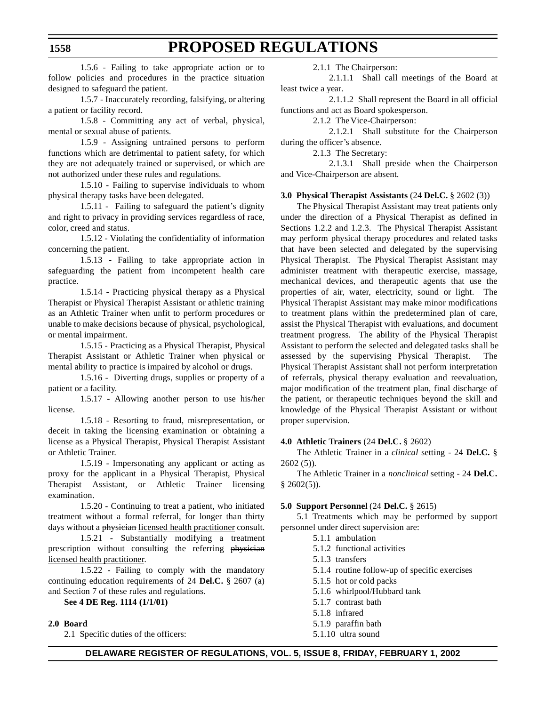1.5.6 - Failing to take appropriate action or to follow policies and procedures in the practice situation designed to safeguard the patient.

1.5.7 - Inaccurately recording, falsifying, or altering a patient or facility record.

1.5.8 - Committing any act of verbal, physical, mental or sexual abuse of patients.

1.5.9 - Assigning untrained persons to perform functions which are detrimental to patient safety, for which they are not adequately trained or supervised, or which are not authorized under these rules and regulations.

1.5.10 - Failing to supervise individuals to whom physical therapy tasks have been delegated.

1.5.11 - Failing to safeguard the patient's dignity and right to privacy in providing services regardless of race, color, creed and status.

1.5.12 - Violating the confidentiality of information concerning the patient.

1.5.13 - Failing to take appropriate action in safeguarding the patient from incompetent health care practice.

1.5.14 - Practicing physical therapy as a Physical Therapist or Physical Therapist Assistant or athletic training as an Athletic Trainer when unfit to perform procedures or unable to make decisions because of physical, psychological, or mental impairment.

1.5.15 - Practicing as a Physical Therapist, Physical Therapist Assistant or Athletic Trainer when physical or mental ability to practice is impaired by alcohol or drugs.

1.5.16 - Diverting drugs, supplies or property of a patient or a facility.

1.5.17 - Allowing another person to use his/her license.

1.5.18 - Resorting to fraud, misrepresentation, or deceit in taking the licensing examination or obtaining a license as a Physical Therapist, Physical Therapist Assistant or Athletic Trainer.

1.5.19 - Impersonating any applicant or acting as proxy for the applicant in a Physical Therapist, Physical Therapist Assistant, or Athletic Trainer licensing examination.

1.5.20 - Continuing to treat a patient, who initiated treatment without a formal referral, for longer than thirty days without a physician licensed health practitioner consult.

1.5.21 - Substantially modifying a treatment prescription without consulting the referring physician licensed health practitioner.

1.5.22 - Failing to comply with the mandatory continuing education requirements of 24 **Del.C.** § 2607 (a) and Section 7 of these rules and regulations.

**See 4 DE Reg. 1114 (1/1/01)**

#### **2.0 Board**

2.1 Specific duties of the officers:

2.1.1 The Chairperson:

2.1.1.1 Shall call meetings of the Board at least twice a year.

2.1.1.2 Shall represent the Board in all official functions and act as Board spokesperson.

2.1.2 The Vice-Chairperson:

2.1.2.1 Shall substitute for the Chairperson during the officer's absence.

2.1.3 The Secretary:

2.1.3.1 Shall preside when the Chairperson and Vice-Chairperson are absent.

#### **3.0 Physical Therapist Assistants** (24 **Del.C.** § 2602 (3))

The Physical Therapist Assistant may treat patients only under the direction of a Physical Therapist as defined in Sections 1.2.2 and 1.2.3. The Physical Therapist Assistant may perform physical therapy procedures and related tasks that have been selected and delegated by the supervising Physical Therapist. The Physical Therapist Assistant may administer treatment with therapeutic exercise, massage, mechanical devices, and therapeutic agents that use the properties of air, water, electricity, sound or light. The Physical Therapist Assistant may make minor modifications to treatment plans within the predetermined plan of care, assist the Physical Therapist with evaluations, and document treatment progress. The ability of the Physical Therapist Assistant to perform the selected and delegated tasks shall be assessed by the supervising Physical Therapist. The Physical Therapist Assistant shall not perform interpretation of referrals, physical therapy evaluation and reevaluation, major modification of the treatment plan, final discharge of the patient, or therapeutic techniques beyond the skill and knowledge of the Physical Therapist Assistant or without proper supervision.

#### **4.0 Athletic Trainers** (24 **Del.C.** § 2602)

The Athletic Trainer in a *clinical* setting - 24 **Del.C.** § 2602 (5)).

The Athletic Trainer in a *nonclinical* setting - 24 **Del.C.**  $§$  2602(5)).

#### **5.0 Support Personnel** (24 **Del.C.** § 2615)

5.1 Treatments which may be performed by support personnel under direct supervision are:

- 5.1.1 ambulation
- 5.1.2 functional activities
- 5.1.3 transfers
- 5.1.4 routine follow-up of specific exercises
- 5.1.5 hot or cold packs
- 5.1.6 whirlpool/Hubbard tank
- 5.1.7 contrast bath
- 5.1.8 infrared
- 5.1.9 paraffin bath
- 5.1.10 ultra sound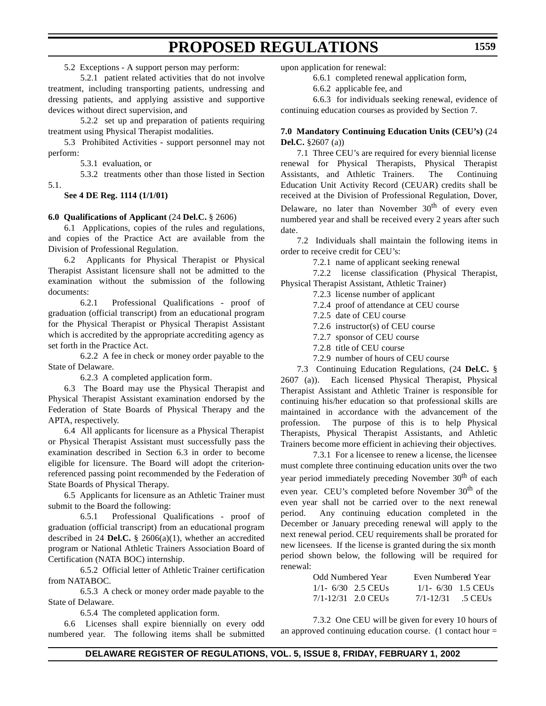### 5.2 Exceptions - A support person may perform:

5.2.1 patient related activities that do not involve treatment, including transporting patients, undressing and dressing patients, and applying assistive and supportive devices without direct supervision, and

5.2.2 set up and preparation of patients requiring treatment using Physical Therapist modalities.

5.3 Prohibited Activities - support personnel may not perform:

5.3.1 evaluation, or

5.3.2 treatments other than those listed in Section 5.1.

**See 4 DE Reg. 1114 (1/1/01)**

#### **6.0 Qualifications of Applicant** (24 **Del.C.** § 2606)

6.1 Applications, copies of the rules and regulations, and copies of the Practice Act are available from the Division of Professional Regulation.

6.2 Applicants for Physical Therapist or Physical Therapist Assistant licensure shall not be admitted to the examination without the submission of the following documents:

6.2.1 Professional Qualifications - proof of graduation (official transcript) from an educational program for the Physical Therapist or Physical Therapist Assistant which is accredited by the appropriate accrediting agency as set forth in the Practice Act.

6.2.2 A fee in check or money order payable to the State of Delaware.

6.2.3 A completed application form.

6.3 The Board may use the Physical Therapist and Physical Therapist Assistant examination endorsed by the Federation of State Boards of Physical Therapy and the APTA, respectively.

6.4 All applicants for licensure as a Physical Therapist or Physical Therapist Assistant must successfully pass the examination described in Section 6.3 in order to become eligible for licensure. The Board will adopt the criterionreferenced passing point recommended by the Federation of State Boards of Physical Therapy.

6.5 Applicants for licensure as an Athletic Trainer must submit to the Board the following:

6.5.1 Professional Qualifications - proof of graduation (official transcript) from an educational program described in 24 **Del.C.** § 2606(a)(1), whether an accredited program or National Athletic Trainers Association Board of Certification (NATA BOC) internship.

6.5.2 Official letter of Athletic Trainer certification from NATABOC.

6.5.3 A check or money order made payable to the State of Delaware.

6.5.4 The completed application form.

6.6 Licenses shall expire biennially on every odd numbered year. The following items shall be submitted upon application for renewal:

6.6.1 completed renewal application form,

6.6.2 applicable fee, and

6.6.3 for individuals seeking renewal, evidence of continuing education courses as provided by Section 7.

#### **7.0 Mandatory Continuing Education Units (CEU's)** (24 **Del.C.** §2607 (a))

7.1 Three CEU's are required for every biennial license renewal for Physical Therapists, Physical Therapist Assistants, and Athletic Trainers. The Continuing Education Unit Activity Record (CEUAR) credits shall be received at the Division of Professional Regulation, Dover,

Delaware, no later than November  $30<sup>th</sup>$  of every even numbered year and shall be received every 2 years after such date.

7.2 Individuals shall maintain the following items in order to receive credit for CEU's:

7.2.1 name of applicant seeking renewal

7.2.2 license classification (Physical Therapist, Physical Therapist Assistant, Athletic Trainer)

7.2.3 license number of applicant

7.2.4 proof of attendance at CEU course

7.2.5 date of CEU course

7.2.6 instructor(s) of CEU course

7.2.7 sponsor of CEU course

7.2.8 title of CEU course

7.2.9 number of hours of CEU course

7.3 Continuing Education Regulations, (24 **Del.C.** § 2607 (a)). Each licensed Physical Therapist, Physical Therapist Assistant and Athletic Trainer is responsible for continuing his/her education so that professional skills are maintained in accordance with the advancement of the profession. The purpose of this is to help Physical Therapists, Physical Therapist Assistants, and Athletic Trainers become more efficient in achieving their objectives.

7.3.1 For a licensee to renew a license, the licensee must complete three continuing education units over the two year period immediately preceding November 30<sup>th</sup> of each even year. CEU's completed before November 30<sup>th</sup> of the even year shall not be carried over to the next renewal period. Any continuing education completed in the December or January preceding renewal will apply to the next renewal period. CEU requirements shall be prorated for new licensees. If the license is granted during the six month period shown below, the following will be required for renewal:

| <b>Odd Numbered Year</b> | Even Numbered Year    |
|--------------------------|-----------------------|
| $1/1 - 6/30$ 2.5 CEUs    | $1/1 - 6/30$ 1.5 CEUs |
| $7/1 - 12/31$ 2.0 CEUs   | $7/1 - 12/31$ .5 CEUs |

7.3.2 One CEU will be given for every 10 hours of an approved continuing education course. (1 contact hour =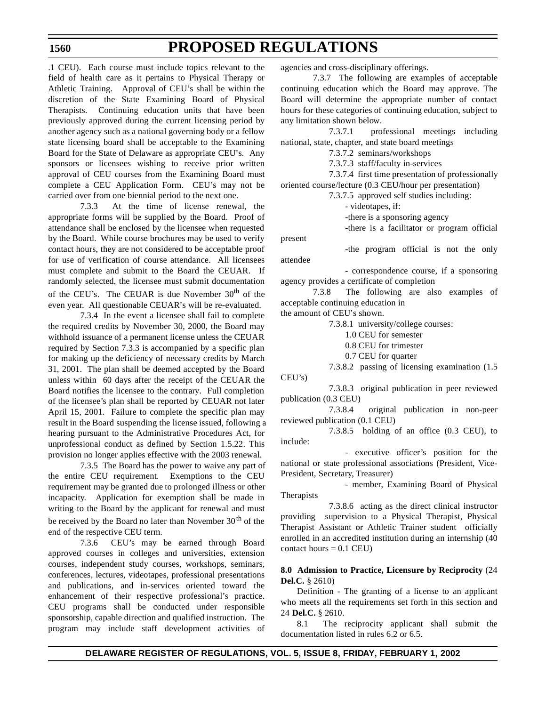.1 CEU). Each course must include topics relevant to the field of health care as it pertains to Physical Therapy or Athletic Training. Approval of CEU's shall be within the discretion of the State Examining Board of Physical Therapists. Continuing education units that have been previously approved during the current licensing period by another agency such as a national governing body or a fellow state licensing board shall be acceptable to the Examining Board for the State of Delaware as appropriate CEU's. Any sponsors or licensees wishing to receive prior written approval of CEU courses from the Examining Board must complete a CEU Application Form. CEU's may not be carried over from one biennial period to the next one.

7.3.3 At the time of license renewal, the appropriate forms will be supplied by the Board. Proof of attendance shall be enclosed by the licensee when requested by the Board. While course brochures may be used to verify contact hours, they are not considered to be acceptable proof for use of verification of course attendance. All licensees must complete and submit to the Board the CEUAR. If randomly selected, the licensee must submit documentation of the CEU's. The CEUAR is due November  $30<sup>th</sup>$  of the even year. All questionable CEUAR's will be re-evaluated.

7.3.4 In the event a licensee shall fail to complete the required credits by November 30, 2000, the Board may withhold issuance of a permanent license unless the CEUAR required by Section 7.3.3 is accompanied by a specific plan for making up the deficiency of necessary credits by March 31, 2001. The plan shall be deemed accepted by the Board unless within 60 days after the receipt of the CEUAR the Board notifies the licensee to the contrary. Full completion of the licensee's plan shall be reported by CEUAR not later April 15, 2001. Failure to complete the specific plan may result in the Board suspending the license issued, following a hearing pursuant to the Administrative Procedures Act, for unprofessional conduct as defined by Section 1.5.22. This provision no longer applies effective with the 2003 renewal.

7.3.5 The Board has the power to waive any part of the entire CEU requirement. Exemptions to the CEU requirement may be granted due to prolonged illness or other incapacity. Application for exemption shall be made in writing to the Board by the applicant for renewal and must be received by the Board no later than November  $30<sup>th</sup>$  of the end of the respective CEU term.

7.3.6 CEU's may be earned through Board approved courses in colleges and universities, extension courses, independent study courses, workshops, seminars, conferences, lectures, videotapes, professional presentations and publications, and in-services oriented toward the enhancement of their respective professional's practice. CEU programs shall be conducted under responsible sponsorship, capable direction and qualified instruction. The program may include staff development activities of

agencies and cross-disciplinary offerings.

7.3.7 The following are examples of acceptable continuing education which the Board may approve. The Board will determine the appropriate number of contact hours for these categories of continuing education, subject to any limitation shown below.

7.3.7.1 professional meetings including national, state, chapter, and state board meetings

7.3.7.2 seminars/workshops

7.3.7.3 staff/faculty in-services

7.3.7.4 first time presentation of professionally

oriented course/lecture (0.3 CEU/hour per presentation)

7.3.7.5 approved self studies including:

- videotapes, if:

-there is a sponsoring agency

-there is a facilitator or program official

present

-the program official is not the only attendee

- correspondence course, if a sponsoring agency provides a certificate of completion

7.3.8 The following are also examples of acceptable continuing education in

the amount of CEU's shown.

7.3.8.1 university/college courses:

1.0 CEU for semester

0.8 CEU for trimester

0.7 CEU for quarter

7.3.8.2 passing of licensing examination (1.5 CEU's)

7.3.8.3 original publication in peer reviewed publication (0.3 CEU)

7.3.8.4 original publication in non-peer reviewed publication (0.1 CEU)

7.3.8.5 holding of an office (0.3 CEU), to include:

- executive officer's position for the national or state professional associations (President, Vice-President, Secretary, Treasurer)

- member, Examining Board of Physical Therapists

7.3.8.6 acting as the direct clinical instructor providing supervision to a Physical Therapist, Physical Therapist Assistant or Athletic Trainer student officially enrolled in an accredited institution during an internship (40 contact hours  $= 0.1$  CEU)

#### **8.0 Admission to Practice, Licensure by Reciprocity** (24 **Del.C.** § 2610)

Definition - The granting of a license to an applicant who meets all the requirements set forth in this section and 24 **Del.C.** § 2610.

8.1 The reciprocity applicant shall submit the documentation listed in rules 6.2 or 6.5.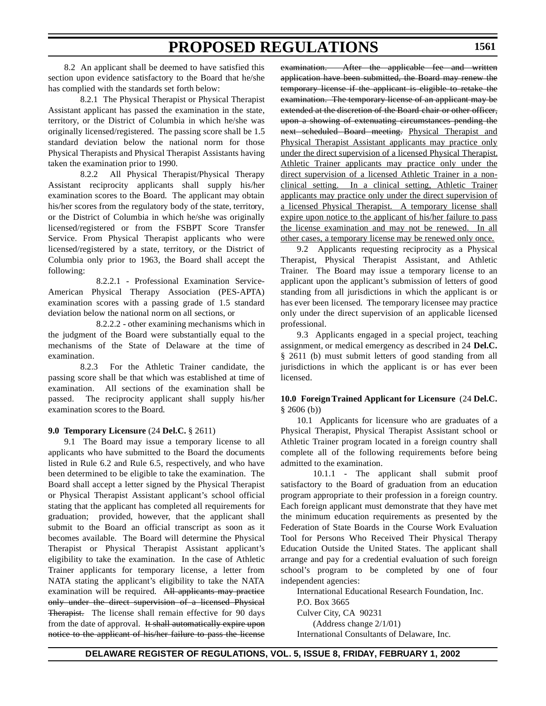8.2 An applicant shall be deemed to have satisfied this section upon evidence satisfactory to the Board that he/she has complied with the standards set forth below:

8.2.1 The Physical Therapist or Physical Therapist Assistant applicant has passed the examination in the state, territory, or the District of Columbia in which he/she was originally licensed/registered. The passing score shall be 1.5 standard deviation below the national norm for those Physical Therapists and Physical Therapist Assistants having taken the examination prior to 1990.

8.2.2 All Physical Therapist/Physical Therapy Assistant reciprocity applicants shall supply his/her examination scores to the Board. The applicant may obtain his/her scores from the regulatory body of the state, territory, or the District of Columbia in which he/she was originally licensed/registered or from the FSBPT Score Transfer Service. From Physical Therapist applicants who were licensed/registered by a state, territory, or the District of Columbia only prior to 1963, the Board shall accept the following:

8.2.2.1 - Professional Examination Service-American Physical Therapy Association (PES-APTA) examination scores with a passing grade of 1.5 standard deviation below the national norm on all sections, or

8.2.2.2 - other examining mechanisms which in the judgment of the Board were substantially equal to the mechanisms of the State of Delaware at the time of examination.

8.2.3 For the Athletic Trainer candidate, the passing score shall be that which was established at time of examination. All sections of the examination shall be passed. The reciprocity applicant shall supply his/her examination scores to the Board.

### **9.0 Temporary Licensure** (24 **Del.C.** § 2611)

9.1 The Board may issue a temporary license to all applicants who have submitted to the Board the documents listed in Rule 6.2 and Rule 6.5, respectively, and who have been determined to be eligible to take the examination. The Board shall accept a letter signed by the Physical Therapist or Physical Therapist Assistant applicant's school official stating that the applicant has completed all requirements for graduation; provided, however, that the applicant shall submit to the Board an official transcript as soon as it becomes available. The Board will determine the Physical Therapist or Physical Therapist Assistant applicant's eligibility to take the examination. In the case of Athletic Trainer applicants for temporary license, a letter from NATA stating the applicant's eligibility to take the NATA examination will be required. All applicants may practice only under the direct supervision of a licensed Physical Therapist. The license shall remain effective for 90 days from the date of approval. It shall automatically expire upon notice to the applicant of his/her failure to pass the license

examination. After the applicable fee and written application have been submitted, the Board may renew the temporary license if the applicant is eligible to retake the examination. The temporary license of an applicant may be extended at the discretion of the Board chair or other officer, upon a showing of extenuating circumstances pending the next scheduled Board meeting. Physical Therapist and Physical Therapist Assistant applicants may practice only under the direct supervision of a licensed Physical Therapist. Athletic Trainer applicants may practice only under the direct supervision of a licensed Athletic Trainer in a nonclinical setting. In a clinical setting, Athletic Trainer applicants may practice only under the direct supervision of a licensed Physical Therapist. A temporary license shall expire upon notice to the applicant of his/her failure to pass the license examination and may not be renewed. In all other cases, a temporary license may be renewed only once.

9.2 Applicants requesting reciprocity as a Physical Therapist, Physical Therapist Assistant, and Athletic Trainer. The Board may issue a temporary license to an applicant upon the applicant's submission of letters of good standing from all jurisdictions in which the applicant is or has ever been licensed. The temporary licensee may practice only under the direct supervision of an applicable licensed professional.

9.3 Applicants engaged in a special project, teaching assignment, or medical emergency as described in 24 **Del.C.** § 2611 (b) must submit letters of good standing from all jurisdictions in which the applicant is or has ever been licensed.

#### **10.0 Foreign Trained Applicant for Licensure** (24 **Del.C.**  $§ 2606$  (b))

10.1 Applicants for licensure who are graduates of a Physical Therapist, Physical Therapist Assistant school or Athletic Trainer program located in a foreign country shall complete all of the following requirements before being admitted to the examination.

10.1.1 - The applicant shall submit proof satisfactory to the Board of graduation from an education program appropriate to their profession in a foreign country. Each foreign applicant must demonstrate that they have met the minimum education requirements as presented by the Federation of State Boards in the Course Work Evaluation Tool for Persons Who Received Their Physical Therapy Education Outside the United States. The applicant shall arrange and pay for a credential evaluation of such foreign school's program to be completed by one of four independent agencies:

International Educational Research Foundation, Inc.

P.O. Box 3665

Culver City, CA 90231

(Address change 2/1/01)

International Consultants of Delaware, Inc.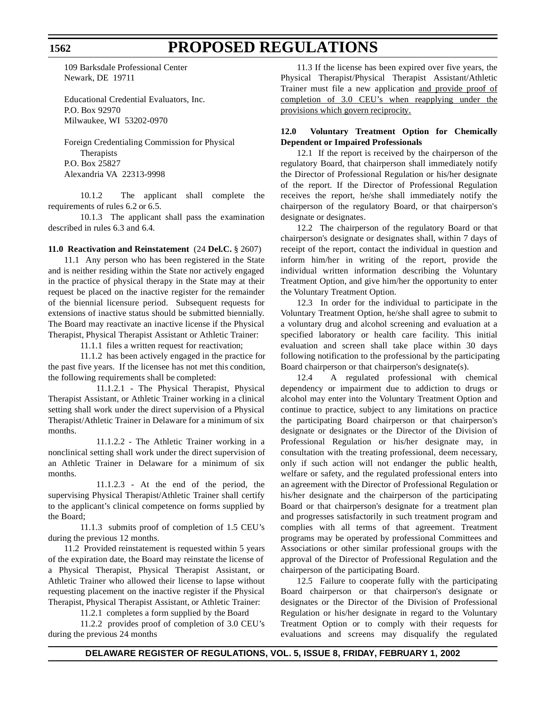109 Barksdale Professional Center Newark, DE 19711

Educational Credential Evaluators, Inc. P.O. Box 92970 Milwaukee, WI 53202-0970

Foreign Credentialing Commission for Physical **Therapists** P.O. Box 25827 Alexandria VA 22313-9998

10.1.2 The applicant shall complete the requirements of rules 6.2 or 6.5.

10.1.3 The applicant shall pass the examination described in rules 6.3 and 6.4.

#### **11.0 Reactivation and Reinstatement** (24 **Del.C.** § 2607)

11.1 Any person who has been registered in the State and is neither residing within the State nor actively engaged in the practice of physical therapy in the State may at their request be placed on the inactive register for the remainder of the biennial licensure period. Subsequent requests for extensions of inactive status should be submitted biennially. The Board may reactivate an inactive license if the Physical Therapist, Physical Therapist Assistant or Athletic Trainer:

11.1.1 files a written request for reactivation;

11.1.2 has been actively engaged in the practice for the past five years. If the licensee has not met this condition, the following requirements shall be completed:

11.1.2.1 - The Physical Therapist, Physical Therapist Assistant, or Athletic Trainer working in a clinical setting shall work under the direct supervision of a Physical Therapist/Athletic Trainer in Delaware for a minimum of six months.

11.1.2.2 - The Athletic Trainer working in a nonclinical setting shall work under the direct supervision of an Athletic Trainer in Delaware for a minimum of six months.

11.1.2.3 - At the end of the period, the supervising Physical Therapist/Athletic Trainer shall certify to the applicant's clinical competence on forms supplied by the Board;

11.1.3 submits proof of completion of 1.5 CEU's during the previous 12 months.

11.2 Provided reinstatement is requested within 5 years of the expiration date, the Board may reinstate the license of a Physical Therapist, Physical Therapist Assistant, or Athletic Trainer who allowed their license to lapse without requesting placement on the inactive register if the Physical Therapist, Physical Therapist Assistant, or Athletic Trainer:

11.2.1 completes a form supplied by the Board

11.2.2 provides proof of completion of 3.0 CEU's during the previous 24 months

11.3 If the license has been expired over five years, the Physical Therapist/Physical Therapist Assistant/Athletic Trainer must file a new application and provide proof of completion of 3.0 CEU's when reapplying under the provisions which govern reciprocity.

### **12.0 Voluntary Treatment Option for Chemically Dependent or Impaired Professionals**

12.1 If the report is received by the chairperson of the regulatory Board, that chairperson shall immediately notify the Director of Professional Regulation or his/her designate of the report. If the Director of Professional Regulation receives the report, he/she shall immediately notify the chairperson of the regulatory Board, or that chairperson's designate or designates.

12.2 The chairperson of the regulatory Board or that chairperson's designate or designates shall, within 7 days of receipt of the report, contact the individual in question and inform him/her in writing of the report, provide the individual written information describing the Voluntary Treatment Option, and give him/her the opportunity to enter the Voluntary Treatment Option.

12.3 In order for the individual to participate in the Voluntary Treatment Option, he/she shall agree to submit to a voluntary drug and alcohol screening and evaluation at a specified laboratory or health care facility. This initial evaluation and screen shall take place within 30 days following notification to the professional by the participating Board chairperson or that chairperson's designate(s).

12.4 A regulated professional with chemical dependency or impairment due to addiction to drugs or alcohol may enter into the Voluntary Treatment Option and continue to practice, subject to any limitations on practice the participating Board chairperson or that chairperson's designate or designates or the Director of the Division of Professional Regulation or his/her designate may, in consultation with the treating professional, deem necessary, only if such action will not endanger the public health, welfare or safety, and the regulated professional enters into an agreement with the Director of Professional Regulation or his/her designate and the chairperson of the participating Board or that chairperson's designate for a treatment plan and progresses satisfactorily in such treatment program and complies with all terms of that agreement. Treatment programs may be operated by professional Committees and Associations or other similar professional groups with the approval of the Director of Professional Regulation and the chairperson of the participating Board.

12.5 Failure to cooperate fully with the participating Board chairperson or that chairperson's designate or designates or the Director of the Division of Professional Regulation or his/her designate in regard to the Voluntary Treatment Option or to comply with their requests for evaluations and screens may disqualify the regulated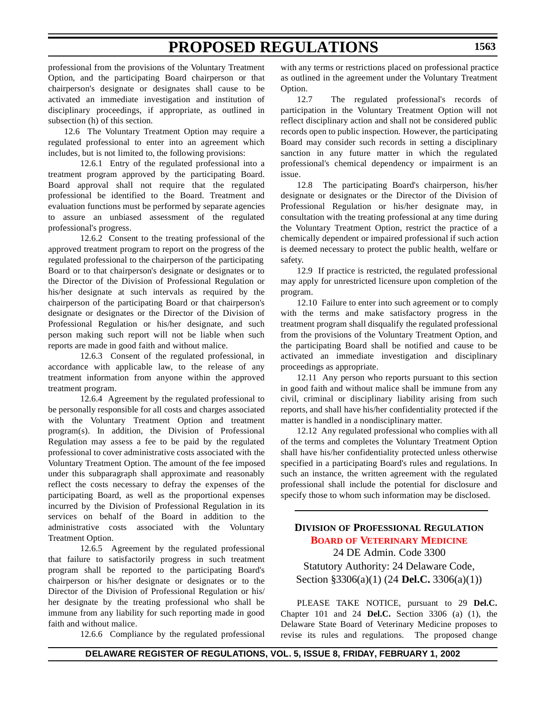<span id="page-19-0"></span>professional from the provisions of the Voluntary Treatment Option, and the participating Board chairperson or that chairperson's designate or designates shall cause to be activated an immediate investigation and institution of disciplinary proceedings, if appropriate, as outlined in subsection (h) of this section.

12.6 The Voluntary Treatment Option may require a regulated professional to enter into an agreement which includes, but is not limited to, the following provisions:

12.6.1 Entry of the regulated professional into a treatment program approved by the participating Board. Board approval shall not require that the regulated professional be identified to the Board. Treatment and evaluation functions must be performed by separate agencies to assure an unbiased assessment of the regulated professional's progress.

12.6.2 Consent to the treating professional of the approved treatment program to report on the progress of the regulated professional to the chairperson of the participating Board or to that chairperson's designate or designates or to the Director of the Division of Professional Regulation or his/her designate at such intervals as required by the chairperson of the participating Board or that chairperson's designate or designates or the Director of the Division of Professional Regulation or his/her designate, and such person making such report will not be liable when such reports are made in good faith and without malice.

12.6.3 Consent of the regulated professional, in accordance with applicable law, to the release of any treatment information from anyone within the approved treatment program.

12.6.4 Agreement by the regulated professional to be personally responsible for all costs and charges associated with the Voluntary Treatment Option and treatment program(s). In addition, the Division of Professional Regulation may assess a fee to be paid by the regulated professional to cover administrative costs associated with the Voluntary Treatment Option. The amount of the fee imposed under this subparagraph shall approximate and reasonably reflect the costs necessary to defray the expenses of the participating Board, as well as the proportional expenses incurred by the Division of Professional Regulation in its services on behalf of the Board in addition to the administrative costs associated with the Voluntary Treatment Option.

12.6.5 Agreement by the regulated professional that failure to satisfactorily progress in such treatment program shall be reported to the participating Board's chairperson or his/her designate or designates or to the Director of the Division of Professional Regulation or his/ her designate by the treating professional who shall be immune from any liability for such reporting made in good faith and without malice.

12.6.6 Compliance by the regulated professional

with any terms or restrictions placed on professional practice as outlined in the agreement under the Voluntary Treatment Option.

12.7 The regulated professional's records of participation in the Voluntary Treatment Option will not reflect disciplinary action and shall not be considered public records open to public inspection. However, the participating Board may consider such records in setting a disciplinary sanction in any future matter in which the regulated professional's chemical dependency or impairment is an issue.

12.8 The participating Board's chairperson, his/her designate or designates or the Director of the Division of Professional Regulation or his/her designate may, in consultation with the treating professional at any time during the Voluntary Treatment Option, restrict the practice of a chemically dependent or impaired professional if such action is deemed necessary to protect the public health, welfare or safety.

12.9 If practice is restricted, the regulated professional may apply for unrestricted licensure upon completion of the program.

12.10 Failure to enter into such agreement or to comply with the terms and make satisfactory progress in the treatment program shall disqualify the regulated professional from the provisions of the Voluntary Treatment Option, and the participating Board shall be notified and cause to be activated an immediate investigation and disciplinary proceedings as appropriate.

12.11 Any person who reports pursuant to this section in good faith and without malice shall be immune from any civil, criminal or disciplinary liability arising from such reports, and shall have his/her confidentiality protected if the matter is handled in a nondisciplinary matter.

12.12 Any regulated professional who complies with all of the terms and completes the Voluntary Treatment Option shall have his/her confidentiality protected unless otherwise specified in a participating Board's rules and regulations. In such an instance, the written agreement with the regulated professional shall include the potential for disclosure and specify those to whom such information may be disclosed.

**DIVISION OF PROFESSIONAL REGULATION BOARD OF [VETERINARY](#page-3-0) MEDICINE** 24 DE Admin. Code 3300 Statutory Authority: 24 Delaware Code, Section §3306(a)(1) (24 **Del.C.** 3306(a)(1))

PLEASE TAKE NOTICE, pursuant to 29 **Del.C.** Chapter 101 and 24 **Del.C.** Section 3306 (a) (1), the Delaware State Board of Veterinary Medicine proposes to revise its rules and regulations. The proposed change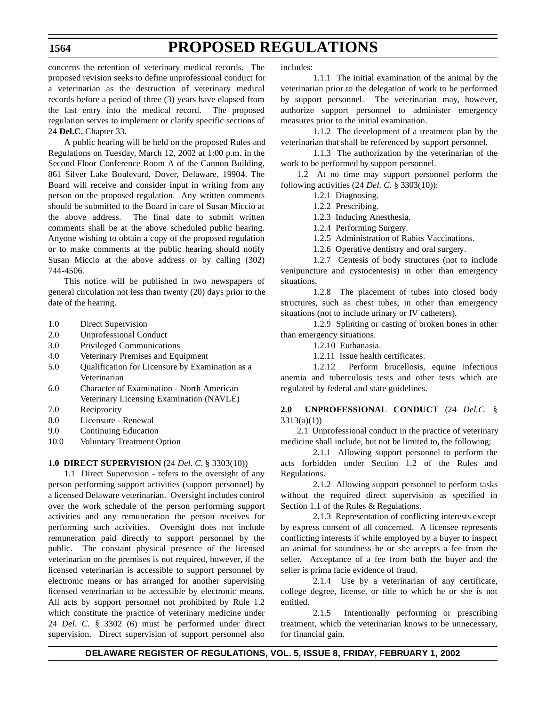# **PROPOSED REGULATIONS**

concerns the retention of veterinary medical records. The proposed revision seeks to define unprofessional conduct for a veterinarian as the destruction of veterinary medical records before a period of three (3) years have elapsed from the last entry into the medical record. The proposed regulation serves to implement or clarify specific sections of 24 **Del.C.** Chapter 33.

A public hearing will be held on the proposed Rules and Regulations on Tuesday, March 12, 2002 at 1:00 p.m. in the Second Floor Conference Room A of the Cannon Building, 861 Silver Lake Boulevard, Dover, Delaware, 19904. The Board will receive and consider input in writing from any person on the proposed regulation. Any written comments should be submitted to the Board in care of Susan Miccio at the above address. The final date to submit written comments shall be at the above scheduled public hearing. Anyone wishing to obtain a copy of the proposed regulation or to make comments at the public hearing should notify Susan Miccio at the above address or by calling (302) 744-4506.

This notice will be published in two newspapers of general circulation not less than twenty (20) days prior to the date of the hearing.

- 1.0 Direct Supervision
- 2.0 Unprofessional Conduct
- 3.0 Privileged Communications
- 4.0 Veterinary Premises and Equipment
- 5.0 Qualification for Licensure by Examination as a Veterinarian
- 6.0 Character of Examination North American Veterinary Licensing Examination (NAVLE)
- 7.0 Reciprocity
- 8.0 Licensure Renewal
- 9.0 Continuing Education
- 10.0 Voluntary Treatment Option

### **1.0 DIRECT SUPERVISION** (24 *Del. C.* § 3303(10))

1.1 Direct Supervision **-** refers to the oversight of any person performing support activities (support personnel) by a licensed Delaware veterinarian. Oversight includes control over the work schedule of the person performing support activities and any remuneration the person receives for performing such activities. Oversight does not include remuneration paid directly to support personnel by the public. The constant physical presence of the licensed veterinarian on the premises is not required, however, if the licensed veterinarian is accessible to support personnel by electronic means or has arranged for another supervising licensed veterinarian to be accessible by electronic means. All acts by support personnel not prohibited by Rule 1.2 which constitute the practice of veterinary medicine under 24 *Del. C.* § 3302 (6) must be performed under direct supervision. Direct supervision of support personnel also

includes:

1.1.1 The initial examination of the animal by the veterinarian prior to the delegation of work to be performed by support personnel. The veterinarian may, however, authorize support personnel to administer emergency measures prior to the initial examination.

1.1.2 The development of a treatment plan by the veterinarian that shall be referenced by support personnel.

1.1.3 The authorization by the veterinarian of the work to be performed by support personnel.

1.2 At no time may support personnel perform the following activities (24 *Del. C.* § 3303(10)):

1.2.1 Diagnosing.

1.2.2 Prescribing.

1.2.3 Inducing Anesthesia.

1.2.4 Performing Surgery.

1.2.5 Administration of Rabies Vaccinations.

1.2.6 Operative dentistry and oral surgery.

1.2.7 Centesis of body structures (not to include venipuncture and cystocentesis) in other than emergency situations.

1.2.8 The placement of tubes into closed body structures, such as chest tubes, in other than emergency situations (not to include urinary or IV catheters).

1.2.9 Splinting or casting of broken bones in other than emergency situations.

1.2.10 Euthanasia.

1.2.11 Issue health certificates.

1.2.12 Perform brucellosis, equine infectious anemia and tuberculosis tests and other tests which are regulated by federal and state guidelines.

**2.0 UNPROFESSIONAL CONDUCT** (24 *Del.C.* § 3313(a)(1))

2.1 Unprofessional conduct in the practice of veterinary medicine shall include, but not be limited to, the following;

2.1.1 Allowing support personnel to perform the acts forbidden under Section 1.2 of the Rules and Regulations.

2.1.2 Allowing support personnel to perform tasks without the required direct supervision as specified in Section 1.1 of the Rules & Regulations.

2.1.3 Representation of conflicting interests except by express consent of all concerned. A licensee represents conflicting interests if while employed by a buyer to inspect an animal for soundness he or she accepts a fee from the seller. Acceptance of a fee from both the buyer and the seller is prima facie evidence of fraud.

2.1.4 Use by a veterinarian of any certificate, college degree, license, or title to which he or she is not entitled.

2.1.5 Intentionally performing or prescribing treatment, which the veterinarian knows to be unnecessary, for financial gain.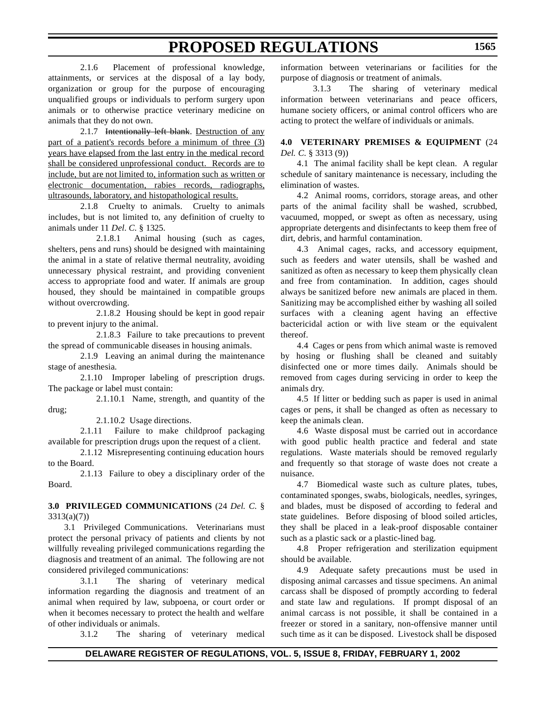2.1.6 Placement of professional knowledge, attainments, or services at the disposal of a lay body, organization or group for the purpose of encouraging unqualified groups or individuals to perform surgery upon animals or to otherwise practice veterinary medicine on animals that they do not own.

2.1.7 Intentionally left blank. Destruction of any part of a patient's records before a minimum of three (3) years have elapsed from the last entry in the medical record shall be considered unprofessional conduct. Records are to include, but are not limited to, information such as written or electronic documentation, rabies records, radiographs, ultrasounds, laboratory, and histopathological results.

2.1.8 Cruelty to animals. Cruelty to animals includes, but is not limited to, any definition of cruelty to animals under 11 *Del. C.* § 1325.

2.1.8.1 Animal housing (such as cages, shelters, pens and runs) should be designed with maintaining the animal in a state of relative thermal neutrality, avoiding unnecessary physical restraint, and providing convenient access to appropriate food and water. If animals are group housed, they should be maintained in compatible groups without overcrowding.

2.1.8.2 Housing should be kept in good repair to prevent injury to the animal.

2.1.8.3 Failure to take precautions to prevent the spread of communicable diseases in housing animals.

2.1.9 Leaving an animal during the maintenance stage of anesthesia.

2.1.10 Improper labeling of prescription drugs. The package or label must contain:

2.1.10.1 Name, strength, and quantity of the drug;

2.1.10.2 Usage directions.

2.1.11 Failure to make childproof packaging available for prescription drugs upon the request of a client.

2.1.12 Misrepresenting continuing education hours to the Board.

2.1.13 Failure to obey a disciplinary order of the Board.

#### **3.0 PRIVILEGED COMMUNICATIONS** (24 *Del. C.* § 3313(a)(7))

3.1 Privileged Communications. Veterinarians must protect the personal privacy of patients and clients by not willfully revealing privileged communications regarding the diagnosis and treatment of an animal. The following are not considered privileged communications:

3.1.1 The sharing of veterinary medical information regarding the diagnosis and treatment of an animal when required by law, subpoena, or court order or when it becomes necessary to protect the health and welfare of other individuals or animals.

3.1.2 The sharing of veterinary medical

information between veterinarians or facilities for the purpose of diagnosis or treatment of animals.

3.1.3 The sharing of veterinary medical information between veterinarians and peace officers, humane society officers, or animal control officers who are acting to protect the welfare of individuals or animals.

### **4.0 VETERINARY PREMISES & EQUIPMENT** (24 *Del. C.* § 3313 (9))

4.1 The animal facility shall be kept clean. A regular schedule of sanitary maintenance is necessary, including the elimination of wastes.

4.2 Animal rooms, corridors, storage areas, and other parts of the animal facility shall be washed, scrubbed, vacuumed, mopped, or swept as often as necessary, using appropriate detergents and disinfectants to keep them free of dirt, debris, and harmful contamination.

4.3 Animal cages, racks, and accessory equipment, such as feeders and water utensils, shall be washed and sanitized as often as necessary to keep them physically clean and free from contamination. In addition, cages should always be sanitized before new animals are placed in them. Sanitizing may be accomplished either by washing all soiled surfaces with a cleaning agent having an effective bactericidal action or with live steam or the equivalent thereof.

4.4 Cages or pens from which animal waste is removed by hosing or flushing shall be cleaned and suitably disinfected one or more times daily. Animals should be removed from cages during servicing in order to keep the animals dry.

4.5 If litter or bedding such as paper is used in animal cages or pens, it shall be changed as often as necessary to keep the animals clean.

4.6 Waste disposal must be carried out in accordance with good public health practice and federal and state regulations. Waste materials should be removed regularly and frequently so that storage of waste does not create a nuisance.

4.7 Biomedical waste such as culture plates, tubes, contaminated sponges, swabs, biologicals, needles, syringes, and blades, must be disposed of according to federal and state guidelines. Before disposing of blood soiled articles, they shall be placed in a leak-proof disposable container such as a plastic sack or a plastic-lined bag.

4.8 Proper refrigeration and sterilization equipment should be available.

4.9 Adequate safety precautions must be used in disposing animal carcasses and tissue specimens. An animal carcass shall be disposed of promptly according to federal and state law and regulations. If prompt disposal of an animal carcass is not possible, it shall be contained in a freezer or stored in a sanitary, non-offensive manner until such time as it can be disposed. Livestock shall be disposed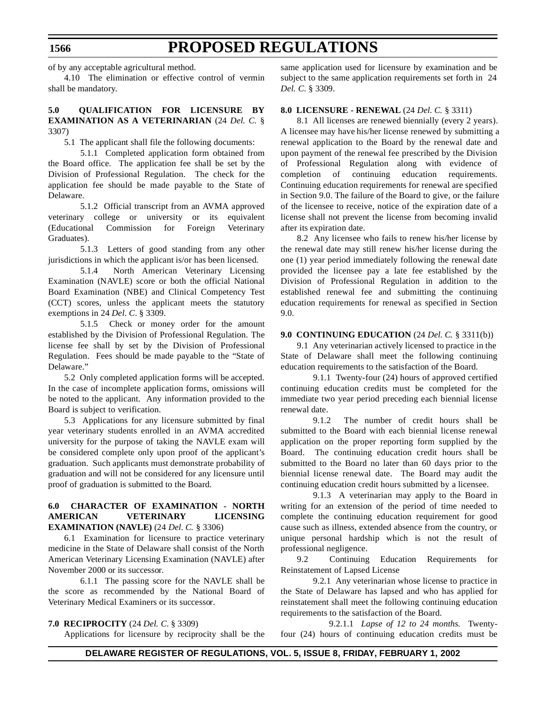of by any acceptable agricultural method.

4.10 The elimination or effective control of vermin shall be mandatory.

### **5.0 QUALIFICATION FOR LICENSURE BY EXAMINATION AS A VETERINARIAN** (24 *Del. C.* § 3307)

5.1 The applicant shall file the following documents:

5.1.1 Completed application form obtained from the Board office. The application fee shall be set by the Division of Professional Regulation. The check for the application fee should be made payable to the State of Delaware.

5.1.2 Official transcript from an AVMA approved veterinary college or university or its equivalent (Educational Commission for Foreign Veterinary Graduates).

5.1.3 Letters of good standing from any other jurisdictions in which the applicant is/or has been licensed.

5.1.4 North American Veterinary Licensing Examination (NAVLE) score or both the official National Board Examination (NBE) and Clinical Competency Test (CCT) scores, unless the applicant meets the statutory exemptions in 24 *Del*. *C*. § 3309.

5.1.5 Check or money order for the amount established by the Division of Professional Regulation. The license fee shall by set by the Division of Professional Regulation. Fees should be made payable to the "State of Delaware."

5.2 Only completed application forms will be accepted. In the case of incomplete application forms, omissions will be noted to the applicant. Any information provided to the Board is subject to verification.

5.3 Applications for any licensure submitted by final year veterinary students enrolled in an AVMA accredited university for the purpose of taking the NAVLE exam will be considered complete only upon proof of the applicant's graduation. Such applicants must demonstrate probability of graduation and will not be considered for any licensure until proof of graduation is submitted to the Board.

#### **6.0 CHARACTER OF EXAMINATION - NORTH AMERICAN VETERINARY LICENSING EXAMINATION (NAVLE)** (24 *Del. C.* § 3306)

6.1 Examination for licensure to practice veterinary medicine in the State of Delaware shall consist of the North American Veterinary Licensing Examination (NAVLE) after November 2000 or its successor.

6.1.1 The passing score for the NAVLE shall be the score as recommended by the National Board of Veterinary Medical Examiners or its successor.

#### **7.0 RECIPROCITY** (24 *Del. C.* § 3309)

Applications for licensure by reciprocity shall be the

same application used for licensure by examination and be subject to the same application requirements set forth in 24 *Del. C.* § 3309.

#### **8.0 LICENSURE - RENEWAL** (24 *Del. C.* § 3311)

8.1 All licenses are renewed biennially (every 2 years). A licensee may have his/her license renewed by submitting a renewal application to the Board by the renewal date and upon payment of the renewal fee prescribed by the Division of Professional Regulation along with evidence of completion of continuing education requirements. Continuing education requirements for renewal are specified in Section 9.0. The failure of the Board to give, or the failure of the licensee to receive, notice of the expiration date of a license shall not prevent the license from becoming invalid after its expiration date.

8.2 Any licensee who fails to renew his/her license by the renewal date may still renew his/her license during the one (1) year period immediately following the renewal date provided the licensee pay a late fee established by the Division of Professional Regulation in addition to the established renewal fee and submitting the continuing education requirements for renewal as specified in Section 9.0.

#### **9.0 CONTINUING EDUCATION** (24 *Del. C.* § 3311(b))

9.1 Any veterinarian actively licensed to practice in the State of Delaware shall meet the following continuing education requirements to the satisfaction of the Board.

9.1.1 Twenty-four (24) hours of approved certified continuing education credits must be completed for the immediate two year period preceding each biennial license renewal date.

9.1.2 The number of credit hours shall be submitted to the Board with each biennial license renewal application on the proper reporting form supplied by the Board. The continuing education credit hours shall be submitted to the Board no later than 60 days prior to the biennial license renewal date. The Board may audit the continuing education credit hours submitted by a licensee.

9.1.3 A veterinarian may apply to the Board in writing for an extension of the period of time needed to complete the continuing education requirement for good cause such as illness, extended absence from the country, or unique personal hardship which is not the result of professional negligence.

9.2 Continuing Education Requirements for Reinstatement of Lapsed License

9.2.1 Any veterinarian whose license to practice in the State of Delaware has lapsed and who has applied for reinstatement shall meet the following continuing education requirements to the satisfaction of the Board.

9.2.1.1 *Lapse of 12 to 24 months.* Twentyfour (24) hours of continuing education credits must be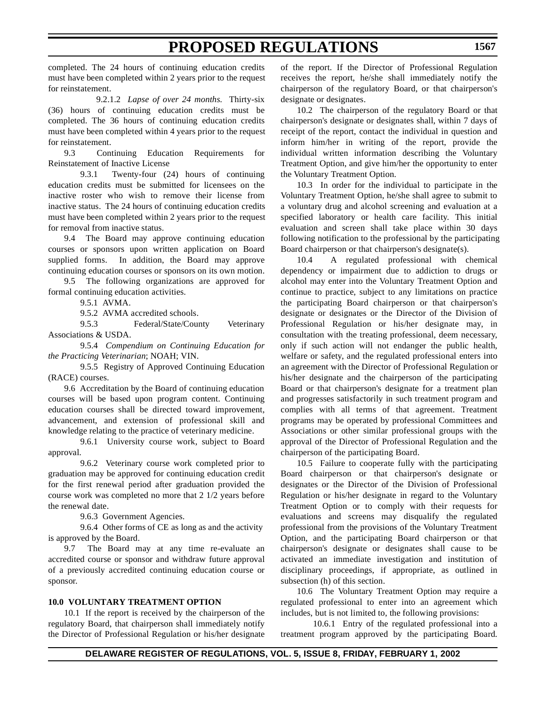completed. The 24 hours of continuing education credits must have been completed within 2 years prior to the request for reinstatement.

9.2.1.2 *Lapse of over 24 months.* Thirty-six (36) hours of continuing education credits must be completed. The 36 hours of continuing education credits must have been completed within 4 years prior to the request for reinstatement.

9.3 Continuing Education Requirements for Reinstatement of Inactive License

9.3.1 Twenty-four (24) hours of continuing education credits must be submitted for licensees on the inactive roster who wish to remove their license from inactive status. The 24 hours of continuing education credits must have been completed within 2 years prior to the request for removal from inactive status.

9.4 The Board may approve continuing education courses or sponsors upon written application on Board supplied forms. In addition, the Board may approve continuing education courses or sponsors on its own motion.

9.5 The following organizations are approved for formal continuing education activities.

9.5.1 AVMA.

9.5.2 AVMA accredited schools.

9.5.3 Federal/State/County Veterinary Associations & USDA.

9.5.4 *Compendium on Continuing Education for the Practicing Veterinarian*; NOAH; VIN.

9.5.5 Registry of Approved Continuing Education (RACE) courses.

9.6 Accreditation by the Board of continuing education courses will be based upon program content. Continuing education courses shall be directed toward improvement, advancement, and extension of professional skill and knowledge relating to the practice of veterinary medicine.

9.6.1 University course work, subject to Board approval.

9.6.2 Veterinary course work completed prior to graduation may be approved for continuing education credit for the first renewal period after graduation provided the course work was completed no more that 2 1/2 years before the renewal date.

9.6.3 Government Agencies.

9.6.4 Other forms of CE as long as and the activity is approved by the Board.

9.7 The Board may at any time re-evaluate an accredited course or sponsor and withdraw future approval of a previously accredited continuing education course or sponsor.

### **10.0 VOLUNTARY TREATMENT OPTION**

10.1 If the report is received by the chairperson of the regulatory Board, that chairperson shall immediately notify the Director of Professional Regulation or his/her designate of the report. If the Director of Professional Regulation receives the report, he/she shall immediately notify the chairperson of the regulatory Board, or that chairperson's designate or designates.

10.2 The chairperson of the regulatory Board or that chairperson's designate or designates shall, within 7 days of receipt of the report, contact the individual in question and inform him/her in writing of the report, provide the individual written information describing the Voluntary Treatment Option, and give him/her the opportunity to enter the Voluntary Treatment Option.

10.3 In order for the individual to participate in the Voluntary Treatment Option, he/she shall agree to submit to a voluntary drug and alcohol screening and evaluation at a specified laboratory or health care facility. This initial evaluation and screen shall take place within 30 days following notification to the professional by the participating Board chairperson or that chairperson's designate(s).

10.4 A regulated professional with chemical dependency or impairment due to addiction to drugs or alcohol may enter into the Voluntary Treatment Option and continue to practice, subject to any limitations on practice the participating Board chairperson or that chairperson's designate or designates or the Director of the Division of Professional Regulation or his/her designate may, in consultation with the treating professional, deem necessary, only if such action will not endanger the public health, welfare or safety, and the regulated professional enters into an agreement with the Director of Professional Regulation or his/her designate and the chairperson of the participating Board or that chairperson's designate for a treatment plan and progresses satisfactorily in such treatment program and complies with all terms of that agreement. Treatment programs may be operated by professional Committees and Associations or other similar professional groups with the approval of the Director of Professional Regulation and the chairperson of the participating Board.

10.5 Failure to cooperate fully with the participating Board chairperson or that chairperson's designate or designates or the Director of the Division of Professional Regulation or his/her designate in regard to the Voluntary Treatment Option or to comply with their requests for evaluations and screens may disqualify the regulated professional from the provisions of the Voluntary Treatment Option, and the participating Board chairperson or that chairperson's designate or designates shall cause to be activated an immediate investigation and institution of disciplinary proceedings, if appropriate, as outlined in subsection (h) of this section.

10.6 The Voluntary Treatment Option may require a regulated professional to enter into an agreement which includes, but is not limited to, the following provisions:

10.6.1 Entry of the regulated professional into a treatment program approved by the participating Board.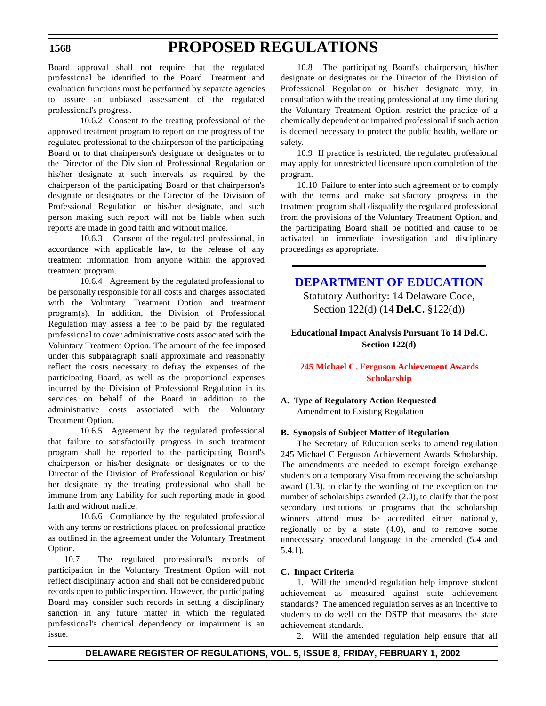### <span id="page-24-0"></span>Board approval shall not require that the regulated professional be identified to the Board. Treatment and evaluation functions must be performed by separate agencies to assure an unbiased assessment of the regulated professional's progress.

10.6.2 Consent to the treating professional of the approved treatment program to report on the progress of the regulated professional to the chairperson of the participating Board or to that chairperson's designate or designates or to the Director of the Division of Professional Regulation or his/her designate at such intervals as required by the chairperson of the participating Board or that chairperson's designate or designates or the Director of the Division of Professional Regulation or his/her designate, and such person making such report will not be liable when such reports are made in good faith and without malice.

10.6.3 Consent of the regulated professional, in accordance with applicable law, to the release of any treatment information from anyone within the approved treatment program.

10.6.4 Agreement by the regulated professional to be personally responsible for all costs and charges associated with the Voluntary Treatment Option and treatment program(s). In addition, the Division of Professional Regulation may assess a fee to be paid by the regulated professional to cover administrative costs associated with the Voluntary Treatment Option. The amount of the fee imposed under this subparagraph shall approximate and reasonably reflect the costs necessary to defray the expenses of the participating Board, as well as the proportional expenses incurred by the Division of Professional Regulation in its services on behalf of the Board in addition to the administrative costs associated with the Voluntary Treatment Option.

10.6.5 Agreement by the regulated professional that failure to satisfactorily progress in such treatment program shall be reported to the participating Board's chairperson or his/her designate or designates or to the Director of the Division of Professional Regulation or his/ her designate by the treating professional who shall be immune from any liability for such reporting made in good faith and without malice.

10.6.6 Compliance by the regulated professional with any terms or restrictions placed on professional practice as outlined in the agreement under the Voluntary Treatment Option.

10.7 The regulated professional's records of participation in the Voluntary Treatment Option will not reflect disciplinary action and shall not be considered public records open to public inspection. However, the participating Board may consider such records in setting a disciplinary sanction in any future matter in which the regulated professional's chemical dependency or impairment is an issue.

10.8 The participating Board's chairperson, his/her designate or designates or the Director of the Division of Professional Regulation or his/her designate may, in consultation with the treating professional at any time during the Voluntary Treatment Option, restrict the practice of a chemically dependent or impaired professional if such action is deemed necessary to protect the public health, welfare or safety.

10.9 If practice is restricted, the regulated professional may apply for unrestricted licensure upon completion of the program.

10.10 Failure to enter into such agreement or to comply with the terms and make satisfactory progress in the treatment program shall disqualify the regulated professional from the provisions of the Voluntary Treatment Option, and the participating Board shall be notified and cause to be activated an immediate investigation and disciplinary proceedings as appropriate.

## **[DEPARTMENT OF](http://www.doe.state.de.us/) EDUCATION**

Statutory Authority: 14 Delaware Code, Section 122(d) (14 **Del.C.** §122(d))

**Educational Impact Analysis Pursuant To 14 Del.C. Section 122(d)**

### **[245 Michael C.](#page-3-0) Ferguson Achievement Awards Scholarship**

### **A. Type of Regulatory Action Requested** Amendment to Existing Regulation

### **B. Synopsis of Subject Matter of Regulation**

The Secretary of Education seeks to amend regulation 245 Michael C Ferguson Achievement Awards Scholarship. The amendments are needed to exempt foreign exchange students on a temporary Visa from receiving the scholarship award (1.3), to clarify the wording of the exception on the number of scholarships awarded (2.0), to clarify that the post secondary institutions or programs that the scholarship winners attend must be accredited either nationally, regionally or by a state (4.0), and to remove some unnecessary procedural language in the amended (5.4 and 5.4.1).

#### **C. Impact Criteria**

1. Will the amended regulation help improve student achievement as measured against state achievement standards? The amended regulation serves as an incentive to students to do well on the DSTP that measures the state achievement standards.

2. Will the amended regulation help ensure that all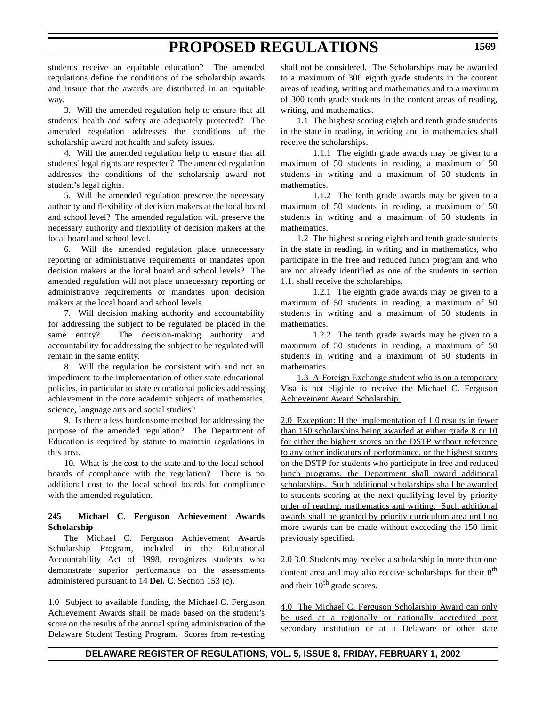students receive an equitable education? The amended regulations define the conditions of the scholarship awards and insure that the awards are distributed in an equitable way.

3. Will the amended regulation help to ensure that all students' health and safety are adequately protected? The amended regulation addresses the conditions of the scholarship award not health and safety issues.

4. Will the amended regulation help to ensure that all students' legal rights are respected? The amended regulation addresses the conditions of the scholarship award not student's legal rights.

5. Will the amended regulation preserve the necessary authority and flexibility of decision makers at the local board and school level? The amended regulation will preserve the necessary authority and flexibility of decision makers at the local board and school level.

6. Will the amended regulation place unnecessary reporting or administrative requirements or mandates upon decision makers at the local board and school levels? The amended regulation will not place unnecessary reporting or administrative requirements or mandates upon decision makers at the local board and school levels.

7. Will decision making authority and accountability for addressing the subject to be regulated be placed in the same entity? The decision-making authority and accountability for addressing the subject to be regulated will remain in the same entity.

8. Will the regulation be consistent with and not an impediment to the implementation of other state educational policies, in particular to state educational policies addressing achievement in the core academic subjects of mathematics, science, language arts and social studies?

9. Is there a less burdensome method for addressing the purpose of the amended regulation? The Department of Education is required by statute to maintain regulations in this area.

10. What is the cost to the state and to the local school boards of compliance with the regulation? There is no additional cost to the local school boards for compliance with the amended regulation.

### **245 Michael C. Ferguson Achievement Awards Scholarship**

The Michael C. Ferguson Achievement Awards Scholarship Program, included in the Educational Accountability Act of 1998, recognizes students who demonstrate superior performance on the assessments administered pursuant to 14 **Del. C**. Section 153 (c).

1.0 Subject to available funding, the Michael C. Ferguson Achievement Awards shall be made based on the student's score on the results of the annual spring administration of the Delaware Student Testing Program. Scores from re-testing shall not be considered. The Scholarships may be awarded to a maximum of 300 eighth grade students in the content areas of reading, writing and mathematics and to a maximum of 300 tenth grade students in the content areas of reading, writing, and mathematics.

1.1 The highest scoring eighth and tenth grade students in the state in reading, in writing and in mathematics shall receive the scholarships.

1.1.1 The eighth grade awards may be given to a maximum of 50 students in reading, a maximum of 50 students in writing and a maximum of 50 students in mathematics.

1.1.2 The tenth grade awards may be given to a maximum of 50 students in reading, a maximum of 50 students in writing and a maximum of 50 students in mathematics.

1.2 The highest scoring eighth and tenth grade students in the state in reading, in writing and in mathematics, who participate in the free and reduced lunch program and who are not already identified as one of the students in section 1.1. shall receive the scholarships.

1.2.1 The eighth grade awards may be given to a maximum of 50 students in reading, a maximum of 50 students in writing and a maximum of 50 students in mathematics.

1.2.2 The tenth grade awards may be given to a maximum of 50 students in reading, a maximum of 50 students in writing and a maximum of 50 students in mathematics.

1.3 A Foreign Exchange student who is on a temporary Visa is not eligible to receive the Michael C. Ferguson Achievement Award Scholarship.

2.0 Exception: If the implementation of 1.0 results in fewer than 150 scholarships being awarded at either grade 8 or 10 for either the highest scores on the DSTP without reference to any other indicators of performance, or the highest scores on the DSTP for students who participate in free and reduced lunch programs, the Department shall award additional scholarships. Such additional scholarships shall be awarded to students scoring at the next qualifying level by priority order of reading, mathematics and writing. Such additional awards shall be granted by priority curriculum area until no more awards can be made without exceeding the 150 limit previously specified.

2.0 3.0 Students may receive a scholarship in more than one content area and may also receive scholarships for their 8<sup>th</sup> and their  $10^{th}$  grade scores.

4.0 The Michael C. Ferguson Scholarship Award can only be used at a regionally or nationally accredited post secondary institution or at a Delaware or other state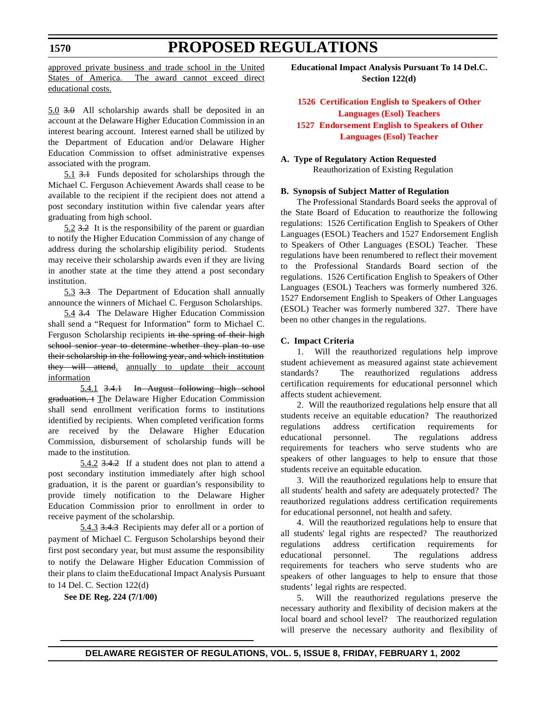<span id="page-26-0"></span>approved private business and trade school in the United States of America. The award cannot exceed direct educational costs.

5.0 3.0 All scholarship awards shall be deposited in an account at the Delaware Higher Education Commission in an interest bearing account. Interest earned shall be utilized by the Department of Education and/or Delaware Higher Education Commission to offset administrative expenses associated with the program.

5.1 3.1 Funds deposited for scholarships through the Michael C. Ferguson Achievement Awards shall cease to be available to the recipient if the recipient does not attend a post secondary institution within five calendar years after graduating from high school.

5.2 3.2 It is the responsibility of the parent or guardian to notify the Higher Education Commission of any change of address during the scholarship eligibility period. Students may receive their scholarship awards even if they are living in another state at the time they attend a post secondary institution.

5.3 3.3 The Department of Education shall annually announce the winners of Michael C. Ferguson Scholarships.

5.4 3.4 The Delaware Higher Education Commission shall send a "Request for Information" form to Michael C. Ferguson Scholarship recipients in the spring of their high school senior year to determine whether they plan to use their scholarship in the following year, and which institution they will attend. annually to update their account information

5.4.1 3.4.1 In August following high school graduation, t The Delaware Higher Education Commission shall send enrollment verification forms to institutions identified by recipients. When completed verification forms are received by the Delaware Higher Education Commission, disbursement of scholarship funds will be made to the institution.

5.4.2 3.4.2 If a student does not plan to attend a post secondary institution immediately after high school graduation, it is the parent or guardian's responsibility to provide timely notification to the Delaware Higher Education Commission prior to enrollment in order to receive payment of the scholarship.

5.4.3 3.4.3 Recipients may defer all or a portion of payment of Michael C. Ferguson Scholarships beyond their first post secondary year, but must assume the responsibility to notify the Delaware Higher Education Commission of their plans to claim theEducational Impact Analysis Pursuant to 14 Del. C. Section 122(d)

**See DE Reg. 224 (7/1/00)**

**Educational Impact Analysis Pursuant To 14 Del.C. Section 122(d)**

**1526 Certification English to Speakers of Other Languages (Esol) Teachers [1527 Endorsement English](#page-3-0) to Speakers of Other Languages (Esol) Teacher**

**A. Type of Regulatory Action Requested** Reauthorization of Existing Regulation

### **B. Synopsis of Subject Matter of Regulation**

The Professional Standards Board seeks the approval of the State Board of Education to reauthorize the following regulations: 1526 Certification English to Speakers of Other Languages (ESOL) Teachers and 1527 Endorsement English to Speakers of Other Languages (ESOL) Teacher. These regulations have been renumbered to reflect their movement to the Professional Standards Board section of the regulations. 1526 Certification English to Speakers of Other Languages (ESOL) Teachers was formerly numbered 326. 1527 Endorsement English to Speakers of Other Languages (ESOL) Teacher was formerly numbered 327. There have been no other changes in the regulations.

#### **C. Impact Criteria**

1. Will the reauthorized regulations help improve student achievement as measured against state achievement standards? The reauthorized regulations address certification requirements for educational personnel which affects student achievement.

2. Will the reauthorized regulations help ensure that all students receive an equitable education? The reauthorized regulations address certification requirements for educational personnel. The regulations address requirements for teachers who serve students who are speakers of other languages to help to ensure that those students receive an equitable education.

3. Will the reauthorized regulations help to ensure that all students' health and safety are adequately protected? The reauthorized regulations address certification requirements for educational personnel, not health and safety.

4. Will the reauthorized regulations help to ensure that all students' legal rights are respected? The reauthorized regulations address certification requirements for educational personnel. The regulations address requirements for teachers who serve students who are speakers of other languages to help to ensure that those students' legal rights are respected.

5. Will the reauthorized regulations preserve the necessary authority and flexibility of decision makers at the local board and school level? The reauthorized regulation will preserve the necessary authority and flexibility of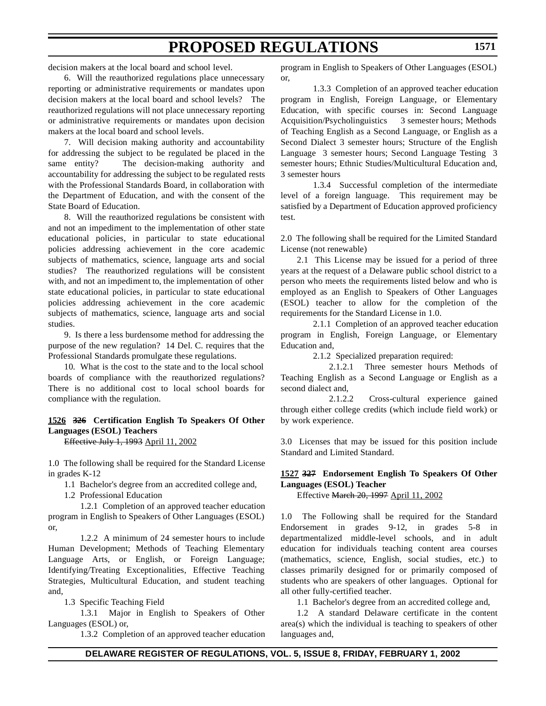decision makers at the local board and school level.

6. Will the reauthorized regulations place unnecessary reporting or administrative requirements or mandates upon decision makers at the local board and school levels? The reauthorized regulations will not place unnecessary reporting or administrative requirements or mandates upon decision makers at the local board and school levels.

7. Will decision making authority and accountability for addressing the subject to be regulated be placed in the same entity? The decision-making authority and accountability for addressing the subject to be regulated rests with the Professional Standards Board, in collaboration with the Department of Education, and with the consent of the State Board of Education.

8. Will the reauthorized regulations be consistent with and not an impediment to the implementation of other state educational policies, in particular to state educational policies addressing achievement in the core academic subjects of mathematics, science, language arts and social studies? The reauthorized regulations will be consistent with, and not an impediment to, the implementation of other state educational policies, in particular to state educational policies addressing achievement in the core academic subjects of mathematics, science, language arts and social studies.

9. Is there a less burdensome method for addressing the purpose of the new regulation? 14 Del. C. requires that the Professional Standards promulgate these regulations.

10. What is the cost to the state and to the local school boards of compliance with the reauthorized regulations? There is no additional cost to local school boards for compliance with the regulation.

#### **1526 326 Certification English To Speakers Of Other Languages (ESOL) Teachers**

Effective July 1, 1993 April 11, 2002

1.0 The following shall be required for the Standard License in grades K-12

1.1 Bachelor's degree from an accredited college and,

1.2 Professional Education

1.2.1 Completion of an approved teacher education program in English to Speakers of Other Languages (ESOL) or,

1.2.2 A minimum of 24 semester hours to include Human Development; Methods of Teaching Elementary Language Arts, or English, or Foreign Language; Identifying/Treating Exceptionalities, Effective Teaching Strategies, Multicultural Education, and student teaching and,

1.3 Specific Teaching Field

1.3.1 Major in English to Speakers of Other Languages (ESOL) or,

1.3.2 Completion of an approved teacher education

program in English to Speakers of Other Languages (ESOL) or,

1.3.3 Completion of an approved teacher education program in English, Foreign Language, or Elementary Education, with specific courses in: Second Language Acquisition/Psycholinguistics 3 semester hours; Methods of Teaching English as a Second Language, or English as a Second Dialect 3 semester hours; Structure of the English Language 3 semester hours; Second Language Testing 3 semester hours; Ethnic Studies/Multicultural Education and, 3 semester hours

1.3.4 Successful completion of the intermediate level of a foreign language. This requirement may be satisfied by a Department of Education approved proficiency test.

2.0 The following shall be required for the Limited Standard License (not renewable)

2.1 This License may be issued for a period of three years at the request of a Delaware public school district to a person who meets the requirements listed below and who is employed as an English to Speakers of Other Languages (ESOL) teacher to allow for the completion of the requirements for the Standard License in 1.0.

2.1.1 Completion of an approved teacher education program in English, Foreign Language, or Elementary Education and,

2.1.2 Specialized preparation required:

2.1.2.1 Three semester hours Methods of Teaching English as a Second Language or English as a second dialect and,

2.1.2.2 Cross-cultural experience gained through either college credits (which include field work) or by work experience.

3.0 Licenses that may be issued for this position include Standard and Limited Standard.

### **1527 327 Endorsement English To Speakers Of Other Languages (ESOL) Teacher**

Effective March 20, 1997 April 11, 2002

1.0 The Following shall be required for the Standard Endorsement in grades 9-12, in grades 5-8 in departmentalized middle-level schools, and in adult education for individuals teaching content area courses (mathematics, science, English, social studies, etc.) to classes primarily designed for or primarily composed of students who are speakers of other languages. Optional for all other fully-certified teacher.

1.1 Bachelor's degree from an accredited college and,

1.2 A standard Delaware certificate in the content area(s) which the individual is teaching to speakers of other languages and,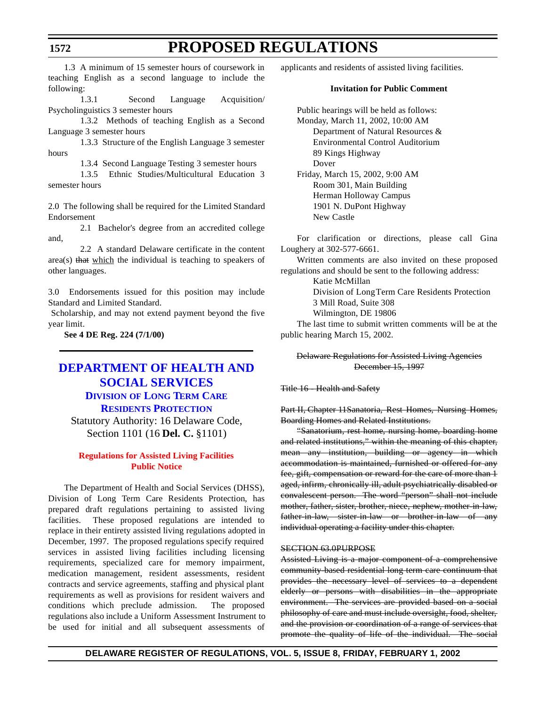<span id="page-28-0"></span>1.3 A minimum of 15 semester hours of coursework in teaching English as a second language to include the following:

1.3.1 Second Language Acquisition/ Psycholinguistics 3 semester hours

1.3.2 Methods of teaching English as a Second Language 3 semester hours

1.3.3 Structure of the English Language 3 semester hours

1.3.4 Second Language Testing 3 semester hours

1.3.5 Ethnic Studies/Multicultural Education 3 semester hours

2.0 The following shall be required for the Limited Standard Endorsement

2.1 Bachelor's degree from an accredited college and,

2.2 A standard Delaware certificate in the content area(s) that which the individual is teaching to speakers of other languages.

3.0 Endorsements issued for this position may include Standard and Limited Standard.

 Scholarship, and may not extend payment beyond the five year limit.

**See 4 DE Reg. 224 (7/1/00)**

## **DEPARTMENT OF HEALTH AND [SOCIAL SERVICES](http://www.state.de.us/dhss/dltc/dltchome.htm)**

### **DIVISION OF LONG TERM CARE RESIDENTS PROTECTION**

Statutory Authority: 16 Delaware Code, Section 1101 (16 **Del. C.** §1101)

### **[Regulations](#page-3-0) for Assisted Living Facilities Public Notice**

The Department of Health and Social Services (DHSS), Division of Long Term Care Residents Protection, has prepared draft regulations pertaining to assisted living facilities. These proposed regulations are intended to replace in their entirety assisted living regulations adopted in December, 1997. The proposed regulations specify required services in assisted living facilities including licensing requirements, specialized care for memory impairment, medication management, resident assessments, resident contracts and service agreements, staffing and physical plant requirements as well as provisions for resident waivers and conditions which preclude admission. The proposed regulations also include a Uniform Assessment Instrument to be used for initial and all subsequent assessments of

applicants and residents of assisted living facilities.

#### **Invitation for Public Comment**

Public hearings will be held as follows: Monday, March 11, 2002, 10:00 AM Department of Natural Resources & Environmental Control Auditorium 89 Kings Highway Dover Friday, March 15, 2002, 9:00 AM Room 301, Main Building Herman Holloway Campus 1901 N. DuPont Highway New Castle

For clarification or directions, please call Gina Loughery at 302-577-6661.

Written comments are also invited on these proposed regulations and should be sent to the following address:

Katie McMillan

Division of Long Term Care Residents Protection 3 Mill Road, Suite 308

Wilmington, DE 19806

The last time to submit written comments will be at the public hearing March 15, 2002.

Delaware Regulations for Assisted Living Agencies December 15, 1997

Title 16 - Health and Safety

Part II, Chapter 11Sanatoria, Rest Homes, Nursing Homes, Boarding Homes and Related Institutions.

"Sanatorium, rest home, nursing home, boarding home and related institutions," within the meaning of this chapter, mean any institution, building or agency in which accommodation is maintained, furnished or offered for any fee, gift, compensation or reward for the care of more than 1 aged, infirm, chronically ill, adult psychiatrically disabled or convalescent person. The word "person" shall not include mother, father, sister, brother, niece, nephew, mother-in-law, father-in-law, sister-in-law or brother-in-law of any individual operating a facility under this chapter.

### SECTION 63.0PURPOSE

Assisted Living is a major component of a comprehensive community-based residential long term care continuum that provides the necessary level of services to a dependent elderly or persons with disabilities in the appropriate environment. The services are provided based on a social philosophy of care and must include oversight, food, shelter, and the provision or coordination of a range of services that promote the quality of life of the individual. The social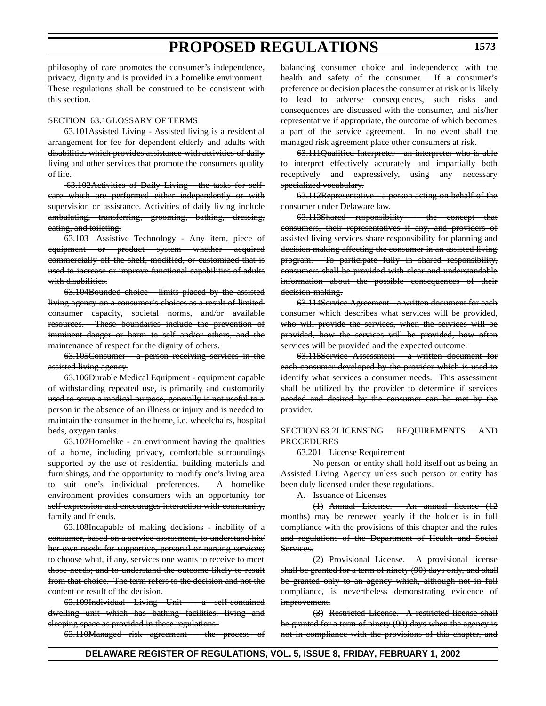philosophy of care promotes the consumer's independence, privacy, dignity and is provided in a homelike environment. These regulations shall be construed to be consistent with this section.

#### SECTION 63.1GLOSSARY OF TERMS

63.101Assisted Living - Assisted living is a residential arrangement for fee for dependent elderly and adults with disabilities which provides assistance with activities of daily living and other services that promote the consumers quality of life.

 63.102Activities of Daily Living - the tasks for selfcare which are performed either independently or with supervision or assistance. Activities of daily living include ambulating, transferring, grooming, bathing, dressing, eating, and toileting.

63.103 Assistive Technology - Any item, piece of equipment or product system whether acquired commercially off the shelf, modified, or customized that is used to increase or improve functional capabilities of adults with disabilities.

63.104Bounded choice - limits placed by the assisted living agency on a consumer's choices as a result of limited consumer capacity, societal norms, and/or available resources. These boundaries include the prevention of imminent danger or harm to self and/or others, and the maintenance of respect for the dignity of others.

63.105Consumer - a person receiving services in the assisted living agency.

63.106Durable Medical Equipment - equipment capable of withstanding repeated use, is primarily and customarily used to serve a medical purpose, generally is not useful to a person in the absence of an illness or injury and is needed to maintain the consumer in the home, i.e. wheelchairs, hospital beds, oxygen tanks.

63.107Homelike - an environment having the qualities of a home, including privacy, comfortable surroundings supported by the use of residential building materials and furnishings, and the opportunity to modify one's living area to suit one's individual preferences. A homelike environment provides consumers with an opportunity for self-expression and encourages interaction with community, family and friends.

63.108Incapable of making decisions - inability of a consumer, based on a service assessment, to understand his/ her own needs for supportive, personal or nursing services; to choose what, if any, services one wants to receive to meet those needs; and to understand the outcome likely to result from that choice. The term refers to the decision and not the content or result of the decision.

63.109Individual Living Unit - a self-contained dwelling unit which has bathing facilities, living and sleeping space as provided in these regulations.

63.110Managed risk agreement - the process of

balancing consumer choice and independence with the health and safety of the consumer. If a consumer's preference or decision places the consumer at risk or is likely to lead to adverse consequences, such risks and consequences are discussed with the consumer, and his/her representative if appropriate, the outcome of which becomes a part of the service agreement. In no event shall the managed risk agreement place other consumers at risk.

63.111Qualified Interpreter - an interpreter who is able to interpret effectively accurately and impartially both receptively and expressively, using any necessary specialized vocabulary.

63.112Representative - a person acting on behalf of the consumer under Delaware law.

63.113Shared responsibility - the concept that consumers, their representatives if any, and providers of assisted living services share responsibility for planning and decision making affecting the consumer in an assisted living program. To participate fully in shared responsibility, consumers shall be provided with clear and understandable information about the possible consequences of their decision-making.

63.114Service Agreement - a written document for each consumer which describes what services will be provided, who will provide the services, when the services will be provided, how the services will be provided, how often services will be provided and the expected outcome.

63.115Service Assessment - a written document for each consumer developed by the provider which is used to identify what services a consumer needs. This assessment shall be utilized by the provider to determine if services needed and desired by the consumer can be met by the provider.

#### SECTION 63.2LICENSING REQUIREMENTS AND **PROCEDURES**

63.201 License Requirement

No person or entity shall hold itself out as being an Assisted Living Agency unless such person or entity has been duly licensed under these regulations.

A. Issuance of Licenses

(1) Annual License. An annual license (12 months) may be renewed yearly if the holder is in full compliance with the provisions of this chapter and the rules and regulations of the Department of Health and Social Services.

(2) Provisional License. A provisional license shall be granted for a term of ninety (90) days only, and shall be granted only to an agency which, although not in full compliance, is nevertheless demonstrating evidence of improvement.

(3) Restricted License. A restricted license shall be granted for a term of ninety (90) days when the agency is not in compliance with the provisions of this chapter, and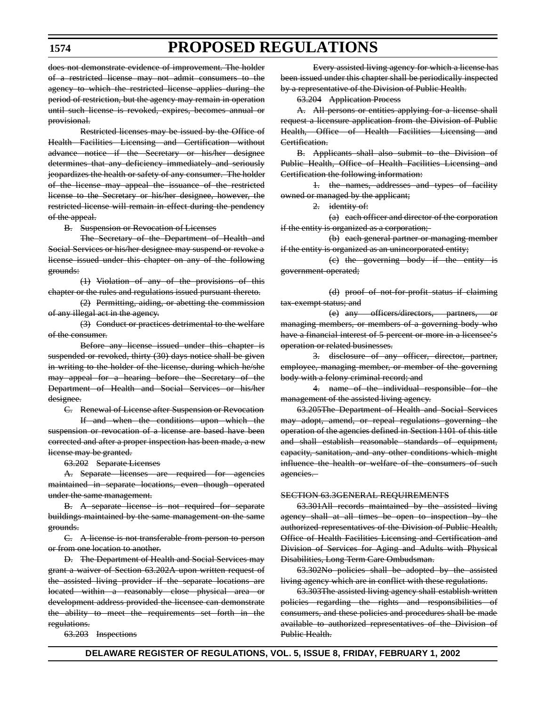does not demonstrate evidence of improvement. The holder of a restricted license may not admit consumers to the agency to which the restricted license applies during the period of restriction, but the agency may remain in operation until such license is revoked, expires, becomes annual or provisional.

Restricted licenses may be issued by the Office of Health Facilities Licensing and Certification without advance notice if the Secretary or his/her designee determines that any deficiency immediately and seriously jeopardizes the health or safety of any consumer. The holder of the license may appeal the issuance of the restricted license to the Secretary or his/her designee, however, the restricted license will remain in effect during the pendency of the appeal.

B. Suspension or Revocation of Licenses

The Secretary of the Department of Health and Social Services or his/her designee may suspend or revoke a license issued under this chapter on any of the following grounds:

(1) Violation of any of the provisions of this chapter or the rules and regulations issued pursuant thereto.

(2) Permitting, aiding, or abetting the commission of any illegal act in the agency.

(3) Conduct or practices detrimental to the welfare of the consumer.

Before any license issued under this chapter is suspended or revoked, thirty (30) days notice shall be given in writing to the holder of the license, during which he/she may appeal for a hearing before the Secretary of the Department of Health and Social Services or his/her designee.

C. Renewal of License after Suspension or Revocation

If and when the conditions upon which the suspension or revocation of a license are based have been corrected and after a proper inspection has been made, a new license may be granted.

63.202 Separate Licenses

A. Separate licenses are required for agencies maintained in separate locations, even though operated under the same management.

B. A separate license is not required for separate buildings maintained by the same management on the same grounds.

C. A license is not transferable from person to person or from one location to another.

D. The Department of Health and Social Services may grant a waiver of Section 63.202A upon written request of the assisted living provider if the separate locations are located within a reasonably close physical area or development address provided the licensee can demonstrate the ability to meet the requirements set forth in the regulations.

63.203 Inspections

Every assisted living agency for which a license has been issued under this chapter shall be periodically inspected by a representative of the Division of Public Health.

63.204 Application Process

A. All persons or entities applying for a license shall request a licensure application from the Division of Public Health, Office of Health Facilities Licensing and Certification.

B. Applicants shall also submit to the Division of Public Health, Office of Health Facilities Licensing and Certification the following information:

1. the names, addresses and types of facility owned or managed by the applicant;

2. identity of:

(a) each officer and director of the corporation if the entity is organized as a corporation;

(b) each general partner or managing member if the entity is organized as an unincorporated entity;

(c) the governing body if the entity is government-operated;

(d) proof of not-for-profit status if claiming tax-exempt status; and

(e) any officers/directors, partners, or managing members, or members of a governing body who have a financial interest of 5 percent or more in a licensee's operation or related businesses.

3. disclosure of any officer, director, partner, employee, managing member, or member of the governing body with a felony criminal record; and

4. name of the individual responsible for the management of the assisted living agency.

63.205The Department of Health and Social Services may adopt, amend, or repeal regulations governing the operation of the agencies defined in Section 1101 of this title and shall establish reasonable standards of equipment, capacity, sanitation, and any other conditions which might influence the health or welfare of the consumers of such agencies.

#### SECTION 63.3GENERAL REQUIREMENTS

63.301All records maintained by the assisted living agency shall at all times be open to inspection by the authorized representatives of the Division of Public Health, Office of Health Facilities Licensing and Certification and Division of Services for Aging and Adults with Physical Disabilities, Long Term Care Ombudsman.

63.302No policies shall be adopted by the assisted living agency which are in conflict with these regulations.

63.303The assisted living agency shall establish written policies regarding the rights and responsibilities of consumers, and these policies and procedures shall be made available to authorized representatives of the Division of Public Health.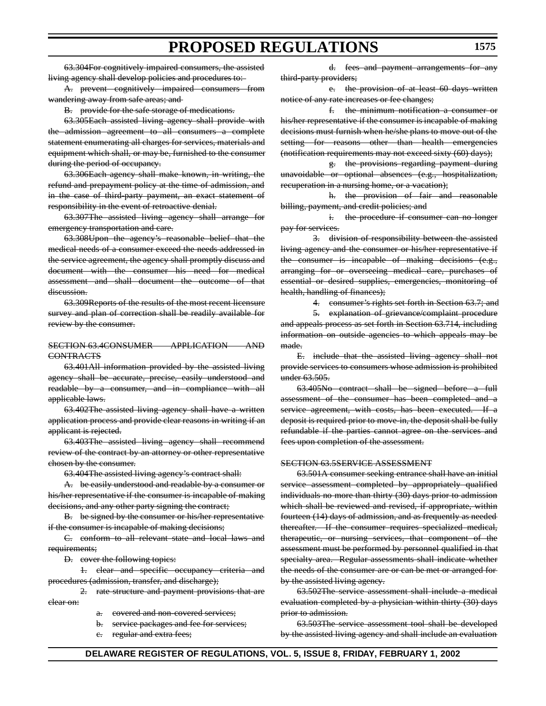63.304For cognitively impaired consumers, the assisted living agency shall develop policies and procedures to:

A. prevent cognitively impaired consumers from wandering away from safe areas; and

B. provide for the safe storage of medications.

63.305Each assisted living agency shall provide with the admission agreement to all consumers a complete statement enumerating all charges for services, materials and equipment which shall, or may be, furnished to the consumer during the period of occupancy.

63.306Each agency shall make known, in writing, the refund and prepayment policy at the time of admission, and in the case of third-party payment, an exact statement of responsibility in the event of retroactive denial.

63.307The assisted living agency shall arrange for emergency transportation and care.

63.308Upon the agency's reasonable belief that the medical needs of a consumer exceed the needs addressed in the service agreement, the agency shall promptly discuss and document with the consumer his need for medical assessment and shall document the outcome of that discussion.

63.309Reports of the results of the most recent licensure survey and plan of correction shall be readily available for review by the consumer.

#### SECTION 63.4CONSUMER APPLICATION AND CONTRACTS

63.401All information provided by the assisted living agency shall be accurate, precise, easily understood and readable by a consumer, and in compliance with all applicable laws.

63.402The assisted living agency shall have a written application process and provide clear reasons in writing if an applicant is rejected.

63.403The assisted living agency shall recommend review of the contract by an attorney or other representative chosen by the consumer.

63.404The assisted living agency's contract shall:

A. be easily understood and readable by a consumer or his/her representative if the consumer is incapable of making decisions, and any other party signing the contract;

B. be signed by the consumer or his/her representative if the consumer is incapable of making decisions;

C. conform to all relevant state and local laws and requirements;

D. cover the following topics:

1. clear and specific occupancy criteria and procedures (admission, transfer, and discharge);

2. rate structure and payment provisions that are clear on:

- a. covered and non-covered services;
- b. service packages and fee for services;

c. regular and extra fees;

d. fees and payment arrangements for any third-party providers;

e. the provision of at least 60 days written notice of any rate increases or fee changes;

f. the minimum notification a consumer or his/her representative if the consumer is incapable of making decisions must furnish when he/she plans to move out of the setting for reasons other than health emergencies (notification requirements may not exceed sixty (60) days);

g. the provisions regarding payment during unavoidable or optional absences (e.g., hospitalization, recuperation in a nursing home, or a vacation);

h. the provision of fair and reasonable billing, payment, and credit policies; and

i. the procedure if consumer can no longer pay for services.

3. division of responsibility between the assisted living agency and the consumer or his/her representative if the consumer is incapable of making decisions (e.g., arranging for or overseeing medical care, purchases of essential or desired supplies, emergencies, monitoring of health, handling of finances);

4. consumer's rights set forth in Section 63.7; and

5. explanation of grievance/complaint procedure and appeals process as set forth in Section 63.714, including information on outside agencies to which appeals may be made.

E. include that the assisted living agency shall not provide services to consumers whose admission is prohibited under 63.505.

63.405No contract shall be signed before a full assessment of the consumer has been completed and a service agreement, with costs, has been executed. If a deposit is required prior to move-in, the deposit shall be fully refundable if the parties cannot agree on the services and fees upon completion of the assessment.

#### SECTION 63.5SERVICE ASSESSMENT

63.501A consumer seeking entrance shall have an initial service assessment completed by appropriately qualified individuals no more than thirty (30) days prior to admission which shall be reviewed and revised, if appropriate, within fourteen (14) days of admission, and as frequently as needed thereafter. If the consumer requires specialized medical, therapeutic, or nursing services, that component of the assessment must be performed by personnel qualified in that specialty area. Regular assessments shall indicate whether the needs of the consumer are or can be met or arranged for by the assisted living agency.

63.502The service assessment shall include a medical evaluation completed by a physician within thirty (30) days prior to admission.

63.503The service assessment tool shall be developed by the assisted living agency and shall include an evaluation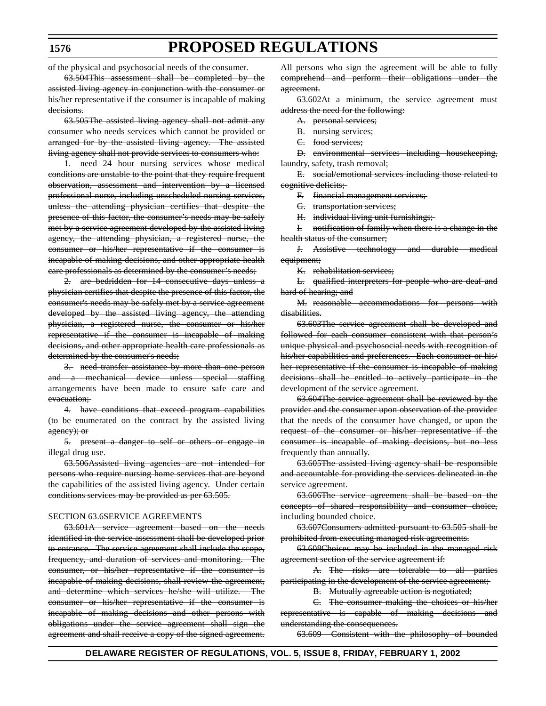of the physical and psychosocial needs of the consumer.

63.504This assessment shall be completed by the assisted living agency in conjunction with the consumer or his/her representative if the consumer is incapable of making decisions.

63.505The assisted living agency shall not admit any consumer who needs services which cannot be provided or arranged for by the assisted living agency. The assisted living agency shall not provide services to consumers who:

1. need 24 hour nursing services whose medical conditions are unstable to the point that they require frequent observation, assessment and intervention by a licensed professional nurse, including unscheduled nursing services, unless the attending physician certifies that despite the presence of this factor, the consumer's needs may be safely met by a service agreement developed by the assisted living agency, the attending physician, a registered nurse, the consumer or his/her representative if the consumer is incapable of making decisions, and other appropriate health care professionals as determined by the consumer's needs;

2. are bedridden for 14 consecutive days unless a physician certifies that despite the presence of this factor, the consumer's needs may be safely met by a service agreement developed by the assisted living agency, the attending physician, a registered nurse, the consumer or his/her representative if the consumer is incapable of making decisions, and other appropriate health care professionals as determined by the consumer's needs;

3. need transfer assistance by more than one person and a mechanical device unless special staffing arrangements have been made to ensure safe care and evacuation:

4. have conditions that exceed program capabilities (to be enumerated on the contract by the assisted living agency); or

5. present a danger to self or others or engage in illegal drug use.

63.506Assisted living agencies are not intended for persons who require nursing home services that are beyond the capabilities of the assisted living agency. Under certain conditions services may be provided as per 63.505.

#### SECTION 63.6SERVICE AGREEMENTS

63.601A service agreement based on the needs identified in the service assessment shall be developed prior to entrance. The service agreement shall include the scope, frequency, and duration of services and monitoring. The consumer, or his/her representative if the consumer is incapable of making decisions, shall review the agreement, and determine which services he/she will utilize. The consumer or his/her representative if the consumer is incapable of making decisions and other persons with obligations under the service agreement shall sign the agreement and shall receive a copy of the signed agreement. All persons who sign the agreement will be able to fully comprehend and perform their obligations under the agreement.

63.602At a minimum, the service agreement must address the need for the following:

- A. personal services;
- B. nursing services;
- C. food services;

D. environmental services including housekeeping, laundry, safety, trash removal;

E. social/emotional services including those related to cognitive deficits;

F. financial management services;

G. transportation services;

H. individual living unit furnishings;

I. notification of family when there is a change in the health status of the consumer;

J. Assistive technology and durable medical equipment;

K. rehabilitation services;

L. qualified interpreters for people who are deaf and hard of hearing; and

M. reasonable accommodations for persons with disabilities.

63.603The service agreement shall be developed and followed for each consumer consistent with that person's unique physical and psychosocial needs with recognition of his/her capabilities and preferences. Each consumer or his/ her representative if the consumer is incapable of making decisions shall be entitled to actively participate in the development of the service agreement.

63.604The service agreement shall be reviewed by the provider and the consumer upon observation of the provider that the needs of the consumer have changed, or upon the request of the consumer or his/her representative if the consumer is incapable of making decisions, but no less frequently than annually.

63.605The assisted living agency shall be responsible and accountable for providing the services delineated in the service agreement.

63.606The service agreement shall be based on the concepts of shared responsibility and consumer choice, including bounded choice.

63.607Consumers admitted pursuant to 63.505 shall be prohibited from executing managed risk agreements.

63.608Choices may be included in the managed risk agreement section of the service agreement if:

A. The risks are tolerable to all parties participating in the development of the service agreement;

B. Mutually agreeable action is negotiated;

C. The consumer making the choices or his/her representative is capable of making decisions and understanding the consequences.

63.609 Consistent with the philosophy of bounded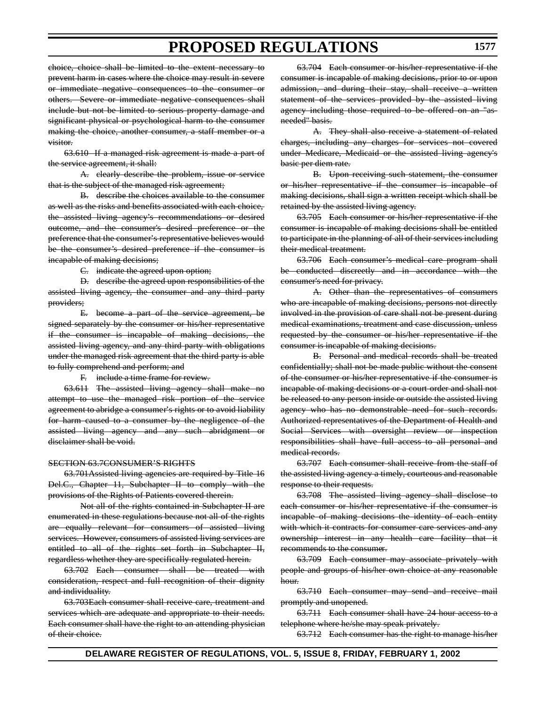choice, choice shall be limited to the extent necessary to prevent harm in cases where the choice may result in severe or immediate negative consequences to the consumer or others. Severe or immediate negative consequences shall include but not be limited to serious property damage and significant physical or psychological harm to the consumer making the choice, another consumer, a staff member or a visitor.

63.610 If a managed risk agreement is made a part of the service agreement, it shall:

A. clearly describe the problem, issue or service that is the subject of the managed risk agreement;

B. describe the choices available to the consumer as well as the risks and benefits associated with each choice, the assisted living agency's recommendations or desired outcome, and the consumer's desired preference or the preference that the consumer's representative believes would be the consumer's desired preference if the consumer is incapable of making decisions;

C. indicate the agreed upon option;

D. describe the agreed upon responsibilities of the assisted living agency, the consumer and any third party providers;

E. become a part of the service agreement, be signed separately by the consumer or his/her representative if the consumer is incapable of making decisions, the assisted living agency, and any third party with obligations under the managed risk agreement that the third party is able to fully comprehend and perform; and

F. include a time frame for review.

63.611 The assisted living agency shall make no attempt to use the managed risk portion of the service agreement to abridge a consumer's rights or to avoid liability for harm caused to a consumer by the negligence of the assisted living agency and any such abridgment or disclaimer shall be void.

#### SECTION 63.7CONSUMER'S RIGHTS

63.701Assisted living agencies are required by Title 16 Del.C., Chapter 11, Subchapter II to comply with the provisions of the Rights of Patients covered therein.

Not all of the rights contained in Subchapter II are enumerated in these regulations because not all of the rights are equally relevant for consumers of assisted living services. However, consumers of assisted living services are entitled to all of the rights set forth in Subchapter II, regardless whether they are specifically regulated herein.

63.702 Each consumer shall be treated with consideration, respect and full recognition of their dignity and individuality.

63.703Each consumer shall receive care, treatment and services which are adequate and appropriate to their needs. Each consumer shall have the right to an attending physician of their choice.

63.704 Each consumer or his/her representative if the consumer is incapable of making decisions, prior to or upon admission, and during their stay, shall receive a written statement of the services provided by the assisted living agency including those required to be offered on an "asneeded" basis.

A. They shall also receive a statement of related charges, including any charges for services not covered under Medicare, Medicaid or the assisted living agency's basic per diem rate.

B. Upon receiving such statement, the consumer or his/her representative if the consumer is incapable of making decisions, shall sign a written receipt which shall be retained by the assisted living agency.

63.705 Each consumer or his/her representative if the consumer is incapable of making decisions shall be entitled to participate in the planning of all of their services including their medical treatment.

63.706 Each consumer's medical care program shall be conducted discreetly and in accordance with the consumer's need for privacy.

A. Other than the representatives of consumers who are incapable of making decisions, persons not directly involved in the provision of care shall not be present during medical examinations, treatment and case discussion, unless requested by the consumer or his/her representative if the consumer is incapable of making decisions.

B. Personal and medical records shall be treated confidentially; shall not be made public without the consent of the consumer or his/her representative if the consumer is incapable of making decisions or a court order and shall not be released to any person inside or outside the assisted living agency who has no demonstrable need for such records. Authorized representatives of the Department of Health and Social Services with oversight review or inspection responsibilities shall have full access to all personal and medical records.

63.707 Each consumer shall receive from the staff of the assisted living agency a timely, courteous and reasonable response to their requests.

63.708 The assisted living agency shall disclose to each consumer or his/her representative if the consumer is incapable of making decisions the identity of each entity with which it contracts for consumer care services and any ownership interest in any health care facility that it recommends to the consumer.

63.709 Each consumer may associate privately with people and groups of his/her own choice at any reasonable hour.

63.710 Each consumer may send and receive mail promptly and unopened.

63.711 Each consumer shall have 24 hour access to a telephone where he/she may speak privately.

63.712 Each consumer has the right to manage his/her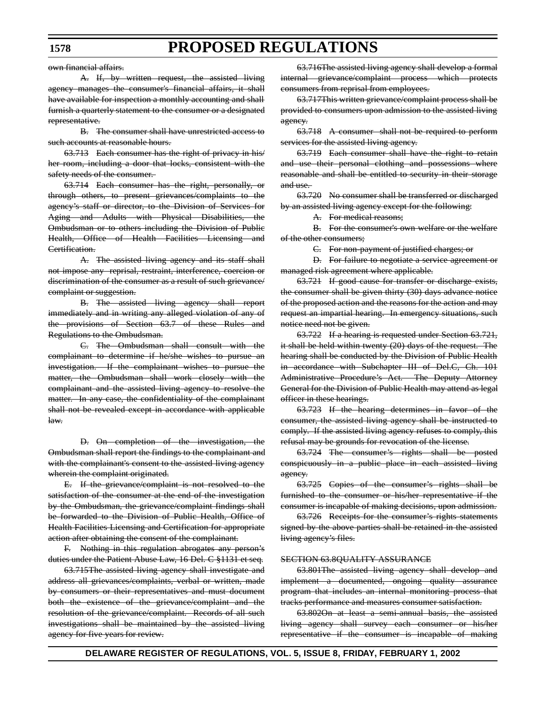own financial affairs.

A. If, by written request, the assisted living agency manages the consumer's financial affairs, it shall have available for inspection a monthly accounting and shall furnish a quarterly statement to the consumer or a designated representative.

B. The consumer shall have unrestricted access to such accounts at reasonable hours.

63.713 Each consumer has the right of privacy in his/ her room, including a door that locks, consistent with the safety needs of the consumer.

63.714 Each consumer has the right, personally, or through others, to present grievances/complaints to the agency's staff or director, to the Division of Services for Aging and Adults with Physical Disabilities, the Ombudsman or to others including the Division of Public Health, Office of Health Facilities Licensing and Certification.

A. The assisted living agency and its staff shall not impose any reprisal, restraint, interference, coercion or discrimination of the consumer as a result of such grievance/ complaint or suggestion.

B. The assisted living agency shall report immediately and in writing any alleged violation of any of the provisions of Section 63.7 of these Rules and Regulations to the Ombudsman.

C. The Ombudsman shall consult with the complainant to determine if he/she wishes to pursue an investigation. If the complainant wishes to pursue the matter, the Ombudsman shall work closely with the complainant and the assisted living agency to resolve the matter. In any case, the confidentiality of the complainant shall not be revealed except in accordance with applicable law.

D. On completion of the investigation, the Ombudsman shall report the findings to the complainant and with the complainant's consent to the assisted living agency wherein the complaint originated.

E. If the grievance/complaint is not resolved to the satisfaction of the consumer at the end of the investigation by the Ombudsman, the grievance/complaint findings shall be forwarded to the Division of Public Health, Office of Health Facilities Licensing and Certification for appropriate action after obtaining the consent of the complainant.

F. Nothing in this regulation abrogates any person's duties under the Patient Abuse Law, 16 Del. C §1131 et seq.

63.715The assisted living agency shall investigate and address all grievances/complaints, verbal or written, made by consumers or their representatives and must document both the existence of the grievance/complaint and the resolution of the grievance/complaint. Records of all such investigations shall be maintained by the assisted living agency for five years for review.

63.716The assisted living agency shall develop a formal internal grievance/complaint process which protects consumers from reprisal from employees.

63.717This written grievance/complaint process shall be provided to consumers upon admission to the assisted living agency.

63.718 A consumer shall not be required to perform services for the assisted living agency.

63.719 Each consumer shall have the right to retain and use their personal clothing and possessions where reasonable and shall be entitled to security in their storage and use.

63.720 No consumer shall be transferred or discharged by an assisted living agency except for the following:

A. For medical reasons;

B. For the consumer's own welfare or the welfare of the other consumers;

C. For non-payment of justified charges; or

D. For failure to negotiate a service agreement or managed risk agreement where applicable.

63.721 If good cause for transfer or discharge exists, the consumer shall be given thirty (30) days advance notice of the proposed action and the reasons for the action and may request an impartial hearing. In emergency situations, such notice need not be given.

63.722 If a hearing is requested under Section 63.721, it shall be held within twenty (20) days of the request. The hearing shall be conducted by the Division of Public Health in accordance with Subchapter III of Del.C, Ch. 101 Administrative Procedure's Act. The Deputy Attorney General for the Division of Public Health may attend as legal officer in these hearings.

63.723 If the hearing determines in favor of the consumer, the assisted living agency shall be instructed to comply. If the assisted living agency refuses to comply, this refusal may be grounds for revocation of the license.

63.724 The consumer's rights shall be posted conspicuously in a public place in each assisted living agency.

63.725 Copies of the consumer's rights shall be furnished to the consumer or his/her representative if the consumer is incapable of making decisions, upon admission.

63.726 Receipts for the consumer's rights statements signed by the above parties shall be retained in the assisted living agency's files.

#### SECTION 63.8QUALITY ASSURANCE

63.801The assisted living agency shall develop and implement a documented, ongoing quality assurance program that includes an internal monitoring process that tracks performance and measures consumer satisfaction.

63.802On at least a semi-annual basis, the assisted living agency shall survey each consumer or his/her representative if the consumer is incapable of making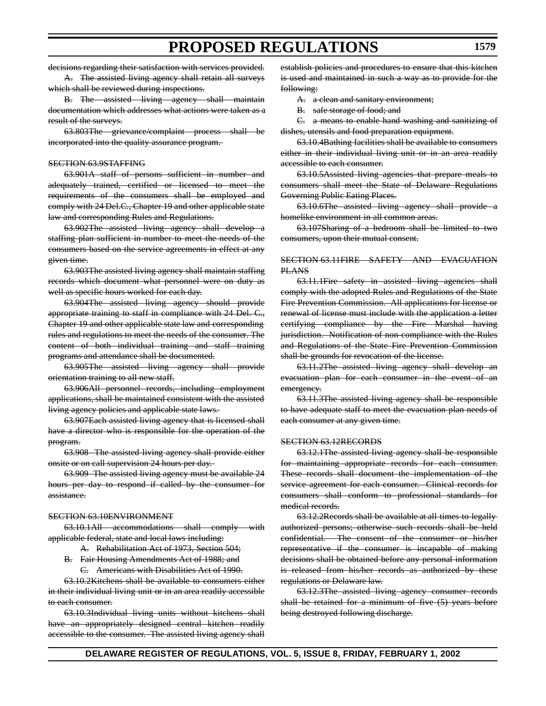decisions regarding their satisfaction with services provided.

A. The assisted living agency shall retain all surveys which shall be reviewed during inspections.

B. The assisted living agency shall maintain documentation which addresses what actions were taken as a result of the surveys.

63.803The grievance/complaint process shall be incorporated into the quality assurance program.

#### SECTION 63.9STAFFING

63.901A staff of persons sufficient in number and adequately trained, certified or licensed to meet the requirements of the consumers shall be employed and comply with 24 Del.C., Chapter 19 and other applicable state law and corresponding Rules and Regulations.

63.902The assisted living agency shall develop a staffing plan sufficient in number to meet the needs of the consumers based on the service agreements in effect at any given time.

63.903The assisted living agency shall maintain staffing records which document what personnel were on duty as well as specific hours worked for each day.

63.904The assisted living agency should provide appropriate training to staff in compliance with 24 Del. C., Chapter 19 and other applicable state law and corresponding rules and regulations to meet the needs of the consumer. The content of both individual training and staff training programs and attendance shall be documented.

63.905The assisted living agency shall provide orientation training to all new staff.

63.906All personnel records, including employment applications, shall be maintained consistent with the assisted living agency policies and applicable state laws.

63.907Each assisted living agency that is licensed shall have a director who is responsible for the operation of the program.

63.908 The assisted living agency shall provide either onsite or on call supervision 24 hours per day.

63.909 The assisted living agency must be available 24 hours per day to respond if called by the consumer for assistance.

#### SECTION 63.10ENVIRONMENT

63.10.1All accommodations shall comply with applicable federal, state and local laws including:

- A. Rehabilitation Act of 1973, Section 504;
- B. Fair Housing Amendments Act of 1988; and C. Americans with Disabilities Act of 1990.

63.10.2Kitchens shall be available to consumers either in their individual living unit or in an area readily accessible to each consumer.

63.10.3Individual living units without kitchens shall have an appropriately designed central kitchen readily accessible to the consumer. The assisted living agency shall establish policies and procedures to ensure that this kitchen is used and maintained in such a way as to provide for the following:

A. a clean and sanitary environment;

B. safe storage of food; and

C. a means to enable hand washing and sanitizing of dishes, utensils and food preparation equipment.

63.10.4Bathing facilities shall be available to consumers either in their individual living unit or in an area readily accessible to each consumer.

63.10.5Assisted living agencies that prepare meals to consumers shall meet the State of Delaware Regulations Governing Public Eating Places.

63.10.6The assisted living agency shall provide a homelike environment in all common areas.

63.107Sharing of a bedroom shall be limited to two consumers, upon their mutual consent.

#### SECTION 63.11FIRE SAFETY AND EVACUATION PLANS

63.11.1Fire safety in assisted living agencies shall comply with the adopted Rules and Regulations of the State Fire Prevention Commission. All applications for license or renewal of license must include with the application a letter certifying compliance by the Fire Marshal having jurisdiction. Notification of non-compliance with the Rules and Regulations of the State Fire Prevention Commission shall be grounds for revocation of the license.

63.11.2The assisted living agency shall develop an evacuation plan for each consumer in the event of an emergency.

63.11.3The assisted living agency shall be responsible to have adequate staff to meet the evacuation plan needs of each consumer at any given time.

#### SECTION 63.12RECORDS

63.12.1The assisted living agency shall be responsible for maintaining appropriate records for each consumer. These records shall document the implementation of the service agreement for each consumer. Clinical records for consumers shall conform to professional standards for medical records.

63.12.2Records shall be available at all times to legally authorized persons; otherwise such records shall be held confidential. The consent of the consumer or his/her representative if the consumer is incapable of making decisions shall be obtained before any personal information is released from his/her records as authorized by these regulations or Delaware law.

63.12.3The assisted living agency consumer records shall be retained for a minimum of five (5) years before being destroyed following discharge.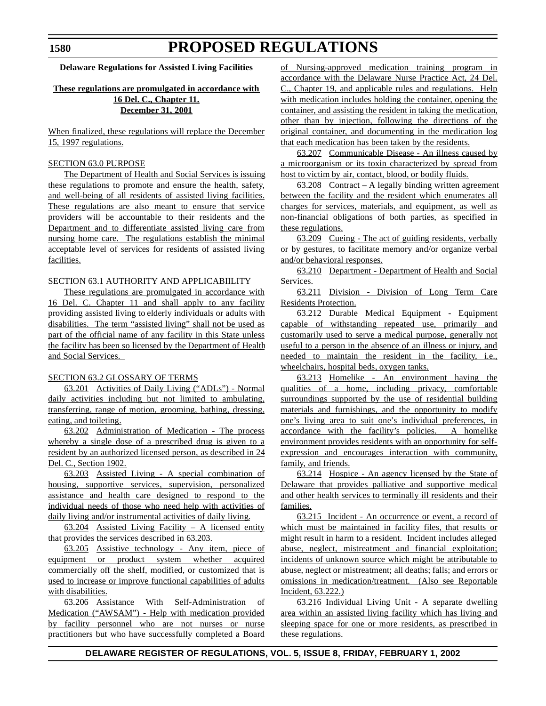**Delaware Regulations for Assisted Living Facilities**

### **These regulations are promulgated in accordance with 16 Del. C., Chapter 11. December 31, 2001**

When finalized, these regulations will replace the December 15, 1997 regulations.

### SECTION 63.0 PURPOSE

The Department of Health and Social Services is issuing these regulations to promote and ensure the health, safety, and well-being of all residents of assisted living facilities. These regulations are also meant to ensure that service providers will be accountable to their residents and the Department and to differentiate assisted living care from nursing home care. The regulations establish the minimal acceptable level of services for residents of assisted living facilities.

### SECTION 63.1 AUTHORITY AND APPLICABIILITY

These regulations are promulgated in accordance with 16 Del. C. Chapter 11 and shall apply to any facility providing assisted living to elderly individuals or adults with disabilities. The term "assisted living" shall not be used as part of the official name of any facility in this State unless the facility has been so licensed by the Department of Health and Social Services.

### SECTION 63.2 GLOSSARY OF TERMS

63.201 Activities of Daily Living ("ADLs") - Normal daily activities including but not limited to ambulating, transferring, range of motion, grooming, bathing, dressing, eating, and toileting.

63.202 Administration of Medication - The process whereby a single dose of a prescribed drug is given to a resident by an authorized licensed person, as described in 24 Del. C., Section 1902.

63.203 Assisted Living - A special combination of housing, supportive services, supervision, personalized assistance and health care designed to respond to the individual needs of those who need help with activities of daily living and/or instrumental activities of daily living.

63.204 Assisted Living Facility – A licensed entity that provides the services described in 63.203.

63.205 Assistive technology - Any item, piece of equipment or product system whether acquired commercially off the shelf, modified, or customized that is used to increase or improve functional capabilities of adults with disabilities.

63.206 Assistance With Self-Administration of Medication ("AWSAM") - Help with medication provided by facility personnel who are not nurses or nurse practitioners but who have successfully completed a Board of Nursing-approved medication training program in accordance with the Delaware Nurse Practice Act, 24 Del. C., Chapter 19, and applicable rules and regulations. Help with medication includes holding the container, opening the container, and assisting the resident in taking the medication, other than by injection, following the directions of the original container, and documenting in the medication log that each medication has been taken by the residents.

63.207 Communicable Disease - An illness caused by a microorganism or its toxin characterized by spread from host to victim by air, contact, blood, or bodily fluids.

63.208 Contract – A legally binding written agreement between the facility and the resident which enumerates all charges for services, materials, and equipment, as well as non-financial obligations of both parties, as specified in these regulations.

63.209 Cueing - The act of guiding residents, verbally or by gestures, to facilitate memory and/or organize verbal and/or behavioral responses.

63.210 Department - Department of Health and Social Services.

63.211 Division - Division of Long Term Care Residents Protection.

63.212 Durable Medical Equipment - Equipment capable of withstanding repeated use, primarily and customarily used to serve a medical purpose, generally not useful to a person in the absence of an illness or injury, and needed to maintain the resident in the facility, i.e., wheelchairs, hospital beds, oxygen tanks.

63.213 Homelike - An environment having the qualities of a home, including privacy, comfortable surroundings supported by the use of residential building materials and furnishings, and the opportunity to modify one's living area to suit one's individual preferences, in accordance with the facility's policies. A homelike environment provides residents with an opportunity for selfexpression and encourages interaction with community, family, and friends.

63.214 Hospice - An agency licensed by the State of Delaware that provides palliative and supportive medical and other health services to terminally ill residents and their families.

63.215 Incident - An occurrence or event, a record of which must be maintained in facility files, that results or might result in harm to a resident. Incident includes alleged abuse, neglect, mistreatment and financial exploitation; incidents of unknown source which might be attributable to abuse, neglect or mistreatment; all deaths; falls; and errors or omissions in medication/treatment. (Also see Reportable Incident, 63.222.)

63.216 Individual Living Unit - A separate dwelling area within an assisted living facility which has living and sleeping space for one or more residents, as prescribed in these regulations.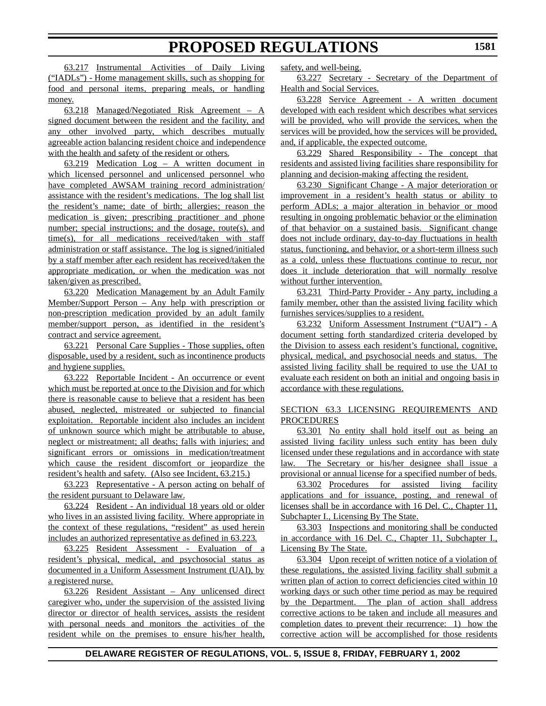63.217 Instrumental Activities of Daily Living ("IADLs") - Home management skills, such as shopping for food and personal items, preparing meals, or handling money.

63.218 Managed/Negotiated Risk Agreement – A signed document between the resident and the facility, and any other involved party, which describes mutually agreeable action balancing resident choice and independence with the health and safety of the resident or others.

63.219 Medication Log – A written document in which licensed personnel and unlicensed personnel who have completed AWSAM training record administration/ assistance with the resident's medications. The log shall list the resident's name; date of birth; allergies; reason the medication is given; prescribing practitioner and phone number; special instructions; and the dosage, route(s), and time(s), for all medications received/taken with staff administration or staff assistance. The log is signed/initialed by a staff member after each resident has received/taken the appropriate medication, or when the medication was not taken/given as prescribed.

63.220 Medication Management by an Adult Family Member/Support Person – Any help with prescription or non-prescription medication provided by an adult family member/support person, as identified in the resident's contract and service agreement.

63.221 Personal Care Supplies - Those supplies, often disposable, used by a resident, such as incontinence products and hygiene supplies.

63.222 Reportable Incident - An occurrence or event which must be reported at once to the Division and for which there is reasonable cause to believe that a resident has been abused, neglected, mistreated or subjected to financial exploitation. Reportable incident also includes an incident of unknown source which might be attributable to abuse, neglect or mistreatment; all deaths; falls with injuries; and significant errors or omissions in medication/treatment which cause the resident discomfort or jeopardize the resident's health and safety. (Also see Incident, 63.215.)

63.223 Representative - A person acting on behalf of the resident pursuant to Delaware law.

63.224 Resident - An individual 18 years old or older who lives in an assisted living facility. Where appropriate in the context of these regulations, "resident" as used herein includes an authorized representative as defined in 63.223*.*

63.225 Resident Assessment - Evaluation of a resident's physical, medical, and psychosocial status as documented in a Uniform Assessment Instrument (UAI), by a registered nurse.

63.226 Resident Assistant – Any unlicensed direct caregiver who, under the supervision of the assisted living director or director of health services, assists the resident with personal needs and monitors the activities of the resident while on the premises to ensure his/her health, safety, and well-being.

63.227 Secretary - Secretary of the Department of Health and Social Services.

63.228 Service Agreement - A written document developed with each resident which describes what services will be provided, who will provide the services, when the services will be provided, how the services will be provided, and, if applicable, the expected outcome.

63.229 Shared Responsibility - The concept that residents and assisted living facilities share responsibility for planning and decision-making affecting the resident.

63.230 Significant Change - A major deterioration or improvement in a resident's health status or ability to perform ADLs; a major alteration in behavior or mood resulting in ongoing problematic behavior or the elimination of that behavior on a sustained basis. Significant change does not include ordinary, day-to-day fluctuations in health status, functioning, and behavior, or a short-term illness such as a cold, unless these fluctuations continue to recur, nor does it include deterioration that will normally resolve without further intervention.

63.231 Third-Party Provider - Any party, including a family member, other than the assisted living facility which furnishes services/supplies to a resident.

63.232 Uniform Assessment Instrument ("UAI") - A document setting forth standardized criteria developed by the Division to assess each resident's functional, cognitive, physical, medical, and psychosocial needs and status. The assisted living facility shall be required to use the UAI to evaluate each resident on both an initial and ongoing basis in accordance with these regulations.

### SECTION 63.3 LICENSING REQUIREMENTS AND PROCEDURES

63.301 No entity shall hold itself out as being an assisted living facility unless such entity has been duly licensed under these regulations and in accordance with state law. The Secretary or his/her designee shall issue a provisional or annual license for a specified number of beds.

63.302 Procedures for assisted living facility applications and for issuance, posting, and renewal of licenses shall be in accordance with 16 Del. C., Chapter 11, Subchapter I., Licensing By The State.

63.303 Inspections and monitoring shall be conducted in accordance with 16 Del. C., Chapter 11, Subchapter I., Licensing By The State.

63.304 Upon receipt of written notice of a violation of these regulations, the assisted living facility shall submit a written plan of action to correct deficiencies cited within 10 working days or such other time period as may be required by the Department. The plan of action shall address corrective actions to be taken and include all measures and completion dates to prevent their recurrence: 1) how the corrective action will be accomplished for those residents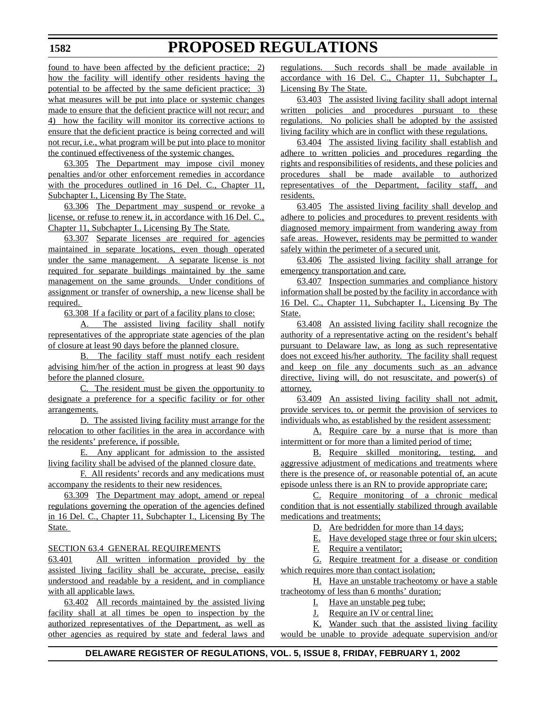found to have been affected by the deficient practice; 2) how the facility will identify other residents having the potential to be affected by the same deficient practice; 3) what measures will be put into place or systemic changes made to ensure that the deficient practice will not recur; and 4) how the facility will monitor its corrective actions to ensure that the deficient practice is being corrected and will not recur, i.e., what program will be put into place to monitor the continued effectiveness of the systemic changes.

63.305 The Department may impose civil money penalties and/or other enforcement remedies in accordance with the procedures outlined in 16 Del. C., Chapter 11, Subchapter I., Licensing By The State.

63.306 The Department may suspend or revoke a license, or refuse to renew it, in accordance with 16 Del. C., Chapter 11, Subchapter I., Licensing By The State.

63.307 Separate licenses are required for agencies maintained in separate locations, even though operated under the same management. A separate license is not required for separate buildings maintained by the same management on the same grounds. Under conditions of assignment or transfer of ownership, a new license shall be required.

63.308 If a facility or part of a facility plans to close:

A. The assisted living facility shall notify representatives of the appropriate state agencies of the plan of closure at least 90 days before the planned closure.

B. The facility staff must notify each resident advising him/her of the action in progress at least 90 days before the planned closure.

C. The resident must be given the opportunity to designate a preference for a specific facility or for other arrangements.

D. The assisted living facility must arrange for the relocation to other facilities in the area in accordance with the residents' preference, if possible.

E. Any applicant for admission to the assisted living facility shall be advised of the planned closure date.

F. All residents' records and any medications must accompany the residents to their new residences.

63.309 The Department may adopt, amend or repeal regulations governing the operation of the agencies defined in 16 Del. C., Chapter 11, Subchapter I., Licensing By The State*.* 

### SECTION 63.4 GENERAL REQUIREMENTS

63.401 All written information provided by the assisted living facility shall be accurate, precise, easily understood and readable by a resident, and in compliance with all applicable laws.

63.402 All records maintained by the assisted living facility shall at all times be open to inspection by the authorized representatives of the Department, as well as other agencies as required by state and federal laws and regulations. Such records shall be made available in accordance with 16 Del. C., Chapter 11, Subchapter I., Licensing By The State.

63.403 The assisted living facility shall adopt internal written policies and procedures pursuant to these regulations. No policies shall be adopted by the assisted living facility which are in conflict with these regulations.

63.404 The assisted living facility shall establish and adhere to written policies and procedures regarding the rights and responsibilities of residents, and these policies and procedures shall be made available to authorized representatives of the Department, facility staff, and residents.

63.405 The assisted living facility shall develop and adhere to policies and procedures to prevent residents with diagnosed memory impairment from wandering away from safe areas. However, residents may be permitted to wander safely within the perimeter of a secured unit.

63.406 The assisted living facility shall arrange for emergency transportation and care.

63.407 Inspection summaries and compliance history information shall be posted by the facility in accordance with 16 Del. C., Chapter 11, Subchapter I., Licensing By The State.

63.408 An assisted living facility shall recognize the authority of a representative acting on the resident's behalf pursuant to Delaware law, as long as such representative does not exceed his/her authority. The facility shall request and keep on file any documents such as an advance directive, living will, do not resuscitate, and power(s) of attorney.

63.409 An assisted living facility shall not admit, provide services to, or permit the provision of services to individuals who, as established by the resident assessment:

A. Require care by a nurse that is more than intermittent or for more than a limited period of time;

B. Require skilled monitoring, testing, and aggressive adjustment of medications and treatments where there is the presence of, or reasonable potential of, an acute episode unless there is an RN to provide appropriate care;

C. Require monitoring of a chronic medical condition that is not essentially stabilized through available medications and treatments;

D. Are bedridden for more than 14 days;

E. Have developed stage three or four skin ulcers;

F. Require a ventilator;

G. Require treatment for a disease or condition which requires more than contact isolation;

H. Have an unstable tracheotomy or have a stable tracheotomy of less than 6 months' duration;

- I. Have an unstable peg tube;
- J. Require an IV or central line;

K. Wander such that the assisted living facility would be unable to provide adequate supervision and/or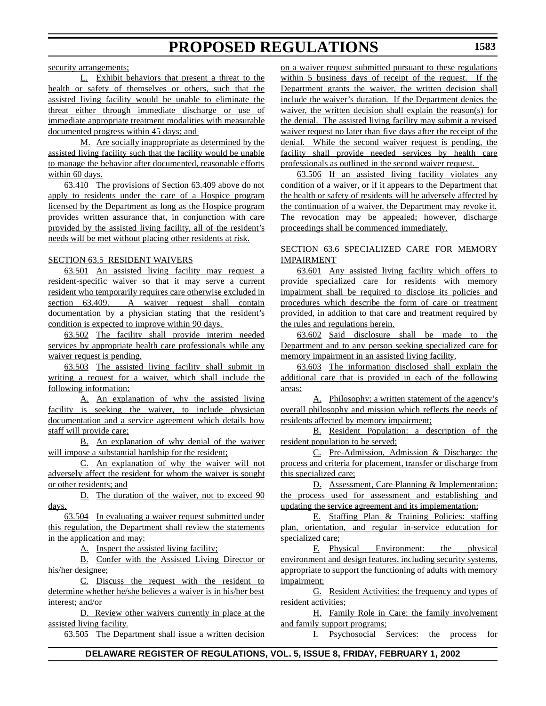security arrangements;

L. Exhibit behaviors that present a threat to the health or safety of themselves or others, such that the assisted living facility would be unable to eliminate the threat either through immediate discharge or use of immediate appropriate treatment modalities with measurable documented progress within 45 days; and

M. Are socially inappropriate as determined by the assisted living facility such that the facility would be unable to manage the behavior after documented, reasonable efforts within 60 days.

63.410 The provisions of Section 63.409 above do not apply to residents under the care of a Hospice program licensed by the Department as long as the Hospice program provides written assurance that, in conjunction with care provided by the assisted living facility, all of the resident's needs will be met without placing other residents at risk.

### SECTION 63.5 RESIDENT WAIVERS

63.501 An assisted living facility may request a resident-specific waiver so that it may serve a current resident who temporarily requires care otherwise excluded in section 63.409. A waiver request shall contain documentation by a physician stating that the resident's condition is expected to improve within 90 days.

63.502 The facility shall provide interim needed services by appropriate health care professionals while any waiver request is pending.

63.503 The assisted living facility shall submit in writing a request for a waiver, which shall include the following information:

A. An explanation of why the assisted living facility is seeking the waiver, to include physician documentation and a service agreement which details how staff will provide care;

B. An explanation of why denial of the waiver will impose a substantial hardship for the resident;

C. An explanation of why the waiver will not adversely affect the resident for whom the waiver is sought or other residents; and

D. The duration of the waiver, not to exceed 90 days.

63.504 In evaluating a waiver request submitted under this regulation, the Department shall review the statements in the application and may:

A. Inspect the assisted living facility;

B. Confer with the Assisted Living Director or his/her designee;

C. Discuss the request with the resident to determine whether he/she believes a waiver is in his/her best interest; and/or

D. Review other waivers currently in place at the assisted living facility.

63.505 The Department shall issue a written decision

on a waiver request submitted pursuant to these regulations within 5 business days of receipt of the request. If the Department grants the waiver, the written decision shall include the waiver's duration. If the Department denies the waiver, the written decision shall explain the reason(s) for the denial. The assisted living facility may submit a revised waiver request no later than five days after the receipt of the denial. While the second waiver request is pending, the facility shall provide needed services by health care professionals as outlined in the second waiver request.

63.506 If an assisted living facility violates any condition of a waiver, or if it appears to the Department that the health or safety of residents will be adversely affected by the continuation of a waiver, the Department may revoke it. The revocation may be appealed; however, discharge proceedings shall be commenced immediately.

## SECTION 63.6 SPECIALIZED CARE FOR MEMORY IMPAIRMENT

63.601 Any assisted living facility which offers to provide specialized care for residents with memory impairment shall be required to disclose its policies and procedures which describe the form of care or treatment provided, in addition to that care and treatment required by the rules and regulations herein.

63.602 Said disclosure shall be made to the Department and to any person seeking specialized care for memory impairment in an assisted living facility.

63.603 The information disclosed shall explain the additional care that is provided in each of the following areas:

A. Philosophy: a written statement of the agency's overall philosophy and mission which reflects the needs of residents affected by memory impairment;

B. Resident Population: a description of the resident population to be served;

C. Pre-Admission, Admission & Discharge: the process and criteria for placement, transfer or discharge from this specialized care;

D. Assessment, Care Planning & Implementation: the process used for assessment and establishing and updating the service agreement and its implementation;

E. Staffing Plan & Training Policies: staffing plan, orientation, and regular in-service education for specialized care;

F. Physical Environment: the physical environment and design features, including security systems, appropriate to support the functioning of adults with memory impairment;

G. Resident Activities: the frequency and types of resident activities;

H. Family Role in Care: the family involvement and family support programs;

I. Psychosocial Services: the process for

## **DELAWARE REGISTER OF REGULATIONS, VOL. 5, ISSUE 8, FRIDAY, FEBRUARY 1, 2002**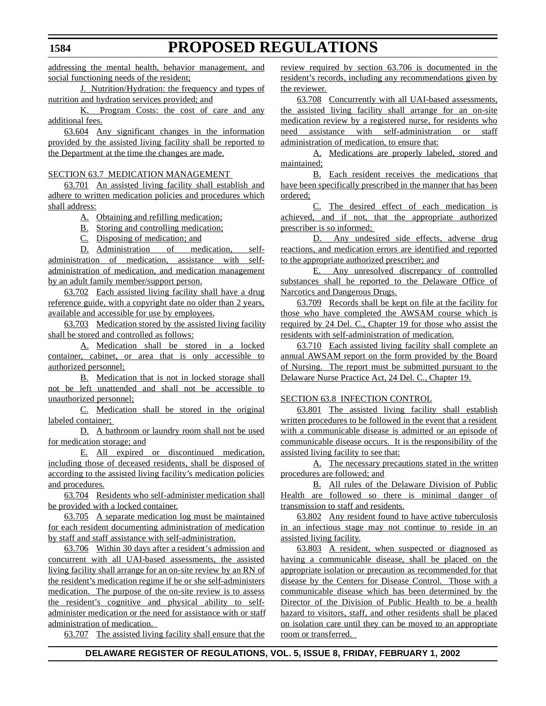addressing the mental health, behavior management, and social functioning needs of the resident;

J. Nutrition/Hydration: the frequency and types of nutrition and hydration services provided; and

K. Program Costs: the cost of care and any additional fees.

63.604 Any significant changes in the information provided by the assisted living facility shall be reported to the Department at the time the changes are made.

### SECTION 63.7 MEDICATION MANAGEMENT

63.701 An assisted living facility shall establish and adhere to written medication policies and procedures which shall address:

A. Obtaining and refilling medication;

B. Storing and controlling medication;

C. Disposing of medication; and

D. Administration of medication, selfadministration of medication, assistance with selfadministration of medication, and medication management by an adult family member/support person.

63.702 Each assisted living facility shall have a drug reference guide, with a copyright date no older than 2 years, available and accessible for use by employees.

63.703 Medication stored by the assisted living facility shall be stored and controlled as follows:

A. Medication shall be stored in a locked container, cabinet, or area that is only accessible to authorized personnel;

B. Medication that is not in locked storage shall not be left unattended and shall not be accessible to unauthorized personnel;

C. Medication shall be stored in the original labeled container;

D. A bathroom or laundry room shall not be used for medication storage; and

E. All expired or discontinued medication, including those of deceased residents, shall be disposed of according to the assisted living facility's medication policies and procedures.

63.704 Residents who self-administer medication shall be provided with a locked container.

63.705 A separate medication log must be maintained for each resident documenting administration of medication by staff and staff assistance with self-administration.

63.706 Within 30 days after a resident's admission and concurrent with all UAI-based assessments, the assisted living facility shall arrange for an on-site review by an RN of the resident's medication regime if he or she self-administers medication. The purpose of the on-site review is to assess the resident's cognitive and physical ability to selfadminister medication or the need for assistance with or staff administration of medication.

63.707 The assisted living facility shall ensure that the

review required by section 63.706 is documented in the resident's records, including any recommendations given by the reviewer.

63.708 Concurrently with all UAI-based assessments, the assisted living facility shall arrange for an on-site medication review by a registered nurse, for residents who need assistance with self-administration or staff administration of medication, to ensure that:

A. Medications are properly labeled, stored and maintained;

B. Each resident receives the medications that have been specifically prescribed in the manner that has been ordered;

C. The desired effect of each medication is achieved, and if not, that the appropriate authorized prescriber is so informed;

D. Any undesired side effects, adverse drug reactions, and medication errors are identified and reported to the appropriate authorized prescriber; and

E. Any unresolved discrepancy of controlled substances shall be reported to the Delaware Office of Narcotics and Dangerous Drugs.

63.709 Records shall be kept on file at the facility for those who have completed the AWSAM course which is required by 24 Del. C., Chapter 19 for those who assist the residents with self-administration of medication.

63.710 Each assisted living facility shall complete an annual AWSAM report on the form provided by the Board of Nursing. The report must be submitted pursuant to the Delaware Nurse Practice Act, 24 Del. C., Chapter 19.

### SECTION 63.8 INFECTION CONTROL

63.801 The assisted living facility shall establish written procedures to be followed in the event that a resident with a communicable disease is admitted or an episode of communicable disease occurs. It is the responsibility of the assisted living facility to see that:

A. The necessary precautions stated in the written procedures are followed; and

B. All rules of the Delaware Division of Public Health are followed so there is minimal danger of transmission to staff and residents.

63.802 Any resident found to have active tuberculosis in an infectious stage may not continue to reside in an assisted living facility.

63.803 A resident, when suspected or diagnosed as having a communicable disease, shall be placed on the appropriate isolation or precaution as recommended for that disease by the Centers for Disease Control. Those with a communicable disease which has been determined by the Director of the Division of Public Health to be a health hazard to visitors, staff, and other residents shall be placed on isolation care until they can be moved to an appropriate room or transferred.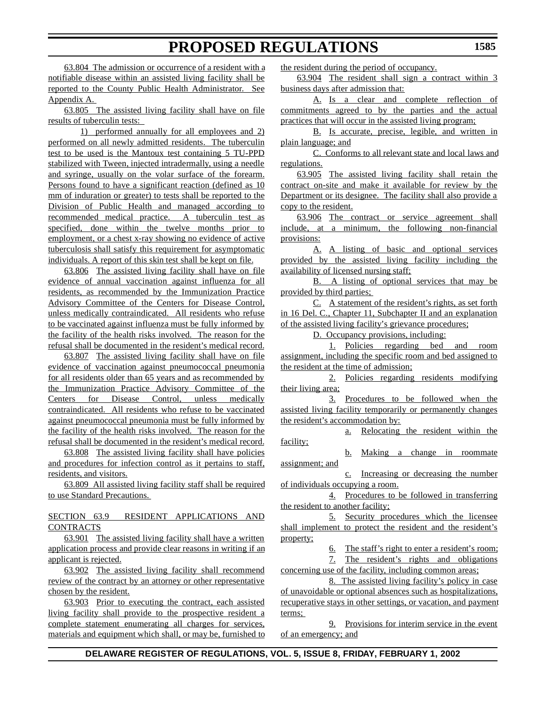63.804 The admission or occurrence of a resident with a notifiable disease within an assisted living facility shall be reported to the County Public Health Administrator. See Appendix A.

63.805 The assisted living facility shall have on file results of tuberculin tests:

1) performed annually for all employees and 2) performed on all newly admitted residents. The tuberculin test to be used is the Mantoux test containing 5 TU-PPD stabilized with Tween, injected intradermally, using a needle and syringe, usually on the volar surface of the forearm. Persons found to have a significant reaction (defined as 10 mm of induration or greater) to tests shall be reported to the Division of Public Health and managed according to recommended medical practice. A tuberculin test as specified, done within the twelve months prior to employment, or a chest x-ray showing no evidence of active tuberculosis shall satisfy this requirement for asymptomatic individuals. A report of this skin test shall be kept on file.

63.806 The assisted living facility shall have on file evidence of annual vaccination against influenza for all residents, as recommended by the Immunization Practice Advisory Committee of the Centers for Disease Control, unless medically contraindicated. All residents who refuse to be vaccinated against influenza must be fully informed by the facility of the health risks involved. The reason for the refusal shall be documented in the resident's medical record.

63.807 The assisted living facility shall have on file evidence of vaccination against pneumococcal pneumonia for all residents older than 65 years and as recommended by the Immunization Practice Advisory Committee of the Centers for Disease Control, unless medically contraindicated. All residents who refuse to be vaccinated against pneumococcal pneumonia must be fully informed by the facility of the health risks involved. The reason for the refusal shall be documented in the resident's medical record.

63.808 The assisted living facility shall have policies and procedures for infection control as it pertains to staff, residents, and visitors.

63.809 All assisted living facility staff shall be required to use Standard Precautions.

SECTION 63.9 RESIDENT APPLICATIONS AND CONTRACTS

63.901 The assisted living facility shall have a written application process and provide clear reasons in writing if an applicant is rejected.

63.902 The assisted living facility shall recommend review of the contract by an attorney or other representative chosen by the resident.

63.903 Prior to executing the contract, each assisted living facility shall provide to the prospective resident a complete statement enumerating all charges for services, materials and equipment which shall, or may be, furnished to the resident during the period of occupancy.

63.904 The resident shall sign a contract within 3 business days after admission that:

A. Is a clear and complete reflection of commitments agreed to by the parties and the actual practices that will occur in the assisted living program;

B. Is accurate, precise, legible, and written in plain language; and

C. Conforms to all relevant state and local laws and regulations.

63.905 The assisted living facility shall retain the contract on-site and make it available for review by the Department or its designee. The facility shall also provide a copy to the resident.

63.906 The contract or service agreement shall include, at a minimum, the following non-financial provisions:

A. A listing of basic and optional services provided by the assisted living facility including the availability of licensed nursing staff;

B. A listing of optional services that may be provided by third parties;

C. A statement of the resident's rights, as set forth in 16 Del. C., Chapter 11, Subchapter II and an explanation of the assisted living facility's grievance procedures;

D. Occupancy provisions, including:

1. Policies regarding bed and room assignment, including the specific room and bed assigned to the resident at the time of admission;

2. Policies regarding residents modifying their living area;

3. Procedures to be followed when the assisted living facility temporarily or permanently changes the resident's accommodation by:

a. Relocating the resident within the facility;

b. Making a change in roommate assignment; and

c. Increasing or decreasing the number of individuals occupying a room.

4. Procedures to be followed in transferring the resident to another facility;

5. Security procedures which the licensee shall implement to protect the resident and the resident's property;

> 6. The staff's right to enter a resident's room; 7. The resident's rights and obligations

concerning use of the facility, including common areas;

8. The assisted living facility's policy in case of unavoidable or optional absences such as hospitalizations, recuperative stays in other settings, or vacation, and payment terms;

9. Provisions for interim service in the event of an emergency; and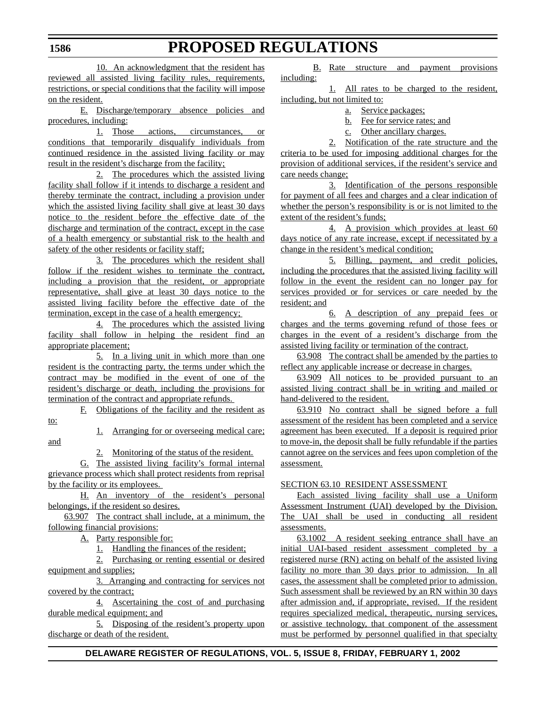**1586**

and

10. An acknowledgment that the resident has reviewed all assisted living facility rules, requirements, restrictions, or special conditions that the facility will impose on the resident.

E. Discharge/temporary absence policies and procedures, including:

1. Those actions, circumstances, or conditions that temporarily disqualify individuals from continued residence in the assisted living facility or may result in the resident's discharge from the facility;

2. The procedures which the assisted living facility shall follow if it intends to discharge a resident and thereby terminate the contract, including a provision under which the assisted living facility shall give at least 30 days notice to the resident before the effective date of the discharge and termination of the contract, except in the case of a health emergency or substantial risk to the health and safety of the other residents or facility staff;

3. The procedures which the resident shall follow if the resident wishes to terminate the contract, including a provision that the resident, or appropriate representative, shall give at least 30 days notice to the assisted living facility before the effective date of the termination, except in the case of a health emergency;

4. The procedures which the assisted living facility shall follow in helping the resident find an appropriate placement;

5. In a living unit in which more than one resident is the contracting party, the terms under which the contract may be modified in the event of one of the resident's discharge or death, including the provisions for termination of the contract and appropriate refunds.

F. Obligations of the facility and the resident as to:

1. Arranging for or overseeing medical care;

2. Monitoring of the status of the resident.

G. The assisted living facility's formal internal grievance process which shall protect residents from reprisal by the facility or its employees.

H. An inventory of the resident's personal belongings, if the resident so desires.

63.907 The contract shall include, at a minimum, the following financial provisions:

A. Party responsible for:

1. Handling the finances of the resident;

2. Purchasing or renting essential or desired equipment and supplies;

3. Arranging and contracting for services not covered by the contract;

4. Ascertaining the cost of and purchasing durable medical equipment; and

5. Disposing of the resident's property upon discharge or death of the resident.

B. Rate structure and payment provisions including:

1. All rates to be charged to the resident, including, but not limited to:

- a. Service packages;
- b. Fee for service rates; and
- c. Other ancillary charges.

2. Notification of the rate structure and the criteria to be used for imposing additional charges for the provision of additional services, if the resident's service and care needs change;

3. Identification of the persons responsible for payment of all fees and charges and a clear indication of whether the person's responsibility is or is not limited to the extent of the resident's funds;

4. A provision which provides at least 60 days notice of any rate increase, except if necessitated by a change in the resident's medical condition;

5. Billing, payment, and credit policies, including the procedures that the assisted living facility will follow in the event the resident can no longer pay for services provided or for services or care needed by the resident; and

6. A description of any prepaid fees or charges and the terms governing refund of those fees or charges in the event of a resident's discharge from the assisted living facility or termination of the contract.

63.908 The contract shall be amended by the parties to reflect any applicable increase or decrease in charges.

63.909 All notices to be provided pursuant to an assisted living contract shall be in writing and mailed or hand-delivered to the resident.

63.910 No contract shall be signed before a full assessment of the resident has been completed and a service agreement has been executed. If a deposit is required prior to move-in, the deposit shall be fully refundable if the parties cannot agree on the services and fees upon completion of the assessment.

## SECTION 63.10 RESIDENT ASSESSMENT

Each assisted living facility shall use a Uniform Assessment Instrument (UAI) developed by the Division. The UAI shall be used in conducting all resident assessments.

63.1002 A resident seeking entrance shall have an initial UAI-based resident assessment completed by a registered nurse (RN) acting on behalf of the assisted living facility no more than 30 days prior to admission. In all cases, the assessment shall be completed prior to admission. Such assessment shall be reviewed by an RN within 30 days after admission and, if appropriate, revised. If the resident requires specialized medical, therapeutic, nursing services, or assistive technology, that component of the assessment must be performed by personnel qualified in that specialty

## **DELAWARE REGISTER OF REGULATIONS, VOL. 5, ISSUE 8, FRIDAY, FEBRUARY 1, 2002**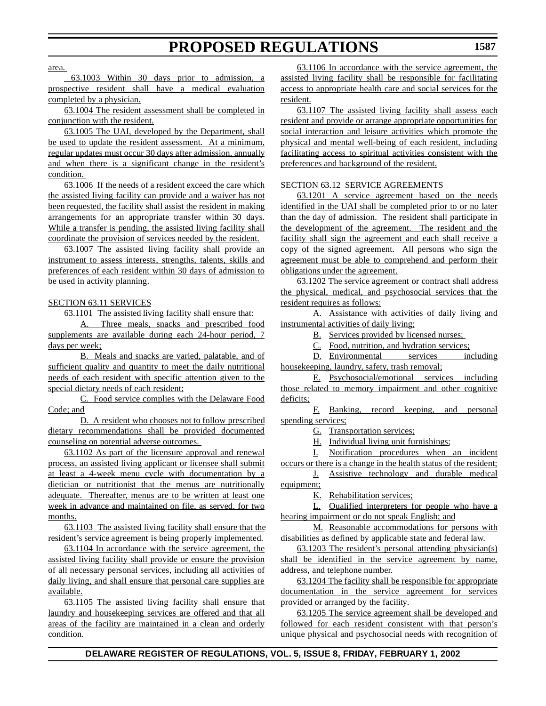area.

 63.1003 Within 30 days prior to admission, a prospective resident shall have a medical evaluation completed by a physician.

63.1004 The resident assessment shall be completed in conjunction with the resident.

63.1005 The UAI, developed by the Department, shall be used to update the resident assessment. At a minimum, regular updates must occur 30 days after admission, annually and when there is a significant change in the resident's condition.

63.1006 If the needs of a resident exceed the care which the assisted living facility can provide and a waiver has not been requested, the facility shall assist the resident in making arrangements for an appropriate transfer within 30 days. While a transfer is pending, the assisted living facility shall coordinate the provision of services needed by the resident.

63.1007 The assisted living facility shall provide an instrument to assess interests, strengths, talents, skills and preferences of each resident within 30 days of admission to be used in activity planning.

### SECTION 63.11 SERVICES

63.1101 The assisted living facility shall ensure that:

A. Three meals, snacks and prescribed food supplements are available during each 24-hour period, 7 days per week;

B. Meals and snacks are varied, palatable, and of sufficient quality and quantity to meet the daily nutritional needs of each resident with specific attention given to the special dietary needs of each resident;

C. Food service complies with the Delaware Food Code; and

D. A resident who chooses not to follow prescribed dietary recommendations shall be provided documented counseling on potential adverse outcomes.

63.1102 As part of the licensure approval and renewal process, an assisted living applicant or licensee shall submit at least a 4-week menu cycle with documentation by a dietician or nutritionist that the menus are nutritionally adequate. Thereafter, menus are to be written at least one week in advance and maintained on file, as served, for two months.

63.1103 The assisted living facility shall ensure that the resident's service agreement is being properly implemented.

63.1104 In accordance with the service agreement, the assisted living facility shall provide or ensure the provision of all necessary personal services, including all activities of daily living, and shall ensure that personal care supplies are available.

63.1105 The assisted living facility shall ensure that laundry and housekeeping services are offered and that all areas of the facility are maintained in a clean and orderly condition.

63.1106 In accordance with the service agreement, the assisted living facility shall be responsible for facilitating access to appropriate health care and social services for the resident.

63.1107 The assisted living facility shall assess each resident and provide or arrange appropriate opportunities for social interaction and leisure activities which promote the physical and mental well-being of each resident, including facilitating access to spiritual activities consistent with the preferences and background of the resident.

#### SECTION 63.12 SERVICE AGREEMENTS

63.1201 A service agreement based on the needs identified in the UAI shall be completed prior to or no later than the day of admission. The resident shall participate in the development of the agreement*.* The resident and the facility shall sign the agreement and each shall receive a copy of the signed agreement. All persons who sign the agreement must be able to comprehend and perform their obligations under the agreement.

63.1202 The service agreement or contract shall address the physical, medical, and psychosocial services that the resident requires as follows:

A. Assistance with activities of daily living and instrumental activities of daily living;

B. Services provided by licensed nurses;

C. Food, nutrition, and hydration services;

D. Environmental services including housekeeping, laundry, safety, trash removal;

E. Psychosocial/emotional services including those related to memory impairment and other cognitive deficits;

F. Banking, record keeping, and personal spending services;

G. Transportation services;

H. Individual living unit furnishings;

I. Notification procedures when an incident occurs or there is a change in the health status of the resident;

J. Assistive technology and durable medical equipment;

K. Rehabilitation services;

L. Qualified interpreters for people who have a hearing impairment or do not speak English; and

M. Reasonable accommodations for persons with disabilities as defined by applicable state and federal law.

63.1203 The resident's personal attending physician(s) shall be identified in the service agreement by name, address, and telephone number.

63.1204 The facility shall be responsible for appropriate documentation in the service agreement for services provided or arranged by the facility.

63.1205 The service agreement shall be developed and followed for each resident consistent with that person's unique physical and psychosocial needs with recognition of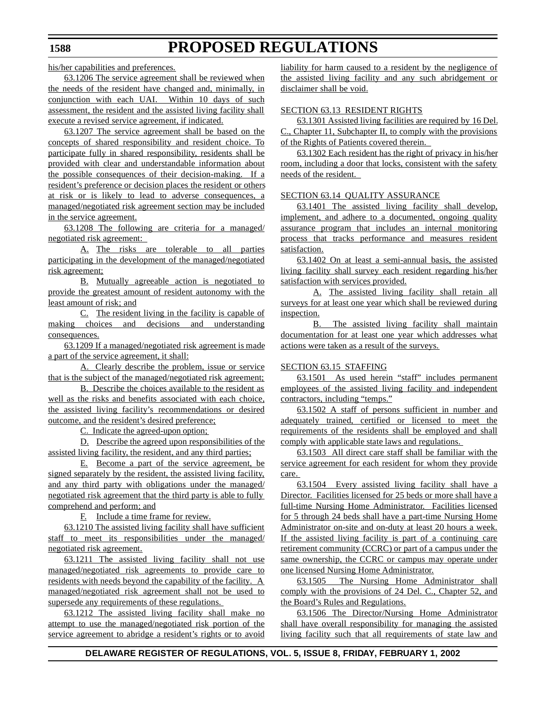his/her capabilities and preferences.

63.1206 The service agreement shall be reviewed when the needs of the resident have changed and, minimally, in conjunction with each UAI. Within 10 days of such assessment, the resident and the assisted living facility shall execute a revised service agreement, if indicated.

63.1207 The service agreement shall be based on the concepts of shared responsibility and resident choice. To participate fully in shared responsibility, residents shall be provided with clear and understandable information about the possible consequences of their decision-making. If a resident's preference or decision places the resident or others at risk or is likely to lead to adverse consequences, a managed/negotiated risk agreement section may be included in the service agreement.

63.1208 The following are criteria for a managed/ negotiated risk agreement:

A. The risks are tolerable to all parties participating in the development of the managed/negotiated risk agreement;

B. Mutually agreeable action is negotiated to provide the greatest amount of resident autonomy with the least amount of risk; and

C. The resident living in the facility is capable of making choices and decisions and understanding consequences.

63.1209 If a managed/negotiated risk agreement is made a part of the service agreement, it shall:

A. Clearly describe the problem, issue or service that is the subject of the managed/negotiated risk agreement;

B. Describe the choices available to the resident as well as the risks and benefits associated with each choice, the assisted living facility's recommendations or desired outcome, and the resident's desired preference;

C. Indicate the agreed-upon option;

D. Describe the agreed upon responsibilities of the assisted living facility, the resident, and any third parties;

E. Become a part of the service agreement, be signed separately by the resident, the assisted living facility, and any third party with obligations under the managed/ negotiated risk agreement that the third party is able to fully comprehend and perform; and

F. Include a time frame for review.

63.1210 The assisted living facility shall have sufficient staff to meet its responsibilities under the managed/ negotiated risk agreement.

63.1211 The assisted living facility shall not use managed/negotiated risk agreements to provide care to residents with needs beyond the capability of the facility. A managed/negotiated risk agreement shall not be used to supersede any requirements of these regulations.

63.1212 The assisted living facility shall make no attempt to use the managed/negotiated risk portion of the service agreement to abridge a resident's rights or to avoid liability for harm caused to a resident by the negligence of the assisted living facility and any such abridgement or disclaimer shall be void.

### SECTION 63.13 RESIDENT RIGHTS

63.1301 Assisted living facilities are required by 16 Del. C., Chapter 11, Subchapter II, to comply with the provisions of the Rights of Patients covered therein.

63.1302 Each resident has the right of privacy in his/her room, including a door that locks, consistent with the safety needs of the resident.

### SECTION 63.14 QUALITY ASSURANCE

63.1401 The assisted living facility shall develop, implement, and adhere to a documented, ongoing quality assurance program that includes an internal monitoring process that tracks performance and measures resident satisfaction.

63.1402 On at least a semi-annual basis, the assisted living facility shall survey each resident regarding his/her satisfaction with services provided.

A. The assisted living facility shall retain all surveys for at least one year which shall be reviewed during inspection.

B. The assisted living facility shall maintain documentation for at least one year which addresses what actions were taken as a result of the surveys.

### SECTION 63.15 STAFFING

63.1501 As used herein "staff" includes permanent employees of the assisted living facility and independent contractors, including "temps."

63.1502 A staff of persons sufficient in number and adequately trained, certified or licensed to meet the requirements of the residents shall be employed and shall comply with applicable state laws and regulations.

63.1503 All direct care staff shall be familiar with the service agreement for each resident for whom they provide care.

63.1504 Every assisted living facility shall have a Director. Facilities licensed for 25 beds or more shall have a full-time Nursing Home Administrator. Facilities licensed for 5 through 24 beds shall have a part-time Nursing Home Administrator on-site and on-duty at least 20 hours a week. If the assisted living facility is part of a continuing care retirement community (CCRC) or part of a campus under the same ownership, the CCRC or campus may operate under one licensed Nursing Home Administrator.

63.1505 The Nursing Home Administrator shall comply with the provisions of 24 Del. C., Chapter 52, and the Board's Rules and Regulations.

63.1506 The Director/Nursing Home Administrator shall have overall responsibility for managing the assisted living facility such that all requirements of state law and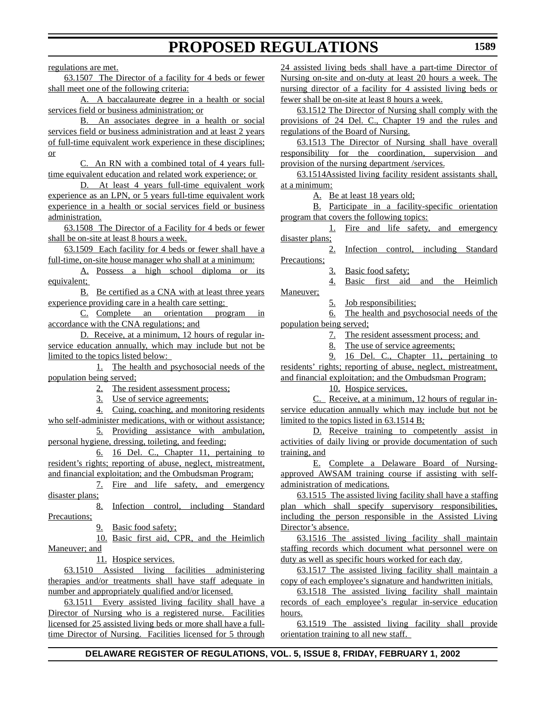regulations are met.

63.1507 The Director of a facility for 4 beds or fewer shall meet one of the following criteria:

A. A baccalaureate degree in a health or social services field or business administration; or

B. An associates degree in a health or social services field or business administration and at least 2 years of full-time equivalent work experience in these disciplines; or

C. An RN with a combined total of 4 years fulltime equivalent education and related work experience; or

D. At least 4 years full-time equivalent work experience as an LPN, or 5 years full-time equivalent work experience in a health or social services field or business administration.

63.1508 The Director of a Facility for 4 beds or fewer shall be on-site at least 8 hours a week.

63.1509 Each facility for 4 beds or fewer shall have a full-time, on-site house manager who shall at a minimum:

A. Possess a high school diploma or its equivalent;

B. Be certified as a CNA with at least three years experience providing care in a health care setting;

C. Complete an orientation program in accordance with the CNA regulations; and

D. Receive, at a minimum, 12 hours of regular inservice education annually, which may include but not be limited to the topics listed below:

1. The health and psychosocial needs of the population being served;

2. The resident assessment process;

3. Use of service agreements;

4. Cuing, coaching, and monitoring residents who self-administer medications, with or without assistance;

5. Providing assistance with ambulation, personal hygiene, dressing, toileting, and feeding;

6. 16 Del. C., Chapter 11, pertaining to resident's rights; reporting of abuse, neglect, mistreatment, and financial exploitation; and the Ombudsman Program;

7. Fire and life safety, and emergency disaster plans;

8. Infection control, including Standard Precautions;

9. Basic food safety;

10. Basic first aid, CPR, and the Heimlich Maneuver; and

11. Hospice services.

63.1510 Assisted living facilities administering therapies and/or treatments shall have staff adequate in number and appropriately qualified and/or licensed.

63.1511 Every assisted living facility shall have a Director of Nursing who is a registered nurse. Facilities licensed for 25 assisted living beds or more shall have a fulltime Director of Nursing. Facilities licensed for 5 through

24 assisted living beds shall have a part-time Director of Nursing on-site and on-duty at least 20 hours a week. The nursing director of a facility for 4 assisted living beds or fewer shall be on-site at least 8 hours a week.

63.1512 The Director of Nursing shall comply with the provisions of 24 Del. C., Chapter 19 and the rules and regulations of the Board of Nursing.

63.1513 The Director of Nursing shall have overall responsibility for the coordination, supervision and provision of the nursing department /services.

63.1514Assisted living facility resident assistants shall, at a minimum:

A. Be at least 18 years old;

B. Participate in a facility-specific orientation program that covers the following topics:

1. Fire and life safety, and emergency disaster plans;

2. Infection control, including Standard Precautions;

3. Basic food safety;

4. Basic first aid and the Heimlich Maneuver;

5. Job responsibilities;

6. The health and psychosocial needs of the population being served;

7. The resident assessment process; and

8. The use of service agreements;

9. 16 Del. C., Chapter 11, pertaining to residents' rights; reporting of abuse, neglect, mistreatment, and financial exploitation; and the Ombudsman Program;

10. Hospice services.

C. Receive, at a minimum, 12 hours of regular inservice education annually which may include but not be limited to the topics listed in 63.1514 B*;*

D. Receive training to competently assist in activities of daily living or provide documentation of such training, and

E. Complete a Delaware Board of Nursingapproved AWSAM training course if assisting with selfadministration of medications.

63.1515 The assisted living facility shall have a staffing plan which shall specify supervisory responsibilities, including the person responsible in the Assisted Living Director's absence.

63.1516 The assisted living facility shall maintain staffing records which document what personnel were on duty as well as specific hours worked for each day.

63.1517 The assisted living facility shall maintain a copy of each employee's signature and handwritten initials.

63.1518 The assisted living facility shall maintain records of each employee's regular in-service education hours.

63.1519 The assisted living facility shall provide orientation training to all new staff.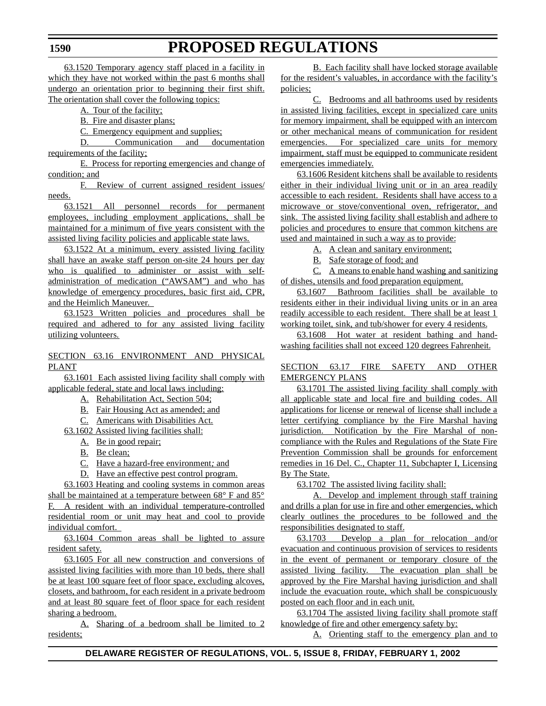63.1520 Temporary agency staff placed in a facility in which they have not worked within the past 6 months shall undergo an orientation prior to beginning their first shift. The orientation shall cover the following topics:

A. Tour of the facility;

B. Fire and disaster plans;

C. Emergency equipment and supplies;

D. Communication and documentation requirements of the facility;

E. Process for reporting emergencies and change of condition; and

F. Review of current assigned resident issues/ needs.

63.1521 All personnel records for permanent employees, including employment applications, shall be maintained for a minimum of five years consistent with the assisted living facility policies and applicable state laws.

63.1522 At a minimum, every assisted living facility shall have an awake staff person on-site 24 hours per day who is qualified to administer or assist with selfadministration of medication ("AWSAM") and who has knowledge of emergency procedures, basic first aid, CPR, and the Heimlich Maneuver.

63.1523 Written policies and procedures shall be required and adhered to for any assisted living facility utilizing volunteers.

### SECTION 63.16 ENVIRONMENT AND PHYSICAL PLANT

63.1601 Each assisted living facility shall comply with applicable federal, state and local laws including:

A. Rehabilitation Act, Section 504;

- B. Fair Housing Act as amended; and
- C. Americans with Disabilities Act*.*

63.1602 Assisted living facilities shall:

- A. Be in good repair;
- B. Be clean;
- C. Have a hazard-free environment*;* and
- D. Have an effective pest control program.

63.1603 Heating and cooling systems in common areas shall be maintained at a temperature between 68° F and 85° A resident with an individual temperature-controlled residential room or unit may heat and cool to provide individual comfort.

63.1604 Common areas shall be lighted to assure resident safety.

63.1605 For all new construction and conversions of assisted living facilities with more than 10 beds, there shall be at least 100 square feet of floor space, excluding alcoves, closets, and bathroom, for each resident in a private bedroom and at least 80 square feet of floor space for each resident sharing a bedroom.

A. Sharing of a bedroom shall be limited to 2 residents;

B. Each facility shall have locked storage available for the resident's valuables, in accordance with the facility's policies;

C. Bedrooms and all bathrooms used by residents in assisted living facilities, except in specialized care units for memory impairment, shall be equipped with an intercom or other mechanical means of communication for resident emergencies. For specialized care units for memory impairment, staff must be equipped to communicate resident emergencies immediately.

63.1606 Resident kitchens shall be available to residents either in their individual living unit or in an area readily accessible to each resident. Residents shall have access to a microwave or stove/conventional oven, refrigerator, and sink. The assisted living facility shall establish and adhere to policies and procedures to ensure that common kitchens are used and maintained in such a way as to provide:

A. A clean and sanitary environment;

B. Safe storage of food; and

C. A means to enable hand washing and sanitizing of dishes, utensils and food preparation equipment.

63.1607 Bathroom facilities shall be available to residents either in their individual living units or in an area readily accessible to each resident. There shall be at least 1 working toilet, sink, and tub/shower for every 4 residents.

63.1608 Hot water at resident bathing and handwashing facilities shall not exceed 120 degrees Fahrenheit.

### SECTION 63.17 FIRE SAFETY AND OTHER EMERGENCY PLANS

63.1701 The assisted living facility shall comply with all applicable state and local fire and building codes. All applications for license or renewal of license shall include a letter certifying compliance by the Fire Marshal having jurisdiction. Notification by the Fire Marshal of noncompliance with the Rules and Regulations of the State Fire Prevention Commission shall be grounds for enforcement remedies in 16 Del. C., Chapter 11, Subchapter I, Licensing By The State.

63.1702 The assisted living facility shall:

A. Develop and implement through staff training and drills a plan for use in fire and other emergencies, which clearly outlines the procedures to be followed and the responsibilities designated to staff.

63.1703 Develop a plan for relocation and/or evacuation and continuous provision of services to residents in the event of permanent or temporary closure of the assisted living facility. The evacuation plan shall be approved by the Fire Marshal having jurisdiction and shall include the evacuation route, which shall be conspicuously posted on each floor and in each unit.

63.1704 The assisted living facility shall promote staff knowledge of fire and other emergency safety by:

A. Orienting staff to the emergency plan and to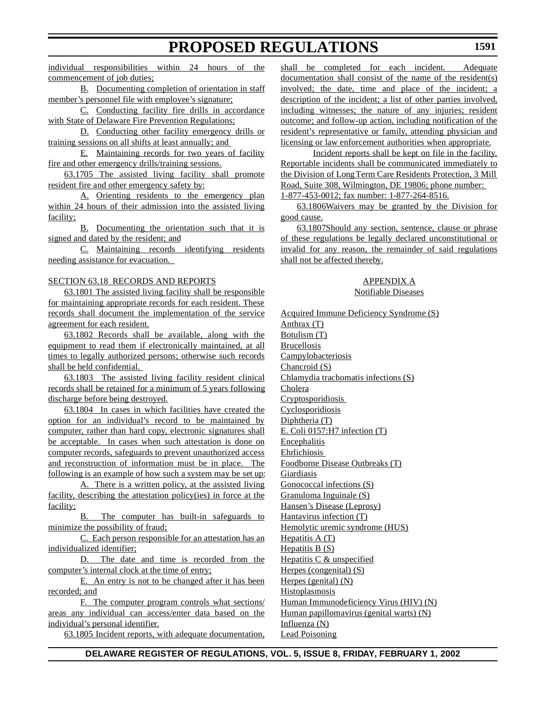individual responsibilities within 24 hours of the commencement of job duties;

B. Documenting completion of orientation in staff member's personnel file with employee's signature;

C. Conducting facility fire drills in accordance with State of Delaware Fire Prevention Regulations;

D. Conducting other facility emergency drills or training sessions on all shifts at least annually; and

E. Maintaining records for two years of facility fire and other emergency drills/training sessions.

63.1705 The assisted living facility shall promote resident fire and other emergency safety by:

A. Orienting residents to the emergency plan within 24 hours of their admission into the assisted living facility;

B. Documenting the orientation such that it is signed and dated by the resident; and

C. Maintaining records identifying residents needing assistance for evacuation.

### SECTION 63.18 RECORDS AND REPORTS

63.1801 The assisted living facility shall be responsible for maintaining appropriate records for each resident. These records shall document the implementation of the service agreement for each resident.

63.1802 Records shall be available, along with the equipment to read them if electronically maintained, at all times to legally authorized persons; otherwise such records shall be held confidential.

63.1803 The assisted living facility resident clinical records shall be retained for a minimum of 5 years following discharge before being destroyed.

63.1804 In cases in which facilities have created the option for an individual's record to be maintained by computer, rather than hard copy, electronic signatures shall be acceptable. In cases when such attestation is done on computer records, safeguards to prevent unauthorized access and reconstruction of information must be in place. The following is an example of how such a system may be set up:

A. There is a written policy, at the assisted living facility, describing the attestation policy(ies) in force at the facility;

B. The computer has built-in safeguards to minimize the possibility of fraud;

C. Each person responsible for an attestation has an individualized identifier;

D. The date and time is recorded from the computer's internal clock at the time of entry;

E. An entry is not to be changed after it has been recorded; and

F. The computer program controls what sections/ areas any individual can access/enter data based on the individual's personal identifier.

63.1805 Incident reports, with adequate documentation,

shall be completed for each incident. Adequate documentation shall consist of the name of the resident(s) involved; the date, time and place of the incident; a description of the incident; a list of other parties involved, including witnesses; the nature of any injuries; resident outcome; and follow-up action, including notification of the resident's representative or family, attending physician and licensing or law enforcement authorities when appropriate.

Incident reports shall be kept on file in the facility. Reportable incidents shall be communicated immediately to the Division of Long Term Care Residents Protection, 3 Mill Road, Suite 308, Wilmington, DE 19806; phone number: 1-877-453-0012; fax number: 1-877-264-8516.

63.1806Waivers may be granted by the Division for good cause.

63.1807Should any section, sentence, clause or phrase of these regulations be legally declared unconstitutional or invalid for any reason, the remainder of said regulations shall not be affected thereby.

### APPENDIX A Notifiable Diseases

Acquired Immune Deficiency Syndrome (S) Anthrax (T) Botulism (T) Brucellosis **Campylobacteriosis** Chancroid (S) Chlamydia trachomatis infections (S) Cholera Cryptosporidiosis Cyclosporidiosis Diphtheria (T) E. Coli 0157:H7 infection (T) **Encephalitis** Ehrlichiosis Foodborne Disease Outbreaks (T) Giardiasis Gonococcal infections (S) Granuloma Inguinale (S) Hansen's Disease (Leprosy) Hantavirus infection (T) Hemolytic uremic syndrome (HUS) Hepatitis  $A(T)$ Hepatitis B (S) Hepatitis C & unspecified Herpes (congenital) (S) Herpes (genital) (N) **Histoplasmosis** Human Immunodeficiency Virus (HIV) (N) Human papillomavirus (genital warts) (N) Influenza (N) Lead Poisoning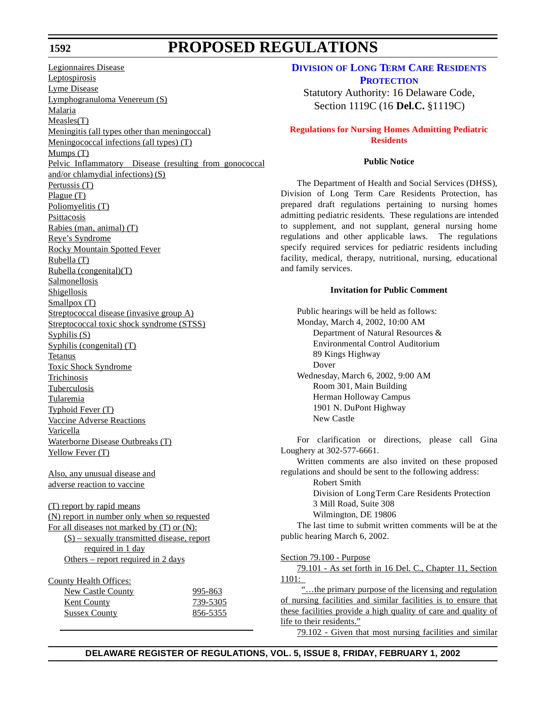### **1592**

## **PROPOSED REGULATIONS**

Legionnaires Disease Leptospirosis Lyme Disease Lymphogranuloma Venereum (S) Malaria Measles(T) Meningitis (all types other than meningoccal) Meningococcal infections (all types) (T) Mumps (T) Pelvic Inflammatory Disease (resulting from gonococcal and/or chlamydial infections) (S) Pertussis (T) Plague (T) Poliomyelitis (T) Psittacosis Rabies (man, animal) (T) Reye's Syndrome Rocky Mountain Spotted Fever Rubella (T) Rubella (congenital)(T) Salmonellosis Shigellosis Smallpox (T) Streptococcal disease (invasive group A) Streptococcal toxic shock syndrome (STSS) Syphilis (S) Syphilis (congenital) (T) Tetanus Toxic Shock Syndrome **Trichinosis** Tuberculosis Tularemia Typhoid Fever (T) Vaccine Adverse Reactions Varicella Waterborne Disease Outbreaks (T) Yellow Fever (T) Also, any unusual disease and adverse reaction to vaccine (T) report by rapid means (N) report in number only when so requested For all diseases not marked by (T) or (N): (S) – sexually transmitted disease, report required in 1 day Others – report required in 2 days County Health Offices: New Castle County 995-863 **Kent County** 739-5305 Sussex County 856-5355

### **DIVISION OF LONG TERM CARE RESIDENTS [PROTECTION](http://www.state.de.us/dhss/dltc/dltchome.htm)**

Statutory Authority: 16 Delaware Code, Section 1119C (16 **Del.C.** §1119C)

## **Regulations for Nursing Homes [Admitting Pediatric](#page-3-0) Residents**

## **Public Notice**

The Department of Health and Social Services (DHSS), Division of Long Term Care Residents Protection, has prepared draft regulations pertaining to nursing homes admitting pediatric residents. These regulations are intended to supplement, and not supplant, general nursing home regulations and other applicable laws. The regulations specify required services for pediatric residents including facility, medical, therapy, nutritional, nursing, educational and family services.

### **Invitation for Public Comment**

Public hearings will be held as follows: Monday, March 4, 2002, 10:00 AM Department of Natural Resources & Environmental Control Auditorium 89 Kings Highway Dover Wednesday, March 6, 2002, 9:00 AM Room 301, Main Building Herman Holloway Campus 1901 N. DuPont Highway New Castle

For clarification or directions, please call Gina Loughery at 302-577-6661.

Written comments are also invited on these proposed regulations and should be sent to the following address:

Robert Smith

Division of Long Term Care Residents Protection 3 Mill Road, Suite 308

Wilmington, DE 19806

The last time to submit written comments will be at the public hearing March 6, 2002.

Section 79.100 - Purpose

79.101 - As set forth in 16 Del. C., Chapter 11, Section 1101:

"...the primary purpose of the licensing and regulation of nursing facilities and similar facilities is to ensure that these facilities provide a high quality of care and quality of life to their residents."

79.102 - Given that most nursing facilities and similar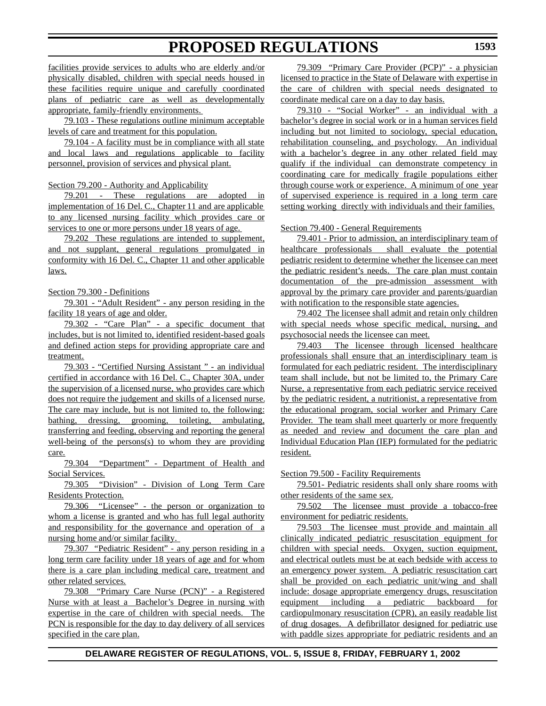facilities provide services to adults who are elderly and/or physically disabled, children with special needs housed in these facilities require unique and carefully coordinated plans of pediatric care as well as developmentally appropriate, family-friendly environments.

79.103 - These regulations outline minimum acceptable levels of care and treatment for this population.

79.104 - A facility must be in compliance with all state and local laws and regulations applicable to facility personnel, provision of services and physical plant.

Section 79.200 - Authority and Applicability

79.201 - These regulations are adopted in implementation of 16 Del. C., Chapter 11 and are applicable to any licensed nursing facility which provides care or services to one or more persons under 18 years of age.

79.202 These regulations are intended to supplement, and not supplant, general regulations promulgated in conformity with 16 Del. C., Chapter 11 and other applicable laws.

Section 79.300 - Definitions

79.301 - "Adult Resident" - any person residing in the facility 18 years of age and older.

79.302 - "Care Plan" - a specific document that includes, but is not limited to, identified resident-based goals and defined action steps for providing appropriate care and treatment.

79.303 - "Certified Nursing Assistant " - an individual certified in accordance with 16 Del. C., Chapter 30A, under the supervision of a licensed nurse, who provides care which does not require the judgement and skills of a licensed nurse. The care may include, but is not limited to, the following: bathing, dressing, grooming, toileting, ambulating, transferring and feeding, observing and reporting the general well-being of the persons(s) to whom they are providing care.

79.304 "Department" - Department of Health and Social Services.

79.305 "Division" - Division of Long Term Care Residents Protection.

79.306 "Licensee" - the person or organization to whom a license is granted and who has full legal authority and responsibility for the governance and operation of a nursing home and/or similar facility.

79.307 "Pediatric Resident" - any person residing in a long term care facility under 18 years of age and for whom there is a care plan including medical care, treatment and other related services.

79.308 "Primary Care Nurse (PCN)" - a Registered Nurse with at least a Bachelor's Degree in nursing with expertise in the care of children with special needs. The PCN is responsible for the day to day delivery of all services specified in the care plan.

79.309 "Primary Care Provider (PCP)" - a physician licensed to practice in the State of Delaware with expertise in the care of children with special needs designated to coordinate medical care on a day to day basis.

79.310 - "Social Worker" - an individual with a bachelor's degree in social work or in a human services field including but not limited to sociology, special education, rehabilitation counseling, and psychology. An individual with a bachelor's degree in any other related field may qualify if the individual can demonstrate competency in coordinating care for medically fragile populations either through course work or experience. A minimum of one year of supervised experience is required in a long term care setting working directly with individuals and their families.

### Section 79.400 - General Requirements

79.401 - Prior to admission, an interdisciplinary team of healthcare professionals shall evaluate the potential pediatric resident to determine whether the licensee can meet the pediatric resident's needs. The care plan must contain documentation of the pre-admission assessment with approval by the primary care provider and parents/guardian with notification to the responsible state agencies.

79.402 The licensee shall admit and retain only children with special needs whose specific medical, nursing, and psychosocial needs the licensee can meet.

79.403 The licensee through licensed healthcare professionals shall ensure that an interdisciplinary team is formulated for each pediatric resident. The interdisciplinary team shall include, but not be limited to, the Primary Care Nurse, a representative from each pediatric service received by the pediatric resident, a nutritionist, a representative from the educational program, social worker and Primary Care Provider. The team shall meet quarterly or more frequently as needed and review and document the care plan and Individual Education Plan (IEP) formulated for the pediatric resident.

### Section 79.500 - Facility Requirements

79.501- Pediatric residents shall only share rooms with other residents of the same sex.

79.502 The licensee must provide a tobacco-free environment for pediatric residents.

79.503 The licensee must provide and maintain all clinically indicated pediatric resuscitation equipment for children with special needs. Oxygen, suction equipment, and electrical outlets must be at each bedside with access to an emergency power system. A pediatric resuscitation cart shall be provided on each pediatric unit/wing and shall include: dosage appropriate emergency drugs, resuscitation equipment including a pediatric backboard for cardiopulmonary resuscitation (CPR), an easily readable list of drug dosages. A defibrillator designed for pediatric use with paddle sizes appropriate for pediatric residents and an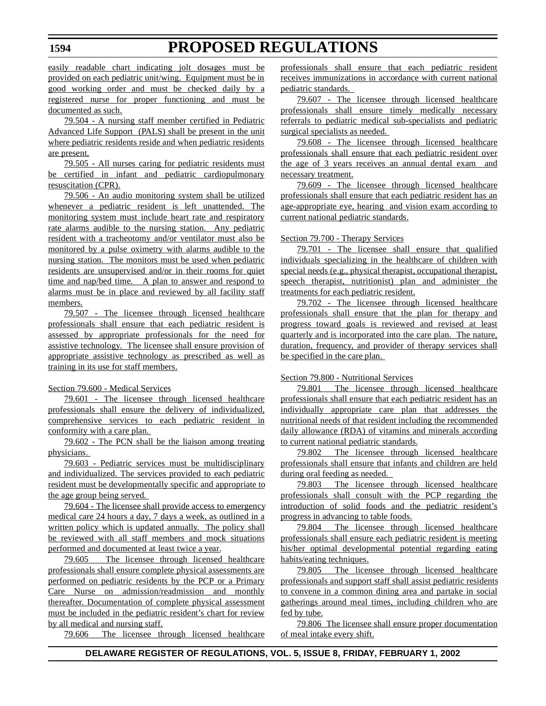easily readable chart indicating jolt dosages must be provided on each pediatric unit/wing. Equipment must be in good working order and must be checked daily by a registered nurse for proper functioning and must be documented as such.

79.504 - A nursing staff member certified in Pediatric Advanced Life Support (PALS) shall be present in the unit where pediatric residents reside and when pediatric residents are present.

79.505 - All nurses caring for pediatric residents must be certified in infant and pediatric cardiopulmonary resuscitation (CPR).

79.506 - An audio monitoring system shall be utilized whenever a pediatric resident is left unattended. The monitoring system must include heart rate and respiratory rate alarms audible to the nursing station. Any pediatric resident with a tracheotomy and/or ventilator must also be monitored by a pulse oximetry with alarms audible to the nursing station. The monitors must be used when pediatric residents are unsupervised and/or in their rooms for quiet time and nap/bed time. A plan to answer and respond to alarms must be in place and reviewed by all facility staff members.

79.507 - The licensee through licensed healthcare professionals shall ensure that each pediatric resident is assessed by appropriate professionals for the need for assistive technology. The licensee shall ensure provision of appropriate assistive technology as prescribed as well as training in its use for staff members.

### Section 79.600 - Medical Services

79.601 - The licensee through licensed healthcare professionals shall ensure the delivery of individualized, comprehensive services to each pediatric resident in conformity with a care plan.

79.602 - The PCN shall be the liaison among treating physicians.

79.603 - Pediatric services must be multidisciplinary and individualized. The services provided to each pediatric resident must be developmentally specific and appropriate to the age group being served.

79.604 - The licensee shall provide access to emergency medical care 24 hours a day, 7 days a week, as outlined in a written policy which is updated annually. The policy shall be reviewed with all staff members and mock situations performed and documented at least twice a year.

79.605 The licensee through licensed healthcare professionals shall ensure complete physical assessments are performed on pediatric residents by the PCP or a Primary Care Nurse on admission/readmission and monthly thereafter. Documentation of complete physical assessment must be included in the pediatric resident's chart for review by all medical and nursing staff.

79.606 The licensee through licensed healthcare

professionals shall ensure that each pediatric resident receives immunizations in accordance with current national pediatric standards.

79.607 - The licensee through licensed healthcare professionals shall ensure timely medically necessary referrals to pediatric medical sub-specialists and pediatric surgical specialists as needed.

79.608 - The licensee through licensed healthcare professionals shall ensure that each pediatric resident over the age of 3 years receives an annual dental exam and necessary treatment.

79.609 - The licensee through licensed healthcare professionals shall ensure that each pediatric resident has an age-appropriate eye, hearing and vision exam according to current national pediatric standards.

### Section 79.700 - Therapy Services

79.701 - The licensee shall ensure that qualified individuals specializing in the healthcare of children with special needs (e.g., physical therapist, occupational therapist, speech therapist, nutritionist) plan and administer the treatments for each pediatric resident.

79.702 - The licensee through licensed healthcare professionals shall ensure that the plan for therapy and progress toward goals is reviewed and revised at least quarterly and is incorporated into the care plan. The nature, duration, frequency, and provider of therapy services shall be specified in the care plan.

### Section 79.800 - Nutritional Services

79.801 The licensee through licensed healthcare professionals shall ensure that each pediatric resident has an individually appropriate care plan that addresses the nutritional needs of that resident including the recommended daily allowance (RDA) of vitamins and minerals according to current national pediatric standards.

79.802 The licensee through licensed healthcare professionals shall ensure that infants and children are held during oral feeding as needed.

79.803 The licensee through licensed healthcare professionals shall consult with the PCP regarding the introduction of solid foods and the pediatric resident's progress in advancing to table foods.

79.804 The licensee through licensed healthcare professionals shall ensure each pediatric resident is meeting his/her optimal developmental potential regarding eating habits/eating techniques.

79.805 The licensee through licensed healthcare professionals and support staff shall assist pediatric residents to convene in a common dining area and partake in social gatherings around meal times, including children who are fed by tube.

79.806 The licensee shall ensure proper documentation of meal intake every shift.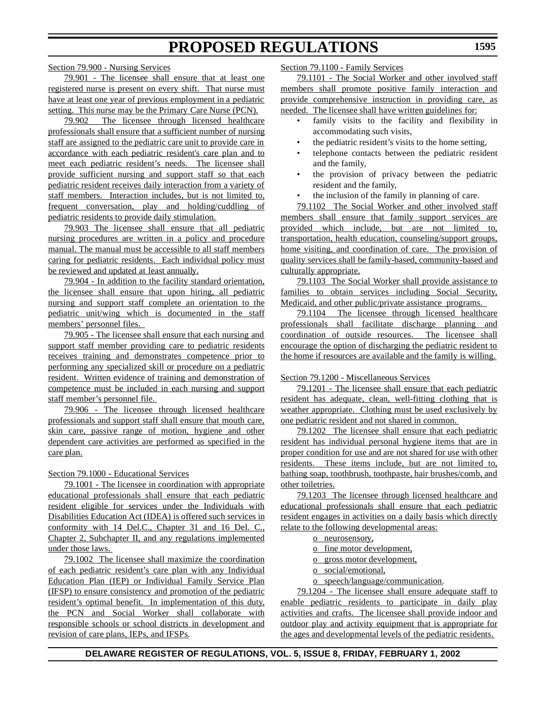Section 79.900 - Nursing Services

79.901 - The licensee shall ensure that at least one registered nurse is present on every shift. That nurse must have at least one year of previous employment in a pediatric setting. This nurse may be the Primary Care Nurse (PCN).

79.902 The licensee through licensed healthcare professionals shall ensure that a sufficient number of nursing staff are assigned to the pediatric care unit to provide care in accordance with each pediatric resident's care plan and to meet each pediatric resident's needs. The licensee shall provide sufficient nursing and support staff so that each pediatric resident receives daily interaction from a variety of staff members. Interaction includes, but is not limited to, frequent conversation, play and holding/cuddling of pediatric residents to provide daily stimulation.

79.903 The licensee shall ensure that all pediatric nursing procedures are written in a policy and procedure manual. The manual must be accessible to all staff members caring for pediatric residents. Each individual policy must be reviewed and updated at least annually.

79.904 - In addition to the facility standard orientation, the licensee shall ensure that upon hiring, all pediatric nursing and support staff complete an orientation to the pediatric unit/wing which is documented in the staff members' personnel files.

79.905 - The licensee shall ensure that each nursing and support staff member providing care to pediatric residents receives training and demonstrates competence prior to performing any specialized skill or procedure on a pediatric resident. Written evidence of training and demonstration of competence must be included in each nursing and support staff member's personnel file.

79.906 - The licensee through licensed healthcare professionals and support staff shall ensure that mouth care, skin care, passive range of motion, hygiene and other dependent care activities are performed as specified in the care plan.

### Section 79.1000 - Educational Services

79.1001 - The licensee in coordination with appropriate educational professionals shall ensure that each pediatric resident eligible for services under the Individuals with Disabilities Education Act (IDEA) is offered such services in conformity with 14 Del.C., Chapter 31 and 16 Del. C., Chapter 2, Subchapter II, and any regulations implemented under those laws.

79.1002 The licensee shall maximize the coordination of each pediatric resident's care plan with any Individual Education Plan (IEP) or Individual Family Service Plan (IFSP) to ensure consistency and promotion of the pediatric resident's optimal benefit. In implementation of this duty, the PCN and Social Worker shall collaborate with responsible schools or school districts in development and revision of care plans, IEPs, and IFSPs.

Section 79.1100 - Family Services

79.1101 - The Social Worker and other involved staff members shall promote positive family interaction and provide comprehensive instruction in providing care, as needed. The licensee shall have written guidelines for:

- family visits to the facility and flexibility in accommodating such visits,
- the pediatric resident's visits to the home setting,
- telephone contacts between the pediatric resident and the family,
- the provision of privacy between the pediatric resident and the family,
- the inclusion of the family in planning of care.

79.1102 The Social Worker and other involved staff members shall ensure that family support services are provided which include, but are not limited to, transportation, health education, counseling/support groups, home visiting, and coordination of care. The provision of quality services shall be family-based, community-based and culturally appropriate.

79.1103 The Social Worker shall provide assistance to families to obtain services including Social Security, Medicaid, and other public/private assistance programs.

79.1104 The licensee through licensed healthcare professionals shall facilitate discharge planning and coordination of outside resources. The licensee shall encourage the option of discharging the pediatric resident to the home if resources are available and the family is willing.

Section 79.1200 - Miscellaneous Services

79.1201 - The licensee shall ensure that each pediatric resident has adequate, clean, well-fitting clothing that is weather appropriate. Clothing must be used exclusively by one pediatric resident and not shared in common.

79.1202 The licensee shall ensure that each pediatric resident has individual personal hygiene items that are in proper condition for use and are not shared for use with other residents. These items include, but are not limited to, bathing soap, toothbrush, toothpaste, hair brushes/comb, and other toiletries.

79.1203 The licensee through licensed healthcare and educational professionals shall ensure that each pediatric resident engages in activities on a daily basis which directly relate to the following developmental areas:

o neurosensory,

o fine motor development,

- o gross motor development,
- o social/emotional,
- o speech/language/communication.

79.1204 - The licensee shall ensure adequate staff to enable pediatric residents to participate in daily play activities and crafts. The licensee shall provide indoor and outdoor play and activity equipment that is appropriate for the ages and developmental levels of the pediatric residents.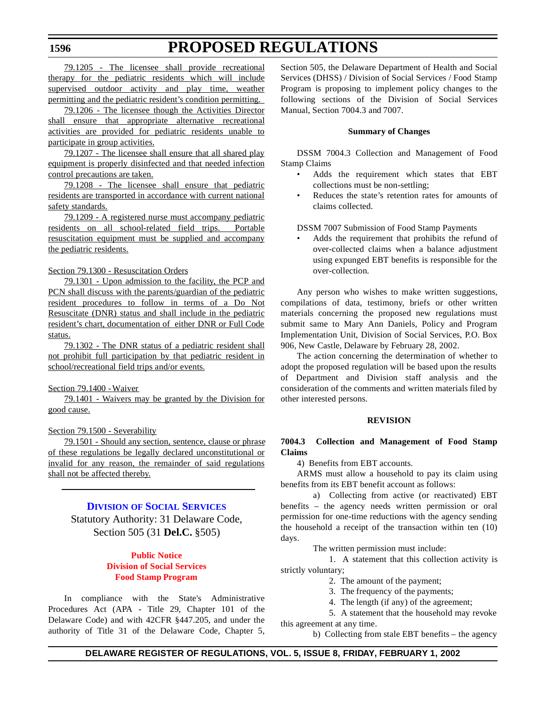79.1205 - The licensee shall provide recreational therapy for the pediatric residents which will include supervised outdoor activity and play time, weather permitting and the pediatric resident's condition permitting.

79.1206 - The licensee though the Activities Director shall ensure that appropriate alternative recreational activities are provided for pediatric residents unable to participate in group activities.

79.1207 - The licensee shall ensure that all shared play equipment is properly disinfected and that needed infection control precautions are taken.

79.1208 - The licensee shall ensure that pediatric residents are transported in accordance with current national safety standards.

79.1209 - A registered nurse must accompany pediatric residents on all school-related field trips. Portable resuscitation equipment must be supplied and accompany the pediatric residents.

Section 79.1300 - Resuscitation Orders

79.1301 - Upon admission to the facility, the PCP and PCN shall discuss with the parents/guardian of the pediatric resident procedures to follow in terms of a Do Not Resuscitate (DNR) status and shall include in the pediatric resident's chart, documentation of either DNR or Full Code status.

79.1302 - The DNR status of a pediatric resident shall not prohibit full participation by that pediatric resident in school/recreational field trips and/or events.

### Section 79.1400 - Waiver

79.1401 - Waivers may be granted by the Division for good cause.

## Section 79.1500 - Severability

79.1501 - Should any section, sentence, clause or phrase of these regulations be legally declared unconstitutional or invalid for any reason, the remainder of said regulations shall not be affected thereby.

## **DIVISION OF SOCIAL [SERVICES](http://www.state.de.us/dhss/dss/dsshome.html)**

Statutory Authority: 31 Delaware Code, Section 505 (31 **Del.C.** §505)

## **Public Notice Division [of Social Services](#page-3-0) Food Stamp Program**

In compliance with the State's Administrative Procedures Act (APA - Title 29, Chapter 101 of the Delaware Code) and with 42CFR §447.205, and under the authority of Title 31 of the Delaware Code, Chapter 5,

Section 505, the Delaware Department of Health and Social Services (DHSS) / Division of Social Services / Food Stamp Program is proposing to implement policy changes to the following sections of the Division of Social Services Manual, Section 7004.3 and 7007.

#### **Summary of Changes**

DSSM 7004.3 Collection and Management of Food Stamp Claims

- Adds the requirement which states that EBT collections must be non-settling;
- Reduces the state's retention rates for amounts of claims collected.

DSSM 7007 Submission of Food Stamp Payments

• Adds the requirement that prohibits the refund of over-collected claims when a balance adjustment using expunged EBT benefits is responsible for the over-collection.

Any person who wishes to make written suggestions, compilations of data, testimony, briefs or other written materials concerning the proposed new regulations must submit same to Mary Ann Daniels, Policy and Program Implementation Unit, Division of Social Services, P.O. Box 906, New Castle, Delaware by February 28, 2002.

The action concerning the determination of whether to adopt the proposed regulation will be based upon the results of Department and Division staff analysis and the consideration of the comments and written materials filed by other interested persons.

### **REVISION**

**7004.3 Collection and Management of Food Stamp Claims**

4) Benefits from EBT accounts.

ARMS must allow a household to pay its claim using benefits from its EBT benefit account as follows:

a) Collecting from active (or reactivated) EBT benefits – the agency needs written permission or oral permission for one-time reductions with the agency sending the household a receipt of the transaction within ten (10) days.

The written permission must include:

1. A statement that this collection activity is strictly voluntary;

- 2. The amount of the payment;
- 3. The frequency of the payments;
- 4. The length (if any) of the agreement;

5. A statement that the household may revoke this agreement at any time.

b) Collecting from stale EBT benefits – the agency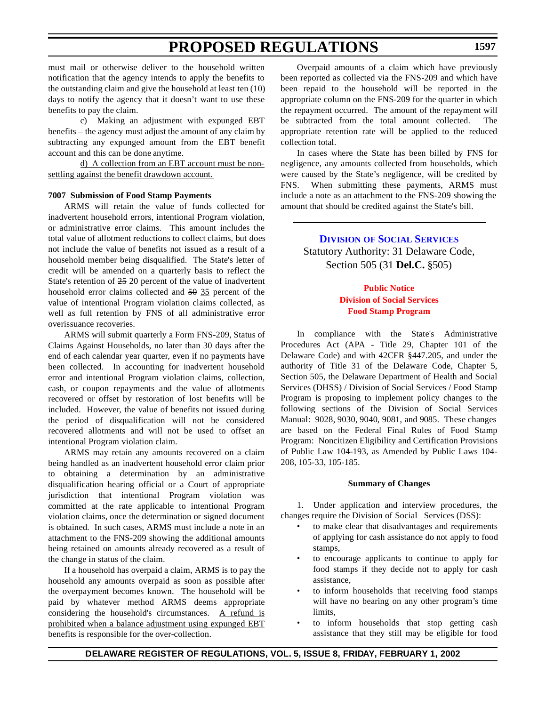must mail or otherwise deliver to the household written notification that the agency intends to apply the benefits to the outstanding claim and give the household at least ten (10) days to notify the agency that it doesn't want to use these benefits to pay the claim.

c) Making an adjustment with expunged EBT benefits – the agency must adjust the amount of any claim by subtracting any expunged amount from the EBT benefit account and this can be done anytime.

d) A collection from an EBT account must be nonsettling against the benefit drawdown account.

## **7007 Submission of Food Stamp Payments**

ARMS will retain the value of funds collected for inadvertent household errors, intentional Program violation, or administrative error claims. This amount includes the total value of allotment reductions to collect claims, but does not include the value of benefits not issued as a result of a household member being disqualified. The State's letter of credit will be amended on a quarterly basis to reflect the State's retention of 25 20 percent of the value of inadvertent household error claims collected and 50 35 percent of the value of intentional Program violation claims collected, as well as full retention by FNS of all administrative error overissuance recoveries.

ARMS will submit quarterly a Form FNS-209, Status of Claims Against Households, no later than 30 days after the end of each calendar year quarter, even if no payments have been collected. In accounting for inadvertent household error and intentional Program violation claims, collection, cash, or coupon repayments and the value of allotments recovered or offset by restoration of lost benefits will be included. However, the value of benefits not issued during the period of disqualification will not be considered recovered allotments and will not be used to offset an intentional Program violation claim.

ARMS may retain any amounts recovered on a claim being handled as an inadvertent household error claim prior to obtaining a determination by an administrative disqualification hearing official or a Court of appropriate jurisdiction that intentional Program violation was committed at the rate applicable to intentional Program violation claims, once the determination or signed document is obtained. In such cases, ARMS must include a note in an attachment to the FNS-209 showing the additional amounts being retained on amounts already recovered as a result of the change in status of the claim.

If a household has overpaid a claim, ARMS is to pay the household any amounts overpaid as soon as possible after the overpayment becomes known. The household will be paid by whatever method ARMS deems appropriate considering the household's circumstances. A refund is prohibited when a balance adjustment using expunged EBT benefits is responsible for the over-collection.

Overpaid amounts of a claim which have previously been reported as collected via the FNS-209 and which have been repaid to the household will be reported in the appropriate column on the FNS-209 for the quarter in which the repayment occurred. The amount of the repayment will be subtracted from the total amount collected. The appropriate retention rate will be applied to the reduced collection total.

In cases where the State has been billed by FNS for negligence, any amounts collected from households, which were caused by the State's negligence, will be credited by FNS. When submitting these payments, ARMS must include a note as an attachment to the FNS-209 showing the amount that should be credited against the State's bill.

> **DIVISION OF SOCIAL [SERVICES](http://www.state.de.us/dhss/dss/dsshome.html)** Statutory Authority: 31 Delaware Code, Section 505 (31 **Del.C.** §505)

## **Public Notice Division of Social Services Food Stamp [Program](#page-3-0)**

In compliance with the State's Administrative Procedures Act (APA - Title 29, Chapter 101 of the Delaware Code) and with 42CFR §447.205, and under the authority of Title 31 of the Delaware Code, Chapter 5, Section 505, the Delaware Department of Health and Social Services (DHSS) / Division of Social Services / Food Stamp Program is proposing to implement policy changes to the following sections of the Division of Social Services Manual: 9028, 9030, 9040, 9081, and 9085. These changes are based on the Federal Final Rules of Food Stamp Program: Noncitizen Eligibility and Certification Provisions of Public Law 104-193, as Amended by Public Laws 104- 208, 105-33, 105-185.

#### **Summary of Changes**

1. Under application and interview procedures, the changes require the Division of Social Services (DSS):

- to make clear that disadvantages and requirements of applying for cash assistance do not apply to food stamps,
- to encourage applicants to continue to apply for food stamps if they decide not to apply for cash assistance,
- to inform households that receiving food stamps will have no bearing on any other program's time limits.
- to inform households that stop getting cash assistance that they still may be eligible for food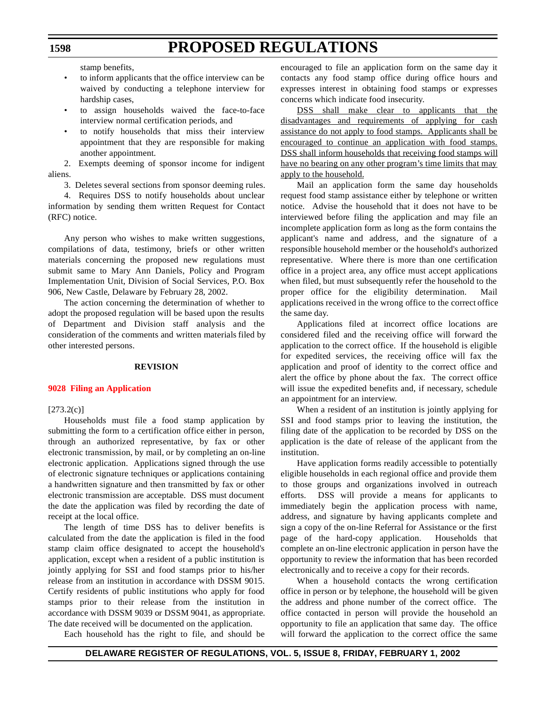stamp benefits,

- to inform applicants that the office interview can be waived by conducting a telephone interview for hardship cases,
- to assign households waived the face-to-face interview normal certification periods, and
- to notify households that miss their interview appointment that they are responsible for making another appointment.

2. Exempts deeming of sponsor income for indigent aliens.

3. Deletes several sections from sponsor deeming rules.

4. Requires DSS to notify households about unclear information by sending them written Request for Contact (RFC) notice.

Any person who wishes to make written suggestions, compilations of data, testimony, briefs or other written materials concerning the proposed new regulations must submit same to Mary Ann Daniels, Policy and Program Implementation Unit, Division of Social Services, P.O. Box 906, New Castle, Delaware by February 28, 2002.

The action concerning the determination of whether to adopt the proposed regulation will be based upon the results of Department and Division staff analysis and the consideration of the comments and written materials filed by other interested persons.

### **REVISION**

### **[9028 Filing an](#page-3-0) Application**

 $[273.2(c)]$ 

Households must file a food stamp application by submitting the form to a certification office either in person, through an authorized representative, by fax or other electronic transmission, by mail, or by completing an on-line electronic application. Applications signed through the use of electronic signature techniques or applications containing a handwritten signature and then transmitted by fax or other electronic transmission are acceptable. DSS must document the date the application was filed by recording the date of receipt at the local office.

The length of time DSS has to deliver benefits is calculated from the date the application is filed in the food stamp claim office designated to accept the household's application, except when a resident of a public institution is jointly applying for SSI and food stamps prior to his/her release from an institution in accordance with DSSM 9015. Certify residents of public institutions who apply for food stamps prior to their release from the institution in accordance with DSSM 9039 or DSSM 9041, as appropriate. The date received will be documented on the application.

Each household has the right to file, and should be

encouraged to file an application form on the same day it contacts any food stamp office during office hours and expresses interest in obtaining food stamps or expresses concerns which indicate food insecurity.

DSS shall make clear to applicants that the disadvantages and requirements of applying for cash assistance do not apply to food stamps. Applicants shall be encouraged to continue an application with food stamps. DSS shall inform households that receiving food stamps will have no bearing on any other program's time limits that may apply to the household.

Mail an application form the same day households request food stamp assistance either by telephone or written notice. Advise the household that it does not have to be interviewed before filing the application and may file an incomplete application form as long as the form contains the applicant's name and address, and the signature of a responsible household member or the household's authorized representative. Where there is more than one certification office in a project area, any office must accept applications when filed, but must subsequently refer the household to the proper office for the eligibility determination. Mail applications received in the wrong office to the correct office the same day.

Applications filed at incorrect office locations are considered filed and the receiving office will forward the application to the correct office. If the household is eligible for expedited services, the receiving office will fax the application and proof of identity to the correct office and alert the office by phone about the fax. The correct office will issue the expedited benefits and, if necessary, schedule an appointment for an interview.

When a resident of an institution is jointly applying for SSI and food stamps prior to leaving the institution, the filing date of the application to be recorded by DSS on the application is the date of release of the applicant from the institution.

Have application forms readily accessible to potentially eligible households in each regional office and provide them to those groups and organizations involved in outreach efforts. DSS will provide a means for applicants to immediately begin the application process with name, address, and signature by having applicants complete and sign a copy of the on-line Referral for Assistance or the first page of the hard-copy application. Households that complete an on-line electronic application in person have the opportunity to review the information that has been recorded electronically and to receive a copy for their records.

When a household contacts the wrong certification office in person or by telephone, the household will be given the address and phone number of the correct office. The office contacted in person will provide the household an opportunity to file an application that same day. The office will forward the application to the correct office the same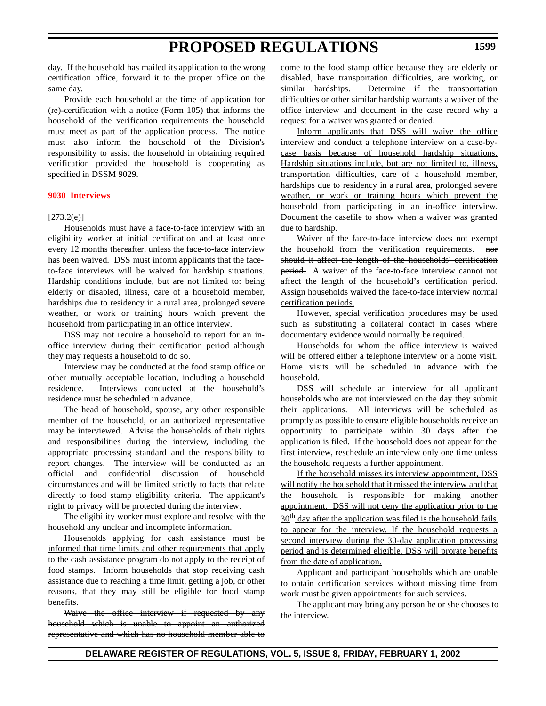day. If the household has mailed its application to the wrong certification office, forward it to the proper office on the same day.

Provide each household at the time of application for (re)-certification with a notice (Form 105) that informs the household of the verification requirements the household must meet as part of the application process. The notice must also inform the household of the Division's responsibility to assist the household in obtaining required verification provided the household is cooperating as specified in DSSM 9029.

### **[9030 Interviews](#page-3-0)**

### $[273.2(e)]$

Households must have a face-to-face interview with an eligibility worker at initial certification and at least once every 12 months thereafter, unless the face-to-face interview has been waived. DSS must inform applicants that the faceto-face interviews will be waived for hardship situations. Hardship conditions include, but are not limited to: being elderly or disabled, illness, care of a household member, hardships due to residency in a rural area, prolonged severe weather, or work or training hours which prevent the household from participating in an office interview.

DSS may not require a household to report for an inoffice interview during their certification period although they may requests a household to do so.

Interview may be conducted at the food stamp office or other mutually acceptable location, including a household residence. Interviews conducted at the household's residence must be scheduled in advance.

The head of household, spouse, any other responsible member of the household, or an authorized representative may be interviewed. Advise the households of their rights and responsibilities during the interview, including the appropriate processing standard and the responsibility to report changes. The interview will be conducted as an official and confidential discussion of household circumstances and will be limited strictly to facts that relate directly to food stamp eligibility criteria. The applicant's right to privacy will be protected during the interview.

The eligibility worker must explore and resolve with the household any unclear and incomplete information.

Households applying for cash assistance must be informed that time limits and other requirements that apply to the cash assistance program do not apply to the receipt of food stamps. Inform households that stop receiving cash assistance due to reaching a time limit, getting a job, or other reasons, that they may still be eligible for food stamp benefits.

Waive the office interview if requested by any household which is unable to appoint an authorized representative and which has no household member able to come to the food stamp office because they are elderly or disabled, have transportation difficulties, are working, or similar hardships. Determine if the transportation difficulties or other similar hardship warrants a waiver of the office interview and document in the case record why a request for a waiver was granted or denied.

Inform applicants that DSS will waive the office interview and conduct a telephone interview on a case-bycase basis because of household hardship situations. Hardship situations include, but are not limited to, illness, transportation difficulties, care of a household member, hardships due to residency in a rural area, prolonged severe weather, or work or training hours which prevent the household from participating in an in-office interview. Document the casefile to show when a waiver was granted due to hardship.

Waiver of the face-to-face interview does not exempt the household from the verification requirements. nor should it affect the length of the households' certification period. A waiver of the face-to-face interview cannot not affect the length of the household's certification period. Assign households waived the face-to-face interview normal certification periods.

However, special verification procedures may be used such as substituting a collateral contact in cases where documentary evidence would normally be required.

Households for whom the office interview is waived will be offered either a telephone interview or a home visit. Home visits will be scheduled in advance with the household.

DSS will schedule an interview for all applicant households who are not interviewed on the day they submit their applications. All interviews will be scheduled as promptly as possible to ensure eligible households receive an opportunity to participate within 30 days after the application is filed. If the household does not appear for the first interview, reschedule an interview only one time unless the household requests a further appointment.

If the household misses its interview appointment, DSS will notify the household that it missed the interview and that the household is responsible for making another appointment. DSS will not deny the application prior to the  $30<sup>th</sup>$  day after the application was filed is the household fails to appear for the interview. If the household requests a second interview during the 30-day application processing period and is determined eligible, DSS will prorate benefits from the date of application.

Applicant and participant households which are unable to obtain certification services without missing time from work must be given appointments for such services.

The applicant may bring any person he or she chooses to the interview.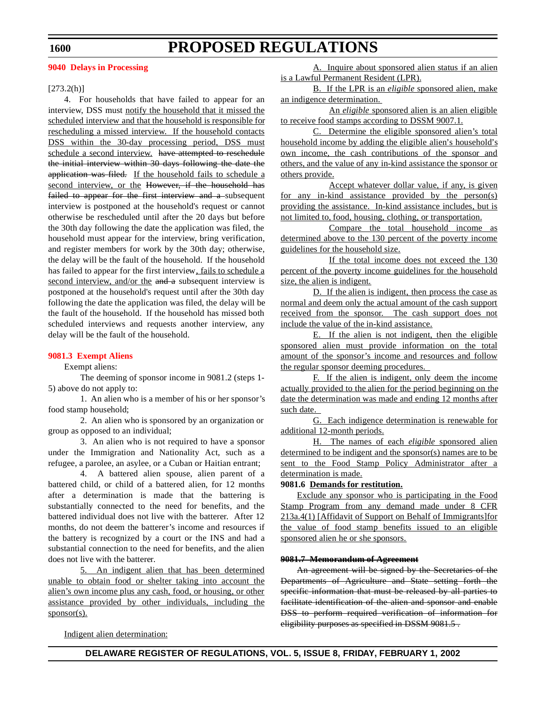### **1600**

## **PROPOSED REGULATIONS**

### **[9040 Delays](#page-3-0) in Processing**

#### $[273.2(h)]$

4. For households that have failed to appear for an interview, DSS must notify the household that it missed the scheduled interview and that the household is responsible for rescheduling a missed interview. If the household contacts DSS within the 30-day processing period, DSS must schedule a second interview. have attempted to reschedule the initial interview within 30 days following the date the application was filed. If the household fails to schedule a second interview, or the However, if the household has failed to appear for the first interview and a subsequent interview is postponed at the household's request or cannot otherwise be rescheduled until after the 20 days but before the 30th day following the date the application was filed, the household must appear for the interview, bring verification, and register members for work by the 30th day; otherwise, the delay will be the fault of the household. If the household has failed to appear for the first interview, fails to schedule a second interview, and/or the and a subsequent interview is postponed at the household's request until after the 30th day following the date the application was filed, the delay will be the fault of the household. If the household has missed both scheduled interviews and requests another interview, any delay will be the fault of the household.

#### **[9081.3 Exempt](#page-3-0) Aliens**

Exempt aliens:

The deeming of sponsor income in 9081.2 (steps 1- 5) above do not apply to:

1. An alien who is a member of his or her sponsor's food stamp household;

2. An alien who is sponsored by an organization or group as opposed to an individual;

3. An alien who is not required to have a sponsor under the Immigration and Nationality Act, such as a refugee, a parolee, an asylee, or a Cuban or Haitian entrant;

4. A battered alien spouse, alien parent of a battered child, or child of a battered alien, for 12 months after a determination is made that the battering is substantially connected to the need for benefits, and the battered individual does not live with the batterer. After 12 months, do not deem the batterer's income and resources if the battery is recognized by a court or the INS and had a substantial connection to the need for benefits, and the alien does not live with the batterer.

5. An indigent alien that has been determined unable to obtain food or shelter taking into account the alien's own income plus any cash, food, or housing, or other assistance provided by other individuals, including the sponsor(s).

A. Inquire about sponsored alien status if an alien is a Lawful Permanent Resident (LPR).

B. If the LPR is an *eligible* sponsored alien, make an indigence determination.

An *eligible* sponsored alien is an alien eligible to receive food stamps according to DSSM 9007.1.

C. Determine the eligible sponsored alien's total household income by adding the eligible alien's household's own income, the cash contributions of the sponsor and others, and the value of any in-kind assistance the sponsor or others provide.

Accept whatever dollar value, if any, is given for any in-kind assistance provided by the person(s) providing the assistance. In-kind assistance includes, but is not limited to, food, housing, clothing, or transportation.

Compare the total household income as determined above to the 130 percent of the poverty income guidelines for the household size.

If the total income does not exceed the 130 percent of the poverty income guidelines for the household size, the alien is indigent.

D. If the alien is indigent, then process the case as normal and deem only the actual amount of the cash support received from the sponsor. The cash support does not include the value of the in-kind assistance.

E. If the alien is not indigent, then the eligible sponsored alien must provide information on the total amount of the sponsor's income and resources and follow the regular sponsor deeming procedures.

F. If the alien is indigent, only deem the income actually provided to the alien for the period beginning on the date the determination was made and ending 12 months after such date.

G. Each indigence determination is renewable for additional 12-month periods.

H. The names of each *eligible* sponsored alien determined to be indigent and the sponsor(s) names are to be sent to the Food Stamp Policy Administrator after a determination is made.

## **9081.6 Demands for restitution.**

Exclude any sponsor who is participating in the Food Stamp Program from any demand made under 8 CFR 213a.4(1) [Affidavit of Support on Behalf of Immigrants]for the value of food stamp benefits issued to an eligible sponsored alien he or she sponsors.

### **9081.7 Memorandum of Agreement**

An agreement will be signed by the Secretaries of the Departments of Agriculture and State setting forth the specific information that must be released by all parties to facilitate identification of the alien and sponsor and enable DSS to perform required verification of information for eligibility purposes as specified in DSSM 9081.5.

Indigent alien determination: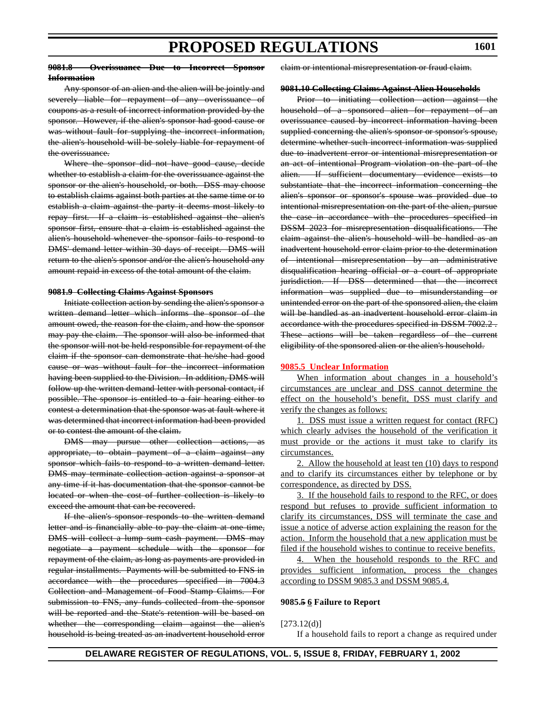#### **9081.8 Overissuance Due to Incorrect Sponsor Information**

## **1601**

Any sponsor of an alien and the alien will be jointly and severely liable for repayment of any overissuance of coupons as a result of incorrect information provided by the sponsor. However, if the alien's sponsor had good cause or was without fault for supplying the incorrect information, the alien's household will be solely liable for repayment of the overissuance.

Where the sponsor did not have good cause, decide whether to establish a claim for the overissuance against the sponsor or the alien's household, or both. DSS may choose to establish claims against both parties at the same time or to establish a claim against the party it deems most likely to repay first. If a claim is established against the alien's sponsor first, ensure that a claim is established against the alien's household whenever the sponsor fails to respond to DMS' demand letter within 30 days of receipt. DMS will return to the alien's sponsor and/or the alien's household any amount repaid in excess of the total amount of the claim.

#### **9081.9 Collecting Claims Against Sponsors**

Initiate collection action by sending the alien's sponsor a written demand letter which informs the sponsor of the amount owed, the reason for the claim, and how the sponsor may pay the claim. The sponsor will also be informed that the sponsor will not be held responsible for repayment of the claim if the sponsor can demonstrate that he/she had good cause or was without fault for the incorrect information having been supplied to the Division. In addition, DMS will follow up the written demand letter with personal contact, if possible. The sponsor is entitled to a fair hearing either to contest a determination that the sponsor was at fault where it was determined that incorrect information had been provided or to contest the amount of the claim.

DMS may pursue other collection actions, appropriate, to obtain payment of a claim against any sponsor which fails to respond to a written demand letter. DMS may terminate collection action against a sponsor at any time if it has documentation that the sponsor cannot be located or when the cost of further collection is likely to exceed the amount that can be recovered.

If the alien's sponsor responds to the written demand letter and is financially able to pay the claim at one time, DMS will collect a lump sum cash payment. DMS may negotiate a payment schedule with the sponsor for repayment of the claim, as long as payments are provided in regular installments. Payments will be submitted to FNS in accordance with the procedures specified in 7004.3 Collection and Management of Food Stamp Claims. For submission to FNS, any funds collected from the sponsor will be reported and the State's retention will be based on whether the corresponding claim against the alien's household is being treated as an inadvertent household error claim or intentional misrepresentation or fraud claim.

#### **9081.10 Collecting Claims Against Alien Households**

Prior to initiating collection action against the household of a sponsored alien for repayment of an overissuance caused by incorrect information having been supplied concerning the alien's sponsor or sponsor's spouse, determine whether such incorrect information was supplied due to inadvertent error or intentional misrepresentation or an act of intentional Program violation on the part of the alien. If sufficient documentary evidence exists to substantiate that the incorrect information concerning the alien's sponsor or sponsor's spouse was provided due to intentional misrepresentation on the part of the alien, pursue the case in accordance with the procedures specified in DSSM 2023 for misrepresentation disqualifications. The claim against the alien's household will be handled as an inadvertent household error claim prior to the determination of intentional misrepresentation by an administrative disqualification hearing official or a court of appropriate jurisdiction. If DSS determined that the incorrect information was supplied due to misunderstanding or unintended error on the part of the sponsored alien, the claim will be handled as an inadvertent household error claim in accordance with the procedures specified in DSSM 7002.2 . These actions will be taken regardless of the current eligibility of the sponsored alien or the alien's household.

### **[9085.5 Unclear](#page-3-0) Information**

When information about changes in a household's circumstances are unclear and DSS cannot determine the effect on the household's benefit, DSS must clarify and verify the changes as follows:

1. DSS must issue a written request for contact (RFC) which clearly advises the household of the verification it must provide or the actions it must take to clarify its circumstances.

2. Allow the household at least ten (10) days to respond and to clarify its circumstances either by telephone or by correspondence, as directed by DSS.

3. If the household fails to respond to the RFC, or does respond but refuses to provide sufficient information to clarify its circumstances, DSS will terminate the case and issue a notice of adverse action explaining the reason for the action. Inform the household that a new application must be filed if the household wishes to continue to receive benefits.

4. When the household responds to the RFC and provides sufficient information, process the changes according to DSSM 9085.3 and DSSM 9085.4.

#### **9085.5 6 Failure to Report**

#### $[273.12(d)]$

If a household fails to report a change as required under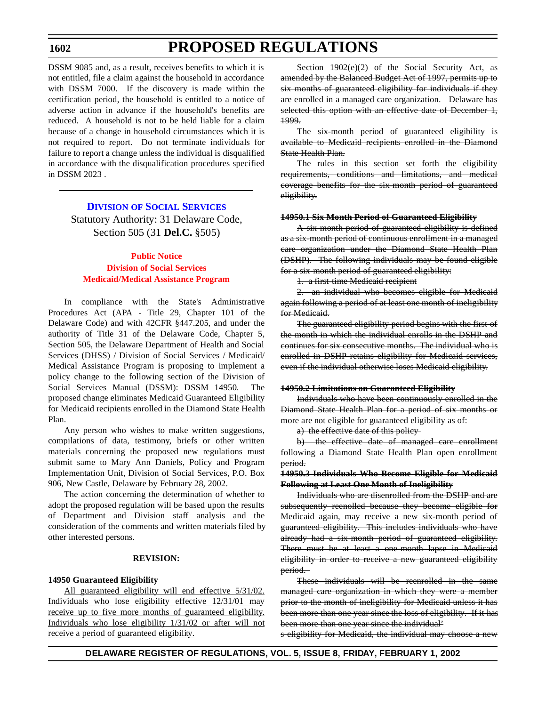## **1602**

## **PROPOSED REGULATIONS**

DSSM 9085 and, as a result, receives benefits to which it is not entitled, file a claim against the household in accordance with DSSM 7000. If the discovery is made within the certification period, the household is entitled to a notice of adverse action in advance if the household's benefits are reduced. A household is not to be held liable for a claim because of a change in household circumstances which it is not required to report. Do not terminate individuals for failure to report a change unless the individual is disqualified in accordance with the disqualification procedures specified in DSSM 2023 .

### **DIVISION OF SOCIAL [SERVICES](http://www.state.de.us/dhss/dss/dsshome.html)**

Statutory Authority: 31 Delaware Code, Section 505 (31 **Del.C.** §505)

## **Public Notice Division of Social Services [Medicaid/Medical](#page-3-0) Assistance Program**

In compliance with the State's Administrative Procedures Act (APA - Title 29, Chapter 101 of the Delaware Code) and with 42CFR §447.205, and under the authority of Title 31 of the Delaware Code, Chapter 5, Section 505, the Delaware Department of Health and Social Services (DHSS) / Division of Social Services / Medicaid/ Medical Assistance Program is proposing to implement a policy change to the following section of the Division of Social Services Manual (DSSM): DSSM 14950. The proposed change eliminates Medicaid Guaranteed Eligibility for Medicaid recipients enrolled in the Diamond State Health Plan.

Any person who wishes to make written suggestions, compilations of data, testimony, briefs or other written materials concerning the proposed new regulations must submit same to Mary Ann Daniels, Policy and Program Implementation Unit, Division of Social Services, P.O. Box 906, New Castle, Delaware by February 28, 2002.

The action concerning the determination of whether to adopt the proposed regulation will be based upon the results of Department and Division staff analysis and the consideration of the comments and written materials filed by other interested persons.

### **REVISION:**

#### **14950 Guaranteed Eligibility**

All guaranteed eligibility will end effective  $5/31/02$ . Individuals who lose eligibility effective 12/31/01 may receive up to five more months of guaranteed eligibility. Individuals who lose eligibility 1/31/02 or after will not receive a period of guaranteed eligibility.

Section 1902(e)(2) of the Social Security Act, as amended by the Balanced Budget Act of 1997, permits up to six months of guaranteed eligibility for individuals if they are enrolled in a managed care organization. Delaware has selected this option with an effective date of December 1, 1999.

The six-month period of guaranteed eligibility is available to Medicaid recipients enrolled in the Diamond State Health Plan.

The rules in this section set forth the eligibility requirements, conditions and limitations, and medical coverage benefits for the six-month period of guaranteed eligibility.

#### **14950.1 Six Month Period of Guaranteed Eligibility**

A six-month period of guaranteed eligibility is defined as a six-month period of continuous enrollment in a managed care organization under the Diamond State Health Plan (DSHP). The following individuals may be found eligible for a six-month period of guaranteed eligibility:

1. a first-time Medicaid recipient

2. an individual who becomes eligible for Medicaid again following a period of at least one month of ineligibility for Medicaid.

The guaranteed eligibility period begins with the first of the month in which the individual enrolls in the DSHP and continues for six consecutive months. The individual who is enrolled in DSHP retains eligibility for Medicaid services, even if the individual otherwise loses Medicaid eligibility.

#### **14950.2 Limitations on Guaranteed Eligibility**

Individuals who have been continuously enrolled in the Diamond State Health Plan for a period of six months or more are not eligible for guaranteed eligibility as of:

a) the effective date of this policy

b) the effective date of managed care enrollment following a Diamond State Health Plan open enrollment period.

#### **14950.3 Individuals Who Become Eligible for Medicaid Following at Least One Month of Ineligibility**

Individuals who are disenrolled from the DSHP and are subsequently reenolled because they become eligible for Medicaid again, may receive a new six-month period of guaranteed eligibility. This includes individuals who have already had a six-month period of guaranteed eligibility. There must be at least a one-month lapse in Medicaid eligibility in order to receive a new guaranteed eligibility period.

These individuals will be reenrolled in the same managed care organization in which they were a member prior to the month of ineligibility for Medicaid unless it has been more than one year since the loss of eligibility. If it has been more than one year since the individual'

s eligibility for Medicaid, the individual may choose a new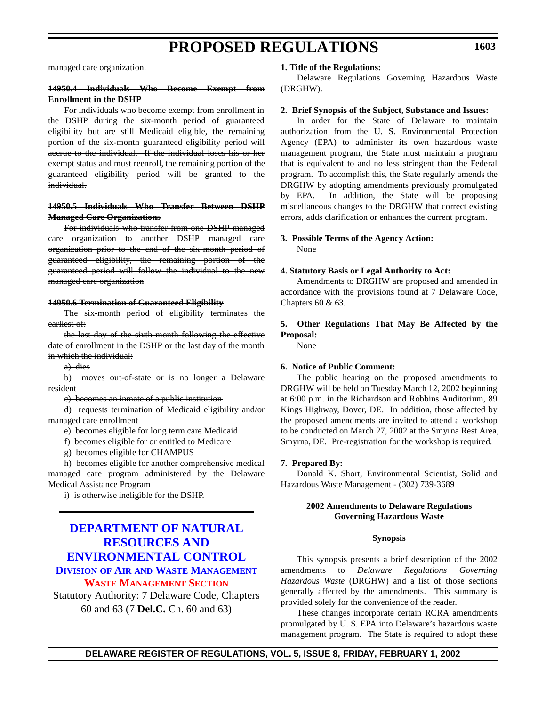managed care organization.

### **14950.4 Individuals Who Become Exempt from Enrollment in the DSHP**

For individuals who become exempt from enrollment in the DSHP during the six-month period of guaranteed eligibility but are still Medicaid eligible, the remaining portion of the six-month guaranteed eligibility period will accrue to the individual. If the individual loses his or her exempt status and must reenroll, the remaining portion of the guaranteed eligibility period will be granted to the individual.

### **14950.5 Individuals Who Transfer Between DSHP Managed Care Organizations**

For individuals who transfer from one DSHP managed care organization to another DSHP managed care organization prior to the end of the six-month period of guaranteed eligibility, the remaining portion of the guaranteed period will follow the individual to the new managed care organization

#### **14950.6 Termination of Guaranteed Eligibility**

The six-month period of eligibility terminates the earliest of:

the last day of the sixth month following the effective date of enrollment in the DSHP or the last day of the month in which the individual:

a) dies

b) moves out-of-state or is no longer a Delaware resident

c) becomes an inmate of a public institution

d) requests termination of Medicaid eligibility and/or managed care enrollment

e) becomes eligible for long term care Medicaid

f) becomes eligible for or entitled to Medicare

g) becomes eligible for CHAMPUS

h) becomes eligible for another comprehensive medical managed care program administered by the Delaware Medical Assistance Program

i) is otherwise ineligible for the DSHP.

## **DEPARTMENT OF NATURAL RESOURCES AND [ENVIRONMENTAL CONTROL](http://www.dnrec.state.de.us/DNREC2000/Divisions/AWM/AWM.htm) DIVISION OF AIR AND WASTE MANAGEMENT WASTE [MANAGEMENT](#page-3-0) SECTION**

Statutory Authority: 7 Delaware Code, Chapters 60 and 63 (7 **Del.C.** Ch. 60 and 63)

#### **1. Title of the Regulations:**

Delaware Regulations Governing Hazardous Waste (DRGHW).

#### **2. Brief Synopsis of the Subject, Substance and Issues:**

In order for the State of Delaware to maintain authorization from the U. S. Environmental Protection Agency (EPA) to administer its own hazardous waste management program, the State must maintain a program that is equivalent to and no less stringent than the Federal program. To accomplish this, the State regularly amends the DRGHW by adopting amendments previously promulgated by EPA. In addition, the State will be proposing miscellaneous changes to the DRGHW that correct existing errors, adds clarification or enhances the current program.

## **3. Possible Terms of the Agency Action:**

None

#### **4. Statutory Basis or Legal Authority to Act:**

Amendments to DRGHW are proposed and amended in accordance with the provisions found at 7 Delaware Code, Chapters 60 & 63.

## **5. Other Regulations That May Be Affected by the Proposal:**

None

#### **6. Notice of Public Comment:**

The public hearing on the proposed amendments to DRGHW will be held on Tuesday March 12, 2002 beginning at 6:00 p.m. in the Richardson and Robbins Auditorium, 89 Kings Highway, Dover, DE. In addition, those affected by the proposed amendments are invited to attend a workshop to be conducted on March 27, 2002 at the Smyrna Rest Area, Smyrna, DE. Pre-registration for the workshop is required.

#### **7. Prepared By:**

Donald K. Short, Environmental Scientist, Solid and Hazardous Waste Management - (302) 739-3689

### **2002 Amendments to Delaware Regulations Governing Hazardous Waste**

#### **Synopsis**

This synopsis presents a brief description of the 2002 amendments to *Delaware Regulations Governing Hazardous Waste* (DRGHW) and a list of those sections generally affected by the amendments. This summary is provided solely for the convenience of the reader.

These changes incorporate certain RCRA amendments promulgated by U. S. EPA into Delaware's hazardous waste management program. The State is required to adopt these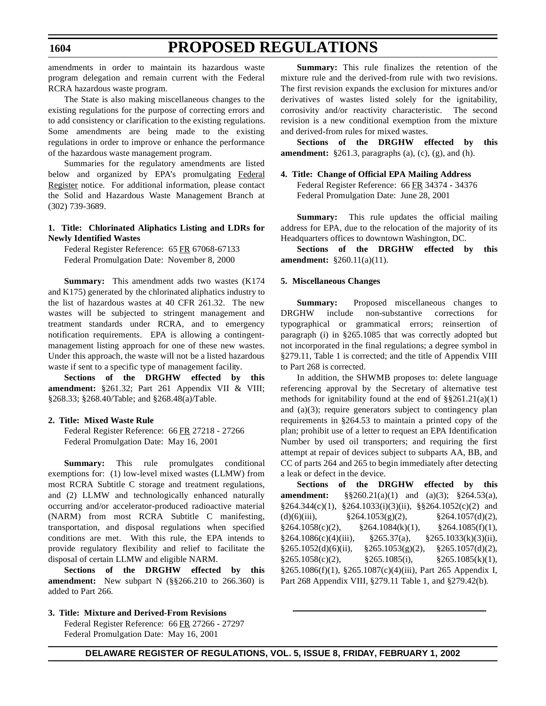amendments in order to maintain its hazardous waste program delegation and remain current with the Federal RCRA hazardous waste program.

The State is also making miscellaneous changes to the existing regulations for the purpose of correcting errors and to add consistency or clarification to the existing regulations. Some amendments are being made to the existing regulations in order to improve or enhance the performance of the hazardous waste management program.

Summaries for the regulatory amendments are listed below and organized by EPA's promulgating Federal Register notice. For additional information, please contact the Solid and Hazardous Waste Management Branch at (302) 739-3689.

### **1. Title: Chlorinated Aliphatics Listing and LDRs for Newly Identified Wastes**

Federal Register Reference: 65 FR 67068-67133 Federal Promulgation Date: November 8, 2000

**Summary:** This amendment adds two wastes (K174 and K175) generated by the chlorinated aliphatics industry to the list of hazardous wastes at 40 CFR 261.32. The new wastes will be subjected to stringent management and treatment standards under RCRA, and to emergency notification requirements. EPA is allowing a contingentmanagement listing approach for one of these new wastes. Under this approach, the waste will not be a listed hazardous waste if sent to a specific type of management facility.

**Sections of the DRGHW effected by this amendment:** §261.32; Part 261 Appendix VII & VIII; §268.33; §268.40/Table; and §268.48(a)/Table.

### **2. Title: Mixed Waste Rule**

Federal Register Reference: 66 FR 27218 - 27266 Federal Promulgation Date: May 16, 2001

**Summary:** This rule promulgates conditional exemptions for: (1) low-level mixed wastes (LLMW) from most RCRA Subtitle C storage and treatment regulations, and (2) LLMW and technologically enhanced naturally occurring and/or accelerator-produced radioactive material (NARM) from most RCRA Subtitle C manifesting, transportation, and disposal regulations when specified conditions are met. With this rule, the EPA intends to provide regulatory flexibility and relief to facilitate the disposal of certain LLMW and eligible NARM.

**Sections of the DRGHW effected by this amendment:** New subpart N (§§266.210 to 266.360) is added to Part 266.

**3. Title: Mixture and Derived-From Revisions** Federal Register Reference: 66 FR 27266 - 27297 Federal Promulgation Date: May 16, 2001

**Summary:** This rule finalizes the retention of the mixture rule and the derived-from rule with two revisions. The first revision expands the exclusion for mixtures and/or derivatives of wastes listed solely for the ignitability, corrosivity and/or reactivity characteristic. The second revision is a new conditional exemption from the mixture and derived-from rules for mixed wastes.

**Sections of the DRGHW effected by this amendment:** §261.3, paragraphs (a), (c), (g), and (h).

## **4. Title: Change of Official EPA Mailing Address**

Federal Register Reference: 66 FR 34374 - 34376 Federal Promulgation Date: June 28, 2001

**Summary:** This rule updates the official mailing address for EPA, due to the relocation of the majority of its Headquarters offices to downtown Washington, DC.

**Sections of the DRGHW effected by this amendment:** §260.11(a)(11).

### **5. Miscellaneous Changes**

**Summary:** Proposed miscellaneous changes to DRGHW include non-substantive corrections for typographical or grammatical errors; reinsertion of paragraph (i) in §265.1085 that was correctly adopted but not incorporated in the final regulations; a degree symbol in §279.11, Table 1 is corrected; and the title of Appendix VIII to Part 268 is corrected.

In addition, the SHWMB proposes to: delete language referencing approval by the Secretary of alternative test methods for ignitability found at the end of  $\S$ §261.21(a)(1) and (a)(3); require generators subject to contingency plan requirements in §264.53 to maintain a printed copy of the plan; prohibit use of a letter to request an EPA Identification Number by used oil transporters; and requiring the first attempt at repair of devices subject to subparts AA, BB, and CC of parts 264 and 265 to begin immediately after detecting a leak or defect in the device.

**Sections of the DRGHW effected by this amendment:** §§260.21(a)(1) and (a)(3); §264.53(a),  $§264.344(c)(1), §264.1033(i)(3)(ii), §§264.1052(c)(2)$  and (d)(6)(iii),  $\frac{\$264.1053(g)(2)}{9.5264.1057(d)(2)}$  $§264.1058(c)(2), \t§264.1084(k)(1), \t§264.1085(f)(1),$  $§264.1086(c)(4)(iii)$ ,  $§265.37(a)$ ,  $§265.1033(k)(3)(ii)$ ,  $§265.1052(d)(6)(ii), \quad §265.1053(g)(2), \quad §265.1057(d)(2),$  $§265.1058(c)(2),$   $§265.1085(i),$   $§265.1085(k)(1),$ §265.1086(f)(1), §265.1087(c)(4)(iii), Part 265 Appendix I, Part 268 Appendix VIII, §279.11 Table 1, and §279.42(b).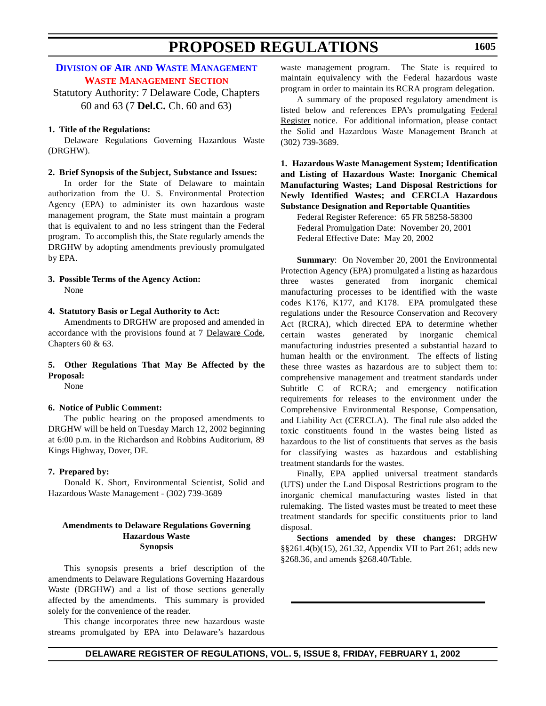## **DIVISION OF AIR AND WASTE [MANAGEMENT](http://www.dnrec.state.de.us/DNREC2000/Divisions/AWM/AWM.htm) WASTE [MANAGEMENT](#page-3-0) SECTION**

Statutory Authority: 7 Delaware Code, Chapters 60 and 63 (7 **Del.C.** Ch. 60 and 63)

### **1. Title of the Regulations:**

Delaware Regulations Governing Hazardous Waste (DRGHW).

#### **2. Brief Synopsis of the Subject, Substance and Issues:**

In order for the State of Delaware to maintain authorization from the U. S. Environmental Protection Agency (EPA) to administer its own hazardous waste management program, the State must maintain a program that is equivalent to and no less stringent than the Federal program. To accomplish this, the State regularly amends the DRGHW by adopting amendments previously promulgated by EPA.

### **3. Possible Terms of the Agency Action:** None

**4. Statutory Basis or Legal Authority to Act:**

Amendments to DRGHW are proposed and amended in accordance with the provisions found at 7 Delaware Code, Chapters 60 & 63.

### **5. Other Regulations That May Be Affected by the Proposal:**

None

### **6. Notice of Public Comment:**

The public hearing on the proposed amendments to DRGHW will be held on Tuesday March 12, 2002 beginning at 6:00 p.m. in the Richardson and Robbins Auditorium, 89 Kings Highway, Dover, DE.

### **7. Prepared by:**

Donald K. Short, Environmental Scientist, Solid and Hazardous Waste Management - (302) 739-3689

### **Amendments to Delaware Regulations Governing Hazardous Waste Synopsis**

This synopsis presents a brief description of the amendments to Delaware Regulations Governing Hazardous Waste (DRGHW) and a list of those sections generally affected by the amendments. This summary is provided solely for the convenience of the reader.

This change incorporates three new hazardous waste streams promulgated by EPA into Delaware's hazardous waste management program. The State is required to maintain equivalency with the Federal hazardous waste program in order to maintain its RCRA program delegation.

A summary of the proposed regulatory amendment is listed below and references EPA's promulgating Federal Register notice. For additional information, please contact the Solid and Hazardous Waste Management Branch at (302) 739-3689.

### **1. Hazardous Waste Management System; Identification and Listing of Hazardous Waste: Inorganic Chemical Manufacturing Wastes; Land Disposal Restrictions for Newly Identified Wastes; and CERCLA Hazardous Substance Designation and Reportable Quantities**

Federal Register Reference: 65 FR 58258-58300 Federal Promulgation Date: November 20, 2001 Federal Effective Date: May 20, 2002

**Summary**: On November 20, 2001 the Environmental Protection Agency (EPA) promulgated a listing as hazardous three wastes generated from inorganic chemical manufacturing processes to be identified with the waste codes K176, K177, and K178. EPA promulgated these regulations under the Resource Conservation and Recovery Act (RCRA), which directed EPA to determine whether certain wastes generated by inorganic chemical manufacturing industries presented a substantial hazard to human health or the environment. The effects of listing these three wastes as hazardous are to subject them to: comprehensive management and treatment standards under Subtitle C of RCRA; and emergency notification requirements for releases to the environment under the Comprehensive Environmental Response, Compensation, and Liability Act (CERCLA). The final rule also added the toxic constituents found in the wastes being listed as hazardous to the list of constituents that serves as the basis for classifying wastes as hazardous and establishing treatment standards for the wastes.

Finally, EPA applied universal treatment standards (UTS) under the Land Disposal Restrictions program to the inorganic chemical manufacturing wastes listed in that rulemaking. The listed wastes must be treated to meet these treatment standards for specific constituents prior to land disposal.

**Sections amended by these changes:** DRGHW §§261.4(b)(15), 261.32, Appendix VII to Part 261; adds new §268.36, and amends §268.40/Table.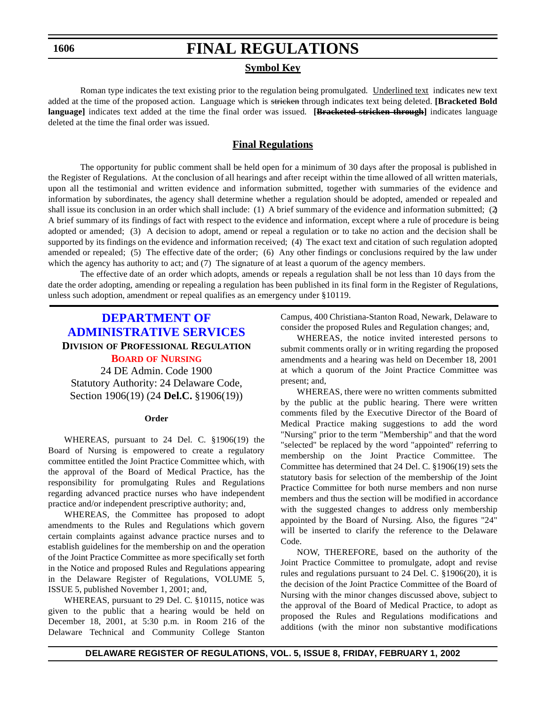**1606**

## **FINAL REGULATIONS**

### **Symbol Key**

Roman type indicates the text existing prior to the regulation being promulgated. Underlined text indicates new text added at the time of the proposed action. Language which is stricken through indicates text being deleted. **[Bracketed Bold language]** indicates text added at the time the final order was issued. **[Bracketed stricken through]** indicates language deleted at the time the final order was issued.

## **Final Regulations**

The opportunity for public comment shall be held open for a minimum of 30 days after the proposal is published in the Register of Regulations. At the conclusion of all hearings and after receipt within the time allowed of all written materials, upon all the testimonial and written evidence and information submitted, together with summaries of the evidence and information by subordinates, the agency shall determine whether a regulation should be adopted, amended or repealed and shall issue its conclusion in an order which shall include: (1) A brief summary of the evidence and information submitted; (2) A brief summary of its findings of fact with respect to the evidence and information, except where a rule of procedure is being adopted or amended; (3) A decision to adopt, amend or repeal a regulation or to take no action and the decision shall be supported by its findings on the evidence and information received; (4) The exact text and citation of such regulation adopted, amended or repealed; (5) The effective date of the order; (6) Any other findings or conclusions required by the law under which the agency has authority to act; and (7) The signature of at least a quorum of the agency members.

The effective date of an order which adopts, amends or repeals a regulation shall be not less than 10 days from the date the order adopting, amending or repealing a regulation has been published in its final form in the Register of Regulations, unless such adoption, amendment or repeal qualifies as an emergency under §10119.

## **DEPARTMENT OF [ADMINISTRATIVE SERVICES](http://www.state.de.us/das/) DIVISION OF PROFESSIONAL REGULATION BOARD OF [NURSING](#page-3-0)** 24 DE Admin. Code 1900

Statutory Authority: 24 Delaware Code, Section 1906(19) (24 **Del.C.** §1906(19))

#### **Order**

WHEREAS, pursuant to 24 Del. C. §1906(19) the Board of Nursing is empowered to create a regulatory committee entitled the Joint Practice Committee which, with the approval of the Board of Medical Practice, has the responsibility for promulgating Rules and Regulations regarding advanced practice nurses who have independent practice and/or independent prescriptive authority; and,

WHEREAS, the Committee has proposed to adopt amendments to the Rules and Regulations which govern certain complaints against advance practice nurses and to establish guidelines for the membership on and the operation of the Joint Practice Committee as more specifically set forth in the Notice and proposed Rules and Regulations appearing in the Delaware Register of Regulations, VOLUME 5, ISSUE 5, published November 1, 2001; and,

WHEREAS, pursuant to 29 Del. C. §10115, notice was given to the public that a hearing would be held on December 18, 2001, at 5:30 p.m. in Room 216 of the Delaware Technical and Community College Stanton Campus, 400 Christiana-Stanton Road, Newark, Delaware to consider the proposed Rules and Regulation changes; and,

WHEREAS, the notice invited interested persons to submit comments orally or in writing regarding the proposed amendments and a hearing was held on December 18, 2001 at which a quorum of the Joint Practice Committee was present; and,

WHEREAS, there were no written comments submitted by the public at the public hearing. There were written comments filed by the Executive Director of the Board of Medical Practice making suggestions to add the word "Nursing" prior to the term "Membership" and that the word "selected" be replaced by the word "appointed" referring to membership on the Joint Practice Committee. The Committee has determined that 24 Del. C. §1906(19) sets the statutory basis for selection of the membership of the Joint Practice Committee for both nurse members and non nurse members and thus the section will be modified in accordance with the suggested changes to address only membership appointed by the Board of Nursing. Also, the figures "24" will be inserted to clarify the reference to the Delaware Code.

NOW, THEREFORE, based on the authority of the Joint Practice Committee to promulgate, adopt and revise rules and regulations pursuant to 24 Del. C. §1906(20), it is the decision of the Joint Practice Committee of the Board of Nursing with the minor changes discussed above, subject to the approval of the Board of Medical Practice, to adopt as proposed the Rules and Regulations modifications and additions (with the minor non substantive modifications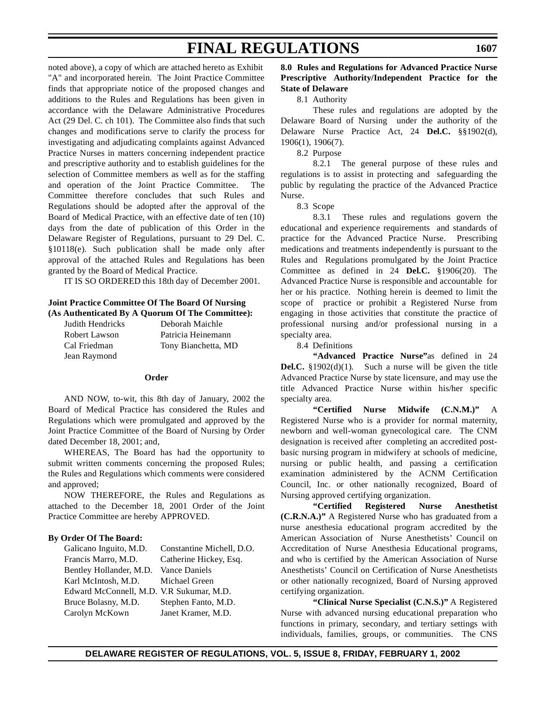noted above), a copy of which are attached hereto as Exhibit "A" and incorporated herein. The Joint Practice Committee finds that appropriate notice of the proposed changes and additions to the Rules and Regulations has been given in accordance with the Delaware Administrative Procedures Act (29 Del. C. ch 101). The Committee also finds that such changes and modifications serve to clarify the process for investigating and adjudicating complaints against Advanced Practice Nurses in matters concerning independent practice and prescriptive authority and to establish guidelines for the selection of Committee members as well as for the staffing and operation of the Joint Practice Committee. The Committee therefore concludes that such Rules and Regulations should be adopted after the approval of the Board of Medical Practice, with an effective date of ten (10) days from the date of publication of this Order in the Delaware Register of Regulations, pursuant to 29 Del. C. §10118(e). Such publication shall be made only after approval of the attached Rules and Regulations has been granted by the Board of Medical Practice.

IT IS SO ORDERED this 18th day of December 2001.

### **Joint Practice Committee Of The Board Of Nursing (As Authenticated By A Quorum Of The Committee):**

| Judith Hendricks | Deborah Maichle     |
|------------------|---------------------|
| Robert Lawson    | Patricia Heinemann  |
| Cal Friedman     | Tony Bianchetta, MD |
| Jean Raymond     |                     |

### **Order**

AND NOW, to-wit, this 8th day of January, 2002 the Board of Medical Practice has considered the Rules and Regulations which were promulgated and approved by the Joint Practice Committee of the Board of Nursing by Order dated December 18, 2001; and,

WHEREAS, The Board has had the opportunity to submit written comments concerning the proposed Rules; the Rules and Regulations which comments were considered and approved;

NOW THEREFORE, the Rules and Regulations as attached to the December 18, 2001 Order of the Joint Practice Committee are hereby APPROVED.

## **By Order Of The Board:**

| Galicano Inguito, M.D.                   | Constantine Michell, D.O. |
|------------------------------------------|---------------------------|
| Francis Marro, M.D.                      | Catherine Hickey, Esq.    |
| Bentley Hollander, M.D.                  | <b>Vance Daniels</b>      |
| Karl McIntosh, M.D.                      | Michael Green             |
| Edward McConnell, M.D. V.R Sukumar, M.D. |                           |
| Bruce Bolasny, M.D.                      | Stephen Fanto, M.D.       |
| Carolyn McKown                           | Janet Kramer, M.D.        |
|                                          |                           |

### **8.0 Rules and Regulations for Advanced Practice Nurse Prescriptive Authority/Independent Practice for the State of Delaware**

8.1 Authority

These rules and regulations are adopted by the Delaware Board of Nursing under the authority of the Delaware Nurse Practice Act, 24 **Del.C.** §§1902(d), 1906(1), 1906(7).

8.2 Purpose

8.2.1 The general purpose of these rules and regulations is to assist in protecting and safeguarding the public by regulating the practice of the Advanced Practice Nurse.

8.3 Scope

8.3.1 These rules and regulations govern the educational and experience requirements and standards of practice for the Advanced Practice Nurse. Prescribing medications and treatments independently is pursuant to the Rules and Regulations promulgated by the Joint Practice Committee as defined in 24 **Del.C.** §1906(20). The Advanced Practice Nurse is responsible and accountable for her or his practice. Nothing herein is deemed to limit the scope of practice or prohibit a Registered Nurse from engaging in those activities that constitute the practice of professional nursing and/or professional nursing in a specialty area.

8.4 Definitions

**"Advanced Practice Nurse"**as defined in 24 **Del.C.** §1902(d)(1). Such a nurse will be given the title Advanced Practice Nurse by state licensure, and may use the title Advanced Practice Nurse within his/her specific specialty area.

**"Certified Nurse Midwife (C.N.M.)"** A Registered Nurse who is a provider for normal maternity, newborn and well-woman gynecological care. The CNM designation is received after completing an accredited postbasic nursing program in midwifery at schools of medicine, nursing or public health, and passing a certification examination administered by the ACNM Certification Council, Inc. or other nationally recognized, Board of Nursing approved certifying organization.

**"Certified Registered Nurse Anesthetist (C.R.N.A.)"** A Registered Nurse who has graduated from a nurse anesthesia educational program accredited by the American Association of Nurse Anesthetists' Council on Accreditation of Nurse Anesthesia Educational programs, and who is certified by the American Association of Nurse Anesthetists' Council on Certification of Nurse Anesthetists or other nationally recognized, Board of Nursing approved certifying organization.

**"Clinical Nurse Specialist (C.N.S.)"** A Registered Nurse with advanced nursing educational preparation who functions in primary, secondary, and tertiary settings with individuals, families, groups, or communities. The CNS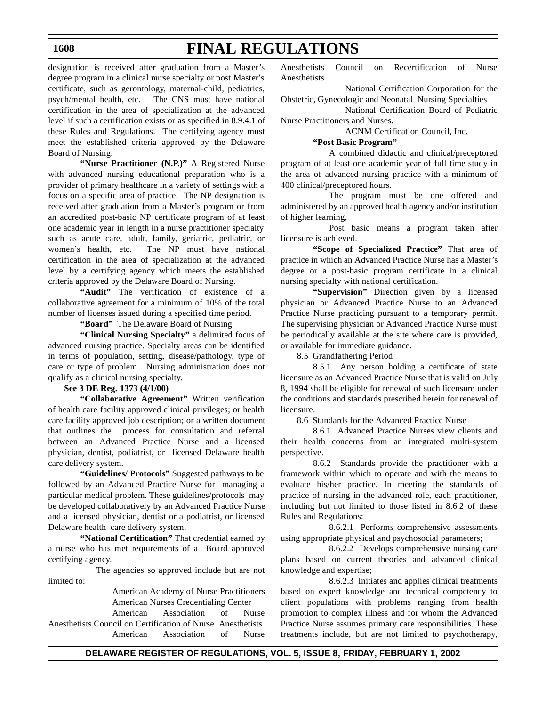### **1608**

# **FINAL REGULATIONS**

designation is received after graduation from a Master's degree program in a clinical nurse specialty or post Master's certificate, such as gerontology, maternal-child, pediatrics, psych/mental health, etc. The CNS must have national certification in the area of specialization at the advanced level if such a certification exists or as specified in 8.9.4.1 of these Rules and Regulations. The certifying agency must meet the established criteria approved by the Delaware Board of Nursing.

**"Nurse Practitioner (N.P.)"** A Registered Nurse with advanced nursing educational preparation who is a provider of primary healthcare in a variety of settings with a focus on a specific area of practice. The NP designation is received after graduation from a Master's program or from an accredited post-basic NP certificate program of at least one academic year in length in a nurse practitioner specialty such as acute care, adult, family, geriatric, pediatric, or women's health, etc. The NP must have national certification in the area of specialization at the advanced level by a certifying agency which meets the established criteria approved by the Delaware Board of Nursing.

**"Audit"** The verification of existence of a collaborative agreement for a minimum of 10% of the total number of licenses issued during a specified time period.

**"Board"** The Delaware Board of Nursing

**"Clinical Nursing Specialty"** a delimited focus of advanced nursing practice. Specialty areas can be identified in terms of population, setting, disease/pathology, type of care or type of problem. Nursing administration does not qualify as a clinical nursing specialty.

### **See 3 DE Reg. 1373 (4/1/00)**

**"Collaborative Agreement"** Written verification of health care facility approved clinical privileges; or health care facility approved job description; or a written document that outlines the process for consultation and referral between an Advanced Practice Nurse and a licensed physician, dentist, podiatrist, or licensed Delaware health care delivery system.

**"Guidelines/ Protocols"** Suggested pathways to be followed by an Advanced Practice Nurse for managing a particular medical problem. These guidelines/protocols may be developed collaboratively by an Advanced Practice Nurse and a licensed physician, dentist or a podiatrist, or licensed Delaware health care delivery system.

**"National Certification"** That credential earned by a nurse who has met requirements of a Board approved certifying agency.

The agencies so approved include but are not limited to:

> American Academy of Nurse Practitioners American Nurses Credentialing Center

American Association of Nurse Anesthetists Council on Certification of Nurse Anesthetists American Association of Nurse

Anesthetists Council on Recertification of Nurse Anesthetists

National Certification Corporation for the Obstetric, Gynecologic and Neonatal Nursing Specialties

National Certification Board of Pediatric Nurse Practitioners and Nurses.

ACNM Certification Council, Inc.

## **"Post Basic Program"**

A combined didactic and clinical/preceptored program of at least one academic year of full time study in the area of advanced nursing practice with a minimum of 400 clinical/preceptored hours.

The program must be one offered and administered by an approved health agency and/or institution of higher learning,

Post basic means a program taken after licensure is achieved.

**"Scope of Specialized Practice"** That area of practice in which an Advanced Practice Nurse has a Master's degree or a post-basic program certificate in a clinical nursing specialty with national certification.

**"Supervision"** Direction given by a licensed physician or Advanced Practice Nurse to an Advanced Practice Nurse practicing pursuant to a temporary permit. The supervising physician or Advanced Practice Nurse must be periodically available at the site where care is provided, or available for immediate guidance.

8.5 Grandfathering Period

8.5.1 Any person holding a certificate of state licensure as an Advanced Practice Nurse that is valid on July 8, 1994 shall be eligible for renewal of such licensure under the conditions and standards prescribed herein for renewal of licensure.

8.6 Standards for the Advanced Practice Nurse

8.6.1 Advanced Practice Nurses view clients and their health concerns from an integrated multi-system perspective.

8.6.2 Standards provide the practitioner with a framework within which to operate and with the means to evaluate his/her practice. In meeting the standards of practice of nursing in the advanced role, each practitioner, including but not limited to those listed in 8.6.2 of these Rules and Regulations:

8.6.2.1 Performs comprehensive assessments using appropriate physical and psychosocial parameters;

8.6.2.2 Develops comprehensive nursing care plans based on current theories and advanced clinical knowledge and expertise;

8.6.2.3 Initiates and applies clinical treatments based on expert knowledge and technical competency to client populations with problems ranging from health promotion to complex illness and for whom the Advanced Practice Nurse assumes primary care responsibilities. These treatments include, but are not limited to psychotherapy,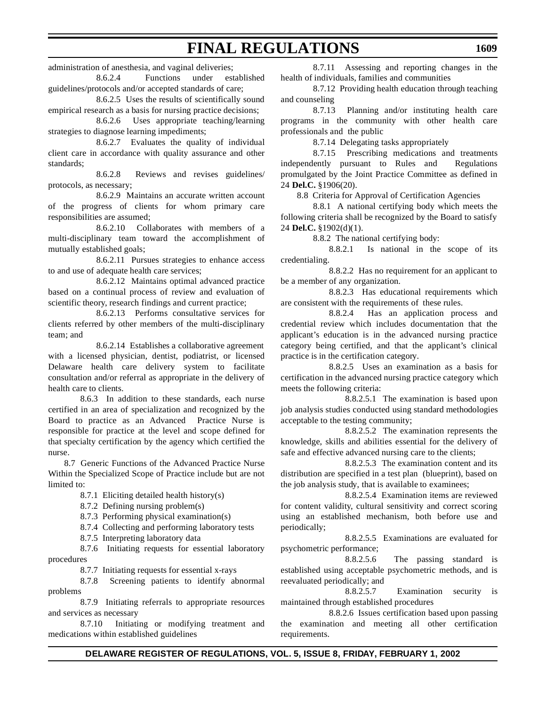administration of anesthesia, and vaginal deliveries;

8.6.2.4 Functions under established guidelines/protocols and/or accepted standards of care;

8.6.2.5 Uses the results of scientifically sound empirical research as a basis for nursing practice decisions;

8.6.2.6 Uses appropriate teaching/learning strategies to diagnose learning impediments;

8.6.2.7 Evaluates the quality of individual client care in accordance with quality assurance and other standards;

8.6.2.8 Reviews and revises guidelines/ protocols, as necessary;

8.6.2.9 Maintains an accurate written account of the progress of clients for whom primary care responsibilities are assumed;

8.6.2.10 Collaborates with members of a multi-disciplinary team toward the accomplishment of mutually established goals;

8.6.2.11 Pursues strategies to enhance access to and use of adequate health care services;

8.6.2.12 Maintains optimal advanced practice based on a continual process of review and evaluation of scientific theory, research findings and current practice;

8.6.2.13 Performs consultative services for clients referred by other members of the multi-disciplinary team; and

8.6.2.14 Establishes a collaborative agreement with a licensed physician, dentist, podiatrist, or licensed Delaware health care delivery system to facilitate consultation and/or referral as appropriate in the delivery of health care to clients.

8.6.3 In addition to these standards, each nurse certified in an area of specialization and recognized by the Board to practice as an Advanced Practice Nurse is responsible for practice at the level and scope defined for that specialty certification by the agency which certified the nurse.

8.7 Generic Functions of the Advanced Practice Nurse Within the Specialized Scope of Practice include but are not limited to:

8.7.1 Eliciting detailed health history(s)

8.7.2 Defining nursing problem(s)

8.7.3 Performing physical examination(s)

8.7.4 Collecting and performing laboratory tests

8.7.5 Interpreting laboratory data

8.7.6 Initiating requests for essential laboratory procedures

8.7.7 Initiating requests for essential x-rays

8.7.8 Screening patients to identify abnormal problems

8.7.9 Initiating referrals to appropriate resources and services as necessary

8.7.10 Initiating or modifying treatment and medications within established guidelines

8.7.11 Assessing and reporting changes in the health of individuals, families and communities

8.7.12 Providing health education through teaching and counseling

8.7.13 Planning and/or instituting health care programs in the community with other health care professionals and the public

8.7.14 Delegating tasks appropriately

8.7.15 Prescribing medications and treatments independently pursuant to Rules and Regulations promulgated by the Joint Practice Committee as defined in 24 **Del.C.** §1906(20).

8.8 Criteria for Approval of Certification Agencies

8.8.1 A national certifying body which meets the following criteria shall be recognized by the Board to satisfy 24 **Del.C.** §1902(d)(1).

8.8.2 The national certifying body:

8.8.2.1 Is national in the scope of its credentialing.

8.8.2.2 Has no requirement for an applicant to be a member of any organization.

8.8.2.3 Has educational requirements which are consistent with the requirements of these rules.

8.8.2.4 Has an application process and credential review which includes documentation that the applicant's education is in the advanced nursing practice category being certified, and that the applicant's clinical practice is in the certification category.

8.8.2.5 Uses an examination as a basis for certification in the advanced nursing practice category which meets the following criteria:

8.8.2.5.1 The examination is based upon job analysis studies conducted using standard methodologies acceptable to the testing community;

8.8.2.5.2 The examination represents the knowledge, skills and abilities essential for the delivery of safe and effective advanced nursing care to the clients;

8.8.2.5.3 The examination content and its distribution are specified in a test plan (blueprint), based on the job analysis study, that is available to examinees;

8.8.2.5.4 Examination items are reviewed for content validity, cultural sensitivity and correct scoring using an established mechanism, both before use and periodically;

8.8.2.5.5 Examinations are evaluated for psychometric performance;

8.8.2.5.6 The passing standard is established using acceptable psychometric methods, and is reevaluated periodically; and

8.8.2.5.7 Examination security is maintained through established procedures

8.8.2.6 Issues certification based upon passing the examination and meeting all other certification requirements.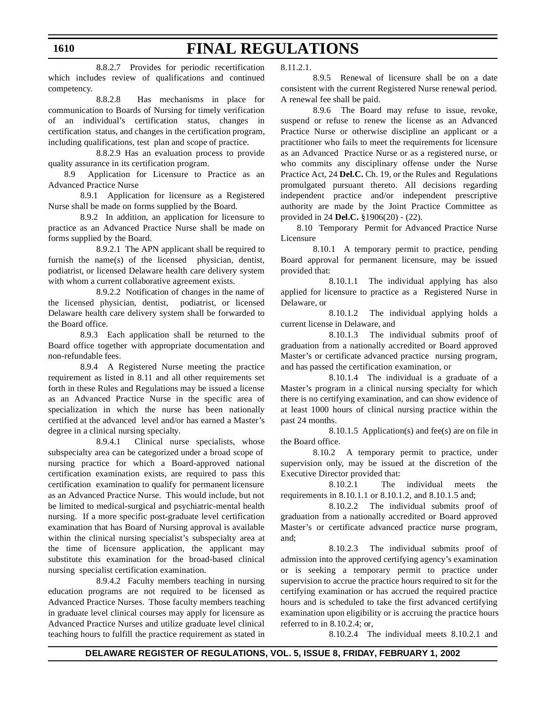8.8.2.7 Provides for periodic recertification which includes review of qualifications and continued competency.

8.8.2.8 Has mechanisms in place for communication to Boards of Nursing for timely verification of an individual's certification status, changes in certification status, and changes in the certification program, including qualifications, test plan and scope of practice.

8.8.2.9 Has an evaluation process to provide quality assurance in its certification program.

8.9 Application for Licensure to Practice as an Advanced Practice Nurse

8.9.1 Application for licensure as a Registered Nurse shall be made on forms supplied by the Board.

8.9.2 In addition, an application for licensure to practice as an Advanced Practice Nurse shall be made on forms supplied by the Board.

8.9.2.1 The APN applicant shall be required to furnish the name(s) of the licensed physician, dentist, podiatrist, or licensed Delaware health care delivery system with whom a current collaborative agreement exists.

8.9.2.2 Notification of changes in the name of the licensed physician, dentist, podiatrist, or licensed Delaware health care delivery system shall be forwarded to the Board office.

8.9.3 Each application shall be returned to the Board office together with appropriate documentation and non-refundable fees.

8.9.4 A Registered Nurse meeting the practice requirement as listed in 8.11 and all other requirements set forth in these Rules and Regulations may be issued a license as an Advanced Practice Nurse in the specific area of specialization in which the nurse has been nationally certified at the advanced level and/or has earned a Master's degree in a clinical nursing specialty.

8.9.4.1 Clinical nurse specialists, whose subspecialty area can be categorized under a broad scope of nursing practice for which a Board-approved national certification examination exists, are required to pass this certification examination to qualify for permanent licensure as an Advanced Practice Nurse. This would include, but not be limited to medical-surgical and psychiatric-mental health nursing. If a more specific post-graduate level certification examination that has Board of Nursing approval is available within the clinical nursing specialist's subspecialty area at the time of licensure application, the applicant may substitute this examination for the broad-based clinical nursing specialist certification examination.

8.9.4.2 Faculty members teaching in nursing education programs are not required to be licensed as Advanced Practice Nurses. Those faculty members teaching in graduate level clinical courses may apply for licensure as Advanced Practice Nurses and utilize graduate level clinical teaching hours to fulfill the practice requirement as stated in 8.11.2.1.

8.9.5 Renewal of licensure shall be on a date consistent with the current Registered Nurse renewal period. A renewal fee shall be paid.

8.9.6 The Board may refuse to issue, revoke, suspend or refuse to renew the license as an Advanced Practice Nurse or otherwise discipline an applicant or a practitioner who fails to meet the requirements for licensure as an Advanced Practice Nurse or as a registered nurse, or who commits any disciplinary offense under the Nurse Practice Act, 24 **Del.C.** Ch. 19, or the Rules and Regulations promulgated pursuant thereto. All decisions regarding independent practice and/or independent prescriptive authority are made by the Joint Practice Committee as provided in 24 **Del.C.** §1906(20) - (22).

8.10 Temporary Permit for Advanced Practice Nurse Licensure

8.10.1 A temporary permit to practice, pending Board approval for permanent licensure, may be issued provided that:

8.10.1.1 The individual applying has also applied for licensure to practice as a Registered Nurse in Delaware, or

8.10.1.2 The individual applying holds a current license in Delaware, and

8.10.1.3 The individual submits proof of graduation from a nationally accredited or Board approved Master's or certificate advanced practice nursing program, and has passed the certification examination, or

8.10.1.4 The individual is a graduate of a Master's program in a clinical nursing specialty for which there is no certifying examination, and can show evidence of at least 1000 hours of clinical nursing practice within the past 24 months.

8.10.1.5 Application(s) and fee(s) are on file in the Board office.

8.10.2 A temporary permit to practice, under supervision only, may be issued at the discretion of the Executive Director provided that:

8.10.2.1 The individual meets the requirements in 8.10.1.1 or 8.10.1.2, and 8.10.1.5 and;

8.10.2.2 The individual submits proof of graduation from a nationally accredited or Board approved Master's or certificate advanced practice nurse program, and;

8.10.2.3 The individual submits proof of admission into the approved certifying agency's examination or is seeking a temporary permit to practice under supervision to accrue the practice hours required to sit for the certifying examination or has accrued the required practice hours and is scheduled to take the first advanced certifying examination upon eligibility or is accruing the practice hours referred to in 8.10.2.4; or,

8.10.2.4 The individual meets 8.10.2.1 and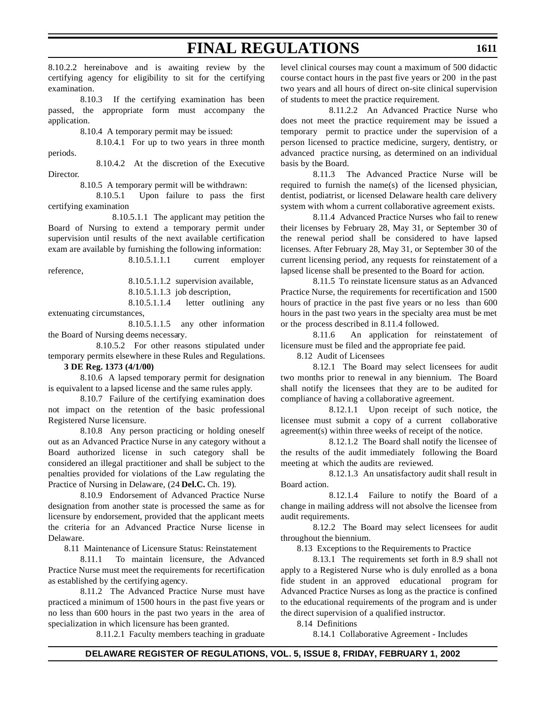8.10.2.2 hereinabove and is awaiting review by the certifying agency for eligibility to sit for the certifying examination.

8.10.3 If the certifying examination has been passed, the appropriate form must accompany the application.

8.10.4 A temporary permit may be issued:

8.10.4.1 For up to two years in three month periods.

8.10.4.2 At the discretion of the Executive Director.

8.10.5 A temporary permit will be withdrawn:

8.10.5.1 Upon failure to pass the first certifying examination

8.10.5.1.1 The applicant may petition the Board of Nursing to extend a temporary permit under supervision until results of the next available certification exam are available by furnishing the following information:

8.10.5.1.1.1 current employer reference,

8.10.5.1.1.2 supervision available,

8.10.5.1.1.3 job description,

8.10.5.1.1.4 letter outlining any extenuating circumstances,

8.10.5.1.1.5 any other information the Board of Nursing deems necessary.

8.10.5.2 For other reasons stipulated under temporary permits elsewhere in these Rules and Regulations.

**3 DE Reg. 1373 (4/1/00)**

8.10.6 A lapsed temporary permit for designation is equivalent to a lapsed license and the same rules apply.

8.10.7 Failure of the certifying examination does not impact on the retention of the basic professional Registered Nurse licensure.

8.10.8 Any person practicing or holding oneself out as an Advanced Practice Nurse in any category without a Board authorized license in such category shall be considered an illegal practitioner and shall be subject to the penalties provided for violations of the Law regulating the Practice of Nursing in Delaware, (24 **Del.C.** Ch. 19).

8.10.9 Endorsement of Advanced Practice Nurse designation from another state is processed the same as for licensure by endorsement, provided that the applicant meets the criteria for an Advanced Practice Nurse license in Delaware.

8.11 Maintenance of Licensure Status: Reinstatement

8.11.1 To maintain licensure, the Advanced Practice Nurse must meet the requirements for recertification as established by the certifying agency.

8.11.2 The Advanced Practice Nurse must have practiced a minimum of 1500 hours in the past five years or no less than 600 hours in the past two years in the area of specialization in which licensure has been granted.

8.11.2.1 Faculty members teaching in graduate

level clinical courses may count a maximum of 500 didactic course contact hours in the past five years or 200 in the past two years and all hours of direct on-site clinical supervision of students to meet the practice requirement.

8.11.2.2 An Advanced Practice Nurse who does not meet the practice requirement may be issued a temporary permit to practice under the supervision of a person licensed to practice medicine, surgery, dentistry, or advanced practice nursing, as determined on an individual basis by the Board.

8.11.3 The Advanced Practice Nurse will be required to furnish the name(s) of the licensed physician, dentist, podiatrist, or licensed Delaware health care delivery system with whom a current collaborative agreement exists.

8.11.4 Advanced Practice Nurses who fail to renew their licenses by February 28, May 31, or September 30 of the renewal period shall be considered to have lapsed licenses. After February 28, May 31, or September 30 of the current licensing period, any requests for reinstatement of a lapsed license shall be presented to the Board for action.

8.11.5 To reinstate licensure status as an Advanced Practice Nurse, the requirements for recertification and 1500 hours of practice in the past five years or no less than 600 hours in the past two years in the specialty area must be met or the process described in 8.11.4 followed.

8.11.6 An application for reinstatement of licensure must be filed and the appropriate fee paid.

8.12 Audit of Licensees

8.12.1 The Board may select licensees for audit two months prior to renewal in any biennium. The Board shall notify the licensees that they are to be audited for compliance of having a collaborative agreement.

8.12.1.1 Upon receipt of such notice, the licensee must submit a copy of a current collaborative agreement(s) within three weeks of receipt of the notice.

8.12.1.2 The Board shall notify the licensee of the results of the audit immediately following the Board meeting at which the audits are reviewed.

8.12.1.3 An unsatisfactory audit shall result in Board action.

8.12.1.4 Failure to notify the Board of a change in mailing address will not absolve the licensee from audit requirements.

8.12.2 The Board may select licensees for audit throughout the biennium.

8.13 Exceptions to the Requirements to Practice

8.13.1 The requirements set forth in 8.9 shall not apply to a Registered Nurse who is duly enrolled as a bona fide student in an approved educational program for Advanced Practice Nurses as long as the practice is confined to the educational requirements of the program and is under the direct supervision of a qualified instructor.

8.14 Definitions

8.14.1 Collaborative Agreement - Includes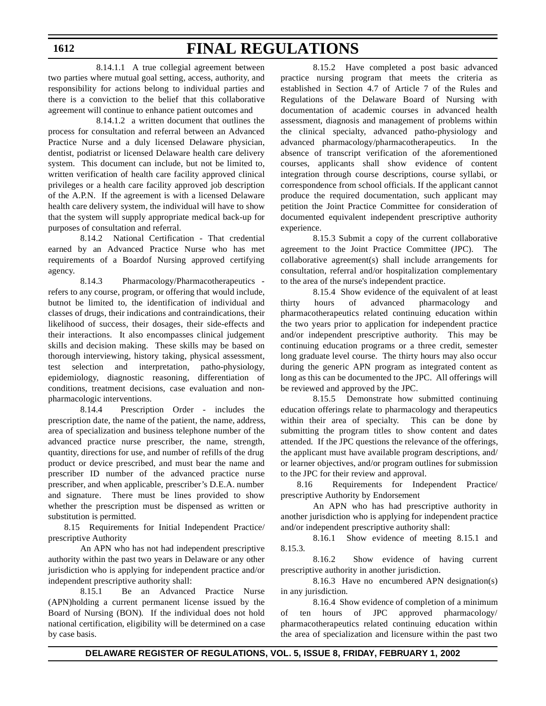## **1612**

## **FINAL REGULATIONS**

8.14.1.1 A true collegial agreement between two parties where mutual goal setting, access, authority, and responsibility for actions belong to individual parties and there is a conviction to the belief that this collaborative agreement will continue to enhance patient outcomes and

8.14.1.2 a written document that outlines the process for consultation and referral between an Advanced Practice Nurse and a duly licensed Delaware physician, dentist, podiatrist or licensed Delaware health care delivery system. This document can include, but not be limited to, written verification of health care facility approved clinical privileges or a health care facility approved job description of the A.P.N. If the agreement is with a licensed Delaware health care delivery system, the individual will have to show that the system will supply appropriate medical back-up for purposes of consultation and referral.

8.14.2 National Certification - That credential earned by an Advanced Practice Nurse who has met requirements of a Boardof Nursing approved certifying agency.

8.14.3 Pharmacology/Pharmacotherapeutics refers to any course, program, or offering that would include, butnot be limited to, the identification of individual and classes of drugs, their indications and contraindications, their likelihood of success, their dosages, their side-effects and their interactions. It also encompasses clinical judgement skills and decision making. These skills may be based on thorough interviewing, history taking, physical assessment, test selection and interpretation, patho-physiology, epidemiology, diagnostic reasoning, differentiation of conditions, treatment decisions, case evaluation and nonpharmacologic interventions.

8.14.4 Prescription Order - includes the prescription date, the name of the patient, the name, address, area of specialization and business telephone number of the advanced practice nurse prescriber, the name, strength, quantity, directions for use, and number of refills of the drug product or device prescribed, and must bear the name and prescriber ID number of the advanced practice nurse prescriber, and when applicable, prescriber's D.E.A. number and signature. There must be lines provided to show whether the prescription must be dispensed as written or substitution is permitted.

8.15 Requirements for Initial Independent Practice/ prescriptive Authority

An APN who has not had independent prescriptive authority within the past two years in Delaware or any other jurisdiction who is applying for independent practice and/or independent prescriptive authority shall:

8.15.1 Be an Advanced Practice Nurse (APN)holding a current permanent license issued by the Board of Nursing (BON). If the individual does not hold national certification, eligibility will be determined on a case by case basis.

8.15.2 Have completed a post basic advanced practice nursing program that meets the criteria as established in Section 4.7 of Article 7 of the Rules and Regulations of the Delaware Board of Nursing with documentation of academic courses in advanced health assessment, diagnosis and management of problems within the clinical specialty, advanced patho-physiology and advanced pharmacology/pharmacotherapeutics. In the absence of transcript verification of the aforementioned courses, applicants shall show evidence of content integration through course descriptions, course syllabi, or correspondence from school officials. If the applicant cannot produce the required documentation, such applicant may petition the Joint Practice Committee for consideration of documented equivalent independent prescriptive authority experience.

8.15.3 Submit a copy of the current collaborative agreement to the Joint Practice Committee (JPC). The collaborative agreement(s) shall include arrangements for consultation, referral and/or hospitalization complementary to the area of the nurse's independent practice.

8.15.4 Show evidence of the equivalent of at least thirty hours of advanced pharmacology and pharmacotherapeutics related continuing education within the two years prior to application for independent practice and/or independent prescriptive authority. This may be continuing education programs or a three credit, semester long graduate level course. The thirty hours may also occur during the generic APN program as integrated content as long as this can be documented to the JPC. All offerings will be reviewed and approved by the JPC.

8.15.5 Demonstrate how submitted continuing education offerings relate to pharmacology and therapeutics within their area of specialty. This can be done by submitting the program titles to show content and dates attended. If the JPC questions the relevance of the offerings, the applicant must have available program descriptions, and/ or learner objectives, and/or program outlines for submission to the JPC for their review and approval.

8.16 Requirements for Independent Practice/ prescriptive Authority by Endorsement

An APN who has had prescriptive authority in another jurisdiction who is applying for independent practice and/or independent prescriptive authority shall:

8.16.1 Show evidence of meeting 8.15.1 and 8.15.3.

8.16.2 Show evidence of having current prescriptive authority in another jurisdiction.

8.16.3 Have no encumbered APN designation(s) in any jurisdiction.

8.16.4 Show evidence of completion of a minimum of ten hours of JPC approved pharmacology/ pharmacotherapeutics related continuing education within the area of specialization and licensure within the past two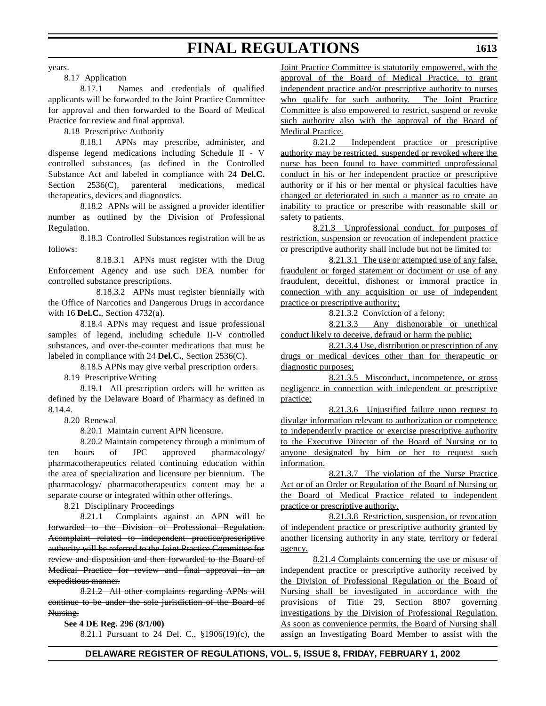years.

8.17 Application

8.17.1 Names and credentials of qualified applicants will be forwarded to the Joint Practice Committee for approval and then forwarded to the Board of Medical Practice for review and final approval.

8.18 Prescriptive Authority

8.18.1 APNs may prescribe, administer, and dispense legend medications including Schedule II - V controlled substances, (as defined in the Controlled Substance Act and labeled in compliance with 24 **Del.C.** Section 2536(C), parenteral medications, medical therapeutics, devices and diagnostics.

8.18.2 APNs will be assigned a provider identifier number as outlined by the Division of Professional Regulation.

8.18.3 Controlled Substances registration will be as follows:

8.18.3.1 APNs must register with the Drug Enforcement Agency and use such DEA number for controlled substance prescriptions.

8.18.3.2 APNs must register biennially with the Office of Narcotics and Dangerous Drugs in accordance with 16 **Del.C.**, Section 4732(a).

8.18.4 APNs may request and issue professional samples of legend, including schedule II-V controlled substances, and over-the-counter medications that must be labeled in compliance with 24 **Del.C.**, Section 2536(C).

8.18.5 APNs may give verbal prescription orders.

8.19 Prescriptive Writing

8.19.1 All prescription orders will be written as defined by the Delaware Board of Pharmacy as defined in 8.14.4.

8.20 Renewal

8.20.1 Maintain current APN licensure.

8.20.2 Maintain competency through a minimum of ten hours of JPC approved pharmacology/ pharmacotherapeutics related continuing education within the area of specialization and licensure per biennium. The pharmacology/ pharmacotherapeutics content may be a separate course or integrated within other offerings.

8.21 Disciplinary Proceedings

8.21.1 Complaints against an APN will be forwarded to the Division of Professional Regulation. Acomplaint related to independent practice/prescriptive authority will be referred to the Joint Practice Committee for review and disposition and then forwarded to the Board of Medical Practice for review and final approval in an expeditious manner.

8.21.2 All other complaints regarding APNs will continue to be under the sole jurisdiction of the Board of Nursing.

**See 4 DE Reg. 296 (8/1/00)**

8.21.1 Pursuant to 24 Del. C., §1906(19)(c), the

Joint Practice Committee is statutorily empowered, with the approval of the Board of Medical Practice, to grant independent practice and/or prescriptive authority to nurses who qualify for such authority. The Joint Practice Committee is also empowered to restrict, suspend or revoke such authority also with the approval of the Board of Medical Practice.

8.21.2 Independent practice or prescriptive authority may be restricted, suspended or revoked where the nurse has been found to have committed unprofessional conduct in his or her independent practice or prescriptive authority or if his or her mental or physical faculties have changed or deteriorated in such a manner as to create an inability to practice or prescribe with reasonable skill or safety to patients.

8.21.3 Unprofessional conduct, for purposes of restriction, suspension or revocation of independent practice or prescriptive authority shall include but not be limited to:

8.21.3.1 The use or attempted use of any false, fraudulent or forged statement or document or use of any fraudulent, deceitful, dishonest or immoral practice in connection with any acquisition or use of independent practice or prescriptive authority;

8.21.3.2 Conviction of a felony;

8.21.3.3 Any dishonorable or unethical conduct likely to deceive, defraud or harm the public;

8.21.3.4 Use, distribution or prescription of any drugs or medical devices other than for therapeutic or diagnostic purposes;

8.21.3.5 Misconduct, incompetence, or gross negligence in connection with independent or prescriptive practice;

8.21.3.6 Unjustified failure upon request to divulge information relevant to authorization or competence to independently practice or exercise prescriptive authority to the Executive Director of the Board of Nursing or to anyone designated by him or her to request such information.

8.21.3.7 The violation of the Nurse Practice Act or of an Order or Regulation of the Board of Nursing or the Board of Medical Practice related to independent practice or prescriptive authority.

8.21.3.8 Restriction, suspension, or revocation of independent practice or prescriptive authority granted by another licensing authority in any state, territory or federal agency.

8.21.4 Complaints concerning the use or misuse of independent practice or prescriptive authority received by the Division of Professional Regulation or the Board of Nursing shall be investigated in accordance with the provisions of Title 29, Section 8807 governing investigations by the Division of Professional Regulation. As soon as convenience permits, the Board of Nursing shall assign an Investigating Board Member to assist with the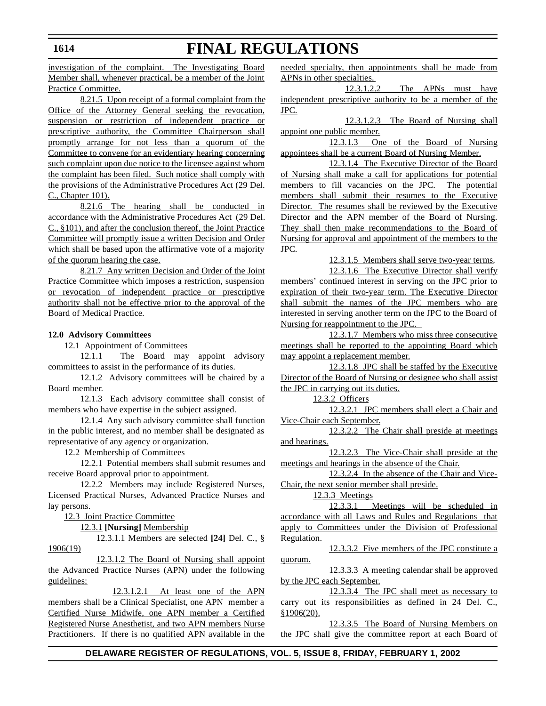### investigation of the complaint. The Investigating Board Member shall, whenever practical, be a member of the Joint Practice Committee.

8.21.5 Upon receipt of a formal complaint from the Office of the Attorney General seeking the revocation, suspension or restriction of independent practice or prescriptive authority, the Committee Chairperson shall promptly arrange for not less than a quorum of the Committee to convene for an evidentiary hearing concerning such complaint upon due notice to the licensee against whom the complaint has been filed. Such notice shall comply with the provisions of the Administrative Procedures Act (29 Del. C., Chapter 101).

8.21.6 The hearing shall be conducted in accordance with the Administrative Procedures Act (29 Del. C., §101), and after the conclusion thereof, the Joint Practice Committee will promptly issue a written Decision and Order which shall be based upon the affirmative vote of a majority of the quorum hearing the case.

8.21.7 Any written Decision and Order of the Joint Practice Committee which imposes a restriction, suspension or revocation of independent practice or prescriptive authority shall not be effective prior to the approval of the Board of Medical Practice.

### **12.0 Advisory Committees**

12.1 Appointment of Committees

12.1.1 The Board may appoint advisory committees to assist in the performance of its duties.

12.1.2 Advisory committees will be chaired by a Board member.

12.1.3 Each advisory committee shall consist of members who have expertise in the subject assigned.

12.1.4 Any such advisory committee shall function in the public interest, and no member shall be designated as representative of any agency or organization.

12.2 Membership of Committees

12.2.1 Potential members shall submit resumes and receive Board approval prior to appointment.

12.2.2 Members may include Registered Nurses, Licensed Practical Nurses, Advanced Practice Nurses and lay persons.

12.3 Joint Practice Committee

12.3.1 **[Nursing]** Membership

12.3.1.1 Members are selected **[24]** Del. C., § 1906(19)

12.3.1.2 The Board of Nursing shall appoint the Advanced Practice Nurses (APN) under the following guidelines:

12.3.1.2.1 At least one of the APN members shall be a Clinical Specialist, one APN member a Certified Nurse Midwife, one APN member a Certified Registered Nurse Anesthetist, and two APN members Nurse Practitioners. If there is no qualified APN available in the needed specialty, then appointments shall be made from APNs in other specialties.

**FINAL REGULATIONS**

12.3.1.2.2 The APNs must have independent prescriptive authority to be a member of the JPC.

12.3.1.2.3 The Board of Nursing shall appoint one public member.

12.3.1.3 One of the Board of Nursing appointees shall be a current Board of Nursing Member.

12.3.1.4 The Executive Director of the Board of Nursing shall make a call for applications for potential members to fill vacancies on the JPC. The potential members shall submit their resumes to the Executive Director. The resumes shall be reviewed by the Executive Director and the APN member of the Board of Nursing. They shall then make recommendations to the Board of Nursing for approval and appointment of the members to the JPC.

12.3.1.5 Members shall serve two-year terms.

12.3.1.6 The Executive Director shall verify members' continued interest in serving on the JPC prior to expiration of their two-year term. The Executive Director shall submit the names of the JPC members who are interested in serving another term on the JPC to the Board of Nursing for reappointment to the JPC.

12.3.1.7 Members who miss three consecutive meetings shall be reported to the appointing Board which may appoint a replacement member.

12.3.1.8 JPC shall be staffed by the Executive Director of the Board of Nursing or designee who shall assist the JPC in carrying out its duties.

12.3.2 Officers

12.3.2.1 JPC members shall elect a Chair and Vice-Chair each September.

12.3.2.2 The Chair shall preside at meetings and hearings.

12.3.2.3 The Vice-Chair shall preside at the meetings and hearings in the absence of the Chair.

12.3.2.4 In the absence of the Chair and Vice-Chair, the next senior member shall preside.

12.3.3 Meetings

12.3.3.1 Meetings will be scheduled in accordance with all Laws and Rules and Regulations that apply to Committees under the Division of Professional Regulation.

12.3.3.2 Five members of the JPC constitute a quorum.

12.3.3.3 A meeting calendar shall be approved by the JPC each September.

12.3.3.4 The JPC shall meet as necessary to carry out its responsibilities as defined in 24 Del. C., §1906(20).

12.3.3.5 The Board of Nursing Members on the JPC shall give the committee report at each Board of

## **DELAWARE REGISTER OF REGULATIONS, VOL. 5, ISSUE 8, FRIDAY, FEBRUARY 1, 2002**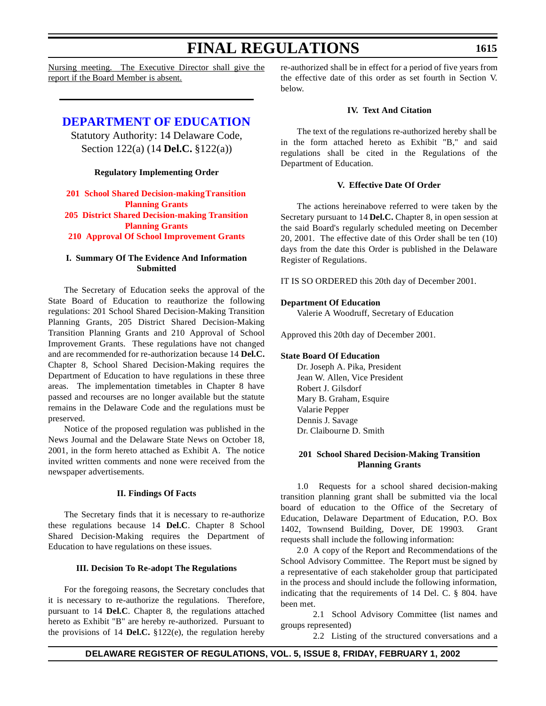Nursing meeting. The Executive Director shall give the report if the Board Member is absent.

## **[DEPARTMENT OF](http://www.doe.state.de.us/) EDUCATION**

Statutory Authority: 14 Delaware Code, Section 122(a) (14 **Del.C.** §122(a))

### **Regulatory Implementing Order**

## **201 School Shared Decision-makingTransition Planning Grants 205 District Shared [Decision-making Transition](#page-3-0) Planning Grants**

**210 Approval Of School Improvement Grants**

### **I. Summary Of The Evidence And Information Submitted**

The Secretary of Education seeks the approval of the State Board of Education to reauthorize the following regulations: 201 School Shared Decision-Making Transition Planning Grants, 205 District Shared Decision-Making Transition Planning Grants and 210 Approval of School Improvement Grants. These regulations have not changed and are recommended for re-authorization because 14 **Del.C.** Chapter 8, School Shared Decision-Making requires the Department of Education to have regulations in these three areas. The implementation timetables in Chapter 8 have passed and recourses are no longer available but the statute remains in the Delaware Code and the regulations must be preserved.

Notice of the proposed regulation was published in the News Journal and the Delaware State News on October 18, 2001, in the form hereto attached as Exhibit A. The notice invited written comments and none were received from the newspaper advertisements.

### **II. Findings Of Facts**

The Secretary finds that it is necessary to re-authorize these regulations because 14 **Del.C**. Chapter 8 School Shared Decision-Making requires the Department of Education to have regulations on these issues.

### **III. Decision To Re-adopt The Regulations**

For the foregoing reasons, the Secretary concludes that it is necessary to re-authorize the regulations. Therefore, pursuant to 14 **Del.C**. Chapter 8, the regulations attached hereto as Exhibit "B" are hereby re-authorized. Pursuant to the provisions of 14 **Del.C.** §122(e), the regulation hereby re-authorized shall be in effect for a period of five years from the effective date of this order as set fourth in Section V. below.

### **IV. Text And Citation**

The text of the regulations re-authorized hereby shall be in the form attached hereto as Exhibit "B," and said regulations shall be cited in the Regulations of the Department of Education.

### **V. Effective Date Of Order**

The actions hereinabove referred to were taken by the Secretary pursuant to 14 **Del.C.** Chapter 8, in open session at the said Board's regularly scheduled meeting on December 20, 2001. The effective date of this Order shall be ten (10) days from the date this Order is published in the Delaware Register of Regulations.

IT IS SO ORDERED this 20th day of December 2001.

## **Department Of Education**

Valerie A Woodruff, Secretary of Education

Approved this 20th day of December 2001.

## **State Board Of Education**

Dr. Joseph A. Pika, President Jean W. Allen, Vice President Robert J. Gilsdorf Mary B. Graham, Esquire Valarie Pepper Dennis J. Savage Dr. Claibourne D. Smith

### **201 School Shared Decision-Making Transition Planning Grants**

1.0 Requests for a school shared decision-making transition planning grant shall be submitted via the local board of education to the Office of the Secretary of Education, Delaware Department of Education, P.O. Box 1402, Townsend Building, Dover, DE 19903. Grant requests shall include the following information:

2.0 A copy of the Report and Recommendations of the School Advisory Committee. The Report must be signed by a representative of each stakeholder group that participated in the process and should include the following information, indicating that the requirements of 14 Del. C. § 804. have been met.

2.1 School Advisory Committee (list names and

2.2 Listing of the structured conversations and a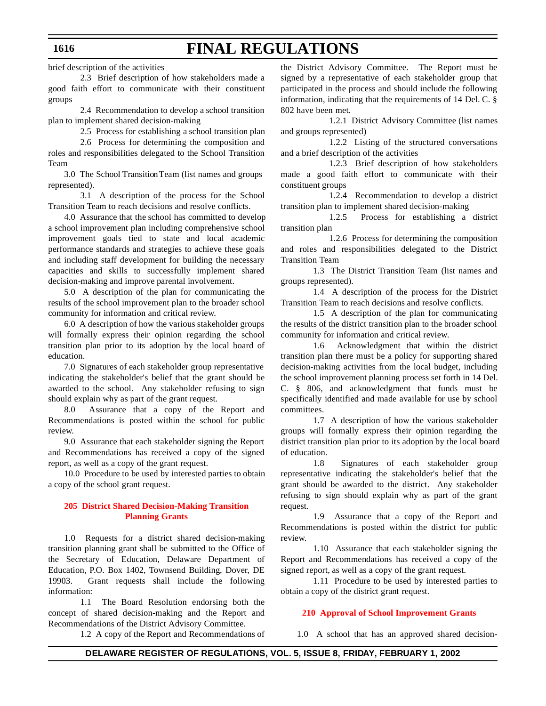brief description of the activities

2.3 Brief description of how stakeholders made a good faith effort to communicate with their constituent groups

2.4 Recommendation to develop a school transition plan to implement shared decision-making

2.5 Process for establishing a school transition plan

2.6 Process for determining the composition and roles and responsibilities delegated to the School Transition Team

3.0 The School Transition Team (list names and groups represented).

3.1 A description of the process for the School Transition Team to reach decisions and resolve conflicts.

4.0 Assurance that the school has committed to develop a school improvement plan including comprehensive school improvement goals tied to state and local academic performance standards and strategies to achieve these goals and including staff development for building the necessary capacities and skills to successfully implement shared decision-making and improve parental involvement.

5.0 A description of the plan for communicating the results of the school improvement plan to the broader school community for information and critical review.

6.0 A description of how the various stakeholder groups will formally express their opinion regarding the school transition plan prior to its adoption by the local board of education.

7.0 Signatures of each stakeholder group representative indicating the stakeholder's belief that the grant should be awarded to the school. Any stakeholder refusing to sign should explain why as part of the grant request.

8.0 Assurance that a copy of the Report and Recommendations is posted within the school for public review.

9.0 Assurance that each stakeholder signing the Report and Recommendations has received a copy of the signed report, as well as a copy of the grant request.

10.0 Procedure to be used by interested parties to obtain a copy of the school grant request.

#### **205 District Shared [Decision-Making Transition](#page-3-0) Planning Grants**

1.0 Requests for a district shared decision-making transition planning grant shall be submitted to the Office of the Secretary of Education, Delaware Department of Education, P.O. Box 1402, Townsend Building, Dover, DE 19903. Grant requests shall include the following information:

1.1 The Board Resolution endorsing both the concept of shared decision-making and the Report and Recommendations of the District Advisory Committee.

1.2 A copy of the Report and Recommendations of

the District Advisory Committee. The Report must be signed by a representative of each stakeholder group that participated in the process and should include the following information, indicating that the requirements of 14 Del. C. § 802 have been met.

1.2.1 District Advisory Committee (list names and groups represented)

1.2.2 Listing of the structured conversations and a brief description of the activities

1.2.3 Brief description of how stakeholders made a good faith effort to communicate with their constituent groups

1.2.4 Recommendation to develop a district transition plan to implement shared decision-making

1.2.5 Process for establishing a district transition plan

1.2.6 Process for determining the composition and roles and responsibilities delegated to the District Transition Team

1.3 The District Transition Team (list names and groups represented).

1.4 A description of the process for the District Transition Team to reach decisions and resolve conflicts.

1.5 A description of the plan for communicating the results of the district transition plan to the broader school community for information and critical review.

1.6 Acknowledgment that within the district transition plan there must be a policy for supporting shared decision-making activities from the local budget, including the school improvement planning process set forth in 14 Del. C. § 806, and acknowledgment that funds must be specifically identified and made available for use by school committees.

1.7 A description of how the various stakeholder groups will formally express their opinion regarding the district transition plan prior to its adoption by the local board of education.

1.8 Signatures of each stakeholder group representative indicating the stakeholder's belief that the grant should be awarded to the district. Any stakeholder refusing to sign should explain why as part of the grant request.

1.9 Assurance that a copy of the Report and Recommendations is posted within the district for public review.

1.10 Assurance that each stakeholder signing the Report and Recommendations has received a copy of the signed report, as well as a copy of the grant request.

1.11 Procedure to be used by interested parties to obtain a copy of the district grant request.

#### **[210 Approval of](#page-3-0) School Improvement Grants**

1.0 A school that has an approved shared decision-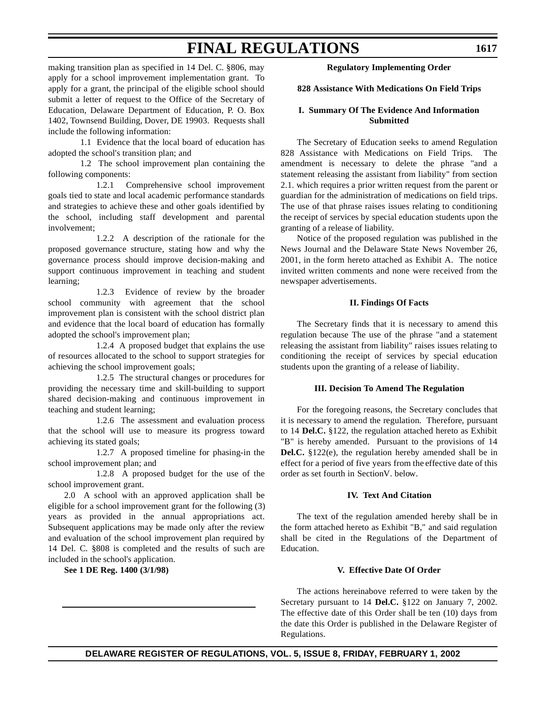making transition plan as specified in 14 Del. C. §806, may apply for a school improvement implementation grant. To apply for a grant, the principal of the eligible school should submit a letter of request to the Office of the Secretary of Education, Delaware Department of Education, P. O. Box 1402, Townsend Building, Dover, DE 19903. Requests shall include the following information:

1.1 Evidence that the local board of education has adopted the school's transition plan; and

1.2 The school improvement plan containing the following components:

1.2.1 Comprehensive school improvement goals tied to state and local academic performance standards and strategies to achieve these and other goals identified by the school, including staff development and parental involvement;

1.2.2 A description of the rationale for the proposed governance structure, stating how and why the governance process should improve decision-making and support continuous improvement in teaching and student learning;

1.2.3 Evidence of review by the broader school community with agreement that the school improvement plan is consistent with the school district plan and evidence that the local board of education has formally adopted the school's improvement plan;

1.2.4 A proposed budget that explains the use of resources allocated to the school to support strategies for achieving the school improvement goals;

1.2.5 The structural changes or procedures for providing the necessary time and skill-building to support shared decision-making and continuous improvement in teaching and student learning;

1.2.6 The assessment and evaluation process that the school will use to measure its progress toward achieving its stated goals;

1.2.7 A proposed timeline for phasing-in the school improvement plan; and

1.2.8 A proposed budget for the use of the school improvement grant.

2.0 A school with an approved application shall be eligible for a school improvement grant for the following (3) years as provided in the annual appropriations act. Subsequent applications may be made only after the review and evaluation of the school improvement plan required by 14 Del. C. §808 is completed and the results of such are included in the school's application.

**See 1 DE Reg. 1400 (3/1/98)**

#### **Regulatory Implementing Order**

#### **828 Assistance With Medications On Field Trips**

#### **I. Summary Of The Evidence And Information Submitted**

The Secretary of Education seeks to amend Regulation 828 Assistance with Medications on Field Trips. The amendment is necessary to delete the phrase "and a statement releasing the assistant from liability" from section 2.1. which requires a prior written request from the parent or guardian for the administration of medications on field trips. The use of that phrase raises issues relating to conditioning the receipt of services by special education students upon the granting of a release of liability.

Notice of the proposed regulation was published in the News Journal and the Delaware State News November 26, 2001, in the form hereto attached as Exhibit A. The notice invited written comments and none were received from the newspaper advertisements.

#### **II. Findings Of Facts**

The Secretary finds that it is necessary to amend this regulation because The use of the phrase "and a statement releasing the assistant from liability" raises issues relating to conditioning the receipt of services by special education students upon the granting of a release of liability.

#### **III. Decision To Amend The Regulation**

For the foregoing reasons, the Secretary concludes that it is necessary to amend the regulation. Therefore, pursuant to 14 **Del.C.** §122, the regulation attached hereto as Exhibit "B" is hereby amended. Pursuant to the provisions of 14 **Del.C.** §122(e), the regulation hereby amended shall be in effect for a period of five years from the effective date of this order as set fourth in Section V. below.

#### **IV. Text And Citation**

The text of the regulation amended hereby shall be in the form attached hereto as Exhibit "B," and said regulation shall be cited in the Regulations of the Department of Education.

#### **V. Effective Date Of Order**

The actions hereinabove referred to were taken by the Secretary pursuant to 14 **Del.C.** §122 on January 7, 2002. The effective date of this Order shall be ten (10) days from the date this Order is published in the Delaware Register of Regulations.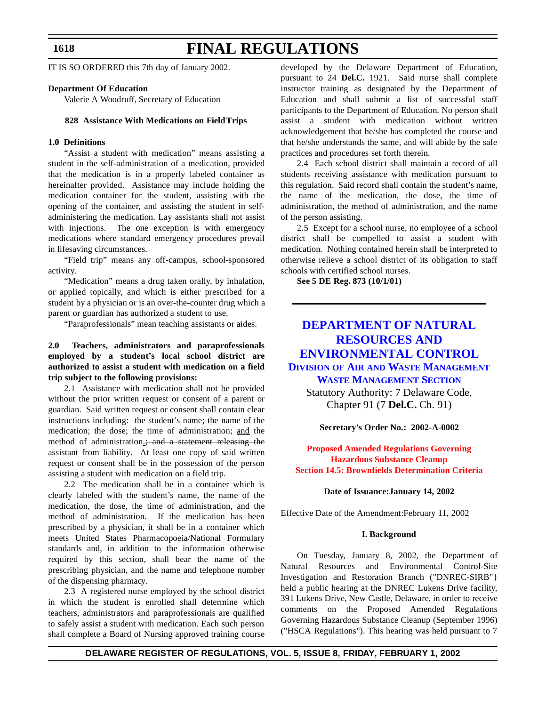#### **1618**

# **FINAL REGULATIONS**

IT IS SO ORDERED this 7th day of January 2002.

#### **Department Of Education**

Valerie A Woodruff, Secretary of Education

#### **828 Assistance With Medications on Field Trips**

#### **1.0 Definitions**

"Assist a student with medication" means assisting a student in the self-administration of a medication, provided that the medication is in a properly labeled container as hereinafter provided. Assistance may include holding the medication container for the student, assisting with the opening of the container, and assisting the student in selfadministering the medication. Lay assistants shall not assist with injections. The one exception is with emergency medications where standard emergency procedures prevail in lifesaving circumstances.

"Field trip" means any off-campus, school-sponsored activity.

"Medication" means a drug taken orally, by inhalation, or applied topically, and which is either prescribed for a student by a physician or is an over-the-counter drug which a parent or guardian has authorized a student to use.

"Paraprofessionals" mean teaching assistants or aides.

#### **2.0 Teachers, administrators and paraprofessionals employed by a student's local school district are authorized to assist a student with medication on a field trip subject to the following provisions:**

2.1 Assistance with medication shall not be provided without the prior written request or consent of a parent or guardian. Said written request or consent shall contain clear instructions including: the student's name; the name of the medication; the dose; the time of administration; and the method of administration<sub>-</sub>; and a statement releasing the assistant from liability. At least one copy of said written request or consent shall be in the possession of the person assisting a student with medication on a field trip.

2.2 The medication shall be in a container which is clearly labeled with the student's name, the name of the medication, the dose, the time of administration, and the method of administration. If the medication has been prescribed by a physician, it shall be in a container which meets United States Pharmacopoeia/National Formulary standards and, in addition to the information otherwise required by this section, shall bear the name of the prescribing physician, and the name and telephone number of the dispensing pharmacy.

2.3 A registered nurse employed by the school district in which the student is enrolled shall determine which teachers, administrators and paraprofessionals are qualified to safely assist a student with medication. Each such person shall complete a Board of Nursing approved training course developed by the Delaware Department of Education, pursuant to 24 **Del.C.** 1921. Said nurse shall complete instructor training as designated by the Department of Education and shall submit a list of successful staff participants to the Department of Education. No person shall assist a student with medication without written acknowledgement that he/she has completed the course and that he/she understands the same, and will abide by the safe practices and procedures set forth therein.

2.4 Each school district shall maintain a record of all students receiving assistance with medication pursuant to this regulation. Said record shall contain the student's name, the name of the medication, the dose, the time of administration, the method of administration, and the name of the person assisting.

2.5 Except for a school nurse, no employee of a school district shall be compelled to assist a student with medication. Nothing contained herein shall be interpreted to otherwise relieve a school district of its obligation to staff schools with certified school nurses.

**See 5 DE Reg. 873 (10/1/01)**

#### **DEPARTMENT OF NATURAL RESOURCES AND [ENVIRONMENTAL](http://www.dnrec.state.de.us/DNREC2000/Divisions/AWM/AWM.htm) CONTROL**

**DIVISION OF AIR AND WASTE MANAGEMENT**

#### **WASTE MANAGEMENT SECTION**

Statutory Authority: 7 Delaware Code, Chapter 91 (7 **Del.C.** Ch. 91)

#### **Secretary's Order No.: 2002-A-0002**

#### **Proposed Amended Regulations Governing [Hazardous Substance](#page-3-0) Cleanup Section 14.5: Brownfields Determination Criteria**

#### **Date of Issuance:January 14, 2002**

Effective Date of the Amendment:February 11, 2002

#### **I. Background**

On Tuesday, January 8, 2002, the Department of Natural Resources and Environmental Control-Site Investigation and Restoration Branch ("DNREC-SIRB"} held a public hearing at the DNREC Lukens Drive facility, 391 Lukens Drive, New Castle, Delaware, in order to receive comments on the Proposed Amended Regulations Governing Hazardous Substance Cleanup (September 1996) ("HSCA Regulations"). This hearing was held pursuant to 7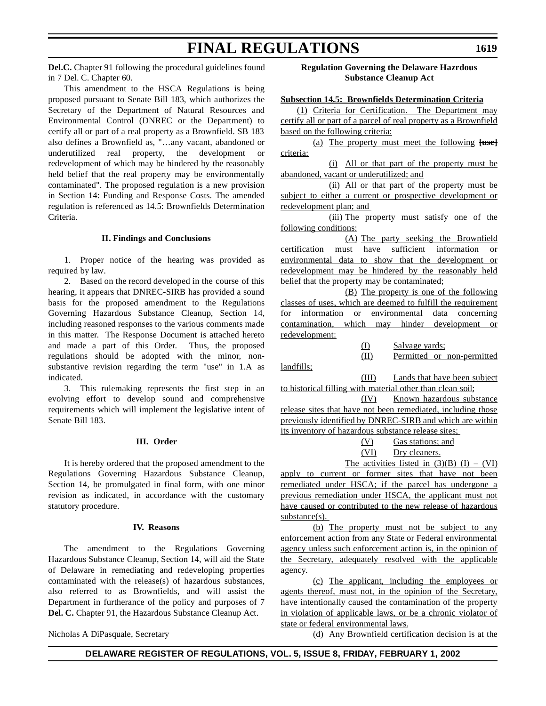**Del.C.** Chapter 91 following the procedural guidelines found in 7 Del. C. Chapter 60.

This amendment to the HSCA Regulations is being proposed pursuant to Senate Bill 183, which authorizes the Secretary of the Department of Natural Resources and Environmental Control (DNREC or the Department) to certify all or part of a real property as a Brownfield. SB 183 also defines a Brownfield as, "…any vacant, abandoned or underutilized real property, the development or redevelopment of which may be hindered by the reasonably held belief that the real property may be environmentally contaminated". The proposed regulation is a new provision in Section 14: Funding and Response Costs. The amended regulation is referenced as 14.5: Brownfields Determination Criteria.

#### **II. Findings and Conclusions**

1. Proper notice of the hearing was provided as required by law.

2. Based on the record developed in the course of this hearing, it appears that DNREC-SIRB has provided a sound basis for the proposed amendment to the Regulations Governing Hazardous Substance Cleanup, Section 14, including reasoned responses to the various comments made in this matter. The Response Document is attached hereto and made a part of this Order. Thus, the proposed regulations should be adopted with the minor, nonsubstantive revision regarding the term "use" in 1.A as indicated.

3. This rulemaking represents the first step in an evolving effort to develop sound and comprehensive requirements which will implement the legislative intent of Senate Bill 183.

#### **III. Order**

It is hereby ordered that the proposed amendment to the Regulations Governing Hazardous Substance Cleanup, Section 14, be promulgated in final form, with one minor revision as indicated, in accordance with the customary statutory procedure.

#### **IV. Reasons**

The amendment to the Regulations Governing Hazardous Substance Cleanup, Section 14, will aid the State of Delaware in remediating and redeveloping properties contaminated with the release(s) of hazardous substances, also referred to as Brownfields, and will assist the Department in furtherance of the policy and purposes of 7 **Del. C.** Chapter 91, the Hazardous Substance Cleanup Act.

Nicholas A DiPasquale, Secretary

**Regulation Governing the Delaware Hazrdous Substance Cleanup Act**

#### **Subsection 14.5: Brownfields Determination Criteria**

(1) Criteria for Certification. The Department may certify all or part of a parcel of real property as a Brownfield based on the following criteria:

(a) The property must meet the following **[use]** criteria:

(i) All or that part of the property must be abandoned, vacant or underutilized; and

(ii) All or that part of the property must be subject to either a current or prospective development or redevelopment plan; and

(iii) The property must satisfy one of the following conditions:

(A) The party seeking the Brownfield certification must have sufficient information or environmental data to show that the development or redevelopment may be hindered by the reasonably held belief that the property may be contaminated;

(B) The property is one of the following classes of uses, which are deemed to fulfill the requirement for information or environmental data concerning contamination, which may hinder development or redevelopment:

| (I)  | Salvage yards:             |
|------|----------------------------|
| (II) | Permitted or non-permitted |

landfills;

(III) Lands that have been subject to historical filling with material other than clean soil;

(IV) Known hazardous substance release sites that have not been remediated, including those previously identified by DNREC-SIRB and which are within its inventory of hazardous substance release sites;

| (V)         | Gas stations: and |
|-------------|-------------------|
| <u>(VI)</u> | Dry cleaners.     |

The activities listed in  $(3)(B)$  (I) – (VI)

apply to current or former sites that have not been remediated under HSCA; if the parcel has undergone a previous remediation under HSCA, the applicant must not have caused or contributed to the new release of hazardous substance(s).

(b) The property must not be subject to any enforcement action from any State or Federal environmental agency unless such enforcement action is, in the opinion of the Secretary, adequately resolved with the applicable agency.

(c) The applicant, including the employees or agents thereof, must not, in the opinion of the Secretary, have intentionally caused the contamination of the property in violation of applicable laws, or be a chronic violator of state or federal environmental laws.

(d) Any Brownfield certification decision is at the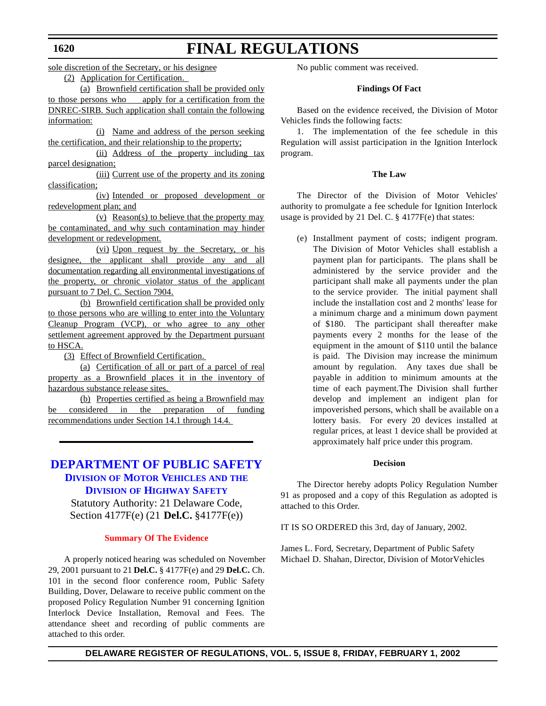sole discretion of the Secretary, or his designee

# **FINAL REGULATIONS**

(2) Application for Certification.

(a) Brownfield certification shall be provided only to those persons who apply for a certification from the DNREC-SIRB. Such application shall contain the following information:

(i) Name and address of the person seeking the certification, and their relationship to the property;

(ii) Address of the property including tax parcel designation;

(iii) Current use of the property and its zoning classification;

(iv) Intended or proposed development or redevelopment plan; and

(v) Reason(s) to believe that the property may be contaminated, and why such contamination may hinder development or redevelopment.

(vi) Upon request by the Secretary, or his designee, the applicant shall provide any and all documentation regarding all environmental investigations of the property, or chronic violator status of the applicant pursuant to 7 Del. C. Section 7904.

(b) Brownfield certification shall be provided only to those persons who are willing to enter into the Voluntary Cleanup Program (VCP), or who agree to any other settlement agreement approved by the Department pursuant to HSCA.

(3) Effect of Brownfield Certification.

(a) Certification of all or part of a parcel of real property as a Brownfield places it in the inventory of hazardous substance release sites.

(b) Properties certified as being a Brownfield may be considered in the preparation of funding recommendations under Section 14.1 through 14.4.

#### **[DEPARTMENT OF](http://www.state.de.us/highway/index.htm) PUBLIC SAFETY DIVISION OF MOTOR VEHICLES AND THE DIVISION OF HIGHWAY SAFETY**

Statutory Authority: 21 Delaware Code, Section 4177F(e) (21 **Del.C.** §4177F(e))

#### **Summary Of [The Evidence](#page-3-0)**

A properly noticed hearing was scheduled on November 29, 2001 pursuant to 21 **Del.C.** § 4177F(e) and 29 **Del.C.** Ch. 101 in the second floor conference room, Public Safety Building, Dover, Delaware to receive public comment on the proposed Policy Regulation Number 91 concerning Ignition Interlock Device Installation, Removal and Fees. The attendance sheet and recording of public comments are attached to this order.

No public comment was received.

#### **Findings Of Fact**

Based on the evidence received, the Division of Motor Vehicles finds the following facts:

1. The implementation of the fee schedule in this Regulation will assist participation in the Ignition Interlock program.

#### **The Law**

The Director of the Division of Motor Vehicles' authority to promulgate a fee schedule for Ignition Interlock usage is provided by 21 Del. C. § 4177F(e) that states:

(e) Installment payment of costs; indigent program. The Division of Motor Vehicles shall establish a payment plan for participants. The plans shall be administered by the service provider and the participant shall make all payments under the plan to the service provider. The initial payment shall include the installation cost and 2 months' lease for a minimum charge and a minimum down payment of \$180. The participant shall thereafter make payments every 2 months for the lease of the equipment in the amount of \$110 until the balance is paid. The Division may increase the minimum amount by regulation. Any taxes due shall be payable in addition to minimum amounts at the time of each payment.The Division shall further develop and implement an indigent plan for impoverished persons, which shall be available on a lottery basis. For every 20 devices installed at regular prices, at least 1 device shall be provided at approximately half price under this program.

#### **Decision**

The Director hereby adopts Policy Regulation Number 91 as proposed and a copy of this Regulation as adopted is attached to this Order.

IT IS SO ORDERED this 3rd, day of January, 2002.

James L. Ford, Secretary, Department of Public Safety Michael D. Shahan, Director, Division of Motor Vehicles

#### **DELAWARE REGISTER OF REGULATIONS, VOL. 5, ISSUE 8, FRIDAY, FEBRUARY 1, 2002**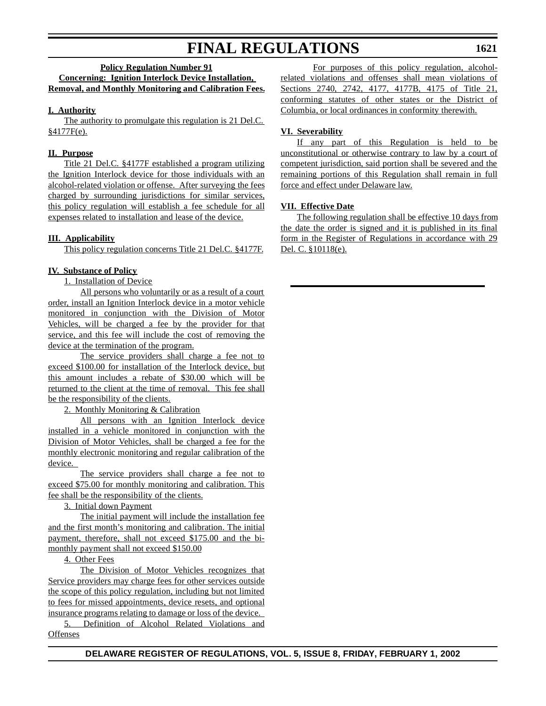#### **Policy Regulation Number 91**

#### **Concerning: Ignition Interlock Device Installation, Removal, and Monthly Monitoring and Calibration Fees.**

#### **I. Authority**

The authority to promulgate this regulation is 21 Del.C. §4177F(e).

#### **II. Purpose**

Title 21 Del.C. §4177F established a program utilizing the Ignition Interlock device for those individuals with an alcohol-related violation or offense. After surveying the fees charged by surrounding jurisdictions for similar services, this policy regulation will establish a fee schedule for all expenses related to installation and lease of the device.

#### **III. Applicability**

This policy regulation concerns Title 21 Del.C. §4177F.

#### **IV. Substance of Policy**

1. Installation of Device

All persons who voluntarily or as a result of a court order, install an Ignition Interlock device in a motor vehicle monitored in conjunction with the Division of Motor Vehicles, will be charged a fee by the provider for that service, and this fee will include the cost of removing the device at the termination of the program.

The service providers shall charge a fee not to exceed \$100.00 for installation of the Interlock device, but this amount includes a rebate of \$30.00 which will be returned to the client at the time of removal. This fee shall be the responsibility of the clients.

2. Monthly Monitoring & Calibration

All persons with an Ignition Interlock device installed in a vehicle monitored in conjunction with the Division of Motor Vehicles, shall be charged a fee for the monthly electronic monitoring and regular calibration of the device.

The service providers shall charge a fee not to exceed \$75.00 for monthly monitoring and calibration. This fee shall be the responsibility of the clients.

3. Initial down Payment

The initial payment will include the installation fee and the first month's monitoring and calibration. The initial payment, therefore, shall not exceed \$175.00 and the bimonthly payment shall not exceed \$150.00

#### 4. Other Fees

The Division of Motor Vehicles recognizes that Service providers may charge fees for other services outside the scope of this policy regulation, including but not limited to fees for missed appointments, device resets, and optional insurance programs relating to damage or loss of the device.

5. Definition of Alcohol Related Violations and **Offenses** 

For purposes of this policy regulation, alcoholrelated violations and offenses shall mean violations of Sections 2740, 2742, 4177, 4177B, 4175 of Title 21, conforming statutes of other states or the District of Columbia, or local ordinances in conformity therewith.

#### **VI. Severability**

If any part of this Regulation is held to be unconstitutional or otherwise contrary to law by a court of competent jurisdiction, said portion shall be severed and the remaining portions of this Regulation shall remain in full force and effect under Delaware law.

#### **VII. Effective Date**

The following regulation shall be effective 10 days from the date the order is signed and it is published in its final form in the Register of Regulations in accordance with 29 Del. C. §10118(e).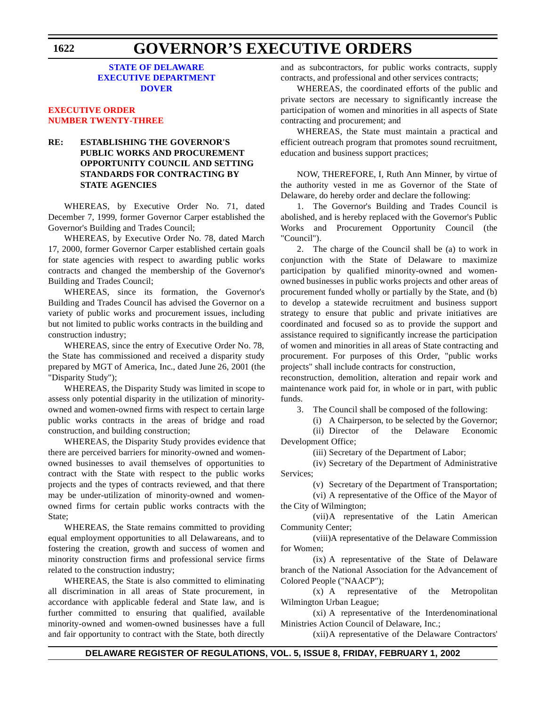#### **STATE OF DELAWARE EXECUTIVE [DEPARTMENT](http://www.state.de.us/governor/index.htm) DOVER**

#### **[EXECUTIVE ORDER](#page-3-0) NUMBER TWENTY-THREE**

#### **RE: ESTABLISHING THE GOVERNOR'S PUBLIC WORKS AND PROCUREMENT OPPORTUNITY COUNCIL AND SETTING STANDARDS FOR CONTRACTING BY STATE AGENCIES**

WHEREAS, by Executive Order No. 71, dated December 7, 1999, former Governor Carper established the Governor's Building and Trades Council;

WHEREAS, by Executive Order No. 78, dated March 17, 2000, former Governor Carper established certain goals for state agencies with respect to awarding public works contracts and changed the membership of the Governor's Building and Trades Council;

WHEREAS, since its formation, the Governor's Building and Trades Council has advised the Governor on a variety of public works and procurement issues, including but not limited to public works contracts in the building and construction industry;

WHEREAS, since the entry of Executive Order No. 78, the State has commissioned and received a disparity study prepared by MGT of America, Inc., dated June 26, 2001 (the "Disparity Study");

WHEREAS, the Disparity Study was limited in scope to assess only potential disparity in the utilization of minorityowned and women-owned firms with respect to certain large public works contracts in the areas of bridge and road construction, and building construction;

WHEREAS, the Disparity Study provides evidence that there are perceived barriers for minority-owned and womenowned businesses to avail themselves of opportunities to contract with the State with respect to the public works projects and the types of contracts reviewed, and that there may be under-utilization of minority-owned and womenowned firms for certain public works contracts with the State;

WHEREAS, the State remains committed to providing equal employment opportunities to all Delawareans, and to fostering the creation, growth and success of women and minority construction firms and professional service firms related to the construction industry;

WHEREAS, the State is also committed to eliminating all discrimination in all areas of State procurement, in accordance with applicable federal and State law, and is further committed to ensuring that qualified, available minority-owned and women-owned businesses have a full and fair opportunity to contract with the State, both directly and as subcontractors, for public works contracts, supply contracts, and professional and other services contracts;

WHEREAS, the coordinated efforts of the public and private sectors are necessary to significantly increase the participation of women and minorities in all aspects of State contracting and procurement; and

WHEREAS, the State must maintain a practical and efficient outreach program that promotes sound recruitment, education and business support practices;

NOW, THEREFORE, I, Ruth Ann Minner, by virtue of the authority vested in me as Governor of the State of Delaware, do hereby order and declare the following:

1. The Governor's Building and Trades Council is abolished, and is hereby replaced with the Governor's Public Works and Procurement Opportunity Council (the "Council").

2. The charge of the Council shall be (a) to work in conjunction with the State of Delaware to maximize participation by qualified minority-owned and womenowned businesses in public works projects and other areas of procurement funded wholly or partially by the State, and (b) to develop a statewide recruitment and business support strategy to ensure that public and private initiatives are coordinated and focused so as to provide the support and assistance required to significantly increase the participation of women and minorities in all areas of State contracting and procurement. For purposes of this Order, "public works projects" shall include contracts for construction,

reconstruction, demolition, alteration and repair work and maintenance work paid for, in whole or in part, with public funds.

3. The Council shall be composed of the following:

(i) A Chairperson, to be selected by the Governor; (ii) Director of the Delaware Economic Development Office;

(iii) Secretary of the Department of Labor;

(iv) Secretary of the Department of Administrative Services;

(v) Secretary of the Department of Transportation;

(vi) A representative of the Office of the Mayor of the City of Wilmington;

(vii)A representative of the Latin American Community Center;

(viii)A representative of the Delaware Commission for Women;

(ix) A representative of the State of Delaware branch of the National Association for the Advancement of Colored People ("NAACP");

(x) A representative of the Metropolitan Wilmington Urban League;

(xi) A representative of the Interdenominational Ministries Action Council of Delaware, Inc.;

(xii)A representative of the Delaware Contractors'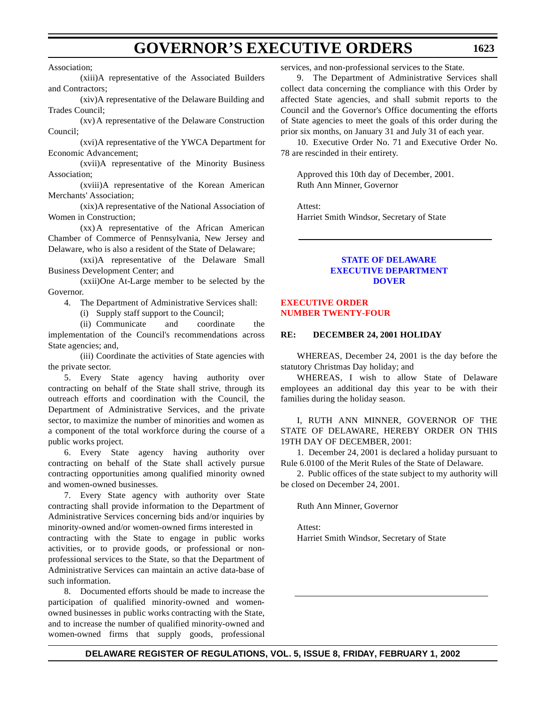### **GOVERNOR'S EXECUTIVE ORDERS**

(xiii)A representative of the Associated Builders and Contractors;

(xiv)A representative of the Delaware Building and Trades Council;

(xv) A representative of the Delaware Construction Council;

(xvi)A representative of the YWCA Department for Economic Advancement;

(xvii)A representative of the Minority Business Association;

(xviii)A representative of the Korean American Merchants' Association;

(xix)A representative of the National Association of Women in Construction;

(xx) A representative of the African American Chamber of Commerce of Pennsylvania, New Jersey and Delaware, who is also a resident of the State of Delaware;

(xxi)A representative of the Delaware Small Business Development Center; and

(xxii)One At-Large member to be selected by the Governor.

4. The Department of Administrative Services shall:

(i) Supply staff support to the Council;

(ii) Communicate and coordinate the implementation of the Council's recommendations across State agencies; and,

(iii) Coordinate the activities of State agencies with the private sector.

5. Every State agency having authority over contracting on behalf of the State shall strive, through its outreach efforts and coordination with the Council, the Department of Administrative Services, and the private sector, to maximize the number of minorities and women as a component of the total workforce during the course of a public works project.

6. Every State agency having authority over contracting on behalf of the State shall actively pursue contracting opportunities among qualified minority owned and women-owned businesses.

7. Every State agency with authority over State contracting shall provide information to the Department of Administrative Services concerning bids and/or inquiries by minority-owned and/or women-owned firms interested in contracting with the State to engage in public works activities, or to provide goods, or professional or nonprofessional services to the State, so that the Department of Administrative Services can maintain an active data-base of such information.

8. Documented efforts should be made to increase the participation of qualified minority-owned and womenowned businesses in public works contracting with the State, and to increase the number of qualified minority-owned and women-owned firms that supply goods, professional

services, and non-professional services to the State.

9. The Department of Administrative Services shall collect data concerning the compliance with this Order by affected State agencies, and shall submit reports to the Council and the Governor's Office documenting the efforts of State agencies to meet the goals of this order during the prior six months, on January 31 and July 31 of each year.

10. Executive Order No. 71 and Executive Order No. 78 are rescinded in their entirety.

Approved this 10th day of December, 2001. Ruth Ann Minner, Governor

Attest: Harriet Smith Windsor, Secretary of State

#### **STATE OF DELAWARE [EXECUTIVE DEPARTMENT](http://www.state.de.us/governor/index.htm) DOVER**

#### **EXECUTIVE ORDER NUMBER [TWENTY-FOUR](#page-3-0)**

#### **RE: DECEMBER 24, 2001 HOLIDAY**

WHEREAS, December 24, 2001 is the day before the statutory Christmas Day holiday; and

WHEREAS, I wish to allow State of Delaware employees an additional day this year to be with their families during the holiday season.

I, RUTH ANN MINNER, GOVERNOR OF THE STATE OF DELAWARE, HEREBY ORDER ON THIS 19TH DAY OF DECEMBER, 2001:

1. December 24, 2001 is declared a holiday pursuant to Rule 6.0100 of the Merit Rules of the State of Delaware.

2. Public offices of the state subject to my authority will be closed on December 24, 2001.

Ruth Ann Minner, Governor

Attest: Harriet Smith Windsor, Secretary of State

Association;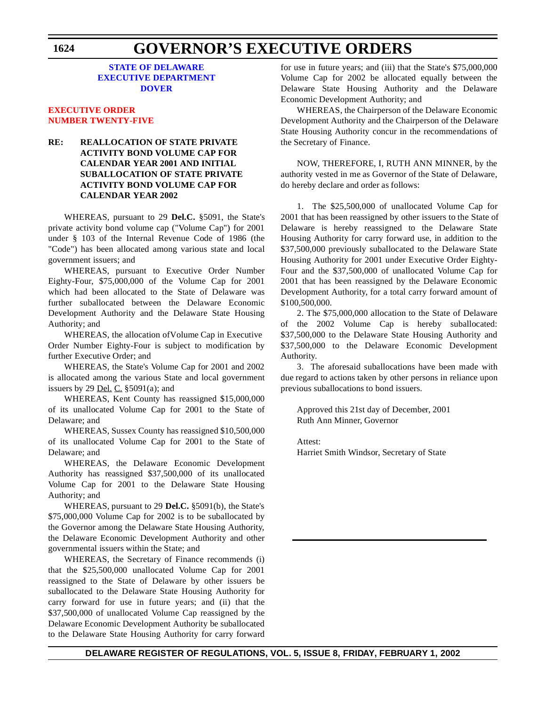## **GOVERNOR'S EXECUTIVE ORDERS**

#### **STATE OF DELAWARE EXECUTIVE [DEPARTMENT](http://www.state.de.us/governor/index.htm) DOVER**

#### **[EXECUTIVE ORDER](#page-3-0) NUMBER TWENTY-FIVE**

#### **RE: REALLOCATION OF STATE PRIVATE ACTIVITY BOND VOLUME CAP FOR CALENDAR YEAR 2001 AND INITIAL SUBALLOCATION OF STATE PRIVATE ACTIVITY BOND VOLUME CAP FOR CALENDAR YEAR 2002**

WHEREAS, pursuant to 29 **Del.C.** §5091, the State's private activity bond volume cap ("Volume Cap") for 2001 under § 103 of the Internal Revenue Code of 1986 (the "Code") has been allocated among various state and local government issuers; and

WHEREAS, pursuant to Executive Order Number Eighty-Four, \$75,000,000 of the Volume Cap for 2001 which had been allocated to the State of Delaware was further suballocated between the Delaware Economic Development Authority and the Delaware State Housing Authority; and

WHEREAS, the allocation of Volume Cap in Executive Order Number Eighty-Four is subject to modification by further Executive Order; and

WHEREAS, the State's Volume Cap for 2001 and 2002 is allocated among the various State and local government issuers by 29 Del. C.  $\S 5091(a)$ ; and

WHEREAS, Kent County has reassigned \$15,000,000 of its unallocated Volume Cap for 2001 to the State of Delaware; and

WHEREAS, Sussex County has reassigned \$10,500,000 of its unallocated Volume Cap for 2001 to the State of Delaware; and

WHEREAS, the Delaware Economic Development Authority has reassigned \$37,500,000 of its unallocated Volume Cap for 2001 to the Delaware State Housing Authority; and

WHEREAS, pursuant to 29 **Del.C.** §5091(b), the State's \$75,000,000 Volume Cap for 2002 is to be suballocated by the Governor among the Delaware State Housing Authority, the Delaware Economic Development Authority and other governmental issuers within the State; and

WHEREAS, the Secretary of Finance recommends (i) that the \$25,500,000 unallocated Volume Cap for 2001 reassigned to the State of Delaware by other issuers be suballocated to the Delaware State Housing Authority for carry forward for use in future years; and (ii) that the \$37,500,000 of unallocated Volume Cap reassigned by the Delaware Economic Development Authority be suballocated to the Delaware State Housing Authority for carry forward for use in future years; and (iii) that the State's \$75,000,000 Volume Cap for 2002 be allocated equally between the Delaware State Housing Authority and the Delaware Economic Development Authority; and

WHEREAS, the Chairperson of the Delaware Economic Development Authority and the Chairperson of the Delaware State Housing Authority concur in the recommendations of the Secretary of Finance.

NOW, THEREFORE, I, RUTH ANN MINNER, by the authority vested in me as Governor of the State of Delaware, do hereby declare and order as follows:

1. The \$25,500,000 of unallocated Volume Cap for 2001 that has been reassigned by other issuers to the State of Delaware is hereby reassigned to the Delaware State Housing Authority for carry forward use, in addition to the \$37,500,000 previously suballocated to the Delaware State Housing Authority for 2001 under Executive Order Eighty-Four and the \$37,500,000 of unallocated Volume Cap for 2001 that has been reassigned by the Delaware Economic Development Authority, for a total carry forward amount of \$100,500,000.

2. The \$75,000,000 allocation to the State of Delaware of the 2002 Volume Cap is hereby suballocated: \$37,500,000 to the Delaware State Housing Authority and \$37,500,000 to the Delaware Economic Development Authority.

3. The aforesaid suballocations have been made with due regard to actions taken by other persons in reliance upon previous suballocations to bond issuers.

Approved this 21st day of December, 2001 Ruth Ann Minner, Governor

Attest: Harriet Smith Windsor, Secretary of State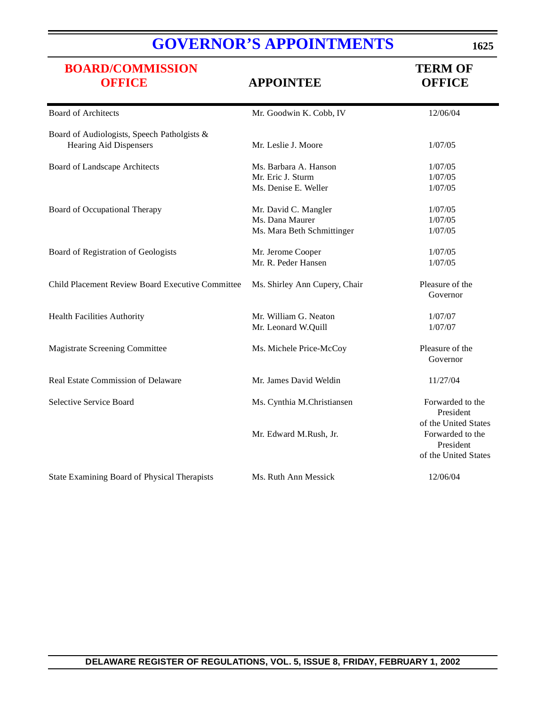# **GOVERNOR'S [APPOINTMENTS](http://www.state.de.us/governor/index.htm)**

# **[BOARD/COMMISSION](#page-3-0)**<br> **OFFICE**<br> **APPOINTEE**<br> **OFFICE**

#### **OFFICE APPOINTEE OFFICE**

| <b>Board of Architects</b>                       | Mr. Goodwin K. Cobb, IV       | 12/06/04             |
|--------------------------------------------------|-------------------------------|----------------------|
| Board of Audiologists, Speech Patholgists &      |                               |                      |
| <b>Hearing Aid Dispensers</b>                    | Mr. Leslie J. Moore           | 1/07/05              |
| Board of Landscape Architects                    | Ms. Barbara A. Hanson         | 1/07/05              |
|                                                  | Mr. Eric J. Sturm             | 1/07/05              |
|                                                  | Ms. Denise E. Weller          | 1/07/05              |
| Board of Occupational Therapy                    | Mr. David C. Mangler          | 1/07/05              |
|                                                  | Ms. Dana Maurer               | 1/07/05              |
|                                                  | Ms. Mara Beth Schmittinger    | 1/07/05              |
| Board of Registration of Geologists              | Mr. Jerome Cooper             | 1/07/05              |
|                                                  | Mr. R. Peder Hansen           | 1/07/05              |
| Child Placement Review Board Executive Committee | Ms. Shirley Ann Cupery, Chair | Pleasure of the      |
|                                                  |                               | Governor             |
| <b>Health Facilities Authority</b>               | Mr. William G. Neaton         | 1/07/07              |
|                                                  | Mr. Leonard W.Quill           | 1/07/07              |
| <b>Magistrate Screening Committee</b>            | Ms. Michele Price-McCoy       | Pleasure of the      |
|                                                  |                               | Governor             |
| Real Estate Commission of Delaware               | Mr. James David Weldin        | 11/27/04             |
| Selective Service Board                          | Ms. Cynthia M.Christiansen    | Forwarded to the     |
|                                                  |                               | President            |
|                                                  |                               | of the United States |
|                                                  | Mr. Edward M.Rush, Jr.        | Forwarded to the     |
|                                                  |                               | President            |
|                                                  |                               | of the United States |
| State Examining Board of Physical Therapists     | Ms. Ruth Ann Messick          | 12/06/04             |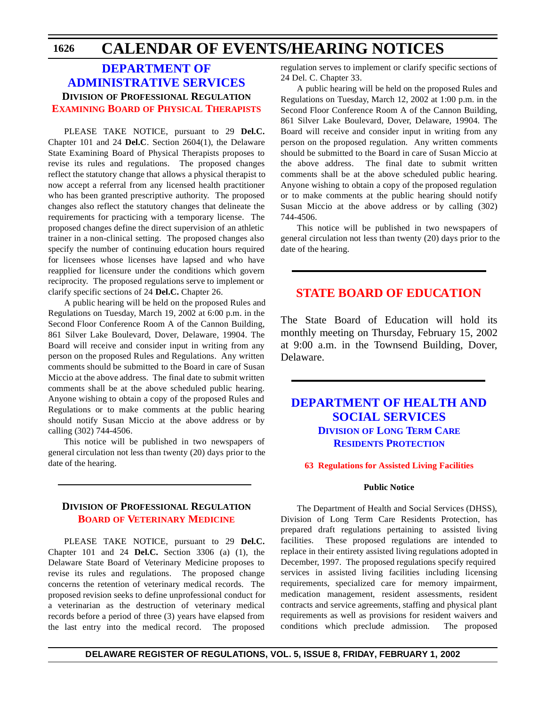#### **DEPARTMENT OF [ADMINISTRATIVE SERVICES](http://www.state.de.us/das/) DIVISION OF PROFESSIONAL REGULATION EXAMINING BOARD OF PHYSICAL [THERAPISTS](#page-4-0)**

PLEASE TAKE NOTICE, pursuant to 29 **Del.C.** Chapter 101 and 24 **Del.C**. Section 2604(1), the Delaware State Examining Board of Physical Therapists proposes to revise its rules and regulations. The proposed changes reflect the statutory change that allows a physical therapist to now accept a referral from any licensed health practitioner who has been granted prescriptive authority. The proposed changes also reflect the statutory changes that delineate the requirements for practicing with a temporary license. The proposed changes define the direct supervision of an athletic trainer in a non-clinical setting. The proposed changes also specify the number of continuing education hours required for licensees whose licenses have lapsed and who have reapplied for licensure under the conditions which govern reciprocity. The proposed regulations serve to implement or clarify specific sections of 24 **Del.C.** Chapter 26.

A public hearing will be held on the proposed Rules and Regulations on Tuesday, March 19, 2002 at 6:00 p.m. in the Second Floor Conference Room A of the Cannon Building, 861 Silver Lake Boulevard, Dover, Delaware, 19904. The Board will receive and consider input in writing from any person on the proposed Rules and Regulations. Any written comments should be submitted to the Board in care of Susan Miccio at the above address. The final date to submit written comments shall be at the above scheduled public hearing. Anyone wishing to obtain a copy of the proposed Rules and Regulations or to make comments at the public hearing should notify Susan Miccio at the above address or by calling (302) 744-4506.

This notice will be published in two newspapers of general circulation not less than twenty (20) days prior to the date of the hearing.

#### **DIVISION OF PROFESSIONAL REGULATION BOARD OF [VETERINARY](#page-4-0) MEDICINE**

PLEASE TAKE NOTICE, pursuant to 29 **Del.C.** Chapter 101 and 24 **Del.C.** Section 3306 (a) (1), the Delaware State Board of Veterinary Medicine proposes to revise its rules and regulations. The proposed change concerns the retention of veterinary medical records. The proposed revision seeks to define unprofessional conduct for a veterinarian as the destruction of veterinary medical records before a period of three (3) years have elapsed from the last entry into the medical record. The proposed

regulation serves to implement or clarify specific sections of 24 Del. C. Chapter 33.

A public hearing will be held on the proposed Rules and Regulations on Tuesday, March 12, 2002 at 1:00 p.m. in the Second Floor Conference Room A of the Cannon Building, 861 Silver Lake Boulevard, Dover, Delaware, 19904. The Board will receive and consider input in writing from any person on the proposed regulation. Any written comments should be submitted to the Board in care of Susan Miccio at the above address. The final date to submit written comments shall be at the above scheduled public hearing. Anyone wishing to obtain a copy of the proposed regulation or to make comments at the public hearing should notify Susan Miccio at the above address or by calling (302) 744-4506.

This notice will be published in two newspapers of general circulation not less than twenty (20) days prior to the date of the hearing.

#### **STATE BOARD OF [EDUCATION](#page-4-0)**

The State Board of Education will hold its monthly meeting on Thursday, February 15, 2002 at 9:00 a.m. in the Townsend Building, Dover, Delaware.

#### **DEPARTMENT OF HEALTH AND [SOCIAL SERVICES](http://www.state.de.us/dhss/dltc/dltchome.htm) DIVISION OF LONG TERM CARE RESIDENTS PROTECTION**

#### **63 Regulations for Assisted [Living Facilities](#page-4-0)**

#### **Public Notice**

The Department of Health and Social Services (DHSS), Division of Long Term Care Residents Protection, has prepared draft regulations pertaining to assisted living facilities. These proposed regulations are intended to replace in their entirety assisted living regulations adopted in December, 1997. The proposed regulations specify required services in assisted living facilities including licensing requirements, specialized care for memory impairment, medication management, resident assessments, resident contracts and service agreements, staffing and physical plant requirements as well as provisions for resident waivers and conditions which preclude admission. The proposed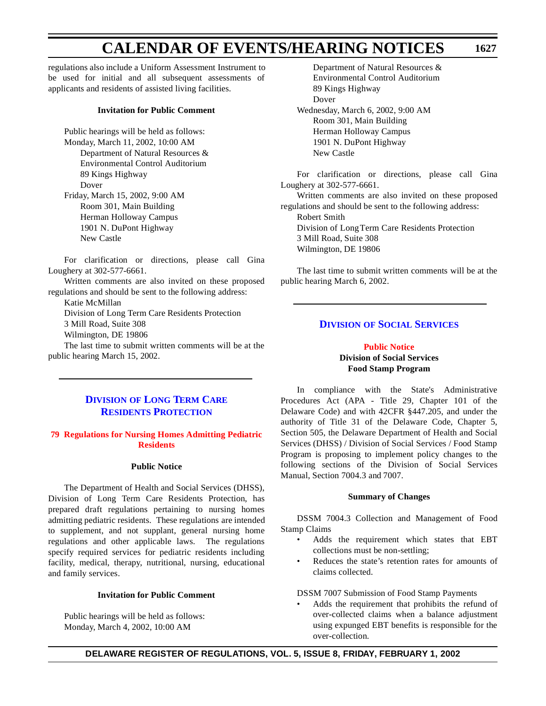regulations also include a Uniform Assessment Instrument to be used for initial and all subsequent assessments of applicants and residents of assisted living facilities.

#### **Invitation for Public Comment**

Public hearings will be held as follows: Monday, March 11, 2002, 10:00 AM Department of Natural Resources & Environmental Control Auditorium 89 Kings Highway Dover Friday, March 15, 2002, 9:00 AM Room 301, Main Building Herman Holloway Campus 1901 N. DuPont Highway New Castle

For clarification or directions, please call Gina Loughery at 302-577-6661.

Written comments are also invited on these proposed regulations and should be sent to the following address:

Katie McMillan

Division of Long Term Care Residents Protection 3 Mill Road, Suite 308

Wilmington, DE 19806

The last time to submit written comments will be at the public hearing March 15, 2002.

#### **DIVISION OF LONG TERM CARE RESIDENTS [PROTECTION](http://www.state.de.us/dhss/dltc/dltchome.htm)**

#### **79 Regulations for [Nursing Homes](#page-4-0) Admitting Pediatric Residents**

#### **Public Notice**

The Department of Health and Social Services (DHSS), Division of Long Term Care Residents Protection, has prepared draft regulations pertaining to nursing homes admitting pediatric residents. These regulations are intended to supplement, and not supplant, general nursing home regulations and other applicable laws. The regulations specify required services for pediatric residents including facility, medical, therapy, nutritional, nursing, educational and family services.

#### **Invitation for Public Comment**

Public hearings will be held as follows: Monday, March 4, 2002, 10:00 AM

Department of Natural Resources & Environmental Control Auditorium 89 Kings Highway Dover Wednesday, March 6, 2002, 9:00 AM Room 301, Main Building Herman Holloway Campus 1901 N. DuPont Highway New Castle

For clarification or directions, please call Gina Loughery at 302-577-6661.

Written comments are also invited on these proposed regulations and should be sent to the following address: Robert Smith Division of Long Term Care Residents Protection 3 Mill Road, Suite 308

Wilmington, DE 19806

The last time to submit written comments will be at the public hearing March 6, 2002.

#### **DIVISION OF SOCIAL [SERVICES](http://www.state.de.us/dhss/dss/dsshome.html)**

#### **Public [Notice](#page-4-0) Division of Social Services Food Stamp Program**

In compliance with the State's Administrative Procedures Act (APA - Title 29, Chapter 101 of the Delaware Code) and with 42CFR §447.205, and under the authority of Title 31 of the Delaware Code, Chapter 5, Section 505, the Delaware Department of Health and Social Services (DHSS) / Division of Social Services / Food Stamp Program is proposing to implement policy changes to the following sections of the Division of Social Services Manual, Section 7004.3 and 7007.

#### **Summary of Changes**

DSSM 7004.3 Collection and Management of Food Stamp Claims

- Adds the requirement which states that EBT collections must be non-settling;
- Reduces the state's retention rates for amounts of claims collected.

DSSM 7007 Submission of Food Stamp Payments

• Adds the requirement that prohibits the refund of over-collected claims when a balance adjustment using expunged EBT benefits is responsible for the over-collection.

**DELAWARE REGISTER OF REGULATIONS, VOL. 5, ISSUE 8, FRIDAY, FEBRUARY 1, 2002**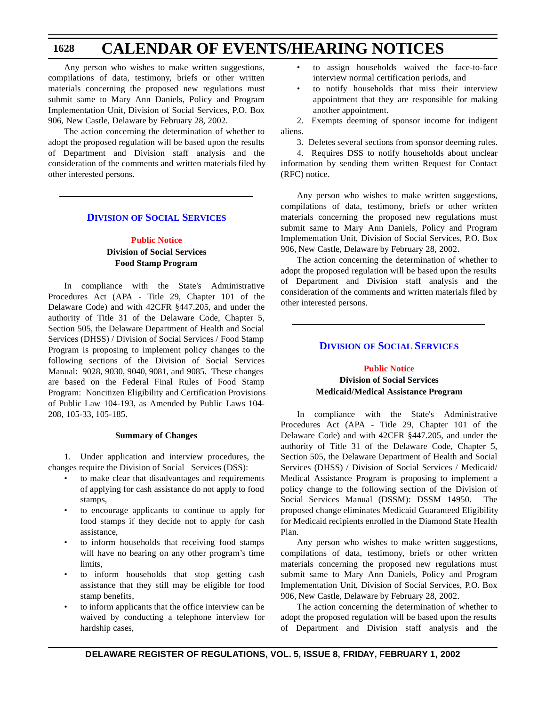Any person who wishes to make written suggestions, compilations of data, testimony, briefs or other written materials concerning the proposed new regulations must submit same to Mary Ann Daniels, Policy and Program Implementation Unit, Division of Social Services, P.O. Box 906, New Castle, Delaware by February 28, 2002.

The action concerning the determination of whether to adopt the proposed regulation will be based upon the results of Department and Division staff analysis and the consideration of the comments and written materials filed by other interested persons.

#### **DIVISION OF SOCIAL [SERVICES](http://www.state.de.us/dhss/dss/dsshome.html)**

#### **[Public](#page-4-0) Notice Division of Social Services Food Stamp Program**

In compliance with the State's Administrative Procedures Act (APA - Title 29, Chapter 101 of the Delaware Code) and with 42CFR §447.205, and under the authority of Title 31 of the Delaware Code, Chapter 5, Section 505, the Delaware Department of Health and Social Services (DHSS) / Division of Social Services / Food Stamp Program is proposing to implement policy changes to the following sections of the Division of Social Services Manual: 9028, 9030, 9040, 9081, and 9085. These changes are based on the Federal Final Rules of Food Stamp Program: Noncitizen Eligibility and Certification Provisions of Public Law 104-193, as Amended by Public Laws 104- 208, 105-33, 105-185.

#### **Summary of Changes**

1. Under application and interview procedures, the changes require the Division of Social Services (DSS):

- to make clear that disadvantages and requirements of applying for cash assistance do not apply to food stamps,
- to encourage applicants to continue to apply for food stamps if they decide not to apply for cash assistance,
- to inform households that receiving food stamps will have no bearing on any other program's time limits,
- to inform households that stop getting cash assistance that they still may be eligible for food stamp benefits,
- to inform applicants that the office interview can be waived by conducting a telephone interview for hardship cases,
- to assign households waived the face-to-face interview normal certification periods, and
- to notify households that miss their interview appointment that they are responsible for making another appointment.

2. Exempts deeming of sponsor income for indigent aliens.

3. Deletes several sections from sponsor deeming rules.

4. Requires DSS to notify households about unclear information by sending them written Request for Contact (RFC) notice.

Any person who wishes to make written suggestions, compilations of data, testimony, briefs or other written materials concerning the proposed new regulations must submit same to Mary Ann Daniels, Policy and Program Implementation Unit, Division of Social Services, P.O. Box 906, New Castle, Delaware by February 28, 2002.

The action concerning the determination of whether to adopt the proposed regulation will be based upon the results of Department and Division staff analysis and the consideration of the comments and written materials filed by other interested persons.

#### **DIVISION OF SOCIAL [SERVICES](http://www.state.de.us/dhss/dss/dsshome.html)**

#### **Public [Notice](#page-4-0) Division of Social Services Medicaid/Medical Assistance Program**

In compliance with the State's Administrative Procedures Act (APA - Title 29, Chapter 101 of the Delaware Code) and with 42CFR §447.205, and under the authority of Title 31 of the Delaware Code, Chapter 5, Section 505, the Delaware Department of Health and Social Services (DHSS) / Division of Social Services / Medicaid/ Medical Assistance Program is proposing to implement a policy change to the following section of the Division of Social Services Manual (DSSM): DSSM 14950. The proposed change eliminates Medicaid Guaranteed Eligibility for Medicaid recipients enrolled in the Diamond State Health Plan.

Any person who wishes to make written suggestions, compilations of data, testimony, briefs or other written materials concerning the proposed new regulations must submit same to Mary Ann Daniels, Policy and Program Implementation Unit, Division of Social Services, P.O. Box 906, New Castle, Delaware by February 28, 2002.

The action concerning the determination of whether to adopt the proposed regulation will be based upon the results of Department and Division staff analysis and the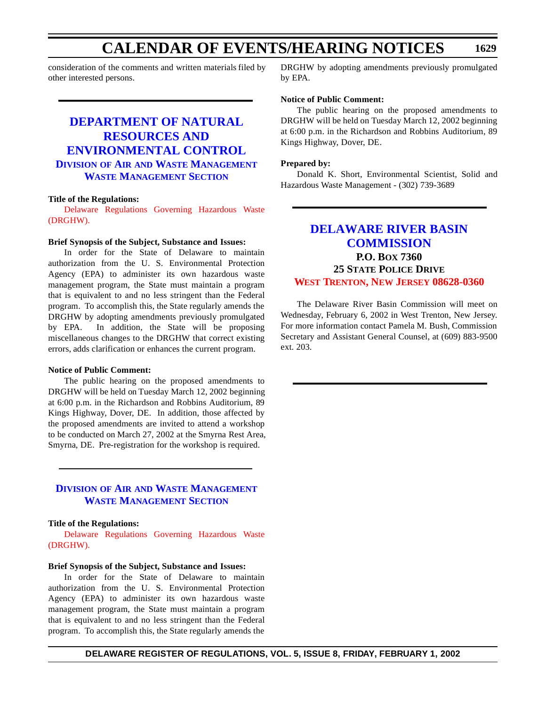consideration of the comments and written materials filed by other interested persons.

#### **DEPARTMENT OF NATURAL RESOURCES AND [ENVIRONMENTAL CONTROL](http://www.dnrec.state.de.us/DNREC2000/Divisions/AWM/AWM.htm) DIVISION OF AIR AND WASTE MANAGEMENT WASTE MANAGEMENT SECTION**

#### **Title of the Regulations:**

Delaware [Regulations](#page-4-0) Governing Hazardous Waste (DRGHW).

#### **Brief Synopsis of the Subject, Substance and Issues:**

In order for the State of Delaware to maintain authorization from the U. S. Environmental Protection Agency (EPA) to administer its own hazardous waste management program, the State must maintain a program that is equivalent to and no less stringent than the Federal program. To accomplish this, the State regularly amends the DRGHW by adopting amendments previously promulgated by EPA. In addition, the State will be proposing miscellaneous changes to the DRGHW that correct existing errors, adds clarification or enhances the current program.

#### **Notice of Public Comment:**

The public hearing on the proposed amendments to DRGHW will be held on Tuesday March 12, 2002 beginning at 6:00 p.m. in the Richardson and Robbins Auditorium, 89 Kings Highway, Dover, DE. In addition, those affected by the proposed amendments are invited to attend a workshop to be conducted on March 27, 2002 at the Smyrna Rest Area, Smyrna, DE. Pre-registration for the workshop is required.

#### **DIVISION OF AIR AND WASTE [MANAGEMENT](http://www.dnrec.state.de.us/DNREC2000/Divisions/AWM/AWM.htm) WASTE MANAGEMENT SECTION**

#### **Title of the Regulations:**

Delaware [Regulations](#page-4-0) Governing Hazardous Waste (DRGHW).

#### **Brief Synopsis of the Subject, Substance and Issues:**

In order for the State of Delaware to maintain authorization from the U. S. Environmental Protection Agency (EPA) to administer its own hazardous waste management program, the State must maintain a program that is equivalent to and no less stringent than the Federal program. To accomplish this, the State regularly amends the DRGHW by adopting amendments previously promulgated by EPA.

#### **Notice of Public Comment:**

The public hearing on the proposed amendments to DRGHW will be held on Tuesday March 12, 2002 beginning at 6:00 p.m. in the Richardson and Robbins Auditorium, 89 Kings Highway, Dover, DE.

#### **Prepared by:**

Donald K. Short, Environmental Scientist, Solid and Hazardous Waste Management - (302) 739-3689

#### **DELAWARE RIVER BASIN [COMMISSION](http://www.state.nj.us/drbc/drbc.htm) P.O. BOX 7360 25 STATE POLICE DRIVE WEST [TRENTON, NEW](#page-4-0) JERSEY 08628-0360**

The Delaware River Basin Commission will meet on Wednesday, February 6, 2002 in West Trenton, New Jersey. For more information contact Pamela M. Bush, Commission Secretary and Assistant General Counsel, at (609) 883-9500 ext. 203.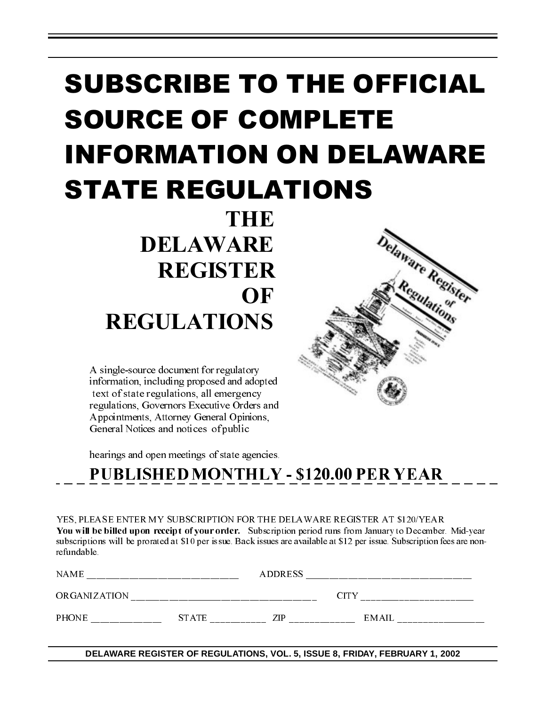# SUBSCRIBE TO THE OFFICIAL SOURCE OF COMPLETE INFORMATION ON DELAWARE STATE REGULATIONS

Delaware Register

**THE**  DELAWARE REGISTER **OF** REGULATIONS

A single-source document for regulatory information, including proposed and adopted text of state regulations, all emergency regulations, Governors Executive Orders and Appointments, Attorney General Opinions, General Notices and notices of public

hearings and open meetings of state agencies.

| YES, PLEASE ENTER MY SUBSCRIPTION FOR THE DELAWARE REGISTER AT \$1 20/YEAR                                                |
|---------------------------------------------------------------------------------------------------------------------------|
| You will be billed upon receipt of your order. Subscription period runs from January to December. Mid-year                |
| subscriptions will be prorated at \$10 per issue. Back issues are available at \$12 per issue. Subscription fees are non- |
| refundable.                                                                                                               |

| YES, PLEASE ENTER MY SUBSCRIPTION FOR THE DELAWARE REGISTER AT \$1 20/YEAR<br>You will be billed upon receipt of your order. Subscription period runs from January to December. Mid-year<br>subscriptions will be prorated at \$10 per issue. Back issues are available at \$12 per issue. Subscription fees are non-<br>refundable. |                                                                             |  |  |  |
|--------------------------------------------------------------------------------------------------------------------------------------------------------------------------------------------------------------------------------------------------------------------------------------------------------------------------------------|-----------------------------------------------------------------------------|--|--|--|
|                                                                                                                                                                                                                                                                                                                                      |                                                                             |  |  |  |
|                                                                                                                                                                                                                                                                                                                                      |                                                                             |  |  |  |
|                                                                                                                                                                                                                                                                                                                                      |                                                                             |  |  |  |
|                                                                                                                                                                                                                                                                                                                                      | DELAWARE REGISTER OF REGULATIONS, VOL. 5, ISSUE 8, FRIDAY, FEBRUARY 1, 2002 |  |  |  |
|                                                                                                                                                                                                                                                                                                                                      |                                                                             |  |  |  |
|                                                                                                                                                                                                                                                                                                                                      |                                                                             |  |  |  |
|                                                                                                                                                                                                                                                                                                                                      |                                                                             |  |  |  |
|                                                                                                                                                                                                                                                                                                                                      |                                                                             |  |  |  |
|                                                                                                                                                                                                                                                                                                                                      |                                                                             |  |  |  |
|                                                                                                                                                                                                                                                                                                                                      |                                                                             |  |  |  |
|                                                                                                                                                                                                                                                                                                                                      |                                                                             |  |  |  |
|                                                                                                                                                                                                                                                                                                                                      |                                                                             |  |  |  |
|                                                                                                                                                                                                                                                                                                                                      |                                                                             |  |  |  |
|                                                                                                                                                                                                                                                                                                                                      |                                                                             |  |  |  |
|                                                                                                                                                                                                                                                                                                                                      |                                                                             |  |  |  |
|                                                                                                                                                                                                                                                                                                                                      |                                                                             |  |  |  |
|                                                                                                                                                                                                                                                                                                                                      |                                                                             |  |  |  |
|                                                                                                                                                                                                                                                                                                                                      |                                                                             |  |  |  |
|                                                                                                                                                                                                                                                                                                                                      |                                                                             |  |  |  |
|                                                                                                                                                                                                                                                                                                                                      |                                                                             |  |  |  |
|                                                                                                                                                                                                                                                                                                                                      |                                                                             |  |  |  |
|                                                                                                                                                                                                                                                                                                                                      |                                                                             |  |  |  |
|                                                                                                                                                                                                                                                                                                                                      |                                                                             |  |  |  |
|                                                                                                                                                                                                                                                                                                                                      |                                                                             |  |  |  |
|                                                                                                                                                                                                                                                                                                                                      |                                                                             |  |  |  |
|                                                                                                                                                                                                                                                                                                                                      |                                                                             |  |  |  |
|                                                                                                                                                                                                                                                                                                                                      |                                                                             |  |  |  |
|                                                                                                                                                                                                                                                                                                                                      |                                                                             |  |  |  |
|                                                                                                                                                                                                                                                                                                                                      |                                                                             |  |  |  |
|                                                                                                                                                                                                                                                                                                                                      |                                                                             |  |  |  |
|                                                                                                                                                                                                                                                                                                                                      |                                                                             |  |  |  |
|                                                                                                                                                                                                                                                                                                                                      |                                                                             |  |  |  |
|                                                                                                                                                                                                                                                                                                                                      |                                                                             |  |  |  |
|                                                                                                                                                                                                                                                                                                                                      |                                                                             |  |  |  |
|                                                                                                                                                                                                                                                                                                                                      |                                                                             |  |  |  |
|                                                                                                                                                                                                                                                                                                                                      |                                                                             |  |  |  |
|                                                                                                                                                                                                                                                                                                                                      |                                                                             |  |  |  |
|                                                                                                                                                                                                                                                                                                                                      |                                                                             |  |  |  |
|                                                                                                                                                                                                                                                                                                                                      |                                                                             |  |  |  |
|                                                                                                                                                                                                                                                                                                                                      |                                                                             |  |  |  |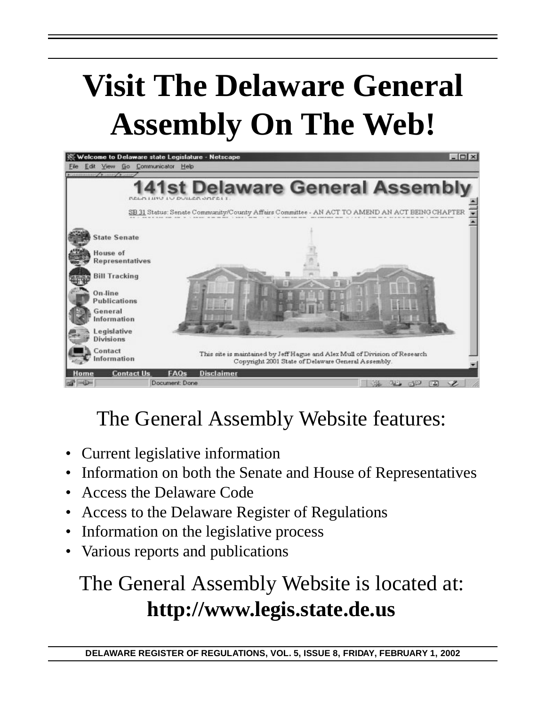# **Visit The Delaware General Assembly On The Web!**



# The General Assembly Website features:

- Current legislative information
- Information on both the Senate and House of Representatives
- Access the Delaware Code
- Access to the Delaware Register of Regulations
- Information on the legislative process
- Various reports and publications

# The General Assembly Website is located at: **http://www.legis.state.de.us**